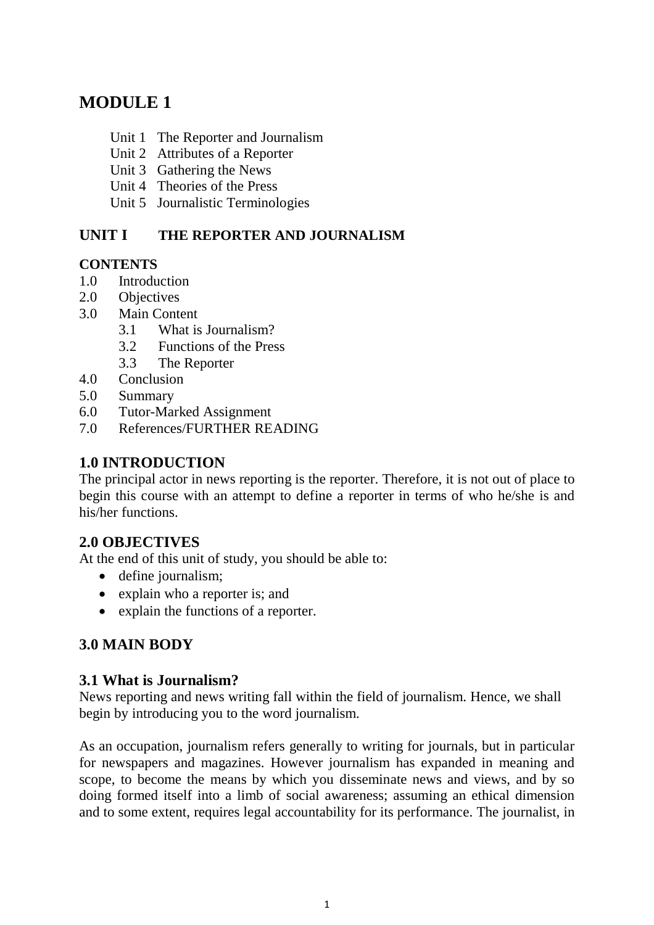# **MODULE 1**

- Unit 1 The Reporter and Journalism
- Unit 2 Attributes of a Reporter
- Unit 3 Gathering the News
- Unit 4 Theories of the Press
- Unit 5 Journalistic Terminologies

### **UNIT I THE REPORTER AND JOURNALISM**

### **CONTENTS**

- 1.0 Introduction
- 2.0 Objectives
- 3.0 Main Content
	- 3.1 What is Journalism?
	- 3.2 Functions of the Press
	- 3.3 The Reporter
- 4.0 Conclusion
- 5.0 Summary
- 6.0 Tutor-Marked Assignment
- 7.0 References/FURTHER READING

# **1.0 INTRODUCTION**

The principal actor in news reporting is the reporter. Therefore, it is not out of place to begin this course with an attempt to define a reporter in terms of who he/she is and his/her functions.

# **2.0 OBJECTIVES**

At the end of this unit of study, you should be able to:

- define journalism;
- explain who a reporter is; and
- explain the functions of a reporter.

# **3.0 MAIN BODY**

### **3.1 What is Journalism?**

News reporting and news writing fall within the field of journalism. Hence, we shall begin by introducing you to the word journalism.

As an occupation, journalism refers generally to writing for journals, but in particular for newspapers and magazines. However journalism has expanded in meaning and scope, to become the means by which you disseminate news and views, and by so doing formed itself into a limb of social awareness; assuming an ethical dimension and to some extent, requires legal accountability for its performance. The journalist, in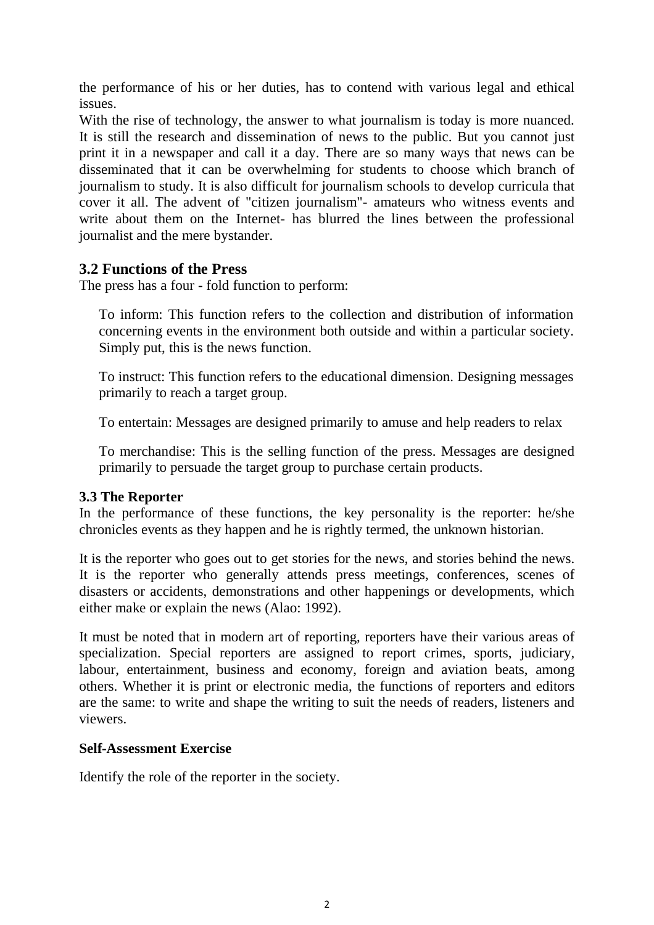the performance of his or her duties, has to contend with various legal and ethical issues.

With the rise of technology, the answer to what journalism is today is more nuanced. It is still the research and dissemination of news to the public. But you cannot just print it in a newspaper and call it a day. There are so many ways that news can be disseminated that it can be overwhelming for students to choose which branch of journalism to study. It is also difficult for journalism schools to develop curricula that cover it all. The advent of "citizen journalism"- amateurs who witness events and write about them on the Internet- has blurred the lines between the professional journalist and the mere bystander.

### **3.2 Functions of the Press**

The press has a four - fold function to perform:

To inform: This function refers to the collection and distribution of information concerning events in the environment both outside and within a particular society. Simply put, this is the news function.

To instruct: This function refers to the educational dimension. Designing messages primarily to reach a target group.

To entertain: Messages are designed primarily to amuse and help readers to relax

To merchandise: This is the selling function of the press. Messages are designed primarily to persuade the target group to purchase certain products.

### **3.3 The Reporter**

In the performance of these functions, the key personality is the reporter: he/she chronicles events as they happen and he is rightly termed, the unknown historian.

It is the reporter who goes out to get stories for the news, and stories behind the news. It is the reporter who generally attends press meetings, conferences, scenes of disasters or accidents, demonstrations and other happenings or developments, which either make or explain the news (Alao: 1992).

It must be noted that in modern art of reporting, reporters have their various areas of specialization. Special reporters are assigned to report crimes, sports, judiciary, labour, entertainment, business and economy, foreign and aviation beats, among others. Whether it is print or electronic media, the functions of reporters and editors are the same: to write and shape the writing to suit the needs of readers, listeners and viewers.

### **Self-Assessment Exercise**

Identify the role of the reporter in the society.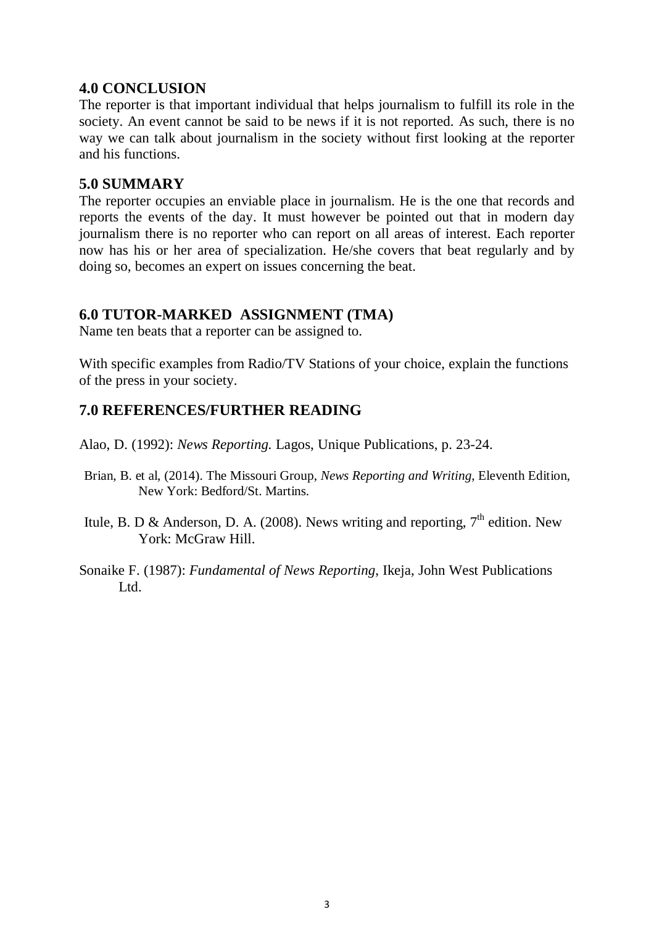### **4.0 CONCLUSION**

The reporter is that important individual that helps journalism to fulfill its role in the society. An event cannot be said to be news if it is not reported. As such, there is no way we can talk about journalism in the society without first looking at the reporter and his functions.

### **5.0 SUMMARY**

The reporter occupies an enviable place in journalism. He is the one that records and reports the events of the day. It must however be pointed out that in modern day journalism there is no reporter who can report on all areas of interest. Each reporter now has his or her area of specialization. He/she covers that beat regularly and by doing so, becomes an expert on issues concerning the beat.

### **6.0 TUTOR-MARKED ASSIGNMENT (TMA)**

Name ten beats that a reporter can be assigned to.

With specific examples from Radio/TV Stations of your choice, explain the functions of the press in your society.

# **7.0 REFERENCES/FURTHER READING**

Alao, D. (1992): *News Reporting.* Lagos, Unique Publications, p. 23-24.

- Brian, B. et al, (2014). The Missouri Group, *News Reporting and Writing*, Eleventh Edition, New York: Bedford/St. Martins.
- Itule, B. D & Anderson, D. A. (2008). News writing and reporting,  $7<sup>th</sup>$  edition. New York: McGraw Hill.
- Sonaike F. (1987): *Fundamental of News Reporting*, Ikeja, John West Publications Ltd.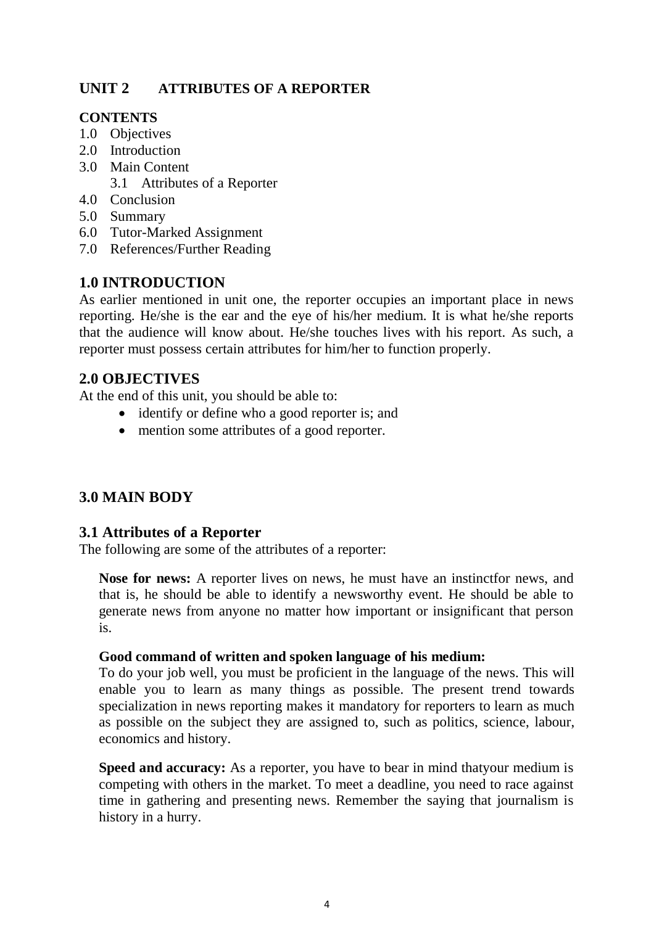# **UNIT 2 ATTRIBUTES OF A REPORTER**

### **CONTENTS**

- 1.0 Objectives
- 2.0 Introduction
- 3.0 Main Content
	- 3.1 Attributes of a Reporter
- 4.0 Conclusion
- 5.0 Summary
- 6.0 Tutor-Marked Assignment
- 7.0 References/Further Reading

# **1.0 INTRODUCTION**

As earlier mentioned in unit one, the reporter occupies an important place in news reporting. He/she is the ear and the eye of his/her medium. It is what he/she reports that the audience will know about. He/she touches lives with his report. As such, a reporter must possess certain attributes for him/her to function properly.

# **2.0 OBJECTIVES**

At the end of this unit, you should be able to:

- identify or define who a good reporter is; and
- mention some attributes of a good reporter.

# **3.0 MAIN BODY**

# **3.1 Attributes of a Reporter**

The following are some of the attributes of a reporter:

**Nose for news:** A reporter lives on news, he must have an instinctfor news, and that is, he should be able to identify a newsworthy event. He should be able to generate news from anyone no matter how important or insignificant that person is.

### **Good command of written and spoken language of his medium:**

To do your job well, you must be proficient in the language of the news. This will enable you to learn as many things as possible. The present trend towards specialization in news reporting makes it mandatory for reporters to learn as much as possible on the subject they are assigned to, such as politics, science, labour, economics and history.

**Speed and accuracy:** As a reporter, you have to bear in mind thatyour medium is competing with others in the market. To meet a deadline, you need to race against time in gathering and presenting news. Remember the saying that journalism is history in a hurry.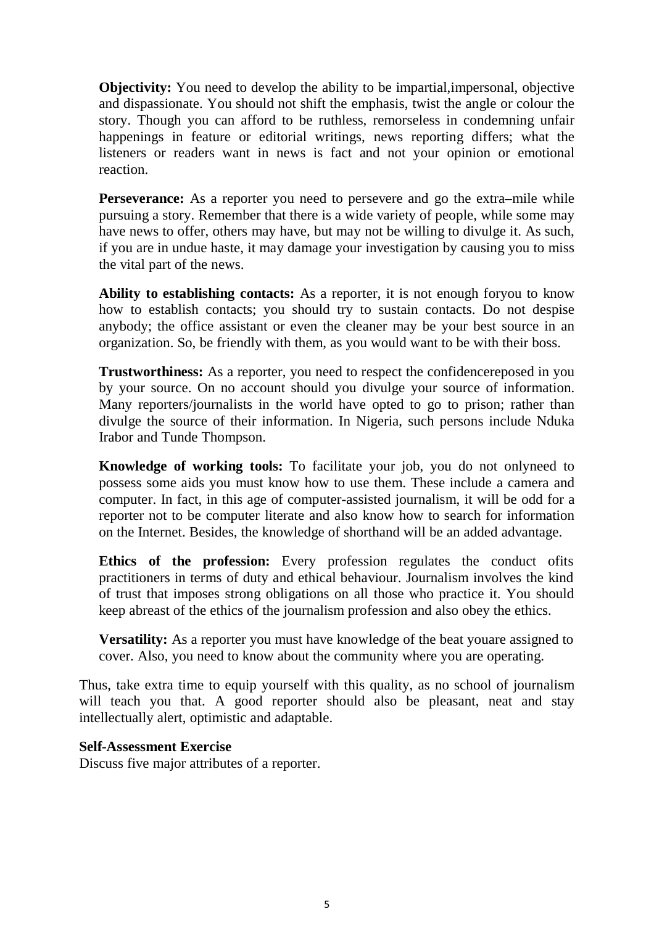**Objectivity:** You need to develop the ability to be impartial, impersonal, objective and dispassionate. You should not shift the emphasis, twist the angle or colour the story. Though you can afford to be ruthless, remorseless in condemning unfair happenings in feature or editorial writings, news reporting differs; what the listeners or readers want in news is fact and not your opinion or emotional reaction.

**Perseverance:** As a reporter you need to persevere and go the extra–mile while pursuing a story. Remember that there is a wide variety of people, while some may have news to offer, others may have, but may not be willing to divulge it. As such, if you are in undue haste, it may damage your investigation by causing you to miss the vital part of the news.

**Ability to establishing contacts:** As a reporter, it is not enough foryou to know how to establish contacts; you should try to sustain contacts. Do not despise anybody; the office assistant or even the cleaner may be your best source in an organization. So, be friendly with them, as you would want to be with their boss.

**Trustworthiness:** As a reporter, you need to respect the confidencereposed in you by your source. On no account should you divulge your source of information. Many reporters/journalists in the world have opted to go to prison; rather than divulge the source of their information. In Nigeria, such persons include Nduka Irabor and Tunde Thompson.

**Knowledge of working tools:** To facilitate your job, you do not onlyneed to possess some aids you must know how to use them. These include a camera and computer. In fact, in this age of computer-assisted journalism, it will be odd for a reporter not to be computer literate and also know how to search for information on the Internet. Besides, the knowledge of shorthand will be an added advantage.

**Ethics of the profession:** Every profession regulates the conduct ofits practitioners in terms of duty and ethical behaviour. Journalism involves the kind of trust that imposes strong obligations on all those who practice it. You should keep abreast of the ethics of the journalism profession and also obey the ethics.

**Versatility:** As a reporter you must have knowledge of the beat youare assigned to cover. Also, you need to know about the community where you are operating.

Thus, take extra time to equip yourself with this quality, as no school of journalism will teach you that. A good reporter should also be pleasant, neat and stay intellectually alert, optimistic and adaptable.

#### **Self-Assessment Exercise**

Discuss five major attributes of a reporter.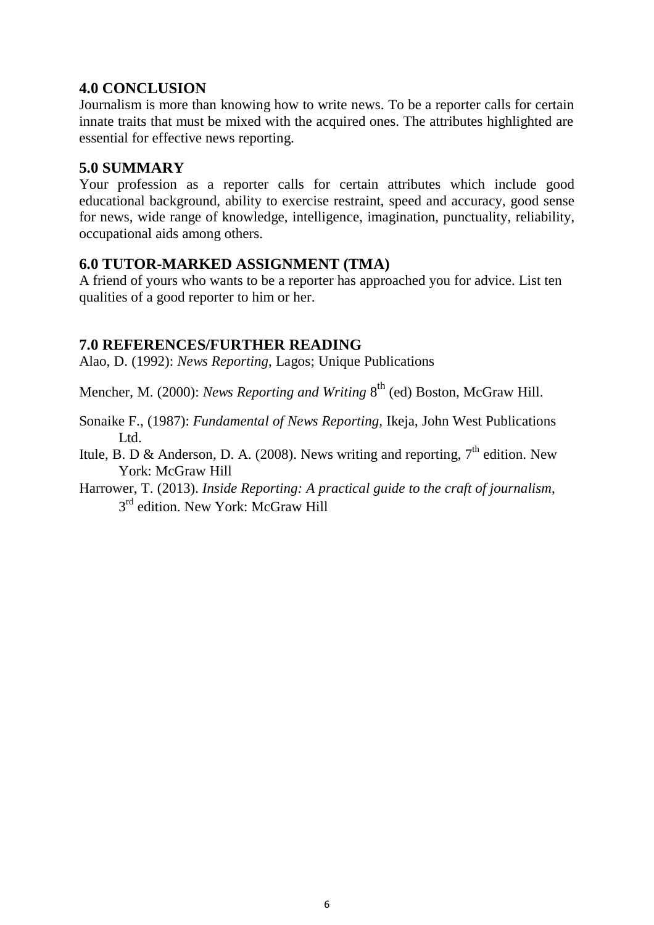# **4.0 CONCLUSION**

Journalism is more than knowing how to write news. To be a reporter calls for certain innate traits that must be mixed with the acquired ones. The attributes highlighted are essential for effective news reporting.

### **5.0 SUMMARY**

Your profession as a reporter calls for certain attributes which include good educational background, ability to exercise restraint, speed and accuracy, good sense for news, wide range of knowledge, intelligence, imagination, punctuality, reliability, occupational aids among others.

### **6.0 TUTOR-MARKED ASSIGNMENT (TMA)**

A friend of yours who wants to be a reporter has approached you for advice. List ten qualities of a good reporter to him or her.

### **7.0 REFERENCES/FURTHER READING**

Alao, D. (1992): *News Reporting*, Lagos; Unique Publications

Mencher, M. (2000): *News Reporting and Writing* 8<sup>th</sup> (ed) Boston, McGraw Hill.

- Sonaike F., (1987): *Fundamental of News Reporting,* Ikeja, John West Publications Ltd.
- Itule, B. D & Anderson, D. A. (2008). News writing and reporting,  $7<sup>th</sup>$  edition. New York: McGraw Hill
- Harrower, T. (2013). *Inside Reporting: A practical guide to the craft of journalism*, 3<sup>rd</sup> edition. New York: McGraw Hill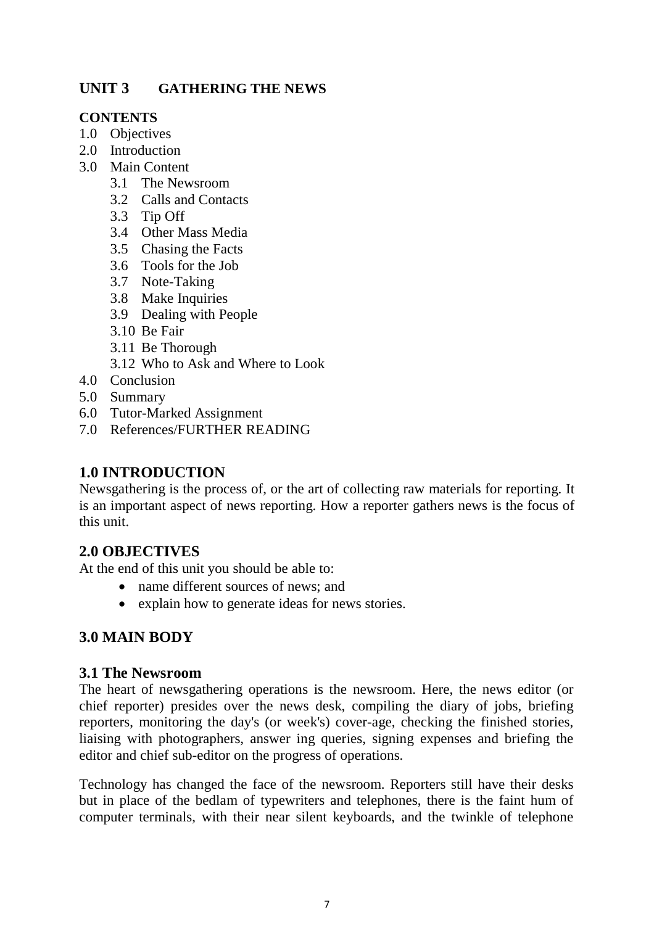# **UNIT 3 GATHERING THE NEWS**

### **CONTENTS**

- 1.0 Objectives
- 2.0 Introduction
- 3.0 Main Content
	- 3.1 The Newsroom
	- 3.2 Calls and Contacts
	- 3.3 Tip Off
	- 3.4 Other Mass Media
	- 3.5 Chasing the Facts
	- 3.6 Tools for the Job
	- 3.7 Note-Taking
	- 3.8 Make Inquiries
	- 3.9 Dealing with People
	- 3.10 Be Fair
	- 3.11 Be Thorough
	- 3.12 Who to Ask and Where to Look
- 4.0 Conclusion
- 5.0 Summary
- 6.0 Tutor-Marked Assignment
- 7.0 References/FURTHER READING

# **1.0 INTRODUCTION**

Newsgathering is the process of, or the art of collecting raw materials for reporting. It is an important aspect of news reporting. How a reporter gathers news is the focus of this unit.

# **2.0 OBJECTIVES**

At the end of this unit you should be able to:

- name different sources of news: and
- explain how to generate ideas for news stories.

# **3.0 MAIN BODY**

### **3.1 The Newsroom**

The heart of newsgathering operations is the newsroom. Here, the news editor (or chief reporter) presides over the news desk, compiling the diary of jobs, briefing reporters, monitoring the day's (or week's) cover-age, checking the finished stories, liaising with photographers, answer ing queries, signing expenses and briefing the editor and chief sub-editor on the progress of operations.

Technology has changed the face of the newsroom. Reporters still have their desks but in place of the bedlam of typewriters and telephones, there is the faint hum of computer terminals, with their near silent keyboards, and the twinkle of telephone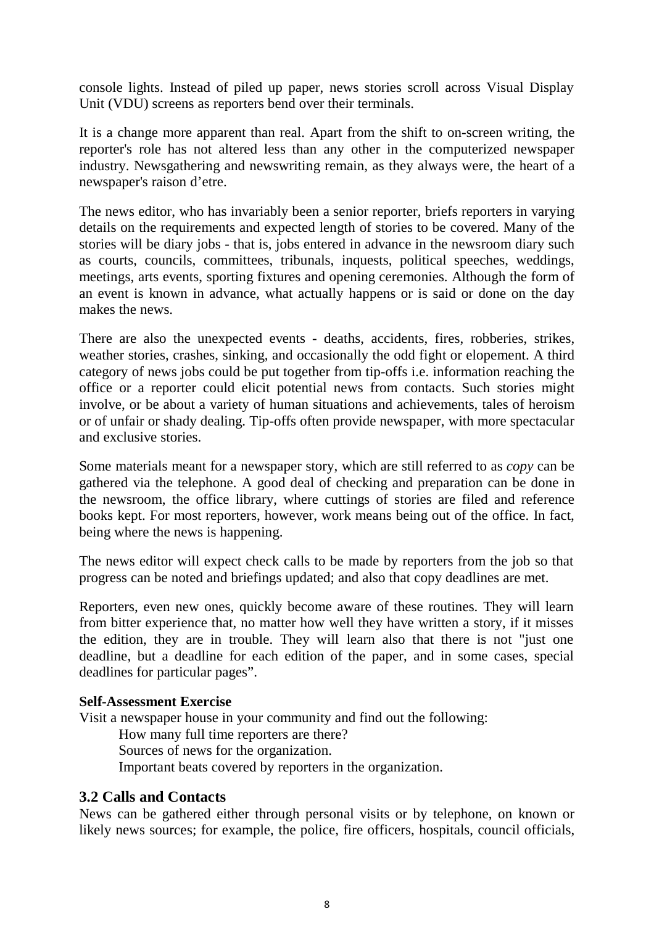console lights. Instead of piled up paper, news stories scroll across Visual Display Unit (VDU) screens as reporters bend over their terminals.

It is a change more apparent than real. Apart from the shift to on-screen writing, the reporter's role has not altered less than any other in the computerized newspaper industry. Newsgathering and newswriting remain, as they always were, the heart of a newspaper's raison d'etre.

The news editor, who has invariably been a senior reporter, briefs reporters in varying details on the requirements and expected length of stories to be covered. Many of the stories will be diary jobs - that is, jobs entered in advance in the newsroom diary such as courts, councils, committees, tribunals, inquests, political speeches, weddings, meetings, arts events, sporting fixtures and opening ceremonies. Although the form of an event is known in advance, what actually happens or is said or done on the day makes the news.

There are also the unexpected events - deaths, accidents, fires, robberies, strikes, weather stories, crashes, sinking, and occasionally the odd fight or elopement. A third category of news jobs could be put together from tip-offs i.e. information reaching the office or a reporter could elicit potential news from contacts. Such stories might involve, or be about a variety of human situations and achievements, tales of heroism or of unfair or shady dealing. Tip-offs often provide newspaper, with more spectacular and exclusive stories.

Some materials meant for a newspaper story, which are still referred to as *copy* can be gathered via the telephone. A good deal of checking and preparation can be done in the newsroom, the office library, where cuttings of stories are filed and reference books kept. For most reporters, however, work means being out of the office. In fact, being where the news is happening.

The news editor will expect check calls to be made by reporters from the job so that progress can be noted and briefings updated; and also that copy deadlines are met.

Reporters, even new ones, quickly become aware of these routines. They will learn from bitter experience that, no matter how well they have written a story, if it misses the edition, they are in trouble. They will learn also that there is not "just one deadline, but a deadline for each edition of the paper, and in some cases, special deadlines for particular pages".

#### **Self-Assessment Exercise**

Visit a newspaper house in your community and find out the following:

How many full time reporters are there?

Sources of news for the organization.

Important beats covered by reporters in the organization.

### **3.2 Calls and Contacts**

News can be gathered either through personal visits or by telephone, on known or likely news sources; for example, the police, fire officers, hospitals, council officials,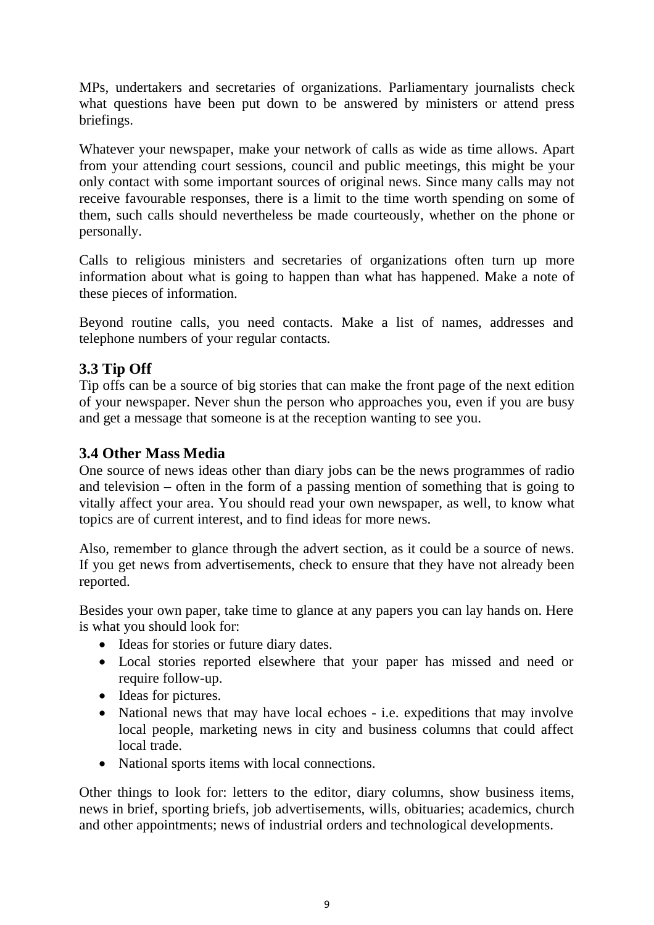MPs, undertakers and secretaries of organizations. Parliamentary journalists check what questions have been put down to be answered by ministers or attend press briefings.

Whatever your newspaper, make your network of calls as wide as time allows. Apart from your attending court sessions, council and public meetings, this might be your only contact with some important sources of original news. Since many calls may not receive favourable responses, there is a limit to the time worth spending on some of them, such calls should nevertheless be made courteously, whether on the phone or personally.

Calls to religious ministers and secretaries of organizations often turn up more information about what is going to happen than what has happened. Make a note of these pieces of information.

Beyond routine calls, you need contacts. Make a list of names, addresses and telephone numbers of your regular contacts.

# **3.3 Tip Off**

Tip offs can be a source of big stories that can make the front page of the next edition of your newspaper. Never shun the person who approaches you, even if you are busy and get a message that someone is at the reception wanting to see you.

# **3.4 Other Mass Media**

One source of news ideas other than diary jobs can be the news programmes of radio and television – often in the form of a passing mention of something that is going to vitally affect your area. You should read your own newspaper, as well, to know what topics are of current interest, and to find ideas for more news.

Also, remember to glance through the advert section, as it could be a source of news. If you get news from advertisements, check to ensure that they have not already been reported.

Besides your own paper, take time to glance at any papers you can lay hands on. Here is what you should look for:

- Ideas for stories or future diary dates.
- Local stories reported elsewhere that your paper has missed and need or require follow-up.
- Ideas for pictures.
- National news that may have local echoes i.e. expeditions that may involve local people, marketing news in city and business columns that could affect local trade.
- National sports items with local connections.

Other things to look for: letters to the editor, diary columns, show business items, news in brief, sporting briefs, job advertisements, wills, obituaries; academics, church and other appointments; news of industrial orders and technological developments.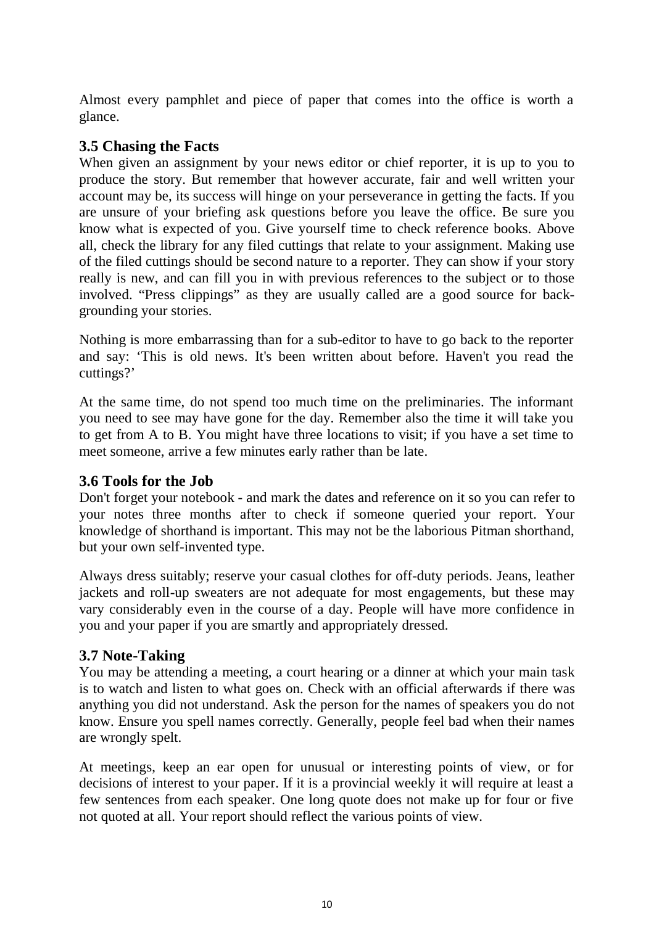Almost every pamphlet and piece of paper that comes into the office is worth a glance.

### **3.5 Chasing the Facts**

When given an assignment by your news editor or chief reporter, it is up to you to produce the story. But remember that however accurate, fair and well written your account may be, its success will hinge on your perseverance in getting the facts. If you are unsure of your briefing ask questions before you leave the office. Be sure you know what is expected of you. Give yourself time to check reference books. Above all, check the library for any filed cuttings that relate to your assignment. Making use of the filed cuttings should be second nature to a reporter. They can show if your story really is new, and can fill you in with previous references to the subject or to those involved. "Press clippings" as they are usually called are a good source for backgrounding your stories.

Nothing is more embarrassing than for a sub-editor to have to go back to the reporter and say: 'This is old news. It's been written about before. Haven't you read the cuttings?'

At the same time, do not spend too much time on the preliminaries. The informant you need to see may have gone for the day. Remember also the time it will take you to get from A to B. You might have three locations to visit; if you have a set time to meet someone, arrive a few minutes early rather than be late.

# **3.6 Tools for the Job**

Don't forget your notebook - and mark the dates and reference on it so you can refer to your notes three months after to check if someone queried your report. Your knowledge of shorthand is important. This may not be the laborious Pitman shorthand, but your own self-invented type.

Always dress suitably; reserve your casual clothes for off-duty periods. Jeans, leather jackets and roll-up sweaters are not adequate for most engagements, but these may vary considerably even in the course of a day. People will have more confidence in you and your paper if you are smartly and appropriately dressed.

# **3.7 Note-Taking**

You may be attending a meeting, a court hearing or a dinner at which your main task is to watch and listen to what goes on. Check with an official afterwards if there was anything you did not understand. Ask the person for the names of speakers you do not know. Ensure you spell names correctly. Generally, people feel bad when their names are wrongly spelt.

At meetings, keep an ear open for unusual or interesting points of view, or for decisions of interest to your paper. If it is a provincial weekly it will require at least a few sentences from each speaker. One long quote does not make up for four or five not quoted at all. Your report should reflect the various points of view.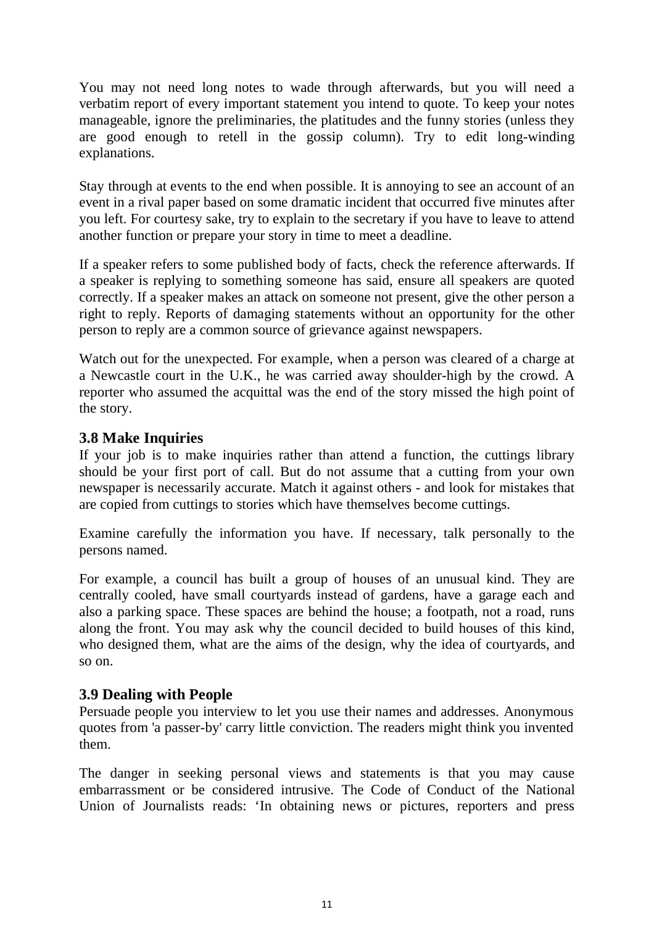You may not need long notes to wade through afterwards, but you will need a verbatim report of every important statement you intend to quote. To keep your notes manageable, ignore the preliminaries, the platitudes and the funny stories (unless they are good enough to retell in the gossip column). Try to edit long-winding explanations.

Stay through at events to the end when possible. It is annoying to see an account of an event in a rival paper based on some dramatic incident that occurred five minutes after you left. For courtesy sake, try to explain to the secretary if you have to leave to attend another function or prepare your story in time to meet a deadline.

If a speaker refers to some published body of facts, check the reference afterwards. If a speaker is replying to something someone has said, ensure all speakers are quoted correctly. If a speaker makes an attack on someone not present, give the other person a right to reply. Reports of damaging statements without an opportunity for the other person to reply are a common source of grievance against newspapers.

Watch out for the unexpected. For example, when a person was cleared of a charge at a Newcastle court in the U.K., he was carried away shoulder-high by the crowd. A reporter who assumed the acquittal was the end of the story missed the high point of the story.

### **3.8 Make Inquiries**

If your job is to make inquiries rather than attend a function, the cuttings library should be your first port of call. But do not assume that a cutting from your own newspaper is necessarily accurate. Match it against others - and look for mistakes that are copied from cuttings to stories which have themselves become cuttings.

Examine carefully the information you have. If necessary, talk personally to the persons named.

For example, a council has built a group of houses of an unusual kind. They are centrally cooled, have small courtyards instead of gardens, have a garage each and also a parking space. These spaces are behind the house; a footpath, not a road, runs along the front. You may ask why the council decided to build houses of this kind, who designed them, what are the aims of the design, why the idea of courtyards, and so on.

### **3.9 Dealing with People**

Persuade people you interview to let you use their names and addresses. Anonymous quotes from 'a passer-by' carry little conviction. The readers might think you invented them.

The danger in seeking personal views and statements is that you may cause embarrassment or be considered intrusive. The Code of Conduct of the National Union of Journalists reads: 'In obtaining news or pictures, reporters and press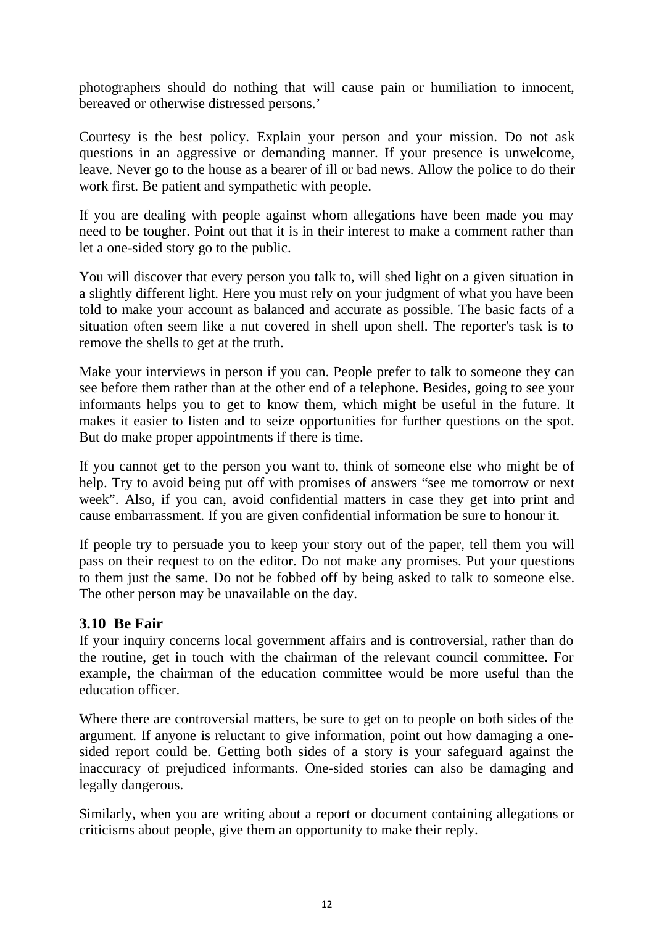photographers should do nothing that will cause pain or humiliation to innocent, bereaved or otherwise distressed persons.'

Courtesy is the best policy. Explain your person and your mission. Do not ask questions in an aggressive or demanding manner. If your presence is unwelcome, leave. Never go to the house as a bearer of ill or bad news. Allow the police to do their work first. Be patient and sympathetic with people.

If you are dealing with people against whom allegations have been made you may need to be tougher. Point out that it is in their interest to make a comment rather than let a one-sided story go to the public.

You will discover that every person you talk to, will shed light on a given situation in a slightly different light. Here you must rely on your judgment of what you have been told to make your account as balanced and accurate as possible. The basic facts of a situation often seem like a nut covered in shell upon shell. The reporter's task is to remove the shells to get at the truth.

Make your interviews in person if you can. People prefer to talk to someone they can see before them rather than at the other end of a telephone. Besides, going to see your informants helps you to get to know them, which might be useful in the future. It makes it easier to listen and to seize opportunities for further questions on the spot. But do make proper appointments if there is time.

If you cannot get to the person you want to, think of someone else who might be of help. Try to avoid being put off with promises of answers "see me tomorrow or next week". Also, if you can, avoid confidential matters in case they get into print and cause embarrassment. If you are given confidential information be sure to honour it.

If people try to persuade you to keep your story out of the paper, tell them you will pass on their request to on the editor. Do not make any promises. Put your questions to them just the same. Do not be fobbed off by being asked to talk to someone else. The other person may be unavailable on the day.

# **3.10 Be Fair**

If your inquiry concerns local government affairs and is controversial, rather than do the routine, get in touch with the chairman of the relevant council committee. For example, the chairman of the education committee would be more useful than the education officer.

Where there are controversial matters, be sure to get on to people on both sides of the argument. If anyone is reluctant to give information, point out how damaging a onesided report could be. Getting both sides of a story is your safeguard against the inaccuracy of prejudiced informants. One-sided stories can also be damaging and legally dangerous.

Similarly, when you are writing about a report or document containing allegations or criticisms about people, give them an opportunity to make their reply.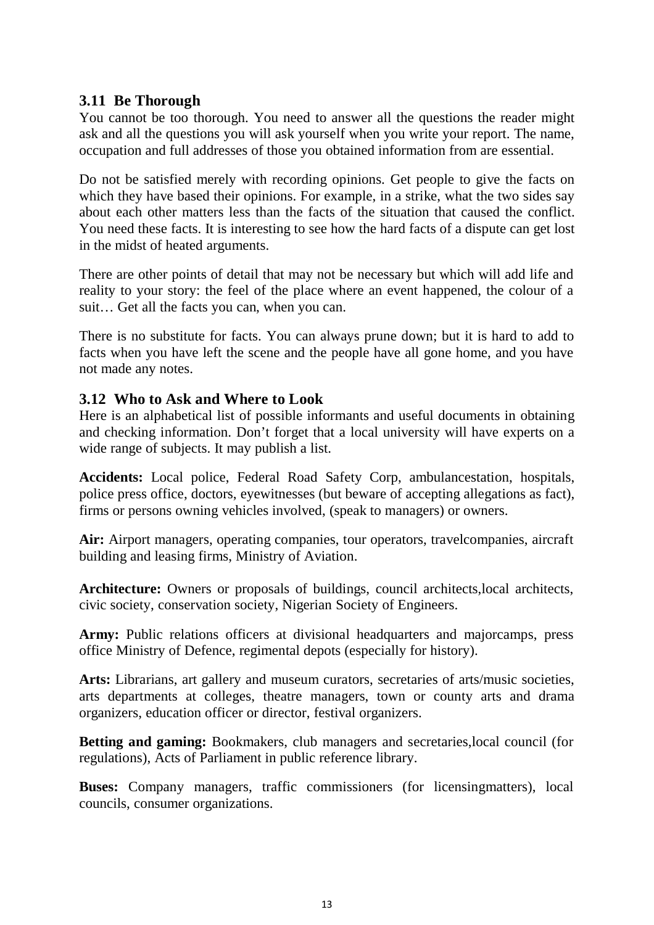### **3.11 Be Thorough**

You cannot be too thorough. You need to answer all the questions the reader might ask and all the questions you will ask yourself when you write your report. The name, occupation and full addresses of those you obtained information from are essential.

Do not be satisfied merely with recording opinions. Get people to give the facts on which they have based their opinions. For example, in a strike, what the two sides say about each other matters less than the facts of the situation that caused the conflict. You need these facts. It is interesting to see how the hard facts of a dispute can get lost in the midst of heated arguments.

There are other points of detail that may not be necessary but which will add life and reality to your story: the feel of the place where an event happened, the colour of a suit… Get all the facts you can, when you can.

There is no substitute for facts. You can always prune down; but it is hard to add to facts when you have left the scene and the people have all gone home, and you have not made any notes.

### **3.12 Who to Ask and Where to Look**

Here is an alphabetical list of possible informants and useful documents in obtaining and checking information. Don't forget that a local university will have experts on a wide range of subjects. It may publish a list.

**Accidents:** Local police, Federal Road Safety Corp, ambulancestation, hospitals, police press office, doctors, eyewitnesses (but beware of accepting allegations as fact), firms or persons owning vehicles involved, (speak to managers) or owners.

Air: Airport managers, operating companies, tour operators, travelcompanies, aircraft building and leasing firms, Ministry of Aviation.

**Architecture:** Owners or proposals of buildings, council architects,local architects, civic society, conservation society, Nigerian Society of Engineers.

**Army:** Public relations officers at divisional headquarters and majorcamps, press office Ministry of Defence, regimental depots (especially for history).

**Arts:** Librarians, art gallery and museum curators, secretaries of arts/music societies, arts departments at colleges, theatre managers, town or county arts and drama organizers, education officer or director, festival organizers.

**Betting and gaming:** Bookmakers, club managers and secretaries,local council (for regulations), Acts of Parliament in public reference library.

**Buses:** Company managers, traffic commissioners (for licensingmatters), local councils, consumer organizations.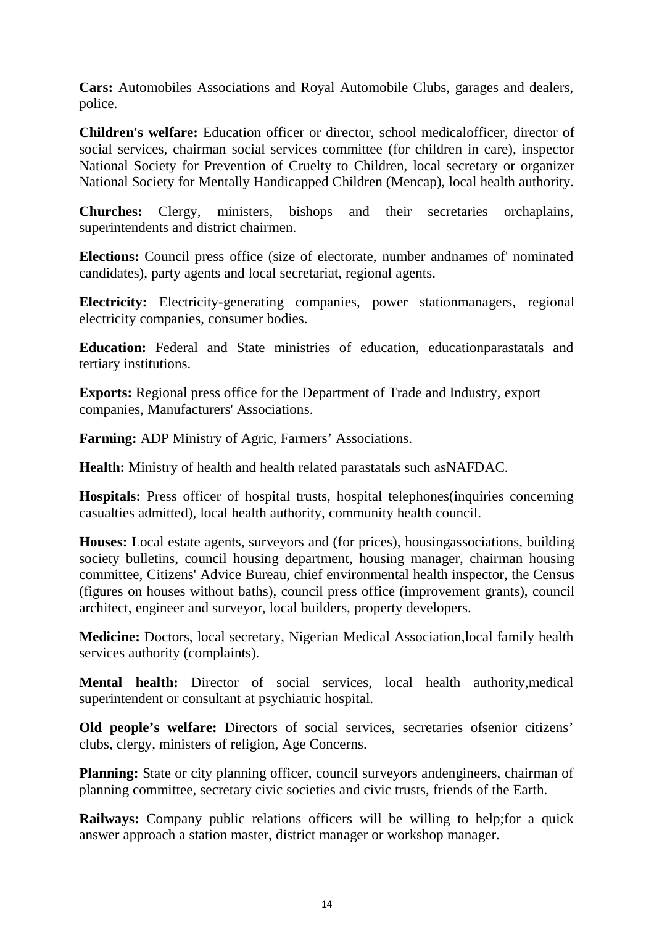**Cars:** Automobiles Associations and Royal Automobile Clubs, garages and dealers, police.

**Children's welfare:** Education officer or director, school medicalofficer, director of social services, chairman social services committee (for children in care), inspector National Society for Prevention of Cruelty to Children, local secretary or organizer National Society for Mentally Handicapped Children (Mencap), local health authority.

**Churches:** Clergy, ministers, bishops and their secretaries orchaplains, superintendents and district chairmen.

**Elections:** Council press office (size of electorate, number andnames of' nominated candidates), party agents and local secretariat, regional agents.

**Electricity:** Electricity-generating companies, power stationmanagers, regional electricity companies, consumer bodies.

**Education:** Federal and State ministries of education, educationparastatals and tertiary institutions.

**Exports:** Regional press office for the Department of Trade and Industry, export companies, Manufacturers' Associations.

**Farming:** ADP Ministry of Agric, Farmers' Associations.

**Health:** Ministry of health and health related parastatals such asNAFDAC.

**Hospitals:** Press officer of hospital trusts, hospital telephones(inquiries concerning casualties admitted), local health authority, community health council.

**Houses:** Local estate agents, surveyors and (for prices), housingassociations, building society bulletins, council housing department, housing manager, chairman housing committee, Citizens' Advice Bureau, chief environmental health inspector, the Census (figures on houses without baths), council press office (improvement grants), council architect, engineer and surveyor, local builders, property developers.

**Medicine:** Doctors, local secretary, Nigerian Medical Association,local family health services authority (complaints).

**Mental health:** Director of social services, local health authority,medical superintendent or consultant at psychiatric hospital.

**Old people's welfare:** Directors of social services, secretaries ofsenior citizens' clubs, clergy, ministers of religion, Age Concerns.

**Planning:** State or city planning officer, council surveyors andengineers, chairman of planning committee, secretary civic societies and civic trusts, friends of the Earth.

**Railways:** Company public relations officers will be willing to help;for a quick answer approach a station master, district manager or workshop manager.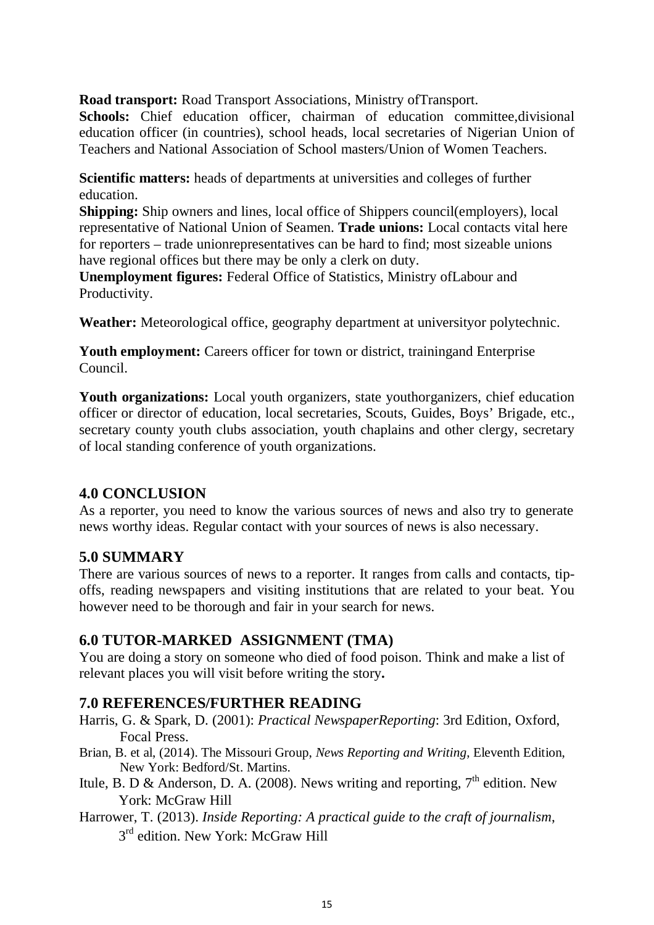**Road transport:** Road Transport Associations, Ministry ofTransport.

**Schools:** Chief education officer, chairman of education committee, divisional education officer (in countries), school heads, local secretaries of Nigerian Union of Teachers and National Association of School masters/Union of Women Teachers.

**Scientific matters:** heads of departments at universities and colleges of further education.

**Shipping:** Ship owners and lines, local office of Shippers council(employers), local representative of National Union of Seamen. **Trade unions:** Local contacts vital here for reporters – trade unionrepresentatives can be hard to find; most sizeable unions have regional offices but there may be only a clerk on duty.

**Unemployment figures:** Federal Office of Statistics, Ministry ofLabour and Productivity.

**Weather:** Meteorological office, geography department at universityor polytechnic.

**Youth employment:** Careers officer for town or district, trainingand Enterprise Council.

**Youth organizations:** Local youth organizers, state youthorganizers, chief education officer or director of education, local secretaries, Scouts, Guides, Boys' Brigade, etc., secretary county youth clubs association, youth chaplains and other clergy, secretary of local standing conference of youth organizations.

### **4.0 CONCLUSION**

As a reporter, you need to know the various sources of news and also try to generate news worthy ideas. Regular contact with your sources of news is also necessary.

# **5.0 SUMMARY**

There are various sources of news to a reporter. It ranges from calls and contacts, tipoffs, reading newspapers and visiting institutions that are related to your beat. You however need to be thorough and fair in your search for news.

### **6.0 TUTOR-MARKED ASSIGNMENT (TMA)**

You are doing a story on someone who died of food poison. Think and make a list of relevant places you will visit before writing the story**.** 

# **7.0 REFERENCES/FURTHER READING**

Harris, G. & Spark, D. (2001): *Practical NewspaperReporting*: 3rd Edition, Oxford, Focal Press.

Brian, B. et al, (2014). The Missouri Group, *News Reporting and Writing*, Eleventh Edition, New York: Bedford/St. Martins.

- Itule, B. D & Anderson, D. A. (2008). News writing and reporting,  $7<sup>th</sup>$  edition. New York: McGraw Hill
- Harrower, T. (2013). *Inside Reporting: A practical guide to the craft of journalism*, 3<sup>rd</sup> edition. New York: McGraw Hill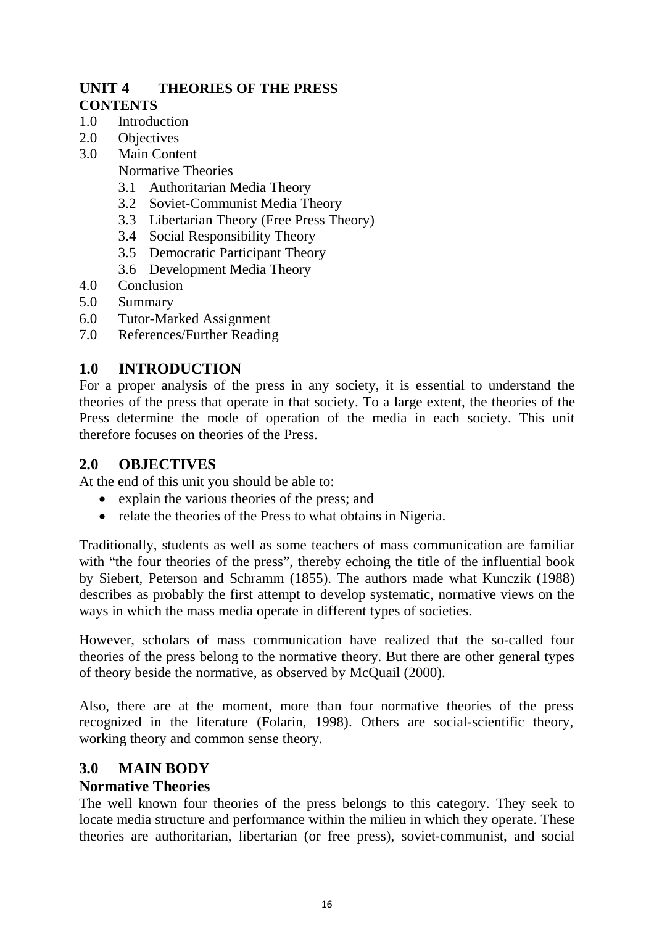# **UNIT 4 THEORIES OF THE PRESS**

# **CONTENTS**

- 1.0 Introduction
- 2.0 Objectives
- 3.0 Main Content
	- Normative Theories
	- 3.1 Authoritarian Media Theory
	- 3.2 Soviet-Communist Media Theory
	- 3.3 Libertarian Theory (Free Press Theory)
	- 3.4 Social Responsibility Theory
	- 3.5 Democratic Participant Theory
	- 3.6 Development Media Theory
- 4.0 Conclusion
- 5.0 Summary
- 6.0 Tutor-Marked Assignment
- 7.0 References/Further Reading

# **1.0 INTRODUCTION**

For a proper analysis of the press in any society, it is essential to understand the theories of the press that operate in that society. To a large extent, the theories of the Press determine the mode of operation of the media in each society. This unit therefore focuses on theories of the Press.

# **2.0 OBJECTIVES**

At the end of this unit you should be able to:

- explain the various theories of the press; and
- relate the theories of the Press to what obtains in Nigeria.

Traditionally, students as well as some teachers of mass communication are familiar with "the four theories of the press", thereby echoing the title of the influential book by Siebert, Peterson and Schramm (1855). The authors made what Kunczik (1988) describes as probably the first attempt to develop systematic, normative views on the ways in which the mass media operate in different types of societies.

However, scholars of mass communication have realized that the so-called four theories of the press belong to the normative theory. But there are other general types of theory beside the normative, as observed by McQuail (2000).

Also, there are at the moment, more than four normative theories of the press recognized in the literature (Folarin, 1998). Others are social-scientific theory, working theory and common sense theory.

# **3.0 MAIN BODY**

# **Normative Theories**

The well known four theories of the press belongs to this category. They seek to locate media structure and performance within the milieu in which they operate. These theories are authoritarian, libertarian (or free press), soviet-communist, and social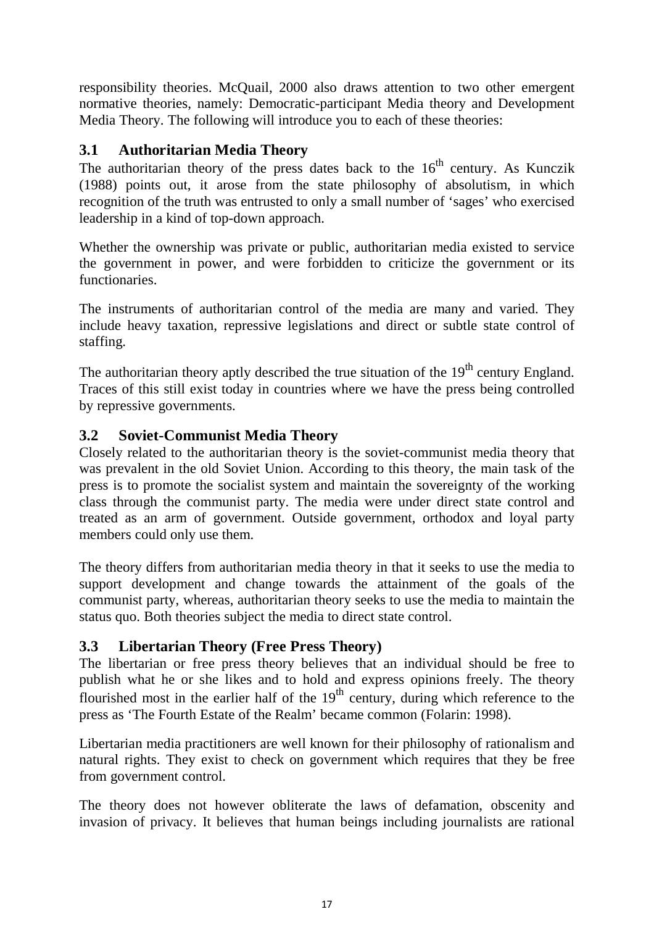responsibility theories. McQuail, 2000 also draws attention to two other emergent normative theories, namely: Democratic-participant Media theory and Development Media Theory. The following will introduce you to each of these theories:

# **3.1 Authoritarian Media Theory**

The authoritarian theory of the press dates back to the  $16<sup>th</sup>$  century. As Kunczik (1988) points out, it arose from the state philosophy of absolutism, in which recognition of the truth was entrusted to only a small number of 'sages' who exercised leadership in a kind of top-down approach.

Whether the ownership was private or public, authoritarian media existed to service the government in power, and were forbidden to criticize the government or its functionaries.

The instruments of authoritarian control of the media are many and varied. They include heavy taxation, repressive legislations and direct or subtle state control of staffing.

The authoritarian theory aptly described the true situation of the  $19<sup>th</sup>$  century England. Traces of this still exist today in countries where we have the press being controlled by repressive governments.

# **3.2 Soviet-Communist Media Theory**

Closely related to the authoritarian theory is the soviet-communist media theory that was prevalent in the old Soviet Union. According to this theory, the main task of the press is to promote the socialist system and maintain the sovereignty of the working class through the communist party. The media were under direct state control and treated as an arm of government. Outside government, orthodox and loyal party members could only use them.

The theory differs from authoritarian media theory in that it seeks to use the media to support development and change towards the attainment of the goals of the communist party, whereas, authoritarian theory seeks to use the media to maintain the status quo. Both theories subject the media to direct state control.

# **3.3 Libertarian Theory (Free Press Theory)**

The libertarian or free press theory believes that an individual should be free to publish what he or she likes and to hold and express opinions freely. The theory flourished most in the earlier half of the  $19<sup>th</sup>$  century, during which reference to the press as 'The Fourth Estate of the Realm' became common (Folarin: 1998).

Libertarian media practitioners are well known for their philosophy of rationalism and natural rights. They exist to check on government which requires that they be free from government control.

The theory does not however obliterate the laws of defamation, obscenity and invasion of privacy. It believes that human beings including journalists are rational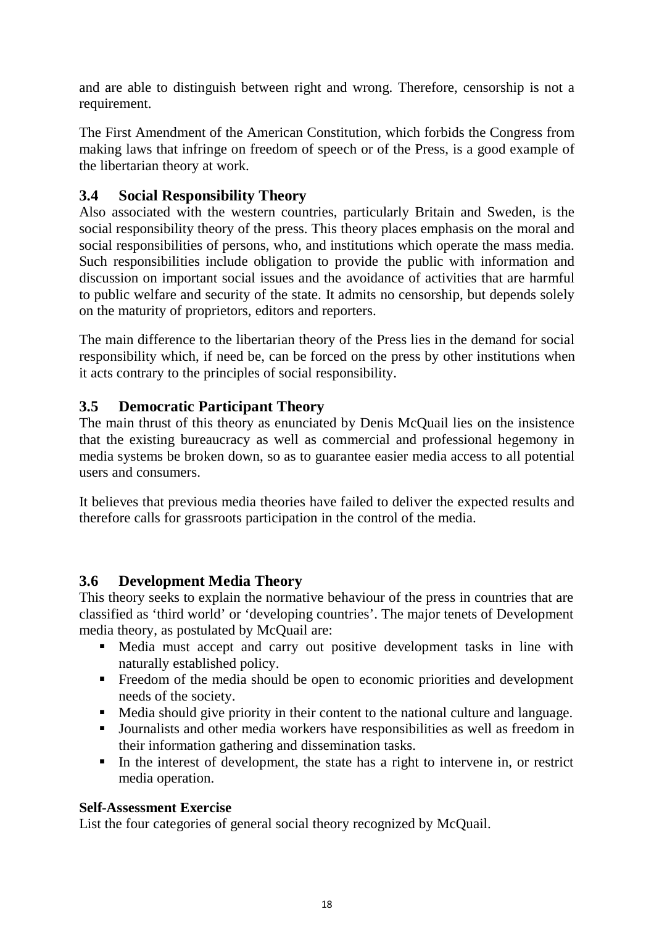and are able to distinguish between right and wrong. Therefore, censorship is not a requirement.

The First Amendment of the American Constitution, which forbids the Congress from making laws that infringe on freedom of speech or of the Press, is a good example of the libertarian theory at work.

# **3.4 Social Responsibility Theory**

Also associated with the western countries, particularly Britain and Sweden, is the social responsibility theory of the press. This theory places emphasis on the moral and social responsibilities of persons, who, and institutions which operate the mass media. Such responsibilities include obligation to provide the public with information and discussion on important social issues and the avoidance of activities that are harmful to public welfare and security of the state. It admits no censorship, but depends solely on the maturity of proprietors, editors and reporters.

The main difference to the libertarian theory of the Press lies in the demand for social responsibility which, if need be, can be forced on the press by other institutions when it acts contrary to the principles of social responsibility.

# **3.5 Democratic Participant Theory**

The main thrust of this theory as enunciated by Denis McQuail lies on the insistence that the existing bureaucracy as well as commercial and professional hegemony in media systems be broken down, so as to guarantee easier media access to all potential users and consumers.

It believes that previous media theories have failed to deliver the expected results and therefore calls for grassroots participation in the control of the media.

# **3.6 Development Media Theory**

This theory seeks to explain the normative behaviour of the press in countries that are classified as 'third world' or 'developing countries'. The major tenets of Development media theory, as postulated by McQuail are:

- Media must accept and carry out positive development tasks in line with naturally established policy.
- Freedom of the media should be open to economic priorities and development needs of the society.
- Media should give priority in their content to the national culture and language.
- Journalists and other media workers have responsibilities as well as freedom in their information gathering and dissemination tasks.
- In the interest of development, the state has a right to intervene in, or restrict media operation.

# **Self-Assessment Exercise**

List the four categories of general social theory recognized by McQuail.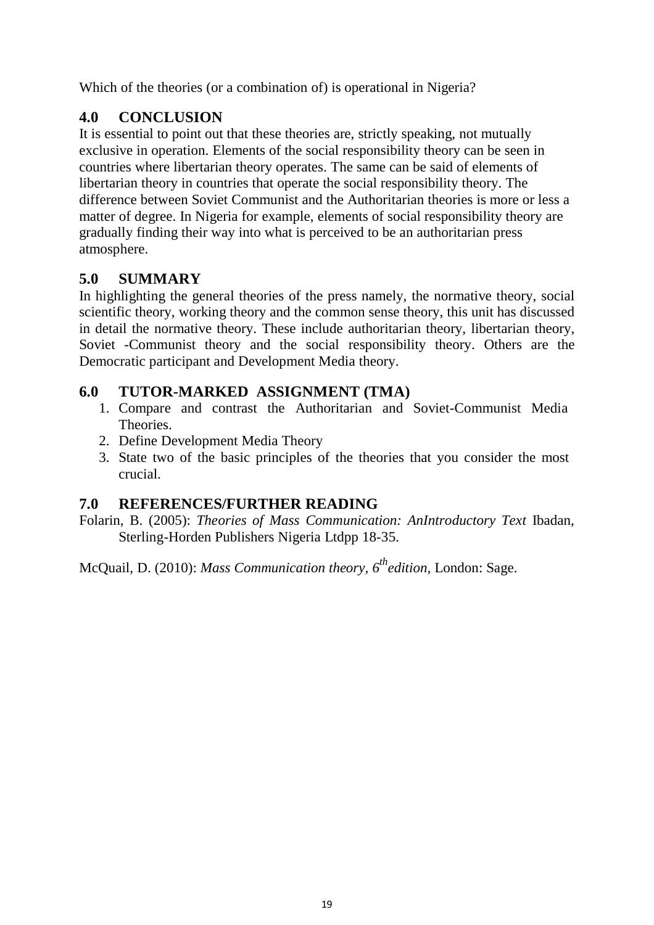Which of the theories (or a combination of) is operational in Nigeria?

# **4.0 CONCLUSION**

It is essential to point out that these theories are, strictly speaking, not mutually exclusive in operation. Elements of the social responsibility theory can be seen in countries where libertarian theory operates. The same can be said of elements of libertarian theory in countries that operate the social responsibility theory. The difference between Soviet Communist and the Authoritarian theories is more or less a matter of degree. In Nigeria for example, elements of social responsibility theory are gradually finding their way into what is perceived to be an authoritarian press atmosphere.

# **5.0 SUMMARY**

In highlighting the general theories of the press namely, the normative theory, social scientific theory, working theory and the common sense theory, this unit has discussed in detail the normative theory. These include authoritarian theory, libertarian theory, Soviet -Communist theory and the social responsibility theory. Others are the Democratic participant and Development Media theory.

# **6.0 TUTOR-MARKED ASSIGNMENT (TMA)**

- 1. Compare and contrast the Authoritarian and Soviet-Communist Media Theories.
- 2. Define Development Media Theory
- 3. State two of the basic principles of the theories that you consider the most crucial.

# **7.0 REFERENCES/FURTHER READING**

Folarin, B. (2005): *Theories of Mass Communication: AnIntroductory Text* Ibadan, Sterling-Horden Publishers Nigeria Ltdpp 18-35.

McQuail, D. (2010): *Mass Communication theory, 6thedition,* London: Sage.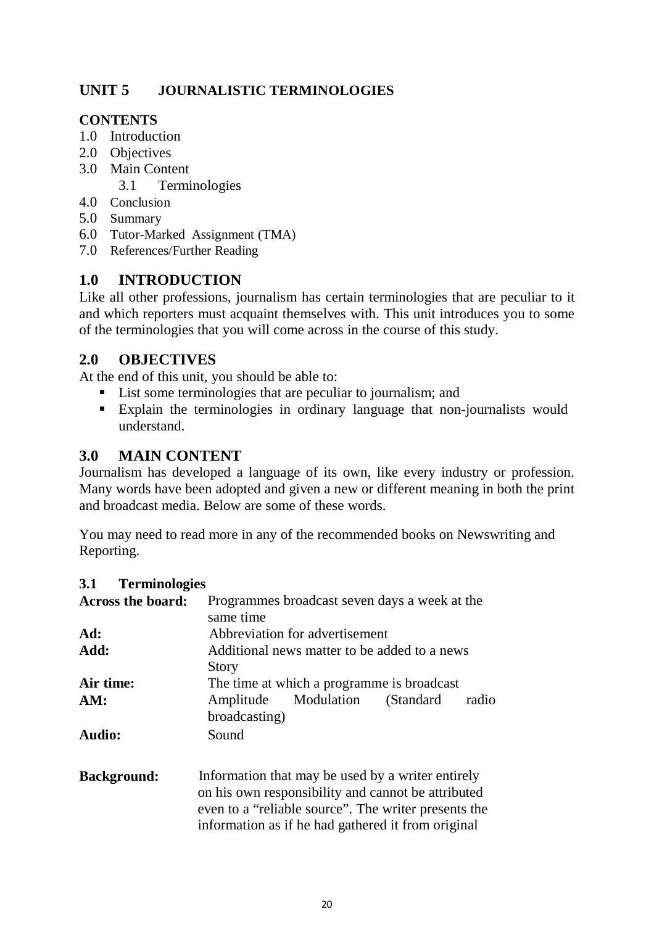# **UNIT 5 JOURNALISTIC TERMINOLOGIES**

### **CONTENTS**

- 1.0 Introduction
- 2.0 Objectives
- 3.0 Main Content
	- 3.1 Terminologies
- 4.0 Conclusion
- 5.0 Summary
- 6.0 Tutor-Marked Assignment (TMA)
- 7.0 References/Further Reading

# **1.0 INTRODUCTION**

Like all other professions, journalism has certain terminologies that are peculiar to it and which reporters must acquaint themselves with. This unit introduces you to some of the terminologies that you will come across in the course of this study.

# **2.0 OBJECTIVES**

At the end of this unit, you should be able to:

- List some terminologies that are peculiar to journalism; and
- Explain the terminologies in ordinary language that non-journalists would understand.

# **3.0 MAIN CONTENT**

Journalism has developed a language of its own, like every industry or profession. Many words have been adopted and given a new or different meaning in both the print and broadcast media. Below are some of these words.

You may need to read more in any of the recommended books on Newswriting and Reporting.

### **3.1 Terminologies**

| <b>Across the board:</b> | Programmes broadcast seven days a week at the        |
|--------------------------|------------------------------------------------------|
|                          | same time                                            |
| Ad:                      | Abbreviation for advertisement                       |
| Add:                     | Additional news matter to be added to a news         |
|                          | <b>Story</b>                                         |
| Air time:                | The time at which a programme is broadcast           |
| AM:                      | Amplitude<br>Modulation<br>(Standard)<br>radio       |
|                          | broadcasting)                                        |
| <b>Audio:</b>            | Sound                                                |
| <b>Background:</b>       | Information that may be used by a writer entirely    |
|                          | on his own responsibility and cannot be attributed   |
|                          | even to a "reliable source". The writer presents the |
|                          | information as if he had gathered it from original   |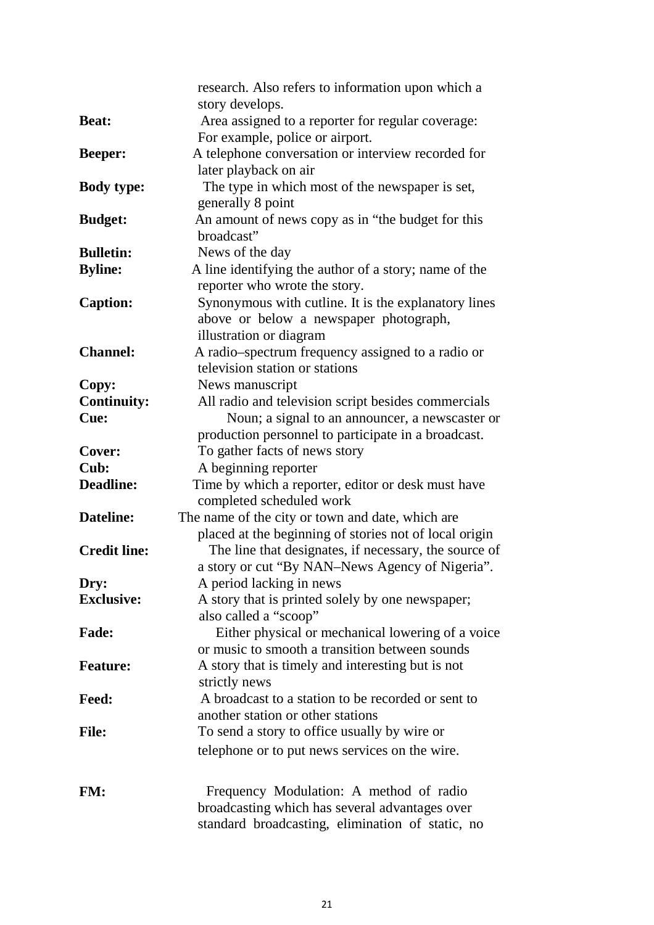|                     | research. Also refers to information upon which a      |
|---------------------|--------------------------------------------------------|
|                     | story develops.                                        |
| <b>Beat:</b>        | Area assigned to a reporter for regular coverage:      |
|                     | For example, police or airport.                        |
| <b>Beeper:</b>      | A telephone conversation or interview recorded for     |
|                     | later playback on air                                  |
| <b>Body type:</b>   | The type in which most of the newspaper is set,        |
|                     | generally 8 point                                      |
| <b>Budget:</b>      | An amount of news copy as in "the budget for this      |
|                     | broadcast"                                             |
| <b>Bulletin:</b>    | News of the day                                        |
| <b>Byline:</b>      | A line identifying the author of a story; name of the  |
|                     | reporter who wrote the story.                          |
| <b>Caption:</b>     | Synonymous with cutline. It is the explanatory lines   |
|                     | above or below a newspaper photograph,                 |
|                     | illustration or diagram                                |
| <b>Channel:</b>     | A radio-spectrum frequency assigned to a radio or      |
|                     | television station or stations                         |
| Copy:               | News manuscript                                        |
| <b>Continuity:</b>  | All radio and television script besides commercials    |
| Cue:                | Noun; a signal to an announcer, a newscaster or        |
|                     | production personnel to participate in a broadcast.    |
| Cover:              | To gather facts of news story                          |
| Cub:                | A beginning reporter                                   |
| Deadline:           | Time by which a reporter, editor or desk must have     |
|                     | completed scheduled work                               |
| <b>Dateline:</b>    | The name of the city or town and date, which are       |
|                     | placed at the beginning of stories not of local origin |
| <b>Credit line:</b> | The line that designates, if necessary, the source of  |
|                     | a story or cut "By NAN-News Agency of Nigeria".        |
| Dry:                | A period lacking in news                               |
| <b>Exclusive:</b>   | A story that is printed solely by one newspaper;       |
|                     | also called a "scoop"                                  |
| <b>Fade:</b>        | Either physical or mechanical lowering of a voice      |
|                     | or music to smooth a transition between sounds         |
| <b>Feature:</b>     | A story that is timely and interesting but is not      |
|                     | strictly news                                          |
| Feed:               | A broadcast to a station to be recorded or sent to     |
|                     | another station or other stations                      |
| <b>File:</b>        | To send a story to office usually by wire or           |
|                     | telephone or to put news services on the wire.         |
| FM:                 | Frequency Modulation: A method of radio                |
|                     | broadcasting which has several advantages over         |
|                     | standard broadcasting, elimination of static, no       |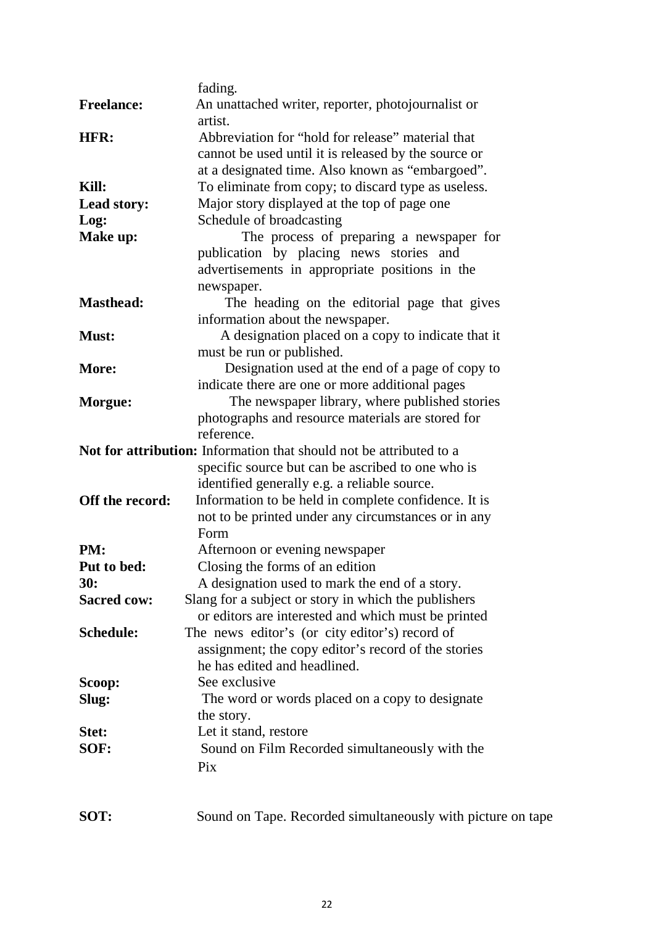|                    | fading.                                                             |
|--------------------|---------------------------------------------------------------------|
| <b>Freelance:</b>  | An unattached writer, reporter, photojournalist or                  |
|                    | artist.                                                             |
| HFR:               | Abbreviation for "hold for release" material that                   |
|                    | cannot be used until it is released by the source or                |
|                    | at a designated time. Also known as "embargoed".                    |
| Kill:              | To eliminate from copy; to discard type as useless.                 |
| Lead story:        | Major story displayed at the top of page one                        |
| Log:               | Schedule of broadcasting                                            |
| Make up:           | The process of preparing a newspaper for                            |
|                    | publication by placing news stories and                             |
|                    | advertisements in appropriate positions in the                      |
|                    | newspaper.                                                          |
| <b>Masthead:</b>   | The heading on the editorial page that gives                        |
|                    | information about the newspaper.                                    |
| <b>Must:</b>       | A designation placed on a copy to indicate that it                  |
|                    | must be run or published.                                           |
| More:              | Designation used at the end of a page of copy to                    |
|                    | indicate there are one or more additional pages                     |
| Morgue:            | The newspaper library, where published stories                      |
|                    | photographs and resource materials are stored for                   |
|                    | reference.                                                          |
|                    | Not for attribution: Information that should not be attributed to a |
|                    | specific source but can be ascribed to one who is                   |
|                    | identified generally e.g. a reliable source.                        |
| Off the record:    | Information to be held in complete confidence. It is                |
|                    | not to be printed under any circumstances or in any                 |
|                    | Form                                                                |
| PM:                | Afternoon or evening newspaper                                      |
| Put to bed:        | Closing the forms of an edition                                     |
| 30:                | A designation used to mark the end of a story.                      |
| <b>Sacred cow:</b> | Slang for a subject or story in which the publishers                |
|                    | or editors are interested and which must be printed                 |
| <b>Schedule:</b>   | The news editor's (or city editor's) record of                      |
|                    | assignment; the copy editor's record of the stories                 |
|                    | he has edited and headlined.                                        |
| Scoop:             | See exclusive                                                       |
| Slug:              | The word or words placed on a copy to designate                     |
|                    | the story.                                                          |
| Stet:              | Let it stand, restore                                               |
| SOF:               | Sound on Film Recorded simultaneously with the                      |
|                    |                                                                     |
|                    | Pix                                                                 |
|                    |                                                                     |
| SOT:               | Sound on Tape. Recorded simultaneously with picture on tape         |
|                    |                                                                     |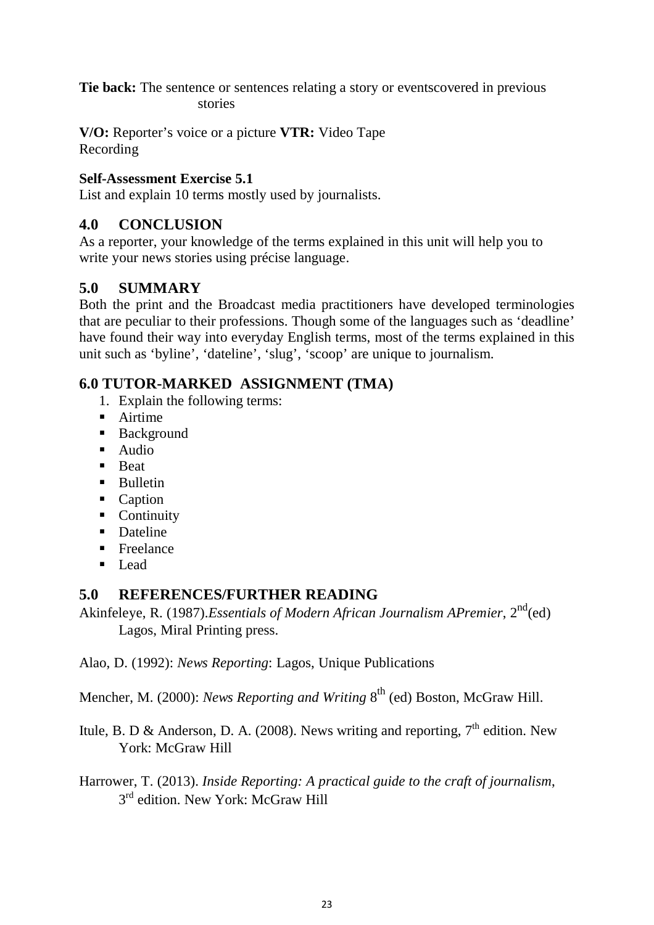**Tie back:** The sentence or sentences relating a story or eventscovered in previous stories

**V/O:** Reporter's voice or a picture **VTR:** Video Tape Recording

# **Self-Assessment Exercise 5.1**

List and explain 10 terms mostly used by journalists.

# **4.0 CONCLUSION**

As a reporter, your knowledge of the terms explained in this unit will help you to write your news stories using précise language.

# **5.0 SUMMARY**

Both the print and the Broadcast media practitioners have developed terminologies that are peculiar to their professions. Though some of the languages such as 'deadline' have found their way into everyday English terms, most of the terms explained in this unit such as 'byline', 'dateline', 'slug', 'scoop' are unique to journalism.

# **6.0 TUTOR-MARKED ASSIGNMENT (TMA)**

- 1. Explain the following terms:
- **Airtime**
- **Background**
- Audio
- $\blacksquare$  Beat
- **Bulletin**
- Caption
- Continuity
- Dateline
- **Freelance**
- **Lead**

# **5.0 REFERENCES/FURTHER READING**

Akinfeleye, R. (1987).*Essentials of Modern African Journalism APremier*, 2<sup>nd</sup>(ed) Lagos, Miral Printing press.

Alao, D. (1992): *News Reporting*: Lagos, Unique Publications

Mencher, M. (2000): *News Reporting and Writing* 8<sup>th</sup> (ed) Boston, McGraw Hill.

Itule, B. D & Anderson, D. A. (2008). News writing and reporting,  $7<sup>th</sup>$  edition. New York: McGraw Hill

Harrower, T. (2013). *Inside Reporting: A practical guide to the craft of journalism*, 3<sup>rd</sup> edition. New York: McGraw Hill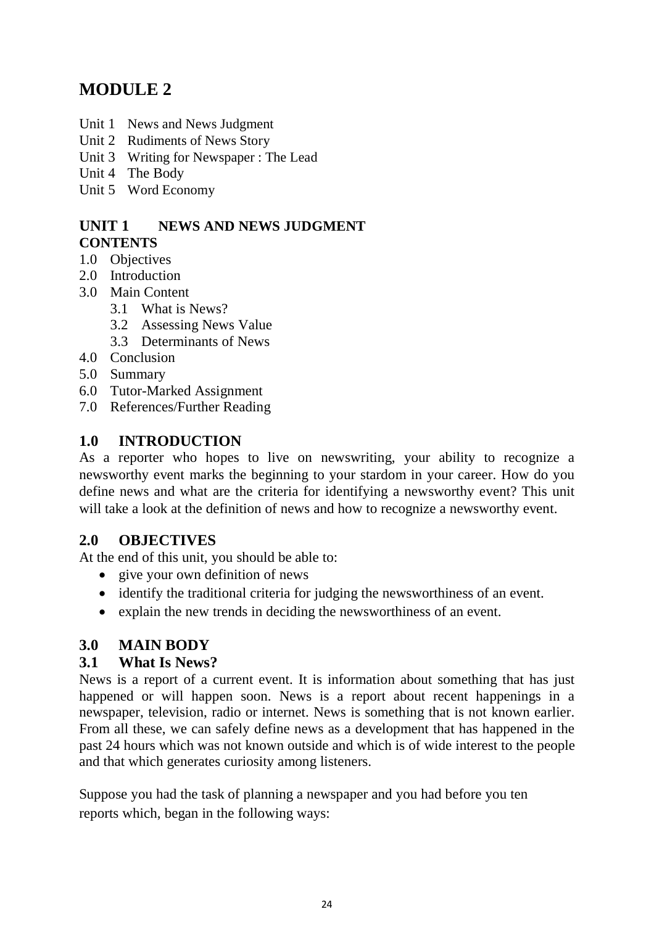# **MODULE 2**

- Unit 1 News and News Judgment
- Unit 2 Rudiments of News Story
- Unit 3 Writing for Newspaper : The Lead
- Unit 4 The Body
- Unit 5 Word Economy

#### **UNIT 1 NEWS AND NEWS JUDGMENT CONTENTS**

- 1.0 Objectives
- 2.0 Introduction
- 3.0 Main Content
	- 3.1 What is News?
	- 3.2 Assessing News Value
	- 3.3 Determinants of News
- 4.0 Conclusion
- 5.0 Summary
- 6.0 Tutor-Marked Assignment
- 7.0 References/Further Reading

### **1.0 INTRODUCTION**

As a reporter who hopes to live on newswriting, your ability to recognize a newsworthy event marks the beginning to your stardom in your career. How do you define news and what are the criteria for identifying a newsworthy event? This unit will take a look at the definition of news and how to recognize a newsworthy event.

### **2.0 OBJECTIVES**

At the end of this unit, you should be able to:

- give your own definition of news
- identify the traditional criteria for judging the news worthiness of an event.
- explain the new trends in deciding the newsworthiness of an event.

### **3.0 MAIN BODY**

### **3.1 What Is News?**

News is a report of a current event. It is information about something that has just happened or will happen soon. News is a report about recent happenings in a newspaper, television, radio or internet. News is something that is not known earlier. From all these, we can safely define news as a development that has happened in the past 24 hours which was not known outside and which is of wide interest to the people and that which generates curiosity among listeners.

Suppose you had the task of planning a newspaper and you had before you ten reports which, began in the following ways: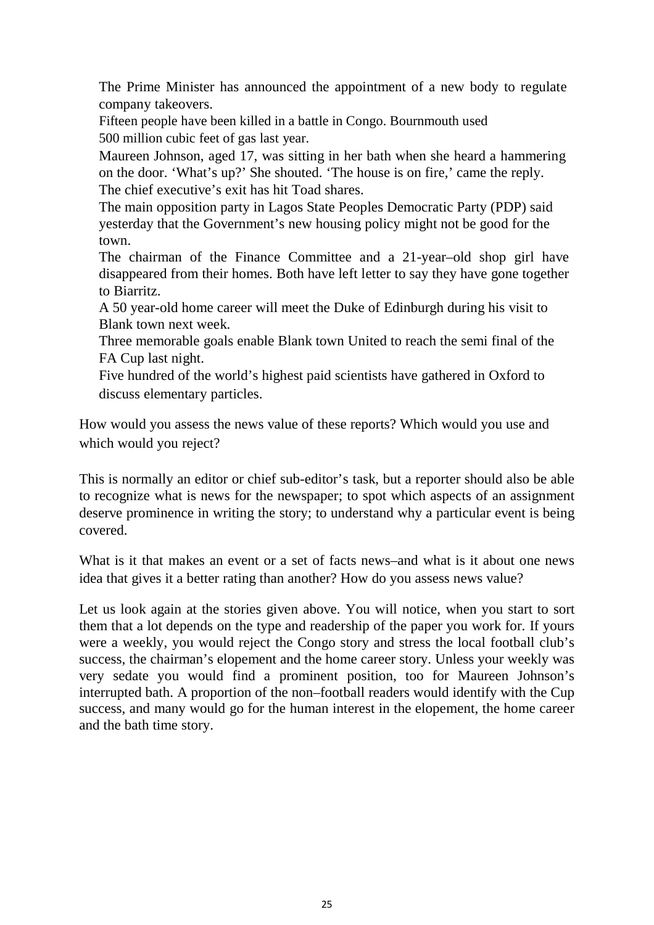The Prime Minister has announced the appointment of a new body to regulate company takeovers.

Fifteen people have been killed in a battle in Congo. Bournmouth used 500 million cubic feet of gas last year.

Maureen Johnson, aged 17, was sitting in her bath when she heard a hammering on the door. 'What's up?' She shouted. 'The house is on fire,' came the reply. The chief executive's exit has hit Toad shares.

The main opposition party in Lagos State Peoples Democratic Party (PDP) said yesterday that the Government's new housing policy might not be good for the town.

The chairman of the Finance Committee and a 21-year–old shop girl have disappeared from their homes. Both have left letter to say they have gone together to Biarritz.

A 50 year-old home career will meet the Duke of Edinburgh during his visit to Blank town next week.

Three memorable goals enable Blank town United to reach the semi final of the FA Cup last night.

Five hundred of the world's highest paid scientists have gathered in Oxford to discuss elementary particles.

How would you assess the news value of these reports? Which would you use and which would you reject?

This is normally an editor or chief sub-editor's task, but a reporter should also be able to recognize what is news for the newspaper; to spot which aspects of an assignment deserve prominence in writing the story; to understand why a particular event is being covered.

What is it that makes an event or a set of facts news–and what is it about one news idea that gives it a better rating than another? How do you assess news value?

Let us look again at the stories given above. You will notice, when you start to sort them that a lot depends on the type and readership of the paper you work for. If yours were a weekly, you would reject the Congo story and stress the local football club's success, the chairman's elopement and the home career story. Unless your weekly was very sedate you would find a prominent position, too for Maureen Johnson's interrupted bath. A proportion of the non–football readers would identify with the Cup success, and many would go for the human interest in the elopement, the home career and the bath time story.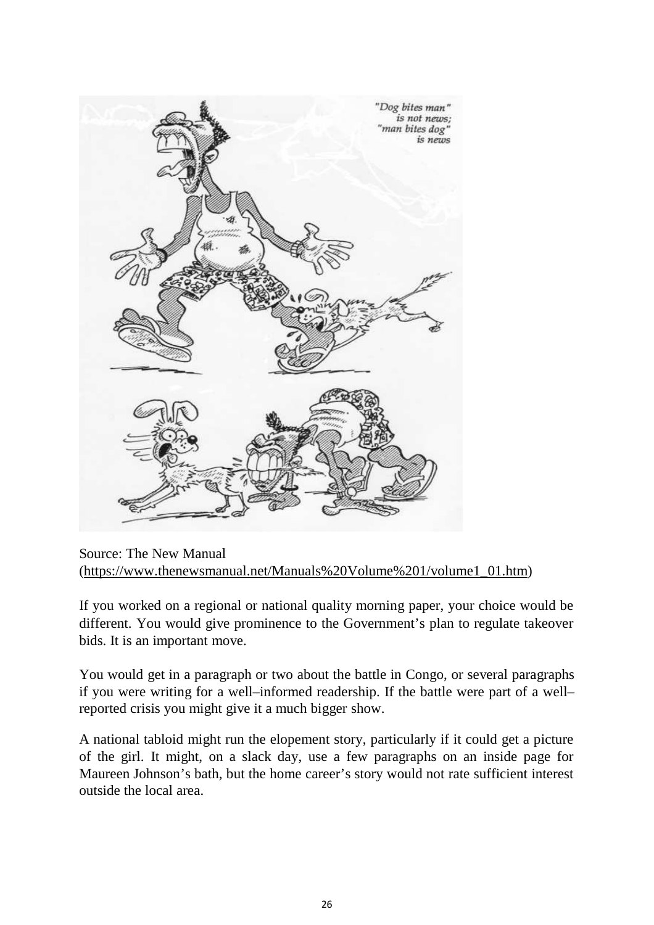

Source: The New Manual (https://www.thenewsmanual.net/Manuals%20Volume%201/volume1\_01.htm)

If you worked on a regional or national quality morning paper, your choice would be different. You would give prominence to the Government's plan to regulate takeover bids. It is an important move.

You would get in a paragraph or two about the battle in Congo, or several paragraphs if you were writing for a well–informed readership. If the battle were part of a well– reported crisis you might give it a much bigger show.

A national tabloid might run the elopement story, particularly if it could get a picture of the girl. It might, on a slack day, use a few paragraphs on an inside page for Maureen Johnson's bath, but the home career's story would not rate sufficient interest outside the local area.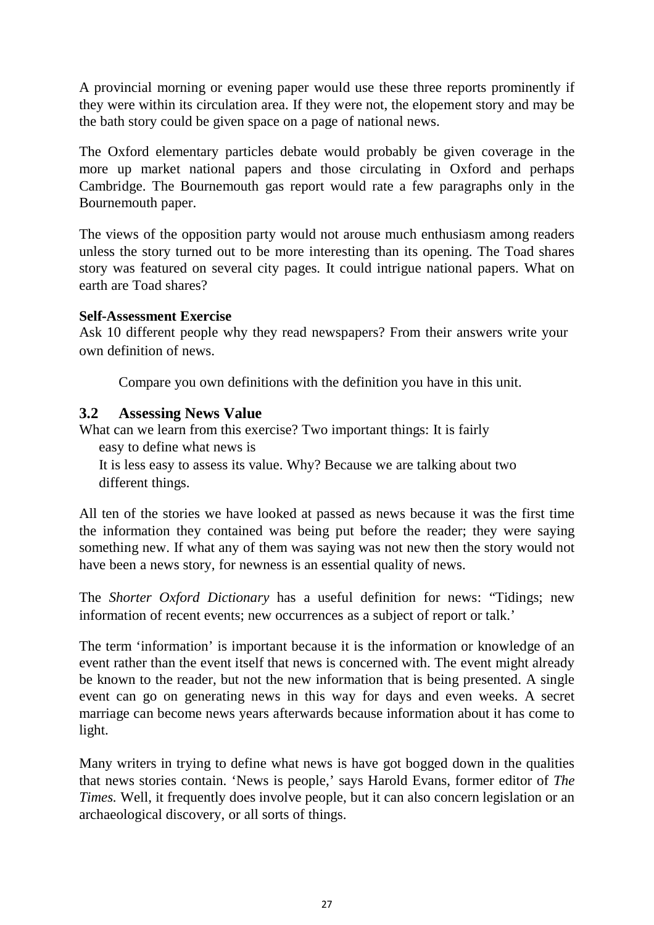A provincial morning or evening paper would use these three reports prominently if they were within its circulation area. If they were not, the elopement story and may be the bath story could be given space on a page of national news.

The Oxford elementary particles debate would probably be given coverage in the more up market national papers and those circulating in Oxford and perhaps Cambridge. The Bournemouth gas report would rate a few paragraphs only in the Bournemouth paper.

The views of the opposition party would not arouse much enthusiasm among readers unless the story turned out to be more interesting than its opening. The Toad shares story was featured on several city pages. It could intrigue national papers. What on earth are Toad shares?

#### **Self-Assessment Exercise**

Ask 10 different people why they read newspapers? From their answers write your own definition of news.

Compare you own definitions with the definition you have in this unit.

### **3.2 Assessing News Value**

What can we learn from this exercise? Two important things: It is fairly easy to define what news is

It is less easy to assess its value. Why? Because we are talking about two different things.

All ten of the stories we have looked at passed as news because it was the first time the information they contained was being put before the reader; they were saying something new. If what any of them was saying was not new then the story would not have been a news story, for newness is an essential quality of news.

The *Shorter Oxford Dictionary* has a useful definition for news: "Tidings; new information of recent events; new occurrences as a subject of report or talk.'

The term 'information' is important because it is the information or knowledge of an event rather than the event itself that news is concerned with. The event might already be known to the reader, but not the new information that is being presented. A single event can go on generating news in this way for days and even weeks. A secret marriage can become news years afterwards because information about it has come to light.

Many writers in trying to define what news is have got bogged down in the qualities that news stories contain. 'News is people,' says Harold Evans, former editor of *The Times.* Well, it frequently does involve people, but it can also concern legislation or an archaeological discovery, or all sorts of things.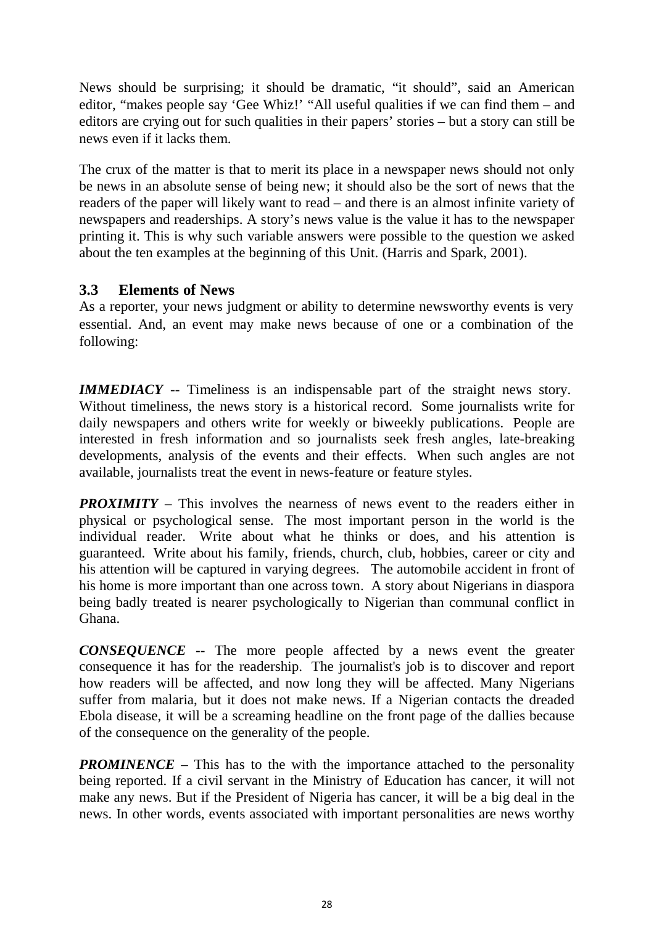News should be surprising; it should be dramatic, "it should", said an American editor, "makes people say 'Gee Whiz!' "All useful qualities if we can find them – and editors are crying out for such qualities in their papers' stories – but a story can still be news even if it lacks them.

The crux of the matter is that to merit its place in a newspaper news should not only be news in an absolute sense of being new; it should also be the sort of news that the readers of the paper will likely want to read – and there is an almost infinite variety of newspapers and readerships. A story's news value is the value it has to the newspaper printing it. This is why such variable answers were possible to the question we asked about the ten examples at the beginning of this Unit. (Harris and Spark, 2001).

### **3.3 Elements of News**

As a reporter, your news judgment or ability to determine newsworthy events is very essential. And, an event may make news because of one or a combination of the following:

*IMMEDIACY* -- Timeliness is an indispensable part of the straight news story. Without timeliness, the news story is a historical record. Some journalists write for daily newspapers and others write for weekly or biweekly publications. People are interested in fresh information and so journalists seek fresh angles, late-breaking developments, analysis of the events and their effects. When such angles are not available, journalists treat the event in news-feature or feature styles.

*PROXIMITY* – This involves the nearness of news event to the readers either in physical or psychological sense. The most important person in the world is the individual reader. Write about what he thinks or does, and his attention is guaranteed. Write about his family, friends, church, club, hobbies, career or city and his attention will be captured in varying degrees. The automobile accident in front of his home is more important than one across town. A story about Nigerians in diaspora being badly treated is nearer psychologically to Nigerian than communal conflict in Ghana.

*CONSEQUENCE* -- The more people affected by a news event the greater consequence it has for the readership. The journalist's job is to discover and report how readers will be affected, and now long they will be affected. Many Nigerians suffer from malaria, but it does not make news. If a Nigerian contacts the dreaded Ebola disease, it will be a screaming headline on the front page of the dallies because of the consequence on the generality of the people.

*PROMINENCE* – This has to the with the importance attached to the personality being reported. If a civil servant in the Ministry of Education has cancer, it will not make any news. But if the President of Nigeria has cancer, it will be a big deal in the news. In other words, events associated with important personalities are news worthy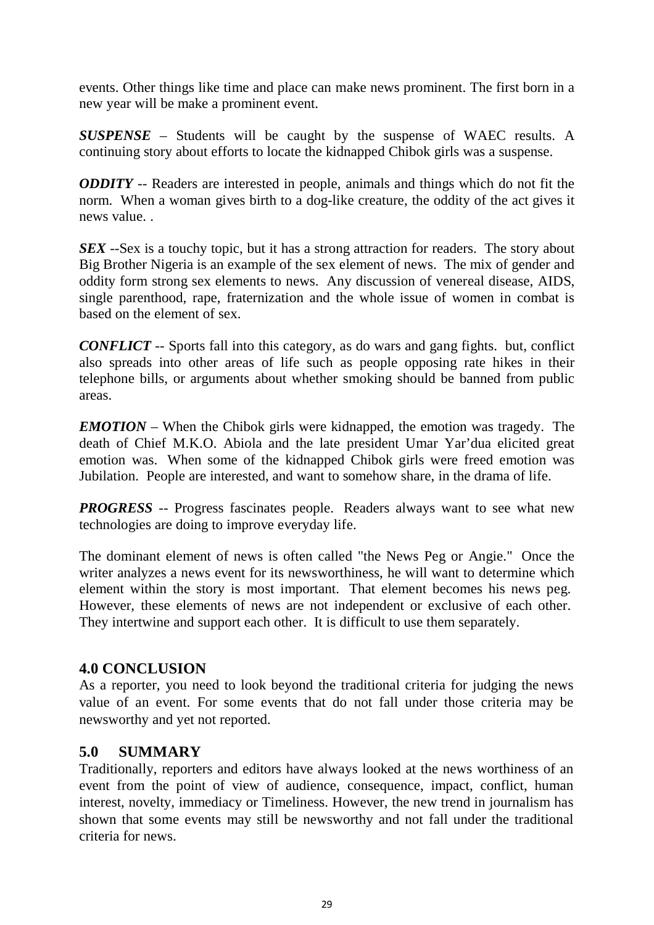events. Other things like time and place can make news prominent. The first born in a new year will be make a prominent event.

*SUSPENSE* – Students will be caught by the suspense of WAEC results. A continuing story about efforts to locate the kidnapped Chibok girls was a suspense.

*ODDITY* -- Readers are interested in people, animals and things which do not fit the norm. When a woman gives birth to a dog-like creature, the oddity of the act gives it news value. .

*SEX* --Sex is a touchy topic, but it has a strong attraction for readers. The story about Big Brother Nigeria is an example of the sex element of news. The mix of gender and oddity form strong sex elements to news. Any discussion of venereal disease, AIDS, single parenthood, rape, fraternization and the whole issue of women in combat is based on the element of sex.

*CONFLICT* -- Sports fall into this category, as do wars and gang fights. but, conflict also spreads into other areas of life such as people opposing rate hikes in their telephone bills, or arguments about whether smoking should be banned from public areas.

*EMOTION* – When the Chibok girls were kidnapped, the emotion was tragedy. The death of Chief M.K.O. Abiola and the late president Umar Yar'dua elicited great emotion was. When some of the kidnapped Chibok girls were freed emotion was Jubilation. People are interested, and want to somehow share, in the drama of life.

*PROGRESS* -- Progress fascinates people. Readers always want to see what new technologies are doing to improve everyday life.

The dominant element of news is often called "the News Peg or Angie." Once the writer analyzes a news event for its newsworthiness, he will want to determine which element within the story is most important. That element becomes his news peg. However, these elements of news are not independent or exclusive of each other. They intertwine and support each other. It is difficult to use them separately.

### **4.0 CONCLUSION**

As a reporter, you need to look beyond the traditional criteria for judging the news value of an event. For some events that do not fall under those criteria may be newsworthy and yet not reported.

### **5.0 SUMMARY**

Traditionally, reporters and editors have always looked at the news worthiness of an event from the point of view of audience, consequence, impact, conflict, human interest, novelty, immediacy or Timeliness. However, the new trend in journalism has shown that some events may still be newsworthy and not fall under the traditional criteria for news.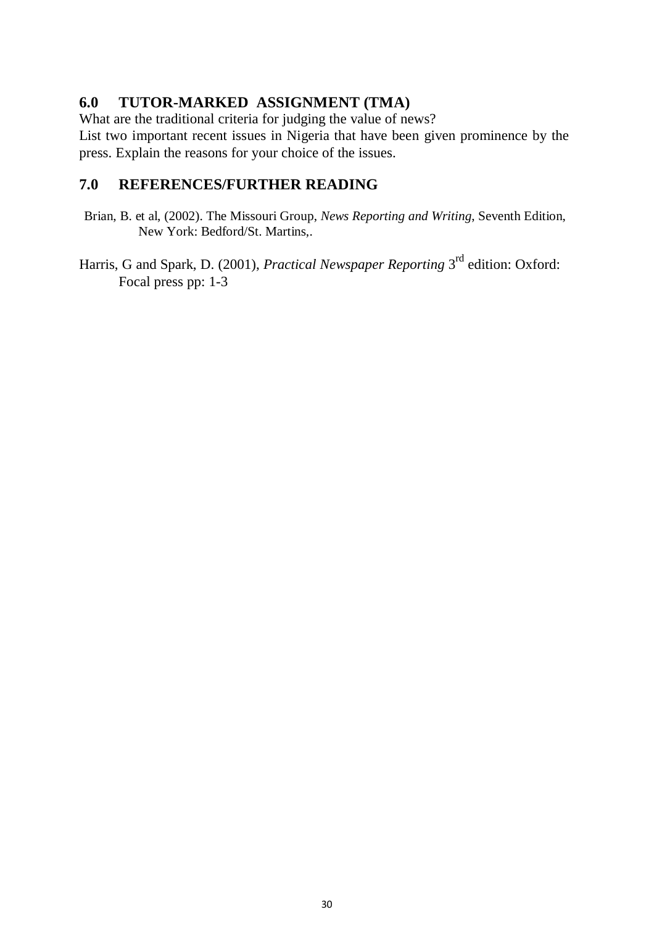# **6.0 TUTOR-MARKED ASSIGNMENT (TMA)**

What are the traditional criteria for judging the value of news? List two important recent issues in Nigeria that have been given prominence by the press. Explain the reasons for your choice of the issues.

### **7.0 REFERENCES/FURTHER READING**

- Brian, B. et al, (2002). The Missouri Group, *News Reporting and Writing*, Seventh Edition, New York: Bedford/St. Martins,.
- Harris, G and Spark, D. (2001), *Practical Newspaper Reporting* 3<sup>rd</sup> edition: Oxford: Focal press pp: 1-3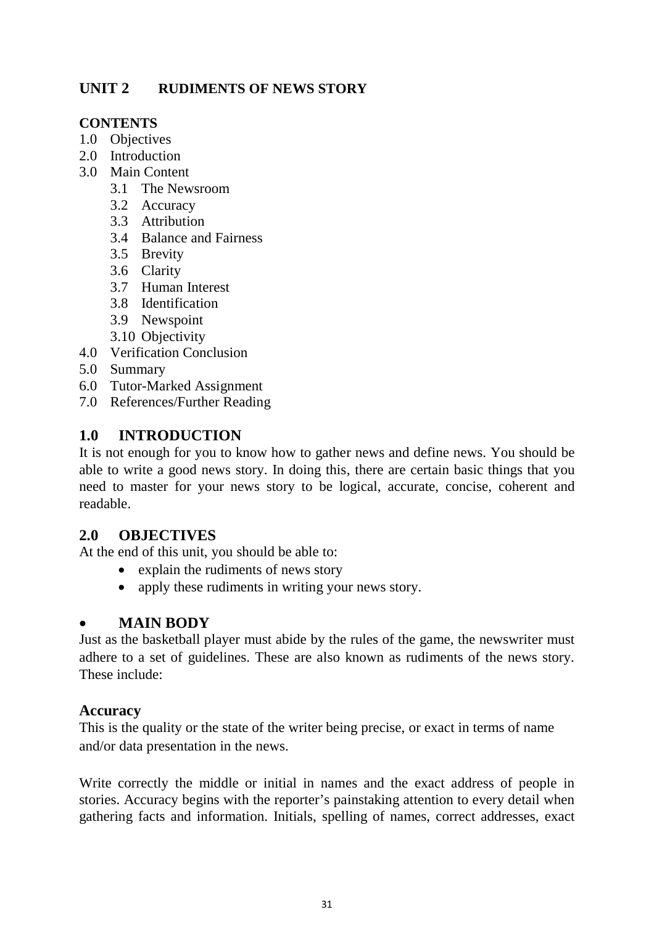# **UNIT 2 RUDIMENTS OF NEWS STORY**

### **CONTENTS**

- 1.0 Objectives
- 2.0 Introduction
- 3.0 Main Content
	- 3.1 The Newsroom
	- 3.2 Accuracy
	- 3.3 Attribution
	- 3.4 Balance and Fairness
	- 3.5 Brevity
	- 3.6 Clarity
	- 3.7 Human Interest
	- 3.8 Identification
	- 3.9 Newspoint
	- 3.10 Objectivity
- 4.0 Verification Conclusion
- 5.0 Summary
- 6.0 Tutor-Marked Assignment
- 7.0 References/Further Reading

# **1.0 INTRODUCTION**

It is not enough for you to know how to gather news and define news. You should be able to write a good news story. In doing this, there are certain basic things that you need to master for your news story to be logical, accurate, concise, coherent and readable.

# **2.0 OBJECTIVES**

At the end of this unit, you should be able to:

- explain the rudiments of news story
- apply these rudiments in writing your news story.

# • **MAIN BODY**

Just as the basketball player must abide by the rules of the game, the newswriter must adhere to a set of guidelines. These are also known as rudiments of the news story. These include:

### **Accuracy**

This is the quality or the state of the writer being precise, or exact in terms of name and/or data presentation in the news.

Write correctly the middle or initial in names and the exact address of people in stories. Accuracy begins with the reporter's painstaking attention to every detail when gathering facts and information. Initials, spelling of names, correct addresses, exact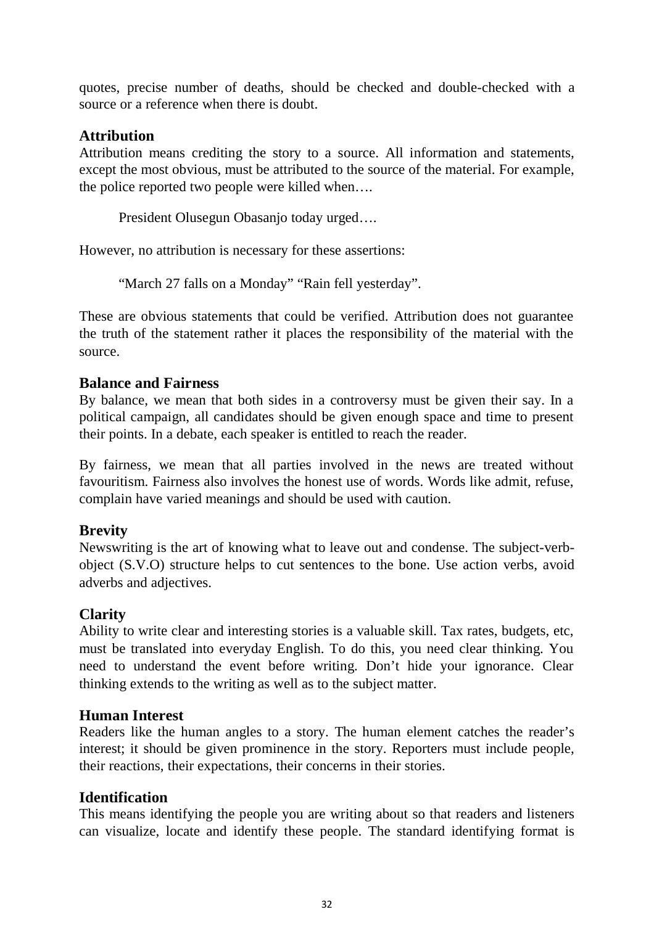quotes, precise number of deaths, should be checked and double-checked with a source or a reference when there is doubt.

### **Attribution**

Attribution means crediting the story to a source. All information and statements, except the most obvious, must be attributed to the source of the material. For example, the police reported two people were killed when….

President Olusegun Obasanjo today urged….

However, no attribution is necessary for these assertions:

"March 27 falls on a Monday" "Rain fell yesterday".

These are obvious statements that could be verified. Attribution does not guarantee the truth of the statement rather it places the responsibility of the material with the source.

### **Balance and Fairness**

By balance, we mean that both sides in a controversy must be given their say. In a political campaign, all candidates should be given enough space and time to present their points. In a debate, each speaker is entitled to reach the reader.

By fairness, we mean that all parties involved in the news are treated without favouritism. Fairness also involves the honest use of words. Words like admit, refuse, complain have varied meanings and should be used with caution.

### **Brevity**

Newswriting is the art of knowing what to leave out and condense. The subject-verbobject (S.V.O) structure helps to cut sentences to the bone. Use action verbs, avoid adverbs and adjectives.

### **Clarity**

Ability to write clear and interesting stories is a valuable skill. Tax rates, budgets, etc, must be translated into everyday English. To do this, you need clear thinking. You need to understand the event before writing. Don't hide your ignorance. Clear thinking extends to the writing as well as to the subject matter.

### **Human Interest**

Readers like the human angles to a story. The human element catches the reader's interest; it should be given prominence in the story. Reporters must include people, their reactions, their expectations, their concerns in their stories.

### **Identification**

This means identifying the people you are writing about so that readers and listeners can visualize, locate and identify these people. The standard identifying format is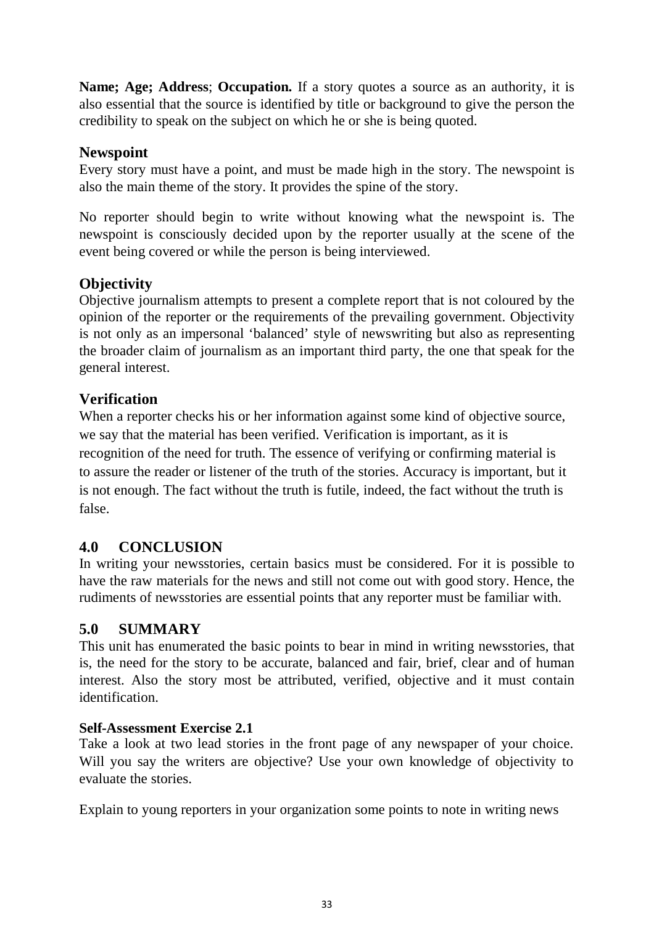**Name; Age; Address**; **Occupation.** If a story quotes a source as an authority, it is also essential that the source is identified by title or background to give the person the credibility to speak on the subject on which he or she is being quoted.

# **Newspoint**

Every story must have a point, and must be made high in the story. The newspoint is also the main theme of the story. It provides the spine of the story.

No reporter should begin to write without knowing what the newspoint is. The newspoint is consciously decided upon by the reporter usually at the scene of the event being covered or while the person is being interviewed.

# **Objectivity**

Objective journalism attempts to present a complete report that is not coloured by the opinion of the reporter or the requirements of the prevailing government. Objectivity is not only as an impersonal 'balanced' style of newswriting but also as representing the broader claim of journalism as an important third party, the one that speak for the general interest.

# **Verification**

When a reporter checks his or her information against some kind of objective source, we say that the material has been verified. Verification is important, as it is recognition of the need for truth. The essence of verifying or confirming material is to assure the reader or listener of the truth of the stories. Accuracy is important, but it is not enough. The fact without the truth is futile, indeed, the fact without the truth is false.

# **4.0 CONCLUSION**

In writing your newsstories, certain basics must be considered. For it is possible to have the raw materials for the news and still not come out with good story. Hence, the rudiments of newsstories are essential points that any reporter must be familiar with.

# **5.0 SUMMARY**

This unit has enumerated the basic points to bear in mind in writing newsstories, that is, the need for the story to be accurate, balanced and fair, brief, clear and of human interest. Also the story most be attributed, verified, objective and it must contain identification.

# **Self-Assessment Exercise 2.1**

Take a look at two lead stories in the front page of any newspaper of your choice. Will you say the writers are objective? Use your own knowledge of objectivity to evaluate the stories.

Explain to young reporters in your organization some points to note in writing news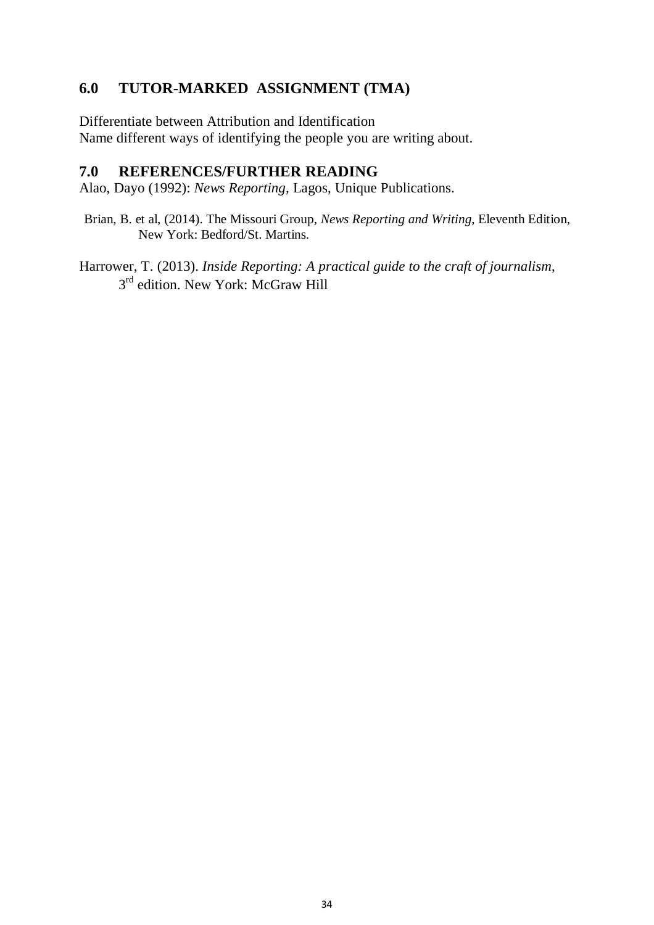# **6.0 TUTOR-MARKED ASSIGNMENT (TMA)**

Differentiate between Attribution and Identification

Name different ways of identifying the people you are writing about.

### **7.0 REFERENCES/FURTHER READING**

Alao, Dayo (1992): *News Reporting,* Lagos, Unique Publications.

Brian, B. et al, (2014). The Missouri Group, *News Reporting and Writing*, Eleventh Edition, New York: Bedford/St. Martins.

Harrower, T. (2013). *Inside Reporting: A practical guide to the craft of journalism*, 3<sup>rd</sup> edition. New York: McGraw Hill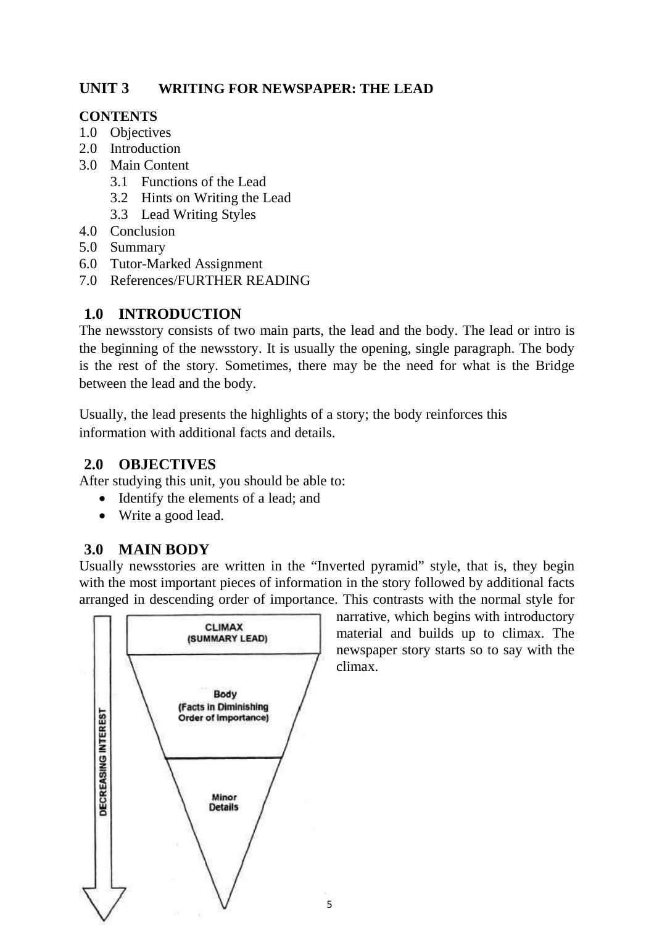# **UNIT 3 WRITING FOR NEWSPAPER: THE LEAD**

### **CONTENTS**

- 1.0 Objectives
- 2.0 Introduction
- 3.0 Main Content
	- 3.1 Functions of the Lead
	- 3.2 Hints on Writing the Lead
	- 3.3 Lead Writing Styles
- 4.0 Conclusion
- 5.0 Summary
- 6.0 Tutor-Marked Assignment
- 7.0 References/FURTHER READING

# **1.0 INTRODUCTION**

The newsstory consists of two main parts, the lead and the body. The lead or intro is the beginning of the newsstory. It is usually the opening, single paragraph. The body is the rest of the story. Sometimes, there may be the need for what is the Bridge between the lead and the body.

Usually, the lead presents the highlights of a story; the body reinforces this information with additional facts and details.

# **2.0 OBJECTIVES**

After studying this unit, you should be able to:

- Identify the elements of a lead; and
- Write a good lead.

# **3.0 MAIN BODY**

Usually newsstories are written in the "Inverted pyramid" style, that is, they begin with the most important pieces of information in the story followed by additional facts arranged in descending order of importance. This contrasts with the normal style for



narrative, which begins with introductory material and builds up to climax. The newspaper story starts so to say with the climax.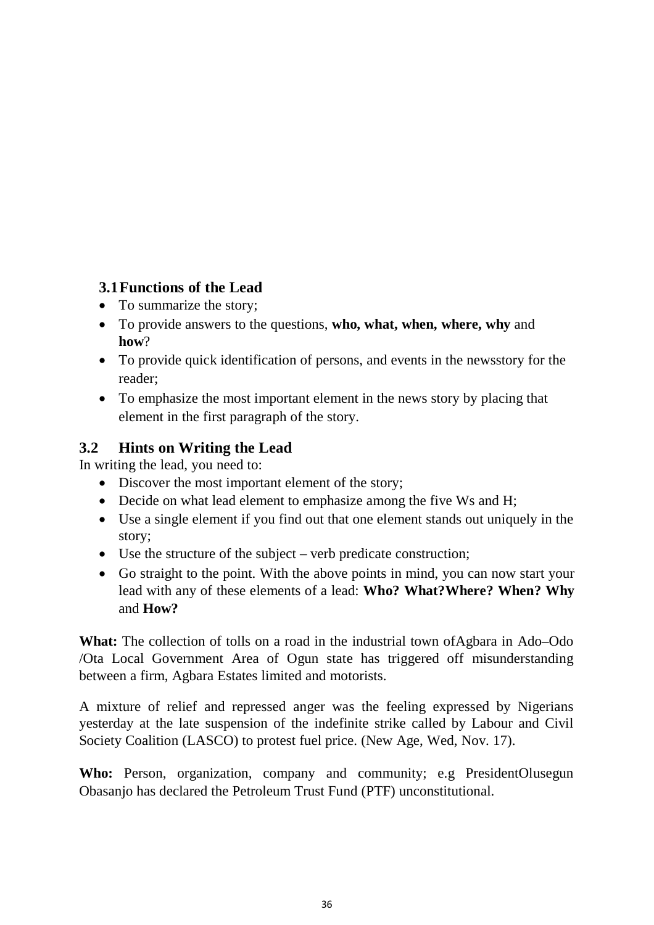# **3.1Functions of the Lead**

- To summarize the story;
- To provide answers to the questions, **who, what, when, where, why** and **how**?
- To provide quick identification of persons, and events in the newsstory for the reader;
- To emphasize the most important element in the news story by placing that element in the first paragraph of the story.

# **3.2 Hints on Writing the Lead**

In writing the lead, you need to:

- Discover the most important element of the story;
- Decide on what lead element to emphasize among the five Ws and H;
- Use a single element if you find out that one element stands out uniquely in the story;
- Use the structure of the subject verb predicate construction;
- Go straight to the point. With the above points in mind, you can now start your lead with any of these elements of a lead: **Who? What?Where? When? Why**  and **How?**

**What:** The collection of tolls on a road in the industrial town of Agbara in Ado–Odo /Ota Local Government Area of Ogun state has triggered off misunderstanding between a firm, Agbara Estates limited and motorists.

A mixture of relief and repressed anger was the feeling expressed by Nigerians yesterday at the late suspension of the indefinite strike called by Labour and Civil Society Coalition (LASCO) to protest fuel price. (New Age, Wed, Nov. 17).

Who: Person, organization, company and community; e.g PresidentOlusegun Obasanjo has declared the Petroleum Trust Fund (PTF) unconstitutional.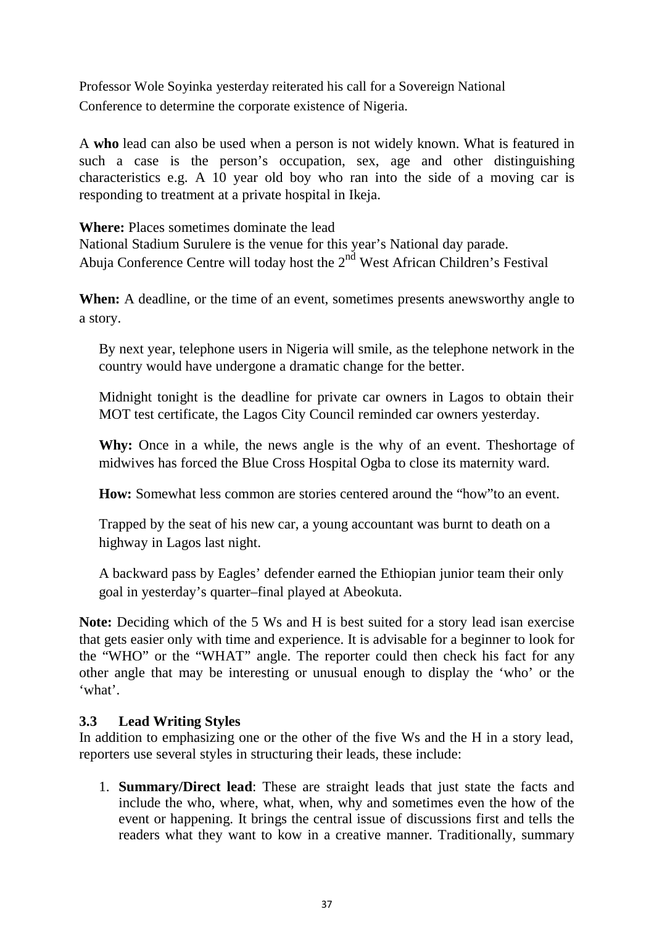Professor Wole Soyinka yesterday reiterated his call for a Sovereign National Conference to determine the corporate existence of Nigeria.

A **who** lead can also be used when a person is not widely known. What is featured in such a case is the person's occupation, sex, age and other distinguishing characteristics e.g. A 10 year old boy who ran into the side of a moving car is responding to treatment at a private hospital in Ikeja.

**Where:** Places sometimes dominate the lead National Stadium Surulere is the venue for this year's National day parade. Abuja Conference Centre will today host the  $2<sup>nd</sup>$  West African Children's Festival

When: A deadline, or the time of an event, sometimes presents anews worthy angle to a story.

By next year, telephone users in Nigeria will smile, as the telephone network in the country would have undergone a dramatic change for the better.

Midnight tonight is the deadline for private car owners in Lagos to obtain their MOT test certificate, the Lagos City Council reminded car owners yesterday.

Why: Once in a while, the news angle is the why of an event. The shortage of midwives has forced the Blue Cross Hospital Ogba to close its maternity ward.

**How:** Somewhat less common are stories centered around the "how"to an event.

Trapped by the seat of his new car, a young accountant was burnt to death on a highway in Lagos last night.

A backward pass by Eagles' defender earned the Ethiopian junior team their only goal in yesterday's quarter–final played at Abeokuta.

**Note:** Deciding which of the 5 Ws and H is best suited for a story lead isan exercise that gets easier only with time and experience. It is advisable for a beginner to look for the "WHO" or the "WHAT" angle. The reporter could then check his fact for any other angle that may be interesting or unusual enough to display the 'who' or the 'what'.

#### **3.3 Lead Writing Styles**

In addition to emphasizing one or the other of the five Ws and the H in a story lead, reporters use several styles in structuring their leads, these include:

1. **Summary/Direct lead**: These are straight leads that just state the facts and include the who, where, what, when, why and sometimes even the how of the event or happening. It brings the central issue of discussions first and tells the readers what they want to kow in a creative manner. Traditionally, summary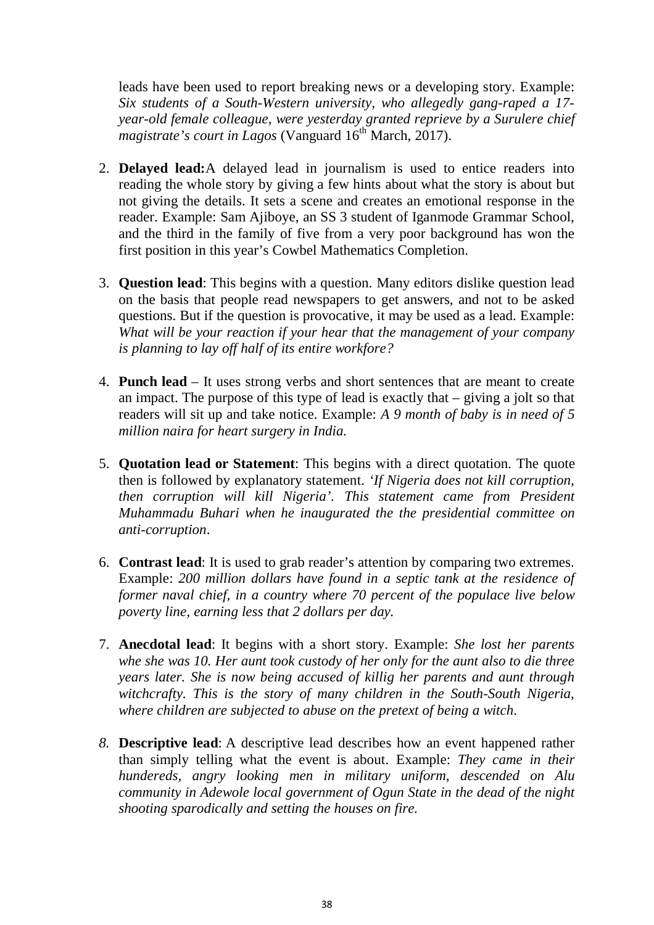leads have been used to report breaking news or a developing story. Example: *Six students of a South-Western university, who allegedly gang-raped a 17 year-old female colleague, were yesterday granted reprieve by a Surulere chief magistrate's court in Lagos* (Vanguard  $16<sup>th</sup>$  March, 2017).

- 2. **Delayed lead:**A delayed lead in journalism is used to entice readers into reading the whole story by giving a few hints about what the story is about but not giving the details. It sets a scene and creates an emotional response in the reader. Example: Sam Ajiboye, an SS 3 student of Iganmode Grammar School, and the third in the family of five from a very poor background has won the first position in this year's Cowbel Mathematics Completion.
- 3. **Question lead**: This begins with a question. Many editors dislike question lead on the basis that people read newspapers to get answers, and not to be asked questions. But if the question is provocative, it may be used as a lead. Example: *What will be your reaction if your hear that the management of your company is planning to lay off half of its entire workfore?*
- 4. **Punch lead** It uses strong verbs and short sentences that are meant to create an impact. The purpose of this type of lead is exactly that – giving a jolt so that readers will sit up and take notice. Example: *A 9 month of baby is in need of 5 million naira for heart surgery in India.*
- 5. **Quotation lead or Statement**: This begins with a direct quotation. The quote then is followed by explanatory statement. *'If Nigeria does not kill corruption, then corruption will kill Nigeria'. This statement came from President Muhammadu Buhari when he inaugurated the the presidential committee on anti-corruption*.
- 6. **Contrast lead**: It is used to grab reader's attention by comparing two extremes. Example: *200 million dollars have found in a septic tank at the residence of former naval chief, in a country where 70 percent of the populace live below poverty line, earning less that 2 dollars per day.*
- 7. **Anecdotal lead**: It begins with a short story. Example: *She lost her parents whe she was 10. Her aunt took custody of her only for the aunt also to die three years later. She is now being accused of killig her parents and aunt through witchcrafty. This is the story of many children in the South-South Nigeria, where children are subjected to abuse on the pretext of being a witch*.
- *8.* **Descriptive lead**: A descriptive lead describes how an event happened rather than simply telling what the event is about. Example: *They came in their hundereds, angry looking men in military uniform, descended on Alu community in Adewole local government of Ogun State in the dead of the night shooting sparodically and setting the houses on fire.*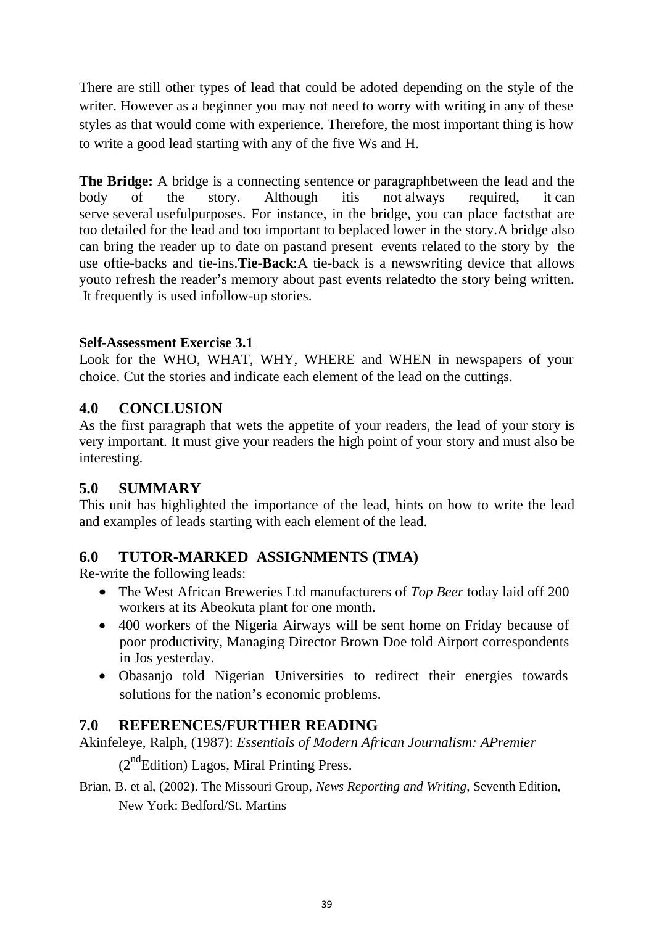There are still other types of lead that could be adoted depending on the style of the writer. However as a beginner you may not need to worry with writing in any of these styles as that would come with experience. Therefore, the most important thing is how to write a good lead starting with any of the five Ws and H.

**The Bridge:** A bridge is a connecting sentence or paragraphbetween the lead and the body of the story. Although itis not always required, it can serve several usefulpurposes. For instance, in the bridge, you can place factsthat are too detailed for the lead and too important to beplaced lower in the story.A bridge also can bring the reader up to date on pastand present events related to the story by the use oftie-backs and tie-ins.**Tie-Back**:A tie-back is a newswriting device that allows youto refresh the reader's memory about past events relatedto the story being written. It frequently is used infollow-up stories.

## **Self-Assessment Exercise 3.1**

Look for the WHO, WHAT, WHY, WHERE and WHEN in newspapers of your choice. Cut the stories and indicate each element of the lead on the cuttings.

## **4.0 CONCLUSION**

As the first paragraph that wets the appetite of your readers, the lead of your story is very important. It must give your readers the high point of your story and must also be interesting.

## **5.0 SUMMARY**

This unit has highlighted the importance of the lead, hints on how to write the lead and examples of leads starting with each element of the lead.

## **6.0 TUTOR-MARKED ASSIGNMENTS (TMA)**

Re-write the following leads:

- The West African Breweries Ltd manufacturers of *Top Beer* today laid off 200 workers at its Abeokuta plant for one month.
- 400 workers of the Nigeria Airways will be sent home on Friday because of poor productivity, Managing Director Brown Doe told Airport correspondents in Jos yesterday.
- Obasanjo told Nigerian Universities to redirect their energies towards solutions for the nation's economic problems.

## **7.0 REFERENCES/FURTHER READING**

Akinfeleye, Ralph, (1987): *Essentials of Modern African Journalism: APremier* 

(2ndEdition) Lagos, Miral Printing Press.

Brian, B. et al, (2002). The Missouri Group, *News Reporting and Writing*, Seventh Edition, New York: Bedford/St. Martins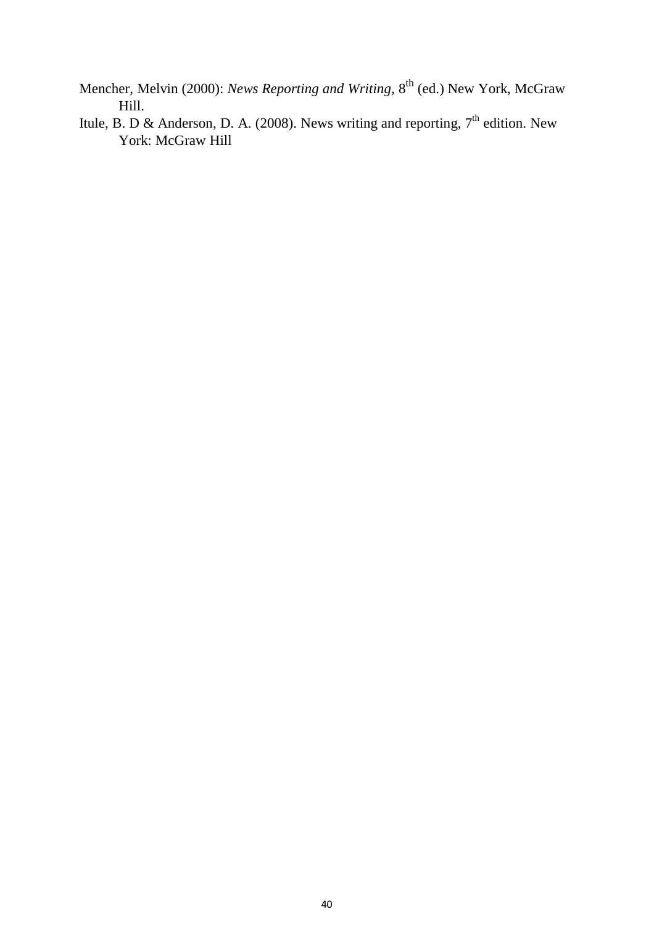- Mencher, Melvin (2000): *News Reporting and Writing*, 8<sup>th</sup> (ed.) New York, McGraw Hill.
- Itule, B. D & Anderson, D. A. (2008). News writing and reporting,  $7<sup>th</sup>$  edition. New York: McGraw Hill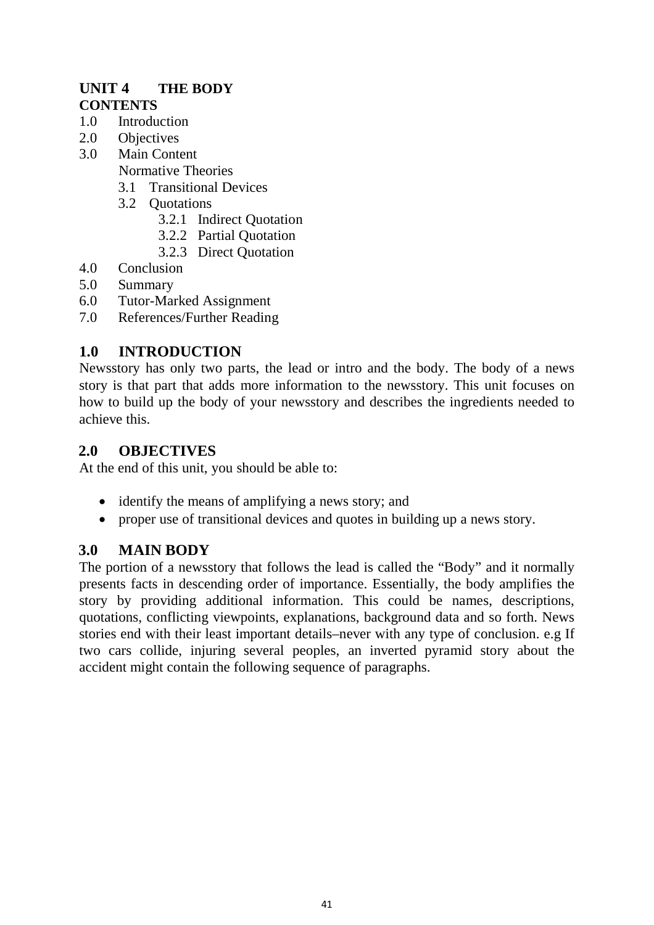#### **UNIT 4 THE BODY CONTENTS**

- 1.0 Introduction
- 2.0 Objectives
- 3.0 Main Content
	- Normative Theories
	- 3.1 Transitional Devices
	- 3.2 Quotations
		- 3.2.1 Indirect Quotation
		- 3.2.2 Partial Quotation
		- 3.2.3 Direct Quotation
- 4.0 Conclusion
- 5.0 Summary
- 6.0 Tutor-Marked Assignment
- 7.0 References/Further Reading

# **1.0 INTRODUCTION**

Newsstory has only two parts, the lead or intro and the body. The body of a news story is that part that adds more information to the newsstory. This unit focuses on how to build up the body of your newsstory and describes the ingredients needed to achieve this.

## **2.0 OBJECTIVES**

At the end of this unit, you should be able to:

- identify the means of amplifying a news story; and
- proper use of transitional devices and quotes in building up a news story.

## **3.0 MAIN BODY**

The portion of a newsstory that follows the lead is called the "Body" and it normally presents facts in descending order of importance. Essentially, the body amplifies the story by providing additional information. This could be names, descriptions, quotations, conflicting viewpoints, explanations, background data and so forth. News stories end with their least important details–never with any type of conclusion. e.g If two cars collide, injuring several peoples, an inverted pyramid story about the accident might contain the following sequence of paragraphs.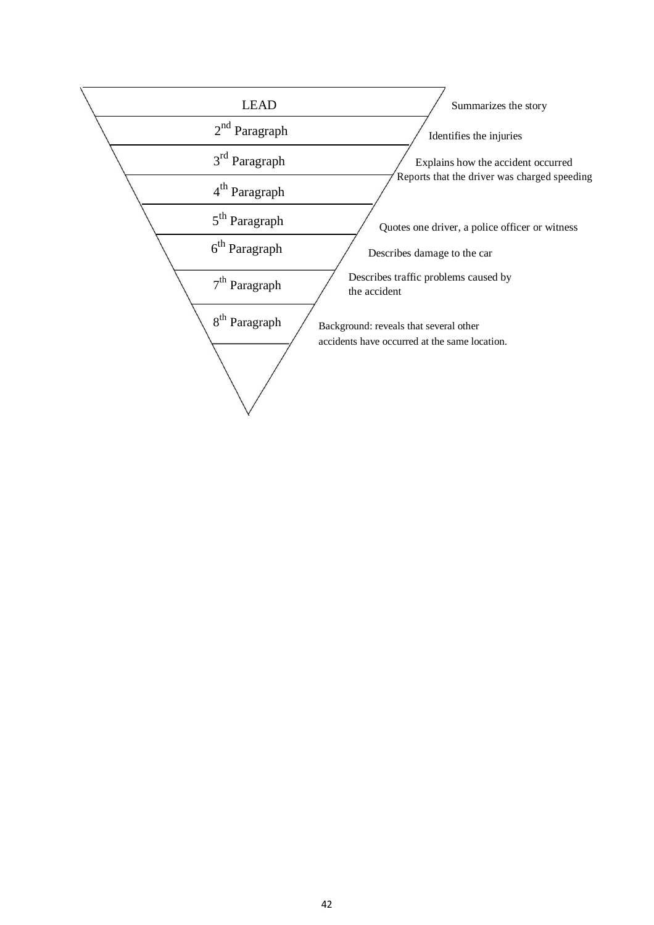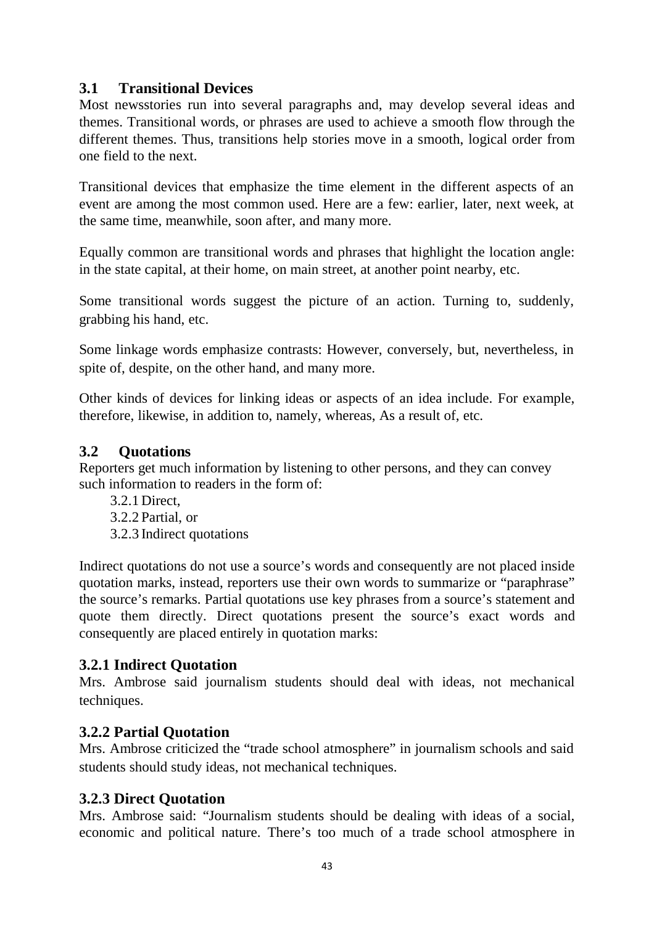## **3.1 Transitional Devices**

Most newsstories run into several paragraphs and, may develop several ideas and themes. Transitional words, or phrases are used to achieve a smooth flow through the different themes. Thus, transitions help stories move in a smooth, logical order from one field to the next.

Transitional devices that emphasize the time element in the different aspects of an event are among the most common used. Here are a few: earlier, later, next week, at the same time, meanwhile, soon after, and many more.

Equally common are transitional words and phrases that highlight the location angle: in the state capital, at their home, on main street, at another point nearby, etc.

Some transitional words suggest the picture of an action. Turning to, suddenly, grabbing his hand, etc.

Some linkage words emphasize contrasts: However, conversely, but, nevertheless, in spite of, despite, on the other hand, and many more.

Other kinds of devices for linking ideas or aspects of an idea include. For example, therefore, likewise, in addition to, namely, whereas, As a result of, etc.

## **3.2 Quotations**

Reporters get much information by listening to other persons, and they can convey such information to readers in the form of:

3.2.1 Direct, 3.2.2 Partial, or 3.2.3 Indirect quotations

Indirect quotations do not use a source's words and consequently are not placed inside quotation marks, instead, reporters use their own words to summarize or "paraphrase" the source's remarks. Partial quotations use key phrases from a source's statement and quote them directly. Direct quotations present the source's exact words and consequently are placed entirely in quotation marks:

# **3.2.1 Indirect Quotation**

Mrs. Ambrose said journalism students should deal with ideas, not mechanical techniques.

## **3.2.2 Partial Quotation**

Mrs. Ambrose criticized the "trade school atmosphere" in journalism schools and said students should study ideas, not mechanical techniques.

## **3.2.3 Direct Quotation**

Mrs. Ambrose said: "Journalism students should be dealing with ideas of a social, economic and political nature. There's too much of a trade school atmosphere in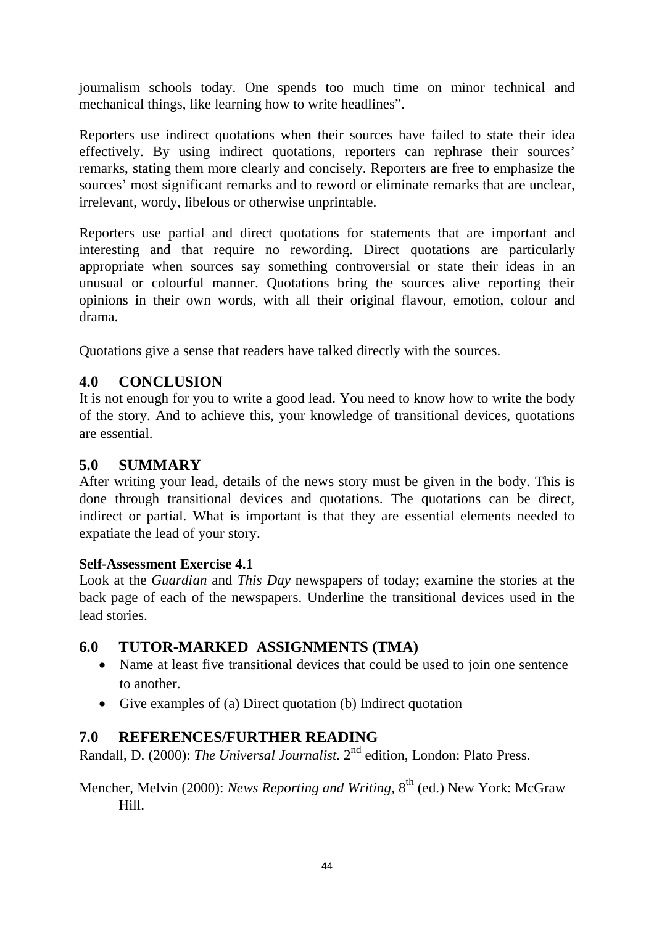journalism schools today. One spends too much time on minor technical and mechanical things, like learning how to write headlines".

Reporters use indirect quotations when their sources have failed to state their idea effectively. By using indirect quotations, reporters can rephrase their sources' remarks, stating them more clearly and concisely. Reporters are free to emphasize the sources' most significant remarks and to reword or eliminate remarks that are unclear, irrelevant, wordy, libelous or otherwise unprintable.

Reporters use partial and direct quotations for statements that are important and interesting and that require no rewording. Direct quotations are particularly appropriate when sources say something controversial or state their ideas in an unusual or colourful manner. Quotations bring the sources alive reporting their opinions in their own words, with all their original flavour, emotion, colour and drama.

Quotations give a sense that readers have talked directly with the sources.

# **4.0 CONCLUSION**

It is not enough for you to write a good lead. You need to know how to write the body of the story. And to achieve this, your knowledge of transitional devices, quotations are essential.

## **5.0 SUMMARY**

After writing your lead, details of the news story must be given in the body. This is done through transitional devices and quotations. The quotations can be direct, indirect or partial. What is important is that they are essential elements needed to expatiate the lead of your story.

#### **Self-Assessment Exercise 4.1**

Look at the *Guardian* and *This Day* newspapers of today; examine the stories at the back page of each of the newspapers. Underline the transitional devices used in the lead stories.

## **6.0 TUTOR-MARKED ASSIGNMENTS (TMA)**

- Name at least five transitional devices that could be used to join one sentence to another.
- Give examples of (a) Direct quotation (b) Indirect quotation

# **7.0 REFERENCES/FURTHER READING**

Randall, D. (2000): *The Universal Journalist*. 2<sup>nd</sup> edition, London: Plato Press.

Mencher, Melvin (2000): *News Reporting and Writing*, 8<sup>th</sup> (ed.) New York: McGraw Hill.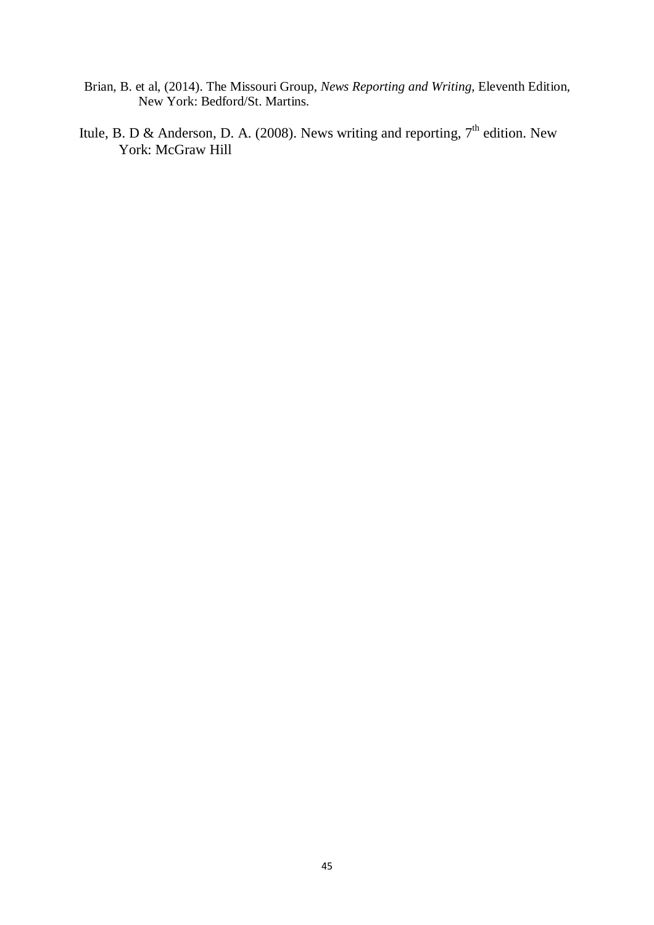- Brian, B. et al, (2014). The Missouri Group, *News Reporting and Writing*, Eleventh Edition, New York: Bedford/St. Martins.
- Itule, B. D & Anderson, D. A. (2008). News writing and reporting,  $7<sup>th</sup>$  edition. New York: McGraw Hill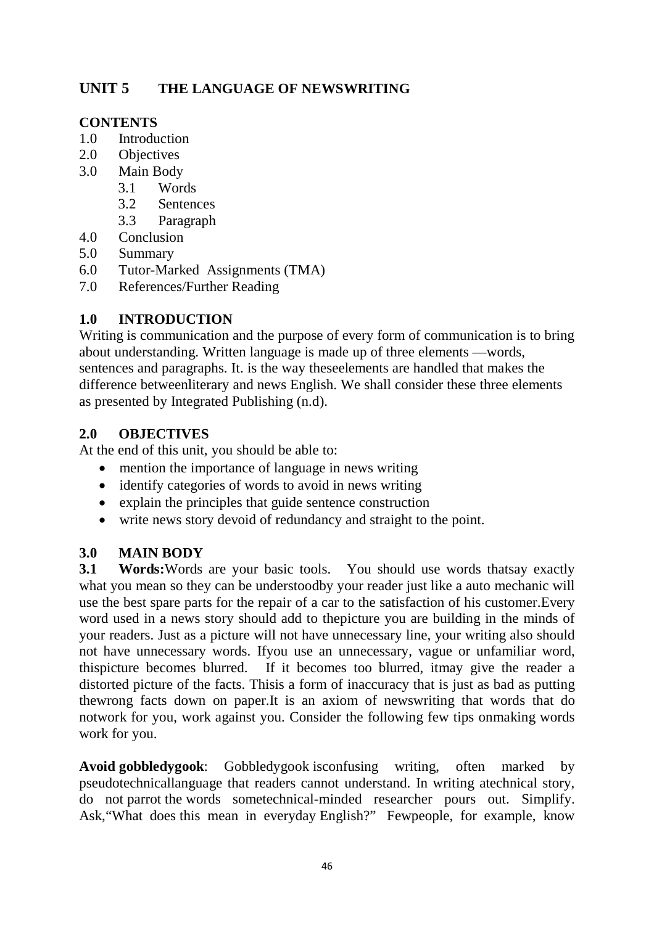# **UNIT 5 THE LANGUAGE OF NEWSWRITING**

## **CONTENTS**

- 1.0 Introduction
- 2.0 Objectives
- 3.0 Main Body
	- 3.1 Words
	- 3.2 Sentences
	- 3.3 Paragraph
- 4.0 Conclusion
- 5.0 Summary
- 6.0 Tutor-Marked Assignments (TMA)
- 7.0 References/Further Reading

## **1.0 INTRODUCTION**

Writing is communication and the purpose of every form of communication is to bring about understanding. Written language is made up of three elements —words, sentences and paragraphs. It. is the way theseelements are handled that makes the difference betweenliterary and news English. We shall consider these three elements as presented by Integrated Publishing (n.d).

## **2.0 OBJECTIVES**

At the end of this unit, you should be able to:

- mention the importance of language in news writing
- identify categories of words to avoid in news writing
- explain the principles that guide sentence construction
- write news story devoid of redundancy and straight to the point.

#### **3.0 MAIN BODY**

**3.1 Words:**Words are your basic tools. You should use words thatsay exactly what you mean so they can be understoodby your reader just like a auto mechanic will use the best spare parts for the repair of a car to the satisfaction of his customer.Every word used in a news story should add to thepicture you are building in the minds of your readers. Just as a picture will not have unnecessary line, your writing also should not have unnecessary words. Ifyou use an unnecessary, vague or unfamiliar word, thispicture becomes blurred. If it becomes too blurred, itmay give the reader a distorted picture of the facts. Thisis a form of inaccuracy that is just as bad as putting thewrong facts down on paper.It is an axiom of newswriting that words that do notwork for you, work against you. Consider the following few tips onmaking words work for you.

**Avoid gobbledygook**: Gobbledygook isconfusing writing, often marked by pseudotechnicallanguage that readers cannot understand. In writing atechnical story, do not parrot the words sometechnical-minded researcher pours out. Simplify. Ask,"What does this mean in everyday English?" Fewpeople, for example, know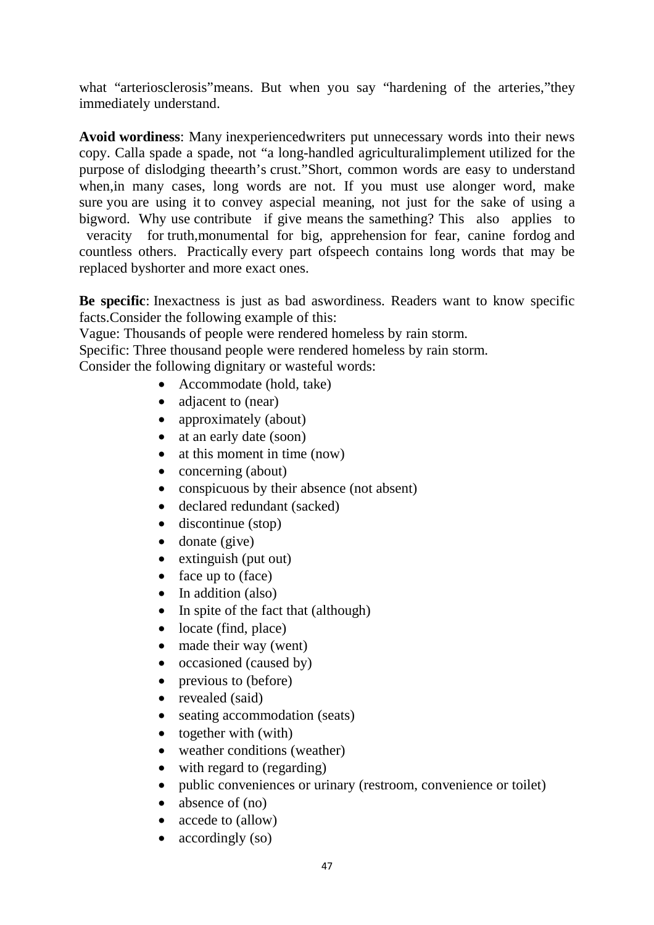what "arteriosclerosis" means. But when you say "hardening of the arteries, "they immediately understand.

**Avoid wordiness**: Many inexperiencedwriters put unnecessary words into their news copy. Calla spade a spade, not "a long-handled agriculturalimplement utilized for the purpose of dislodging theearth's crust."Short, common words are easy to understand when,in many cases, long words are not. If you must use alonger word, make sure you are using it to convey aspecial meaning, not just for the sake of using a bigword. Why use contribute if give means the samething? This also applies to veracity for truth,monumental for big, apprehension for fear, canine fordog and countless others. Practically every part ofspeech contains long words that may be replaced byshorter and more exact ones.

**Be specific**: Inexactness is just as bad aswordiness. Readers want to know specific facts.Consider the following example of this:

Vague: Thousands of people were rendered homeless by rain storm.

Specific: Three thousand people were rendered homeless by rain storm.

Consider the following dignitary or wasteful words:

- Accommodate (hold, take)
- adjacent to (near)
- approximately (about)
- at an early date (soon)
- at this moment in time (now)
- concerning (about)
- conspicuous by their absence (not absent)
- declared redundant (sacked)
- discontinue (stop)
- donate (give)
- extinguish (put out)
- face up to (face)
- In addition (also)
- In spite of the fact that (although)
- locate (find, place)
- made their way (went)
- occasioned (caused by)
- previous to (before)
- revealed (said)
- seating accommodation (seats)
- together with (with)
- weather conditions (weather)
- with regard to (regarding)
- public conveniences or urinary (restroom, convenience or toilet)
- absence of (no)
- accede to (allow)
- accordingly (so)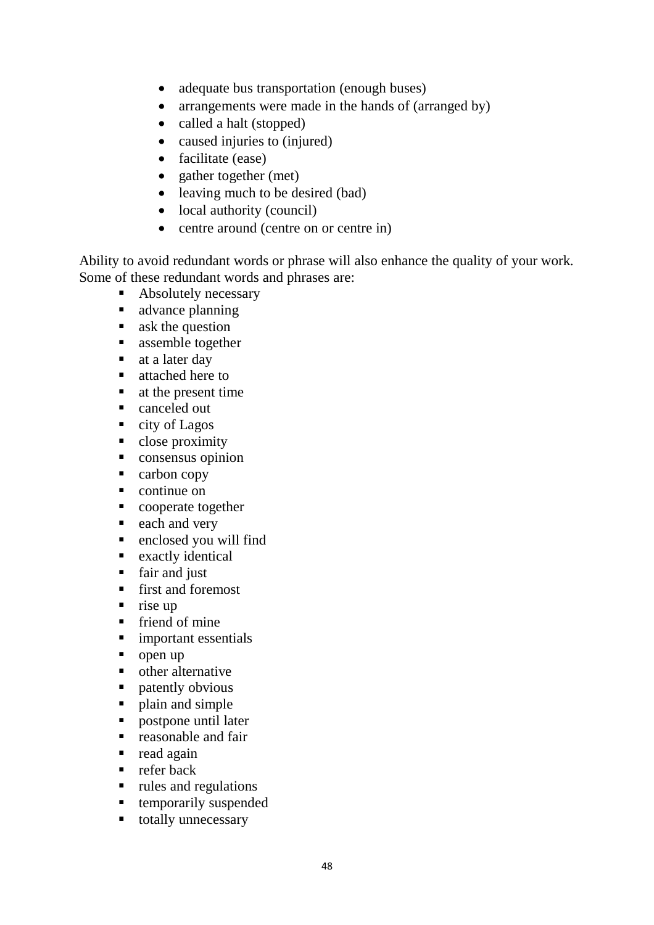- adequate bus transportation (enough buses)
- arrangements were made in the hands of (arranged by)
- called a halt (stopped)
- caused injuries to (injured)
- facilitate (ease)
- gather together (met)
- leaving much to be desired (bad)
- local authority (council)
- centre around (centre on or centre in)

Ability to avoid redundant words or phrase will also enhance the quality of your work. Some of these redundant words and phrases are:

- Absolutely necessary
- **a** advance planning
- $\blacksquare$  ask the question
- **assemble together**
- at a later day
- attached here to
- at the present time
- canceled out
- city of Lagos
- close proximity
- **consensus opinion**
- carbon copy
- continue on
- **cooperate together**
- each and very
- enclosed you will find
- **Exactly identical**
- **fair and just**
- first and foremost
- $\blacksquare$  rise up
- $\blacksquare$  friend of mine
- important essentials
- open up
- **•** other alternative
- patently obvious
- **plain and simple**
- **postpone until later**
- **reasonable and fair**
- $read a gain$
- $\blacksquare$  refer back
- ulles and regulations
- **temporarily suspended**
- **t** totally unnecessary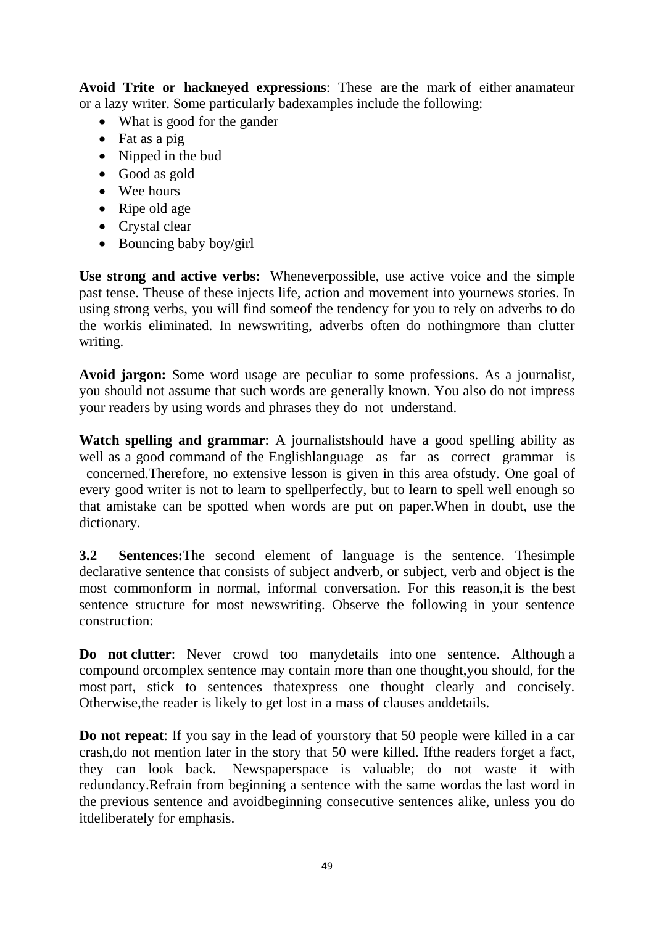**Avoid Trite or hackneyed expressions**: These are the mark of either anamateur or a lazy writer. Some particularly badexamples include the following:

- What is good for the gander
- Fat as a pig
- Nipped in the bud
- Good as gold
- Wee hours
- Ripe old age
- Crystal clear
- Bouncing baby boy/girl

**Use strong and active verbs:** Wheneverpossible, use active voice and the simple past tense. Theuse of these injects life, action and movement into yournews stories. In using strong verbs, you will find someof the tendency for you to rely on adverbs to do the workis eliminated. In newswriting, adverbs often do nothingmore than clutter writing.

**Avoid jargon:** Some word usage are peculiar to some professions. As a journalist, you should not assume that such words are generally known. You also do not impress your readers by using words and phrases they do not understand.

**Watch spelling and grammar**: A journalistshould have a good spelling ability as well as a good command of the Englishlanguage as far as correct grammar is concerned.Therefore, no extensive lesson is given in this area ofstudy. One goal of every good writer is not to learn to spellperfectly, but to learn to spell well enough so that amistake can be spotted when words are put on paper.When in doubt, use the dictionary.

**3.2 Sentences:**The second element of language is the sentence. Thesimple declarative sentence that consists of subject andverb, or subject, verb and object is the most commonform in normal, informal conversation. For this reason,it is the best sentence structure for most newswriting. Observe the following in your sentence construction:

**Do not clutter:** Never crowd too manydetails into one sentence. Although a compound orcomplex sentence may contain more than one thought,you should, for the most part, stick to sentences thatexpress one thought clearly and concisely. Otherwise,the reader is likely to get lost in a mass of clauses anddetails.

**Do not repeat**: If you say in the lead of yourstory that 50 people were killed in a car crash,do not mention later in the story that 50 were killed. Ifthe readers forget a fact, they can look back. Newspaperspace is valuable; do not waste it with redundancy.Refrain from beginning a sentence with the same wordas the last word in the previous sentence and avoidbeginning consecutive sentences alike, unless you do itdeliberately for emphasis.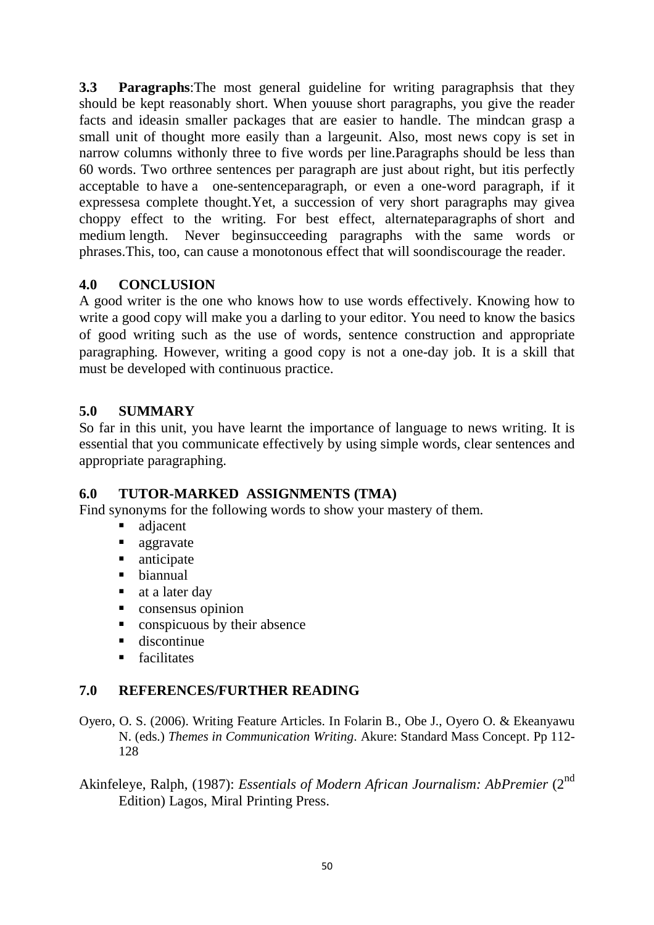**3.3 Paragraphs**:The most general guideline for writing paragraphsis that they should be kept reasonably short. When youuse short paragraphs, you give the reader facts and ideasin smaller packages that are easier to handle. The mindcan grasp a small unit of thought more easily than a largeunit. Also, most news copy is set in narrow columns withonly three to five words per line.Paragraphs should be less than 60 words. Two orthree sentences per paragraph are just about right, but itis perfectly acceptable to have a one-sentenceparagraph, or even a one-word paragraph, if it expressesa complete thought.Yet, a succession of very short paragraphs may givea choppy effect to the writing. For best effect, alternateparagraphs of short and medium length. Never beginsucceeding paragraphs with the same words or phrases.This, too, can cause a monotonous effect that will soondiscourage the reader.

## **4.0 CONCLUSION**

A good writer is the one who knows how to use words effectively. Knowing how to write a good copy will make you a darling to your editor. You need to know the basics of good writing such as the use of words, sentence construction and appropriate paragraphing. However, writing a good copy is not a one-day job. It is a skill that must be developed with continuous practice.

## **5.0 SUMMARY**

So far in this unit, you have learnt the importance of language to news writing. It is essential that you communicate effectively by using simple words, clear sentences and appropriate paragraphing.

#### **6.0 TUTOR-MARKED ASSIGNMENTS (TMA)**

Find synonyms for the following words to show your mastery of them.

- **adjacent**
- **aggravate**
- **n** anticipate
- $\blacksquare$ biannual
- at a later day
- **consensus opinion**
- **CONSPICUOUS** by their absence
- **discontinue**
- facilitates

#### **7.0 REFERENCES/FURTHER READING**

Oyero, O. S. (2006). Writing Feature Articles. In Folarin B., Obe J., Oyero O. & Ekeanyawu N. (eds.) *Themes in Communication Writing*. Akure: Standard Mass Concept. Pp 112- 128

Akinfeleye, Ralph, (1987): *Essentials of Modern African Journalism: AbPremier* (2<sup>nd</sup> Edition) Lagos, Miral Printing Press.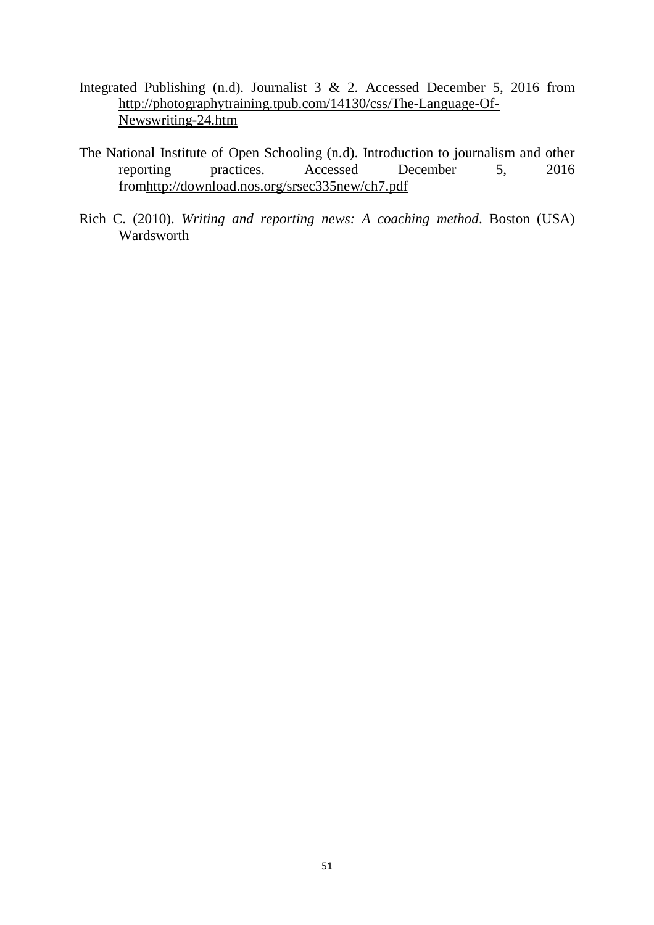- Integrated Publishing (n.d). Journalist 3 & 2. Accessed December 5, 2016 from http://photographytraining.tpub.com/14130/css/The-Language-Of-Newswriting-24.htm
- The National Institute of Open Schooling (n.d). Introduction to journalism and other<br>reporting practices. Accessed December 5. 2016 reporting practices. Accessed December 5, 2016 fromhttp://download.nos.org/srsec335new/ch7.pdf
- Rich C. (2010). *Writing and reporting news: A coaching method*. Boston (USA) Wardsworth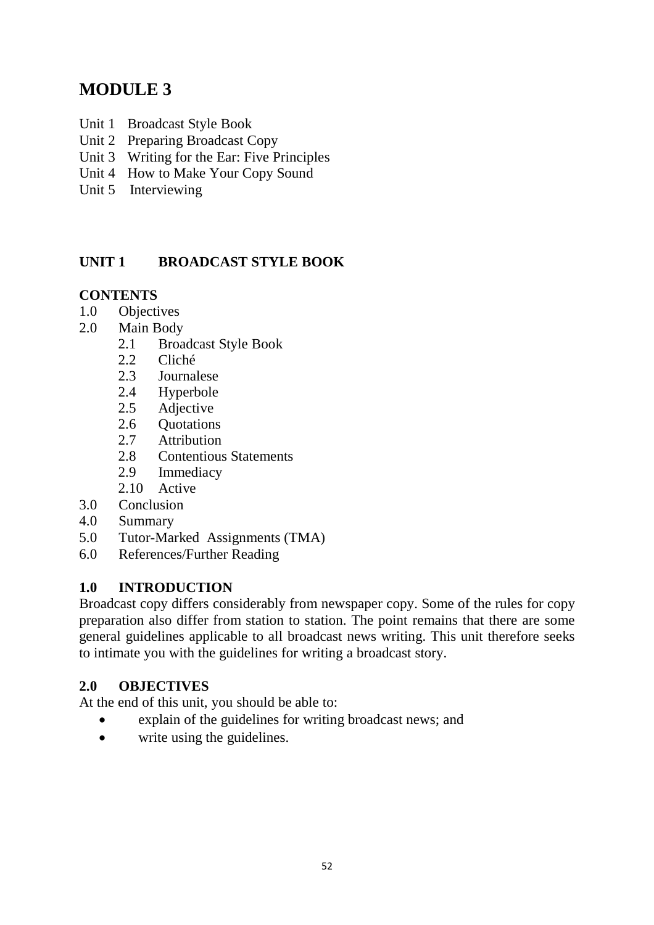# **MODULE 3**

- Unit 1 Broadcast Style Book
- Unit 2 Preparing Broadcast Copy
- Unit 3 Writing for the Ear: Five Principles
- Unit 4 How to Make Your Copy Sound
- Unit 5 Interviewing

## **UNIT 1 BROADCAST STYLE BOOK**

#### **CONTENTS**

- 1.0 Objectives
- 2.0 Main Body
	- 2.1 Broadcast Style Book
	- 2.2 Cliché
	- 2.3 Journalese
	- 2.4 Hyperbole
	- 2.5 Adjective
	- 2.6 Quotations
	- 2.7 Attribution
	- 2.8 Contentious Statements
	- 2.9 Immediacy
	- 2.10 Active
- 3.0 Conclusion
- 4.0 Summary
- 5.0 Tutor-Marked Assignments (TMA)
- 6.0 References/Further Reading

#### **1.0 INTRODUCTION**

Broadcast copy differs considerably from newspaper copy. Some of the rules for copy preparation also differ from station to station. The point remains that there are some general guidelines applicable to all broadcast news writing. This unit therefore seeks to intimate you with the guidelines for writing a broadcast story.

#### **2.0 OBJECTIVES**

At the end of this unit, you should be able to:

- explain of the guidelines for writing broadcast news; and
- write using the guidelines.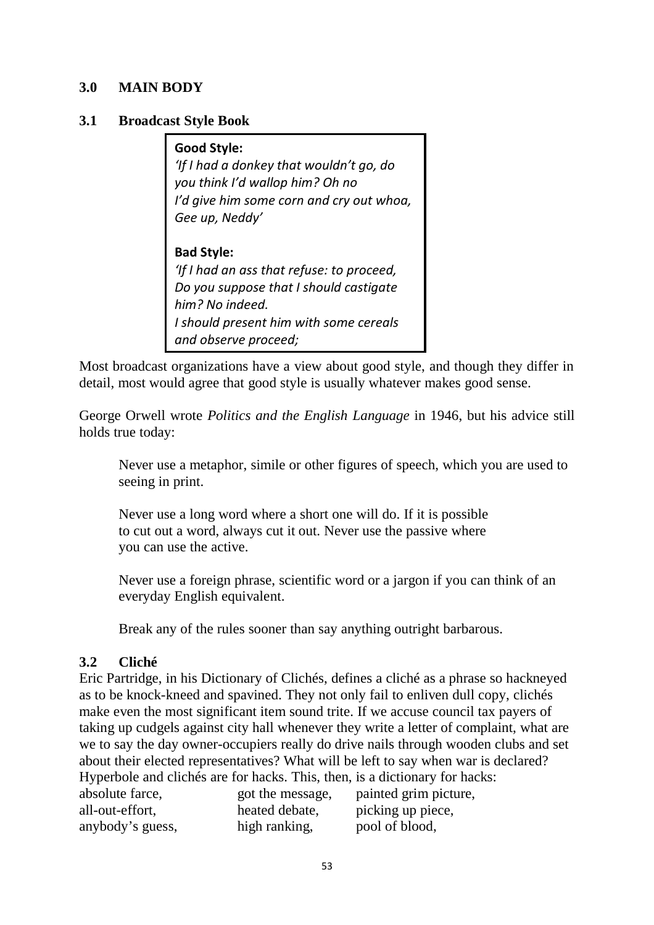#### **3.0 MAIN BODY**

#### **3.1 Broadcast Style Book**

Good Style: 'If I had a donkey that wouldn't go, do you think I'd wallop him? Oh no I'd give him some corn and cry out whoa, Gee up, Neddy'

## Bad Style:

'If I had an ass that refuse: to proceed, Do you suppose that I should castigate him? No indeed. I should present him with some cereals and observe proceed;

Most broadcast organizations have a view about good style, and though they differ in detail, most would agree that good style is usually whatever makes good sense.

George Orwell wrote *Politics and the English Language* in 1946, but his advice still holds true today:

Never use a metaphor, simile or other figures of speech, which you are used to seeing in print.

Never use a long word where a short one will do. If it is possible to cut out a word, always cut it out. Never use the passive where you can use the active.

Never use a foreign phrase, scientific word or a jargon if you can think of an everyday English equivalent.

Break any of the rules sooner than say anything outright barbarous.

## **3.2 Cliché**

Eric Partridge, in his Dictionary of Clichés, defines a cliché as a phrase so hackneyed as to be knock-kneed and spavined. They not only fail to enliven dull copy, clichés make even the most significant item sound trite. If we accuse council tax payers of taking up cudgels against city hall whenever they write a letter of complaint, what are we to say the day owner-occupiers really do drive nails through wooden clubs and set about their elected representatives? What will be left to say when war is declared? Hyperbole and clichés are for hacks. This, then, is a dictionary for hacks:

| absolute farce,  | got the message, | painted grim picture, |
|------------------|------------------|-----------------------|
| all-out-effort,  | heated debate,   | picking up piece,     |
| anybody's guess, | high ranking,    | pool of blood,        |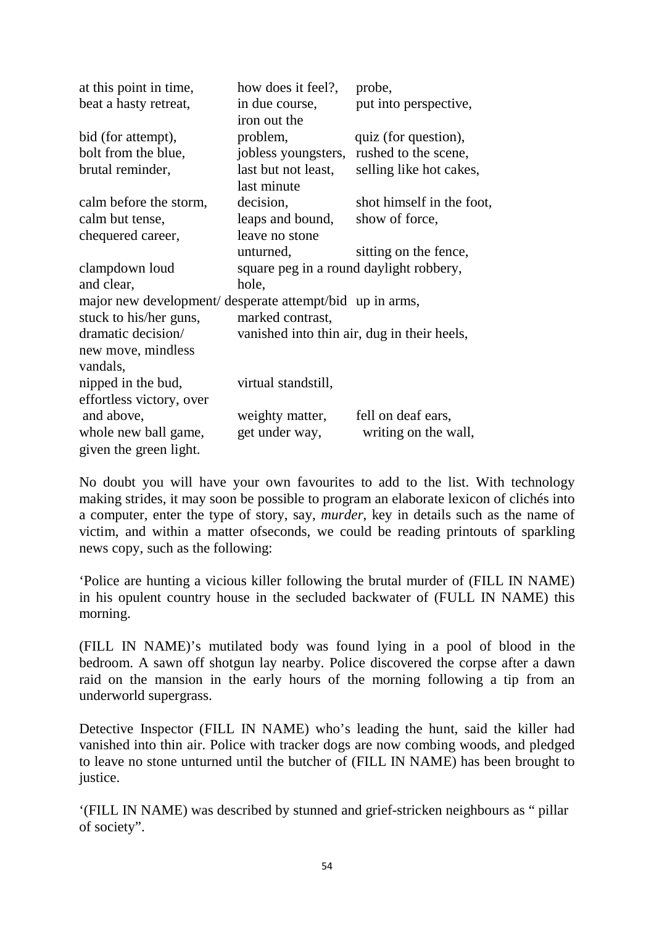| at this point in time,                                   | how does it feel?,                      | probe,                                      |  |
|----------------------------------------------------------|-----------------------------------------|---------------------------------------------|--|
| beat a hasty retreat,                                    | in due course,                          | put into perspective,                       |  |
|                                                          | iron out the                            |                                             |  |
| bid (for attempt),                                       | problem,                                | quiz (for question),                        |  |
| bolt from the blue,                                      | jobless youngsters,                     | rushed to the scene,                        |  |
| brutal reminder,                                         | last but not least,                     | selling like hot cakes,                     |  |
|                                                          | last minute                             |                                             |  |
| calm before the storm,                                   | decision,                               | shot himself in the foot,                   |  |
| calm but tense,                                          | leaps and bound,                        | show of force,                              |  |
| chequered career,                                        | leave no stone                          |                                             |  |
|                                                          | unturned,                               | sitting on the fence,                       |  |
| clampdown loud                                           | square peg in a round daylight robbery, |                                             |  |
| and clear,                                               | hole,                                   |                                             |  |
| major new development/ desperate attempt/bid up in arms, |                                         |                                             |  |
| stuck to his/her guns,                                   | marked contrast,                        |                                             |  |
| dramatic decision/                                       |                                         | vanished into thin air, dug in their heels, |  |
| new move, mindless                                       |                                         |                                             |  |
| vandals,                                                 |                                         |                                             |  |
| nipped in the bud,                                       | virtual standstill,                     |                                             |  |
| effortless victory, over                                 |                                         |                                             |  |
| and above,                                               | weighty matter,                         | fell on deaf ears,                          |  |
| whole new ball game,                                     | get under way,                          | writing on the wall,                        |  |
| given the green light.                                   |                                         |                                             |  |

No doubt you will have your own favourites to add to the list. With technology making strides, it may soon be possible to program an elaborate lexicon of clichés into a computer, enter the type of story, say, *murder*, key in details such as the name of victim, and within a matter ofseconds, we could be reading printouts of sparkling news copy, such as the following:

'Police are hunting a vicious killer following the brutal murder of (FILL IN NAME) in his opulent country house in the secluded backwater of (FULL IN NAME) this morning.

(FILL IN NAME)'s mutilated body was found lying in a pool of blood in the bedroom. A sawn off shotgun lay nearby. Police discovered the corpse after a dawn raid on the mansion in the early hours of the morning following a tip from an underworld supergrass.

Detective Inspector (FILL IN NAME) who's leading the hunt, said the killer had vanished into thin air. Police with tracker dogs are now combing woods, and pledged to leave no stone unturned until the butcher of (FILL IN NAME) has been brought to justice.

'(FILL IN NAME) was described by stunned and grief-stricken neighbours as " pillar of society".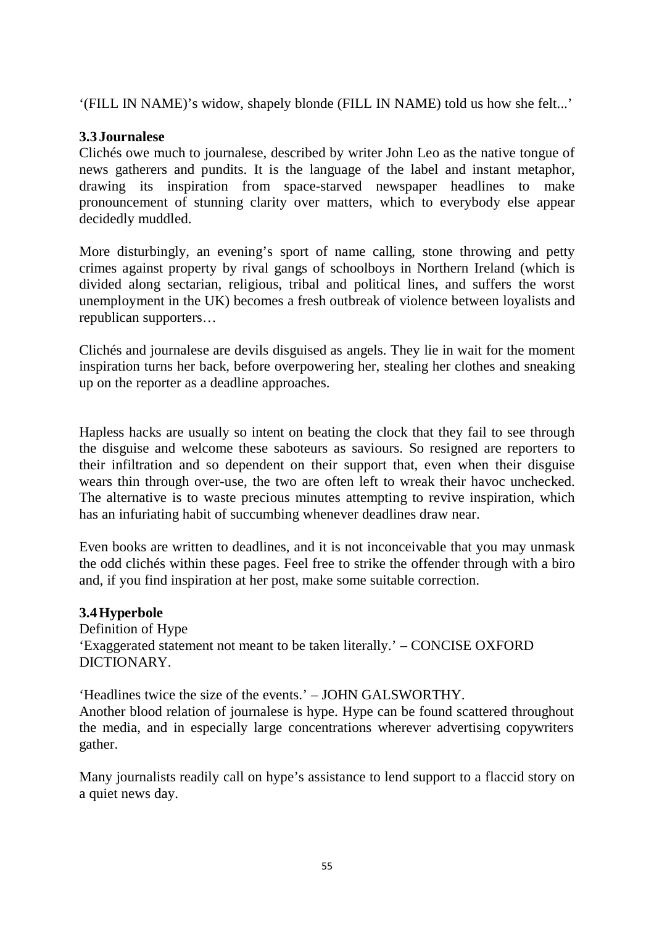'(FILL IN NAME)'s widow, shapely blonde (FILL IN NAME) told us how she felt...'

#### **3.3 Journalese**

Clichés owe much to journalese, described by writer John Leo as the native tongue of news gatherers and pundits. It is the language of the label and instant metaphor, drawing its inspiration from space-starved newspaper headlines to make pronouncement of stunning clarity over matters, which to everybody else appear decidedly muddled.

More disturbingly, an evening's sport of name calling, stone throwing and petty crimes against property by rival gangs of schoolboys in Northern Ireland (which is divided along sectarian, religious, tribal and political lines, and suffers the worst unemployment in the UK) becomes a fresh outbreak of violence between loyalists and republican supporters…

Clichés and journalese are devils disguised as angels. They lie in wait for the moment inspiration turns her back, before overpowering her, stealing her clothes and sneaking up on the reporter as a deadline approaches.

Hapless hacks are usually so intent on beating the clock that they fail to see through the disguise and welcome these saboteurs as saviours. So resigned are reporters to their infiltration and so dependent on their support that, even when their disguise wears thin through over-use, the two are often left to wreak their havoc unchecked. The alternative is to waste precious minutes attempting to revive inspiration, which has an infuriating habit of succumbing whenever deadlines draw near.

Even books are written to deadlines, and it is not inconceivable that you may unmask the odd clichés within these pages. Feel free to strike the offender through with a biro and, if you find inspiration at her post, make some suitable correction.

## **3.4Hyperbole**

Definition of Hype 'Exaggerated statement not meant to be taken literally.' – CONCISE OXFORD DICTIONARY.

'Headlines twice the size of the events.' – JOHN GALSWORTHY. Another blood relation of journalese is hype. Hype can be found scattered throughout the media, and in especially large concentrations wherever advertising copywriters gather.

Many journalists readily call on hype's assistance to lend support to a flaccid story on a quiet news day.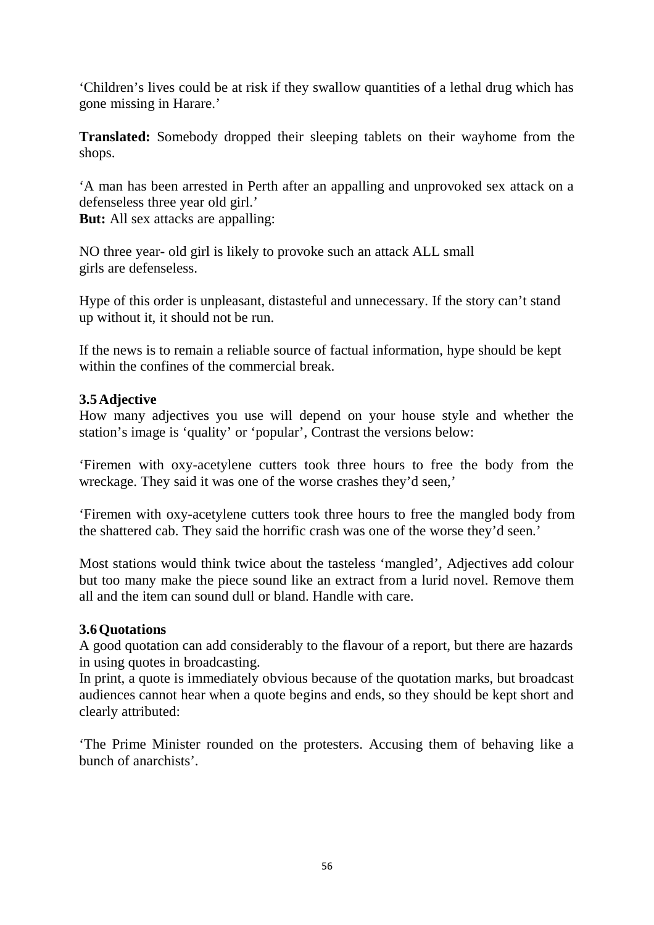'Children's lives could be at risk if they swallow quantities of a lethal drug which has gone missing in Harare.'

**Translated:** Somebody dropped their sleeping tablets on their wayhome from the shops.

'A man has been arrested in Perth after an appalling and unprovoked sex attack on a defenseless three year old girl.'

**But:** All sex attacks are appalling:

NO three year- old girl is likely to provoke such an attack ALL small girls are defenseless.

Hype of this order is unpleasant, distasteful and unnecessary. If the story can't stand up without it, it should not be run.

If the news is to remain a reliable source of factual information, hype should be kept within the confines of the commercial break.

#### **3.5Adjective**

How many adjectives you use will depend on your house style and whether the station's image is 'quality' or 'popular', Contrast the versions below:

'Firemen with oxy-acetylene cutters took three hours to free the body from the wreckage. They said it was one of the worse crashes they'd seen,'

'Firemen with oxy-acetylene cutters took three hours to free the mangled body from the shattered cab. They said the horrific crash was one of the worse they'd seen.'

Most stations would think twice about the tasteless 'mangled', Adjectives add colour but too many make the piece sound like an extract from a lurid novel. Remove them all and the item can sound dull or bland. Handle with care.

#### **3.6Quotations**

A good quotation can add considerably to the flavour of a report, but there are hazards in using quotes in broadcasting.

In print, a quote is immediately obvious because of the quotation marks, but broadcast audiences cannot hear when a quote begins and ends, so they should be kept short and clearly attributed:

'The Prime Minister rounded on the protesters. Accusing them of behaving like a bunch of anarchists'.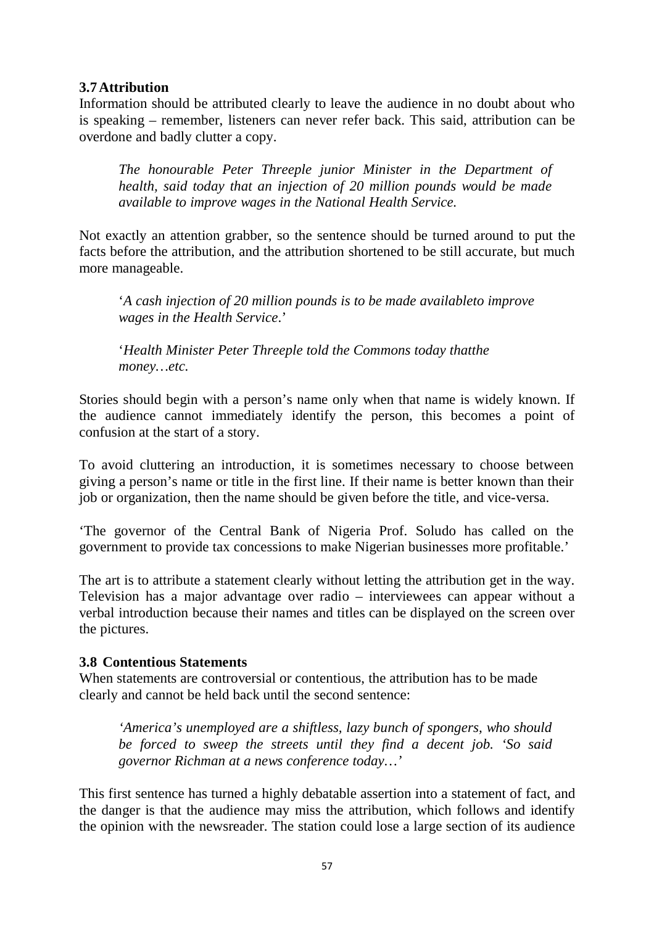#### **3.7Attribution**

Information should be attributed clearly to leave the audience in no doubt about who is speaking – remember, listeners can never refer back. This said, attribution can be overdone and badly clutter a copy.

*The honourable Peter Threeple junior Minister in the Department of health, said today that an injection of 20 million pounds would be made available to improve wages in the National Health Service.* 

Not exactly an attention grabber, so the sentence should be turned around to put the facts before the attribution, and the attribution shortened to be still accurate, but much more manageable.

'*A cash injection of 20 million pounds is to be made availableto improve wages in the Health Service*.'

'*Health Minister Peter Threeple told the Commons today thatthe money…etc.* 

Stories should begin with a person's name only when that name is widely known. If the audience cannot immediately identify the person, this becomes a point of confusion at the start of a story.

To avoid cluttering an introduction, it is sometimes necessary to choose between giving a person's name or title in the first line. If their name is better known than their job or organization, then the name should be given before the title, and vice-versa.

'The governor of the Central Bank of Nigeria Prof. Soludo has called on the government to provide tax concessions to make Nigerian businesses more profitable.'

The art is to attribute a statement clearly without letting the attribution get in the way. Television has a major advantage over radio – interviewees can appear without a verbal introduction because their names and titles can be displayed on the screen over the pictures.

#### **3.8 Contentious Statements**

When statements are controversial or contentious, the attribution has to be made clearly and cannot be held back until the second sentence:

*'America's unemployed are a shiftless, lazy bunch of spongers, who should be forced to sweep the streets until they find a decent job. 'So said governor Richman at a news conference today…'* 

This first sentence has turned a highly debatable assertion into a statement of fact, and the danger is that the audience may miss the attribution, which follows and identify the opinion with the newsreader. The station could lose a large section of its audience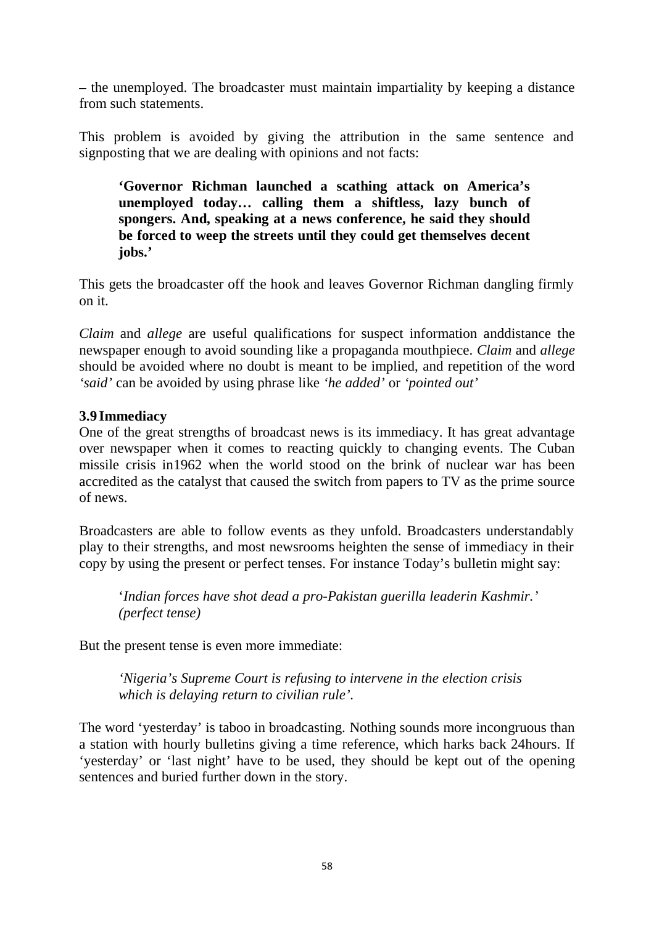– the unemployed. The broadcaster must maintain impartiality by keeping a distance from such statements.

This problem is avoided by giving the attribution in the same sentence and signposting that we are dealing with opinions and not facts:

**'Governor Richman launched a scathing attack on America's unemployed today… calling them a shiftless, lazy bunch of spongers. And, speaking at a news conference, he said they should be forced to weep the streets until they could get themselves decent jobs.'** 

This gets the broadcaster off the hook and leaves Governor Richman dangling firmly on it.

*Claim* and *allege* are useful qualifications for suspect information anddistance the newspaper enough to avoid sounding like a propaganda mouthpiece. *Claim* and *allege* should be avoided where no doubt is meant to be implied, and repetition of the word *'said'* can be avoided by using phrase like *'he added'* or *'pointed out'* 

#### **3.9 Immediacy**

One of the great strengths of broadcast news is its immediacy. It has great advantage over newspaper when it comes to reacting quickly to changing events. The Cuban missile crisis in1962 when the world stood on the brink of nuclear war has been accredited as the catalyst that caused the switch from papers to TV as the prime source of news.

Broadcasters are able to follow events as they unfold. Broadcasters understandably play to their strengths, and most newsrooms heighten the sense of immediacy in their copy by using the present or perfect tenses. For instance Today's bulletin might say:

'*Indian forces have shot dead a pro-Pakistan guerilla leaderin Kashmir.' (perfect tense)* 

But the present tense is even more immediate:

*'Nigeria's Supreme Court is refusing to intervene in the election crisis which is delaying return to civilian rule'.* 

The word 'yesterday' is taboo in broadcasting. Nothing sounds more incongruous than a station with hourly bulletins giving a time reference, which harks back 24hours. If 'yesterday' or 'last night' have to be used, they should be kept out of the opening sentences and buried further down in the story.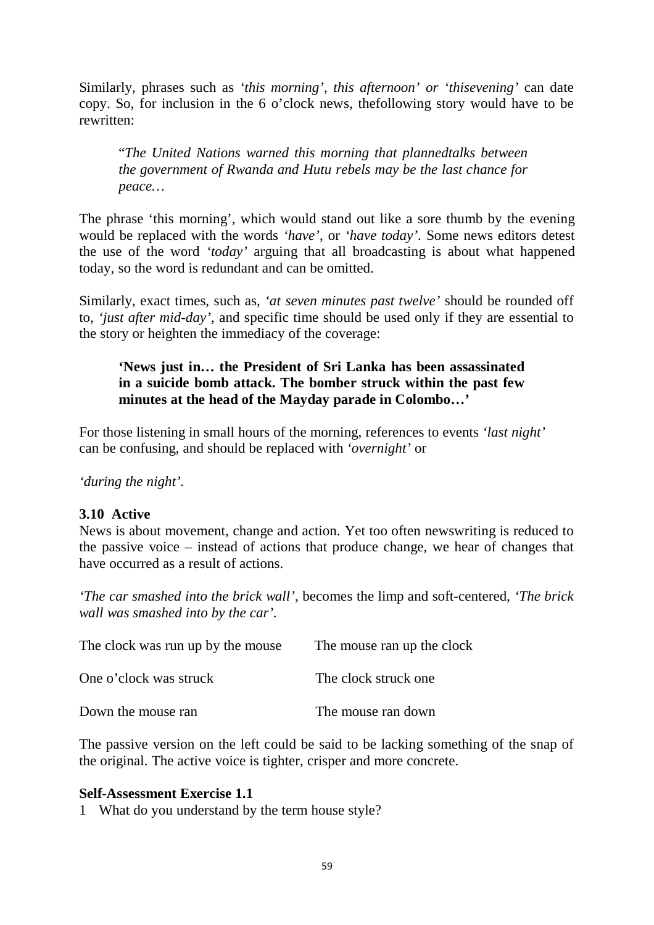Similarly, phrases such as *'this morning'*, *this afternoon' or 'thisevening'* can date copy. So, for inclusion in the 6 o'clock news, thefollowing story would have to be rewritten:

"*The United Nations warned this morning that plannedtalks between the government of Rwanda and Hutu rebels may be the last chance for peace…* 

The phrase 'this morning', which would stand out like a sore thumb by the evening would be replaced with the words *'have'*, or *'have today'*. Some news editors detest the use of the word *'today'* arguing that all broadcasting is about what happened today, so the word is redundant and can be omitted.

Similarly, exact times, such as, *'at seven minutes past twelve'* should be rounded off to, *'just after mid-day'*, and specific time should be used only if they are essential to the story or heighten the immediacy of the coverage:

## **'News just in… the President of Sri Lanka has been assassinated in a suicide bomb attack. The bomber struck within the past few minutes at the head of the Mayday parade in Colombo…'**

For those listening in small hours of the morning, references to events *'last night'*  can be confusing, and should be replaced with *'overnight'* or

*'during the night'.* 

#### **3.10 Active**

News is about movement, change and action. Yet too often newswriting is reduced to the passive voice – instead of actions that produce change, we hear of changes that have occurred as a result of actions.

*'The car smashed into the brick wall'*, becomes the limp and soft-centered, *'The brick wall was smashed into by the car'.* 

| The clock was run up by the mouse | The mouse ran up the clock |
|-----------------------------------|----------------------------|
| One o'clock was struck            | The clock struck one.      |
| Down the mouse ran                | The mouse ran down         |

The passive version on the left could be said to be lacking something of the snap of the original. The active voice is tighter, crisper and more concrete.

#### **Self-Assessment Exercise 1.1**

1 What do you understand by the term house style?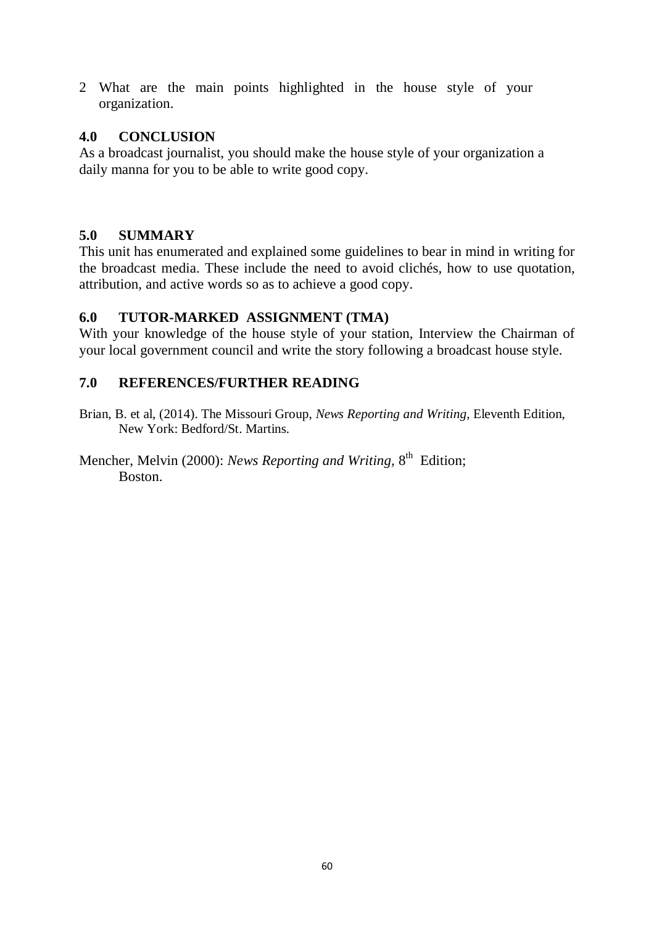2 What are the main points highlighted in the house style of your organization.

#### **4.0 CONCLUSION**

As a broadcast journalist, you should make the house style of your organization a daily manna for you to be able to write good copy.

## **5.0 SUMMARY**

This unit has enumerated and explained some guidelines to bear in mind in writing for the broadcast media. These include the need to avoid clichés, how to use quotation, attribution, and active words so as to achieve a good copy.

## **6.0 TUTOR-MARKED ASSIGNMENT (TMA)**

With your knowledge of the house style of your station, Interview the Chairman of your local government council and write the story following a broadcast house style.

## **7.0 REFERENCES/FURTHER READING**

Brian, B. et al, (2014). The Missouri Group, *News Reporting and Writing*, Eleventh Edition, New York: Bedford/St. Martins.

Mencher, Melvin (2000): *News Reporting and Writing*, 8<sup>th</sup> Edition; Boston.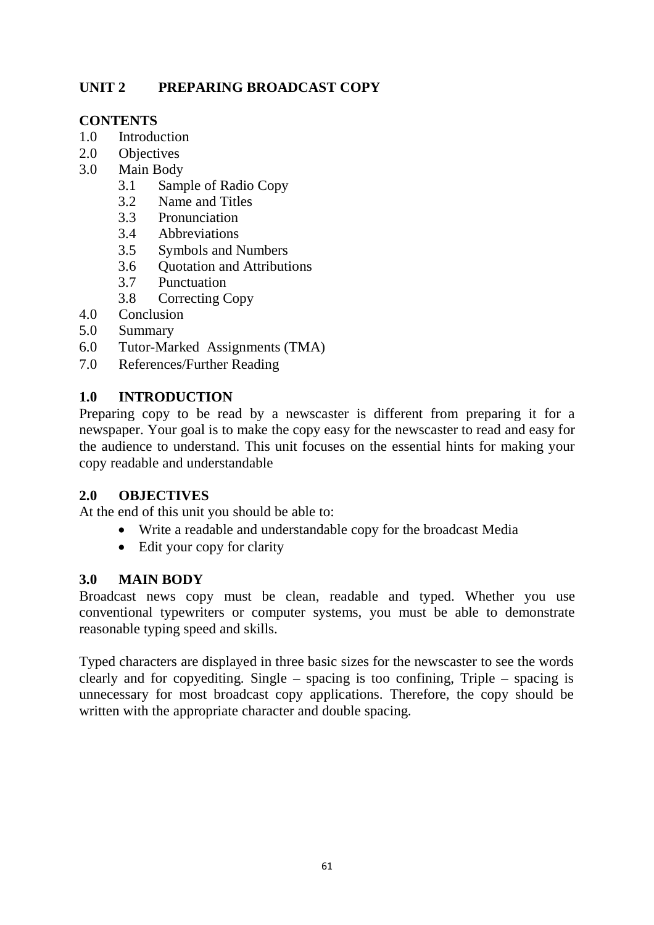# **UNIT 2 PREPARING BROADCAST COPY**

## **CONTENTS**

- 1.0 Introduction
- 2.0 Objectives
- 3.0 Main Body
	- 3.1 Sample of Radio Copy
	- 3.2 Name and Titles
	- 3.3 Pronunciation
	- 3.4 Abbreviations
	- 3.5 Symbols and Numbers
	- 3.6 Quotation and Attributions
	- 3.7 Punctuation
	- 3.8 Correcting Copy
- 4.0 Conclusion
- 5.0 Summary
- 6.0 Tutor-Marked Assignments (TMA)
- 7.0 References/Further Reading

## **1.0 INTRODUCTION**

Preparing copy to be read by a newscaster is different from preparing it for a newspaper. Your goal is to make the copy easy for the newscaster to read and easy for the audience to understand. This unit focuses on the essential hints for making your copy readable and understandable

#### **2.0 OBJECTIVES**

At the end of this unit you should be able to:

- Write a readable and understandable copy for the broadcast Media
- Edit your copy for clarity

#### **3.0 MAIN BODY**

Broadcast news copy must be clean, readable and typed. Whether you use conventional typewriters or computer systems, you must be able to demonstrate reasonable typing speed and skills.

Typed characters are displayed in three basic sizes for the newscaster to see the words clearly and for copyediting. Single – spacing is too confining, Triple – spacing is unnecessary for most broadcast copy applications. Therefore, the copy should be written with the appropriate character and double spacing.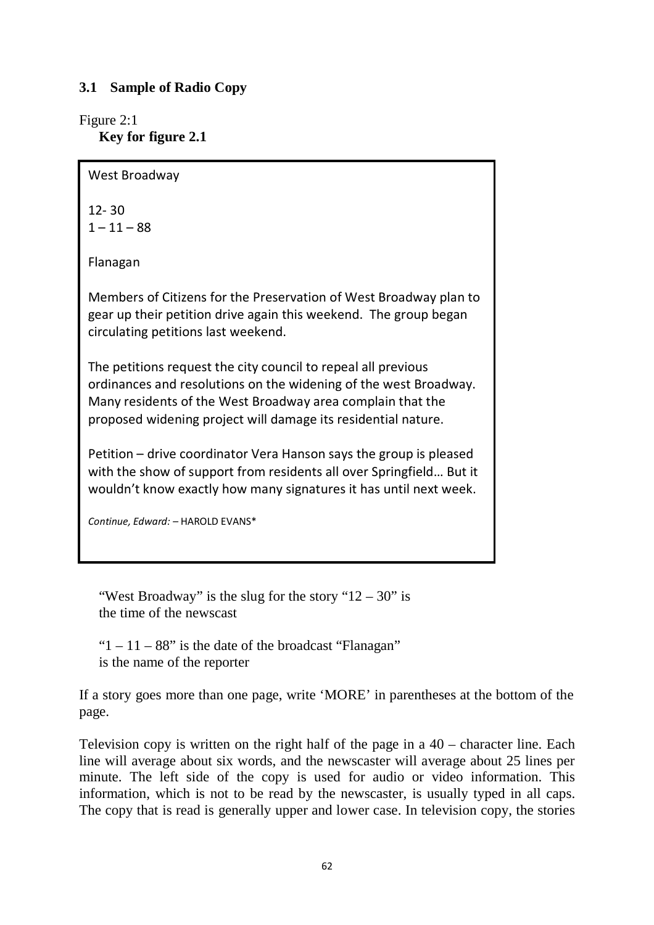## **3.1 Sample of Radio Copy**

Figure 2:1

**Key for figure 2.1** 

West Broadway

12- 30  $1 - 11 - 88$ 

Flanagan

Members of Citizens for the Preservation of West Broadway plan to gear up their petition drive again this weekend. The group began circulating petitions last weekend.

The petitions request the city council to repeal all previous ordinances and resolutions on the widening of the west Broadway. Many residents of the West Broadway area complain that the proposed widening project will damage its residential nature.

Petition – drive coordinator Vera Hanson says the group is pleased with the show of support from residents all over Springfield… But it wouldn't know exactly how many signatures it has until next week.

Continue, Edward: – HAROLD EVANS\*

"West Broadway" is the slug for the story " $12 - 30$ " is the time of the newscast

" $1 - 11 - 88$ " is the date of the broadcast "Flanagan" is the name of the reporter

If a story goes more than one page, write 'MORE' in parentheses at the bottom of the page.

Television copy is written on the right half of the page in a 40 – character line. Each line will average about six words, and the newscaster will average about 25 lines per minute. The left side of the copy is used for audio or video information. This information, which is not to be read by the newscaster, is usually typed in all caps. The copy that is read is generally upper and lower case. In television copy, the stories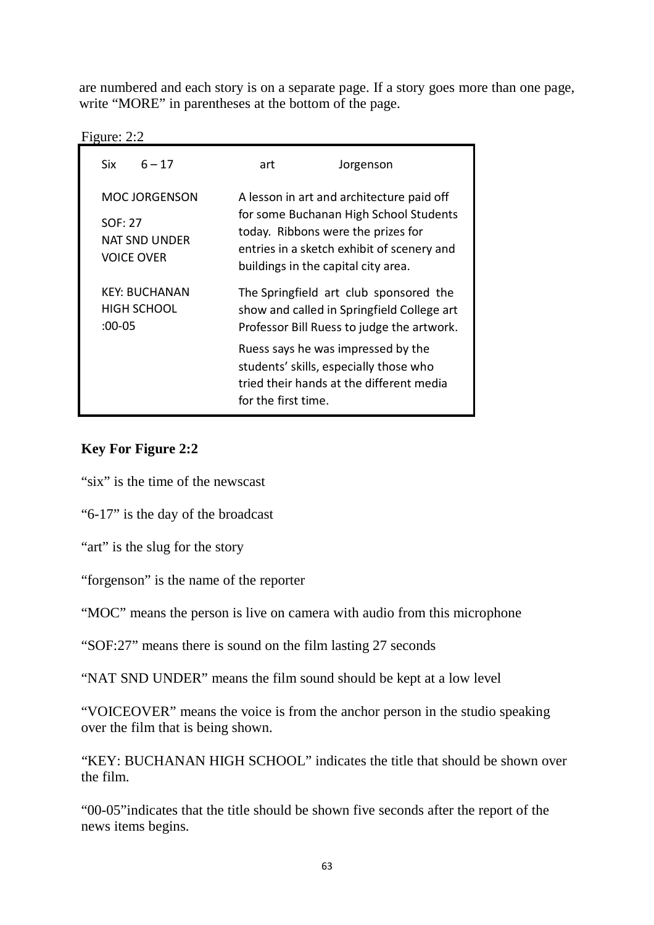are numbered and each story is on a separate page. If a story goes more than one page, write "MORE" in parentheses at the bottom of the page.

Figure: 2:2

| $6 - 17$                                                       | art                                                                                                                                                                                                            |
|----------------------------------------------------------------|----------------------------------------------------------------------------------------------------------------------------------------------------------------------------------------------------------------|
| Six.                                                           | Jorgenson                                                                                                                                                                                                      |
| MOC JORGENSON<br>SOF: 27<br>NAT SND UNDER<br><b>VOICE OVER</b> | A lesson in art and architecture paid off<br>for some Buchanan High School Students<br>today. Ribbons were the prizes for<br>entries in a sketch exhibit of scenery and<br>buildings in the capital city area. |
| <b>KEY: BUCHANAN</b>                                           | The Springfield art club sponsored the                                                                                                                                                                         |
| <b>HIGH SCHOOL</b>                                             | show and called in Springfield College art                                                                                                                                                                     |
| :00-05                                                         | Professor Bill Ruess to judge the artwork.                                                                                                                                                                     |
|                                                                | Ruess says he was impressed by the<br>students' skills, especially those who<br>tried their hands at the different media<br>for the first time.                                                                |

## **Key For Figure 2:2**

"six" is the time of the newscast

"6-17" is the day of the broadcast

"art" is the slug for the story"

"forgenson" is the name of the reporter

"MOC" means the person is live on camera with audio from this microphone

"SOF:27" means there is sound on the film lasting 27 seconds

"NAT SND UNDER" means the film sound should be kept at a low level

"VOICEOVER" means the voice is from the anchor person in the studio speaking over the film that is being shown.

"KEY: BUCHANAN HIGH SCHOOL" indicates the title that should be shown over the film.

"00-05"indicates that the title should be shown five seconds after the report of the news items begins.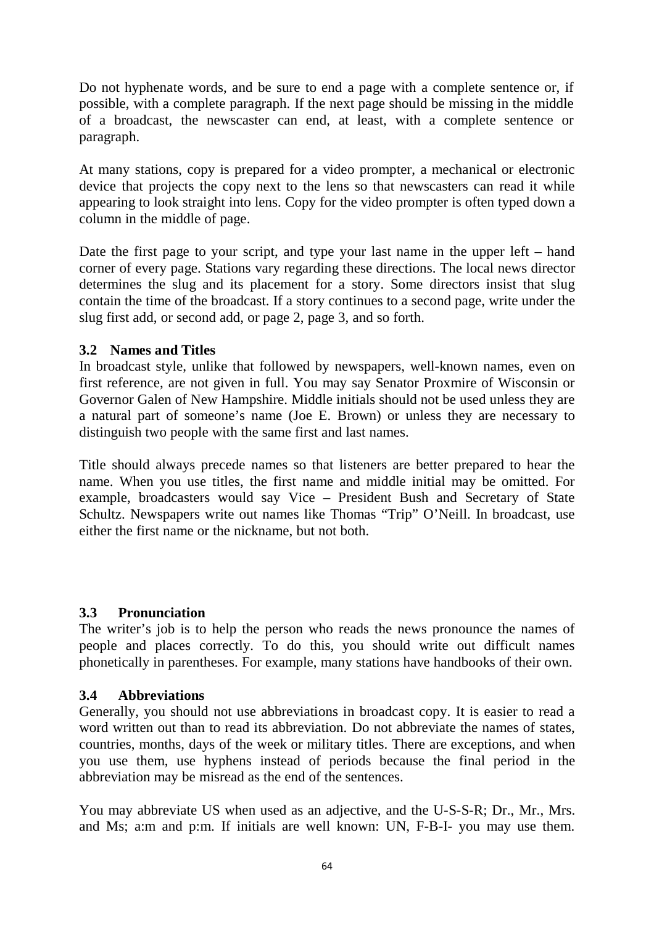Do not hyphenate words, and be sure to end a page with a complete sentence or, if possible, with a complete paragraph. If the next page should be missing in the middle of a broadcast, the newscaster can end, at least, with a complete sentence or paragraph.

At many stations, copy is prepared for a video prompter, a mechanical or electronic device that projects the copy next to the lens so that newscasters can read it while appearing to look straight into lens. Copy for the video prompter is often typed down a column in the middle of page.

Date the first page to your script, and type your last name in the upper left – hand corner of every page. Stations vary regarding these directions. The local news director determines the slug and its placement for a story. Some directors insist that slug contain the time of the broadcast. If a story continues to a second page, write under the slug first add, or second add, or page 2, page 3, and so forth.

#### **3.2 Names and Titles**

In broadcast style, unlike that followed by newspapers, well-known names, even on first reference, are not given in full. You may say Senator Proxmire of Wisconsin or Governor Galen of New Hampshire. Middle initials should not be used unless they are a natural part of someone's name (Joe E. Brown) or unless they are necessary to distinguish two people with the same first and last names.

Title should always precede names so that listeners are better prepared to hear the name. When you use titles, the first name and middle initial may be omitted. For example, broadcasters would say Vice – President Bush and Secretary of State Schultz. Newspapers write out names like Thomas "Trip" O'Neill. In broadcast, use either the first name or the nickname, but not both.

#### **3.3 Pronunciation**

The writer's job is to help the person who reads the news pronounce the names of people and places correctly. To do this, you should write out difficult names phonetically in parentheses. For example, many stations have handbooks of their own.

#### **3.4 Abbreviations**

Generally, you should not use abbreviations in broadcast copy. It is easier to read a word written out than to read its abbreviation. Do not abbreviate the names of states, countries, months, days of the week or military titles. There are exceptions, and when you use them, use hyphens instead of periods because the final period in the abbreviation may be misread as the end of the sentences.

You may abbreviate US when used as an adjective, and the U-S-S-R; Dr., Mr., Mrs. and Ms; a:m and p:m. If initials are well known: UN, F-B-I- you may use them.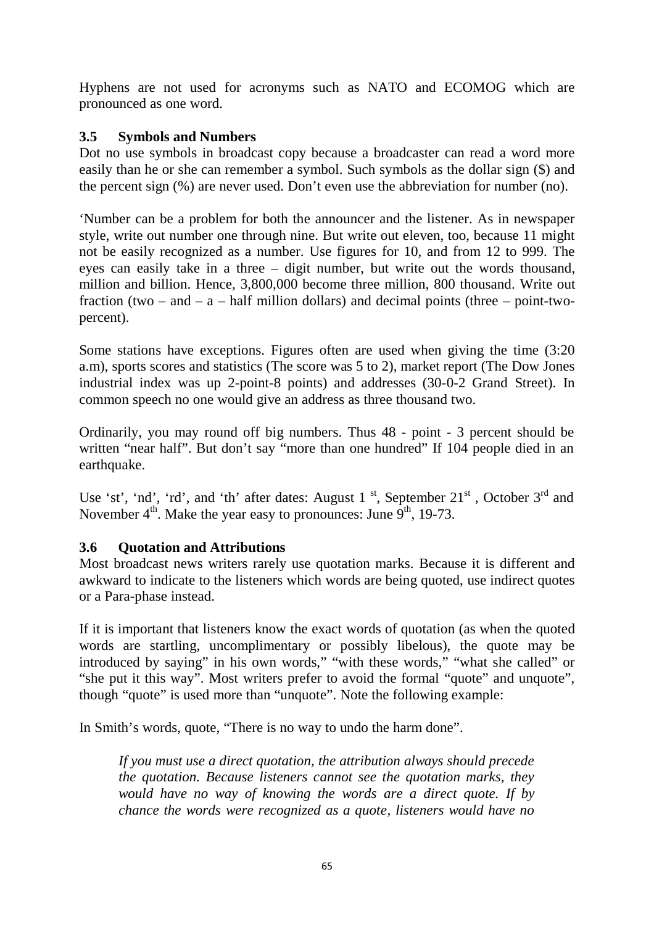Hyphens are not used for acronyms such as NATO and ECOMOG which are pronounced as one word.

## **3.5 Symbols and Numbers**

Dot no use symbols in broadcast copy because a broadcaster can read a word more easily than he or she can remember a symbol. Such symbols as the dollar sign (\$) and the percent sign (%) are never used. Don't even use the abbreviation for number (no).

'Number can be a problem for both the announcer and the listener. As in newspaper style, write out number one through nine. But write out eleven, too, because 11 might not be easily recognized as a number. Use figures for 10, and from 12 to 999. The eyes can easily take in a three – digit number, but write out the words thousand, million and billion. Hence, 3,800,000 become three million, 800 thousand. Write out fraction (two – and –  $a$  – half million dollars) and decimal points (three – point-twopercent).

Some stations have exceptions. Figures often are used when giving the time (3:20 a.m), sports scores and statistics (The score was 5 to 2), market report (The Dow Jones industrial index was up 2-point-8 points) and addresses (30-0-2 Grand Street). In common speech no one would give an address as three thousand two.

Ordinarily, you may round off big numbers. Thus 48 - point - 3 percent should be written "near half". But don't say "more than one hundred" If 104 people died in an earthquake.

Use 'st', 'nd', 'rd', and 'th' after dates: August  $1^{st}$ , September  $21^{st}$ , October  $3^{rd}$  and November  $4<sup>th</sup>$ . Make the year easy to pronounces: June  $9<sup>th</sup>$ , 19-73.

## **3.6 Quotation and Attributions**

Most broadcast news writers rarely use quotation marks. Because it is different and awkward to indicate to the listeners which words are being quoted, use indirect quotes or a Para-phase instead.

If it is important that listeners know the exact words of quotation (as when the quoted words are startling, uncomplimentary or possibly libelous), the quote may be introduced by saying" in his own words," "with these words," "what she called" or "she put it this way". Most writers prefer to avoid the formal "quote" and unquote", though "quote" is used more than "unquote". Note the following example:

In Smith's words, quote, "There is no way to undo the harm done".

*If you must use a direct quotation, the attribution always should precede the quotation. Because listeners cannot see the quotation marks, they would have no way of knowing the words are a direct quote. If by chance the words were recognized as a quote, listeners would have no*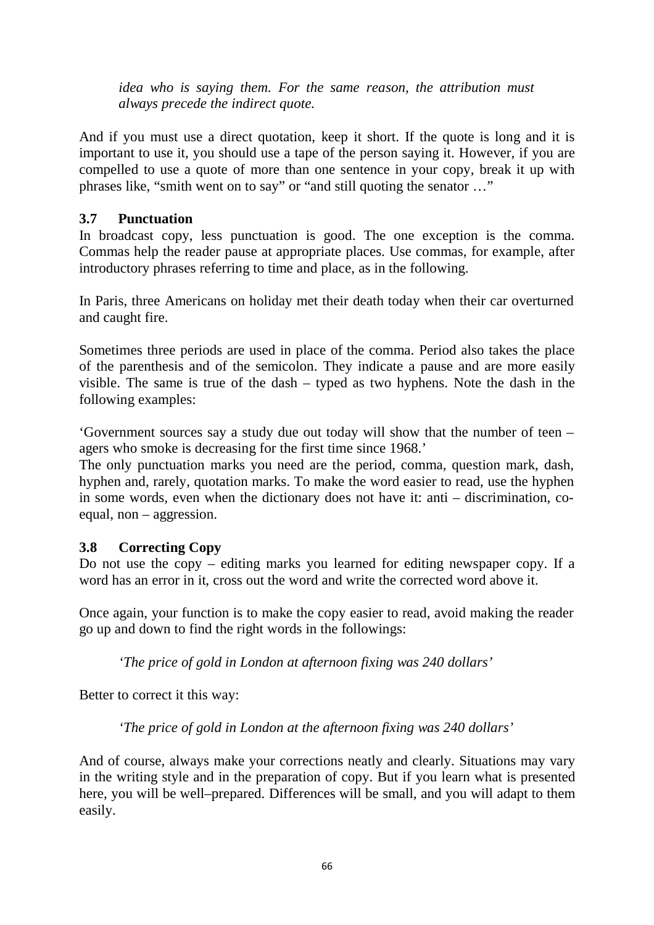*idea who is saying them. For the same reason, the attribution must always precede the indirect quote.* 

And if you must use a direct quotation, keep it short. If the quote is long and it is important to use it, you should use a tape of the person saying it. However, if you are compelled to use a quote of more than one sentence in your copy, break it up with phrases like, "smith went on to say" or "and still quoting the senator …"

## **3.7 Punctuation**

In broadcast copy, less punctuation is good. The one exception is the comma. Commas help the reader pause at appropriate places. Use commas, for example, after introductory phrases referring to time and place, as in the following.

In Paris, three Americans on holiday met their death today when their car overturned and caught fire.

Sometimes three periods are used in place of the comma. Period also takes the place of the parenthesis and of the semicolon. They indicate a pause and are more easily visible. The same is true of the dash – typed as two hyphens. Note the dash in the following examples:

'Government sources say a study due out today will show that the number of teen – agers who smoke is decreasing for the first time since 1968.'

The only punctuation marks you need are the period, comma, question mark, dash, hyphen and, rarely, quotation marks. To make the word easier to read, use the hyphen in some words, even when the dictionary does not have it: anti – discrimination, coequal, non – aggression.

#### **3.8 Correcting Copy**

Do not use the copy – editing marks you learned for editing newspaper copy. If a word has an error in it, cross out the word and write the corrected word above it.

Once again, your function is to make the copy easier to read, avoid making the reader go up and down to find the right words in the followings:

*'The price of gold in London at afternoon fixing was 240 dollars'* 

Better to correct it this way:

*'The price of gold in London at the afternoon fixing was 240 dollars'* 

And of course, always make your corrections neatly and clearly. Situations may vary in the writing style and in the preparation of copy. But if you learn what is presented here, you will be well–prepared. Differences will be small, and you will adapt to them easily.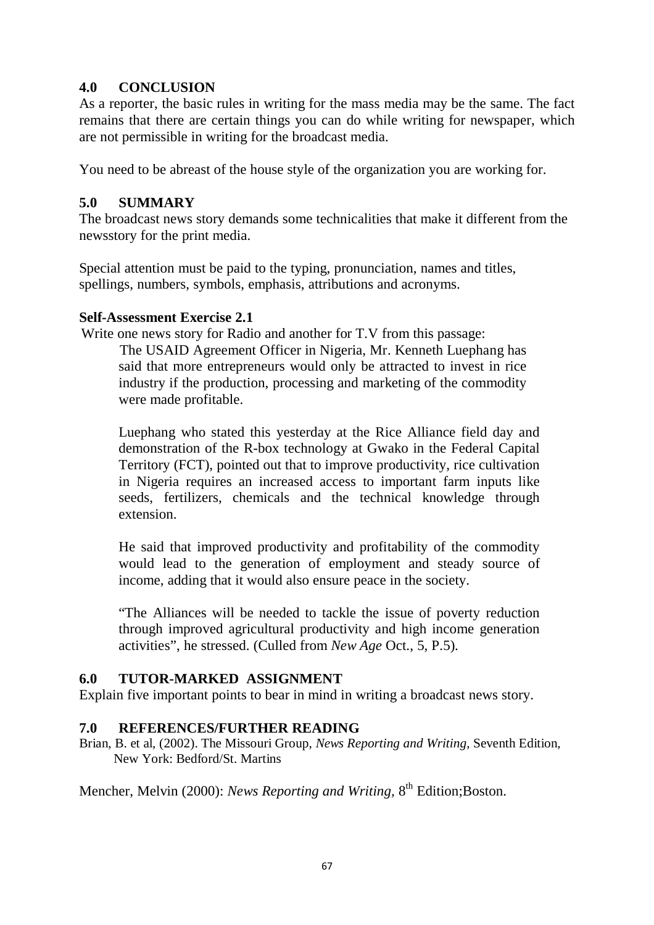#### **4.0 CONCLUSION**

As a reporter, the basic rules in writing for the mass media may be the same. The fact remains that there are certain things you can do while writing for newspaper, which are not permissible in writing for the broadcast media.

You need to be abreast of the house style of the organization you are working for.

#### **5.0 SUMMARY**

The broadcast news story demands some technicalities that make it different from the newsstory for the print media.

Special attention must be paid to the typing, pronunciation, names and titles, spellings, numbers, symbols, emphasis, attributions and acronyms.

#### **Self-Assessment Exercise 2.1**

Write one news story for Radio and another for T.V from this passage:

The USAID Agreement Officer in Nigeria, Mr. Kenneth Luephang has said that more entrepreneurs would only be attracted to invest in rice industry if the production, processing and marketing of the commodity were made profitable.

Luephang who stated this yesterday at the Rice Alliance field day and demonstration of the R-box technology at Gwako in the Federal Capital Territory (FCT), pointed out that to improve productivity, rice cultivation in Nigeria requires an increased access to important farm inputs like seeds, fertilizers, chemicals and the technical knowledge through extension.

He said that improved productivity and profitability of the commodity would lead to the generation of employment and steady source of income, adding that it would also ensure peace in the society.

"The Alliances will be needed to tackle the issue of poverty reduction through improved agricultural productivity and high income generation activities", he stressed. (Culled from *New Age* Oct., 5, P.5).

#### **6.0 TUTOR-MARKED ASSIGNMENT**

Explain five important points to bear in mind in writing a broadcast news story.

#### **7.0 REFERENCES/FURTHER READING**

Brian, B. et al, (2002). The Missouri Group, *News Reporting and Writing*, Seventh Edition, New York: Bedford/St. Martins

Mencher, Melvin (2000): *News Reporting and Writing*, 8<sup>th</sup> Edition; Boston.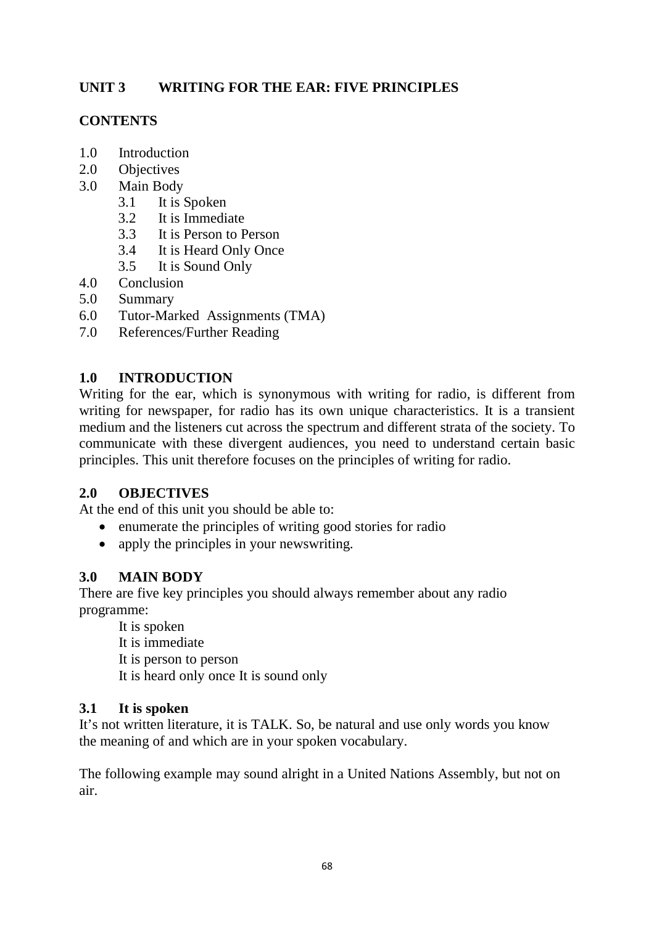# **UNIT 3 WRITING FOR THE EAR: FIVE PRINCIPLES**

## **CONTENTS**

- 1.0 Introduction
- 2.0 Objectives
- 3.0 Main Body
	- 3.1 It is Spoken
	- 3.2 It is Immediate
	- 3.3 It is Person to Person
	- 3.4 It is Heard Only Once
	- 3.5 It is Sound Only
- 4.0 Conclusion
- 5.0 Summary
- 6.0 Tutor-Marked Assignments (TMA)
- 7.0 References/Further Reading

## **1.0 INTRODUCTION**

Writing for the ear, which is synonymous with writing for radio, is different from writing for newspaper, for radio has its own unique characteristics. It is a transient medium and the listeners cut across the spectrum and different strata of the society. To communicate with these divergent audiences, you need to understand certain basic principles. This unit therefore focuses on the principles of writing for radio.

#### **2.0 OBJECTIVES**

At the end of this unit you should be able to:

- enumerate the principles of writing good stories for radio
- apply the principles in your news writing.

#### **3.0 MAIN BODY**

There are five key principles you should always remember about any radio programme:

It is spoken It is immediate It is person to person

It is heard only once It is sound only

#### **3.1 It is spoken**

It's not written literature, it is TALK. So, be natural and use only words you know the meaning of and which are in your spoken vocabulary.

The following example may sound alright in a United Nations Assembly, but not on air.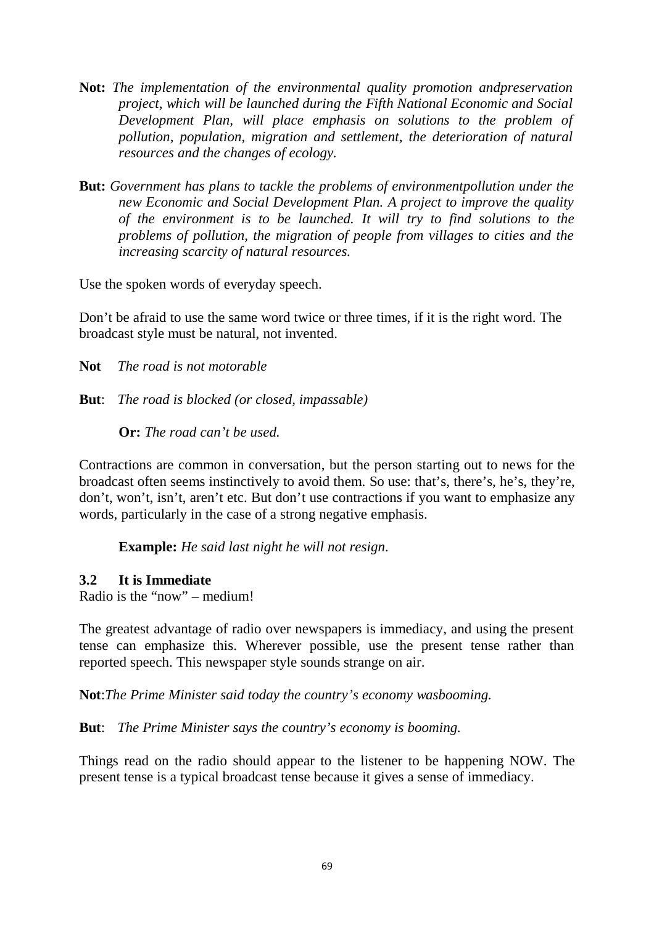- **Not:** *The implementation of the environmental quality promotion andpreservation project, which will be launched during the Fifth National Economic and Social Development Plan, will place emphasis on solutions to the problem of pollution, population, migration and settlement, the deterioration of natural resources and the changes of ecology.*
- **But:** *Government has plans to tackle the problems of environmentpollution under the new Economic and Social Development Plan. A project to improve the quality of the environment is to be launched. It will try to find solutions to the problems of pollution, the migration of people from villages to cities and the increasing scarcity of natural resources.*

Use the spoken words of everyday speech.

Don't be afraid to use the same word twice or three times, if it is the right word. The broadcast style must be natural, not invented.

**Not** *The road is not motorable* 

**But**: *The road is blocked (or closed, impassable)* 

**Or:** *The road can't be used.* 

Contractions are common in conversation, but the person starting out to news for the broadcast often seems instinctively to avoid them. So use: that's, there's, he's, they're, don't, won't, isn't, aren't etc. But don't use contractions if you want to emphasize any words, particularly in the case of a strong negative emphasis.

**Example:** *He said last night he will not resign.* 

#### **3.2 It is Immediate**

Radio is the "now" – medium!

The greatest advantage of radio over newspapers is immediacy, and using the present tense can emphasize this. Wherever possible, use the present tense rather than reported speech. This newspaper style sounds strange on air.

**Not**:*The Prime Minister said today the country's economy wasbooming.* 

**But**: *The Prime Minister says the country's economy is booming.* 

Things read on the radio should appear to the listener to be happening NOW. The present tense is a typical broadcast tense because it gives a sense of immediacy.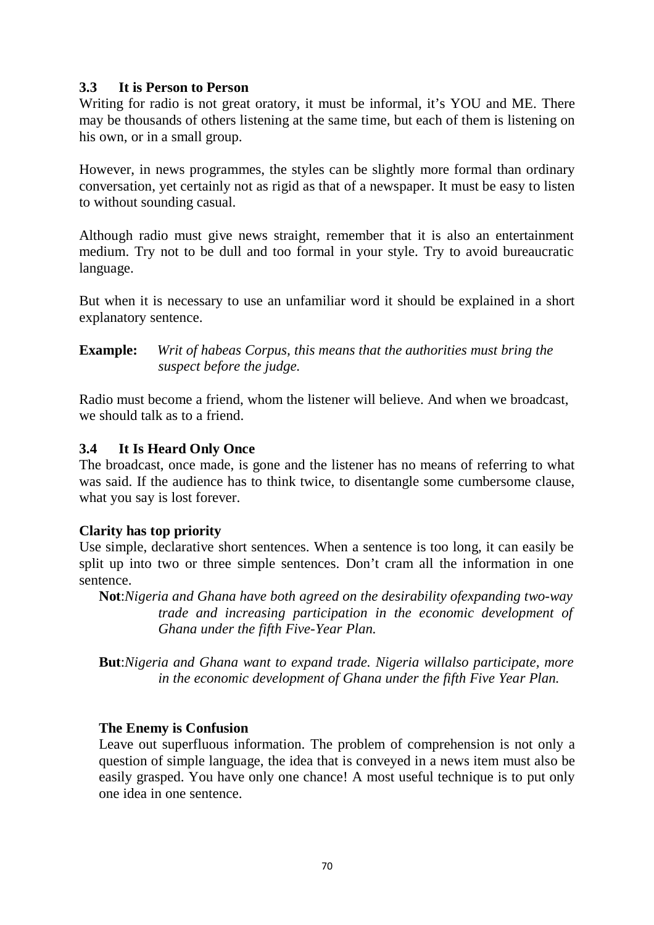#### **3.3 It is Person to Person**

Writing for radio is not great oratory, it must be informal, it's YOU and ME. There may be thousands of others listening at the same time, but each of them is listening on his own, or in a small group.

However, in news programmes, the styles can be slightly more formal than ordinary conversation, yet certainly not as rigid as that of a newspaper. It must be easy to listen to without sounding casual.

Although radio must give news straight, remember that it is also an entertainment medium. Try not to be dull and too formal in your style. Try to avoid bureaucratic language.

But when it is necessary to use an unfamiliar word it should be explained in a short explanatory sentence.

**Example:** *Writ of habeas Corpus, this means that the authorities must bring the suspect before the judge.* 

Radio must become a friend, whom the listener will believe. And when we broadcast, we should talk as to a friend.

#### **3.4 It Is Heard Only Once**

The broadcast, once made, is gone and the listener has no means of referring to what was said. If the audience has to think twice, to disentangle some cumbersome clause, what you say is lost forever.

#### **Clarity has top priority**

Use simple, declarative short sentences. When a sentence is too long, it can easily be split up into two or three simple sentences. Don't cram all the information in one sentence.

**Not**:*Nigeria and Ghana have both agreed on the desirability ofexpanding two-way trade and increasing participation in the economic development of Ghana under the fifth Five-Year Plan.* 

**But**:*Nigeria and Ghana want to expand trade. Nigeria willalso participate, more in the economic development of Ghana under the fifth Five Year Plan.* 

#### **The Enemy is Confusion**

Leave out superfluous information. The problem of comprehension is not only a question of simple language, the idea that is conveyed in a news item must also be easily grasped. You have only one chance! A most useful technique is to put only one idea in one sentence.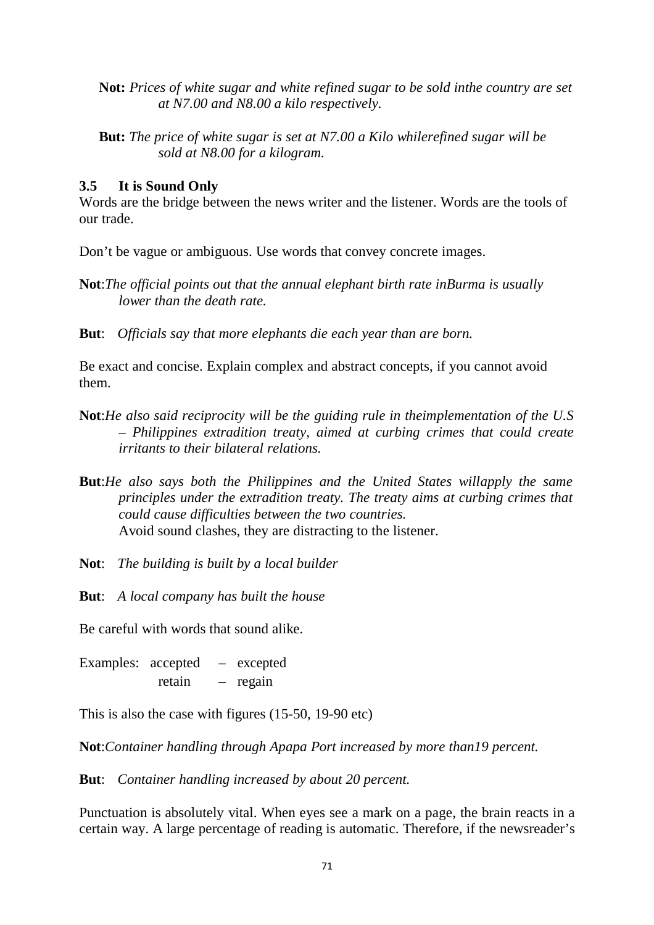**Not:** *Prices of white sugar and white refined sugar to be sold inthe country are set at N7.00 and N8.00 a kilo respectively.* 

**But:** *The price of white sugar is set at N7.00 a Kilo whilerefined sugar will be sold at N8.00 for a kilogram.* 

#### **3.5 It is Sound Only**

Words are the bridge between the news writer and the listener. Words are the tools of our trade.

Don't be vague or ambiguous. Use words that convey concrete images.

**Not**:*The official points out that the annual elephant birth rate inBurma is usually lower than the death rate.* 

**But**: *Officials say that more elephants die each year than are born.* 

Be exact and concise. Explain complex and abstract concepts, if you cannot avoid them.

- **Not**:*He also said reciprocity will be the guiding rule in theimplementation of the U.S – Philippines extradition treaty, aimed at curbing crimes that could create irritants to their bilateral relations.*
- **But**:*He also says both the Philippines and the United States willapply the same principles under the extradition treaty. The treaty aims at curbing crimes that could cause difficulties between the two countries.* Avoid sound clashes, they are distracting to the listener.
- **Not**: *The building is built by a local builder*

**But**: *A local company has built the house* 

Be careful with words that sound alike.

Examples: accepted – excepted retain – regain

This is also the case with figures (15-50, 19-90 etc)

**Not**:*Container handling through Apapa Port increased by more than19 percent.* 

**But**: *Container handling increased by about 20 percent.* 

Punctuation is absolutely vital. When eyes see a mark on a page, the brain reacts in a certain way. A large percentage of reading is automatic. Therefore, if the newsreader's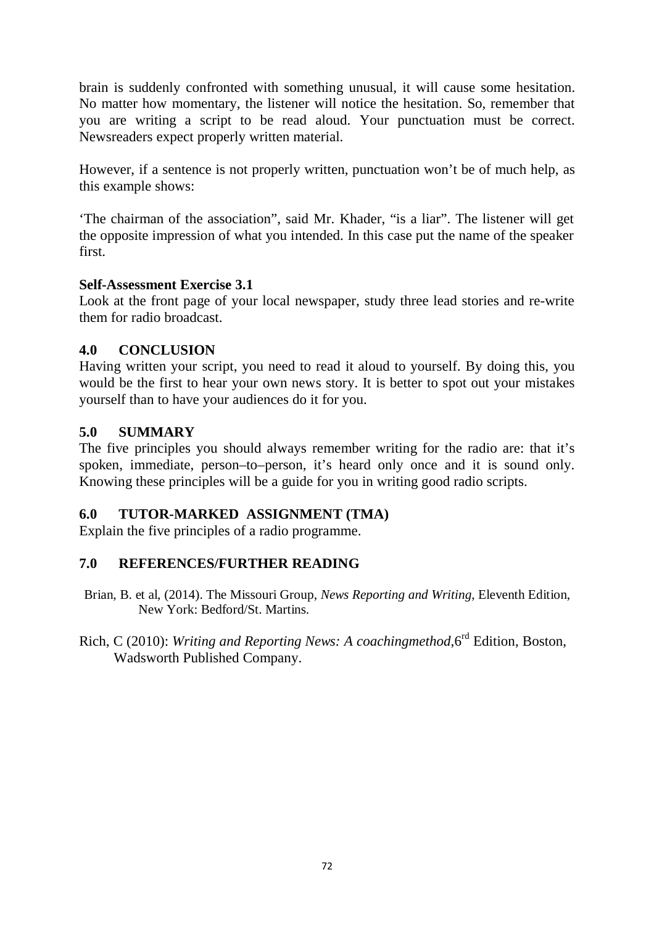brain is suddenly confronted with something unusual, it will cause some hesitation. No matter how momentary, the listener will notice the hesitation. So, remember that you are writing a script to be read aloud. Your punctuation must be correct. Newsreaders expect properly written material.

However, if a sentence is not properly written, punctuation won't be of much help, as this example shows:

'The chairman of the association", said Mr. Khader, "is a liar". The listener will get the opposite impression of what you intended. In this case put the name of the speaker first.

#### **Self-Assessment Exercise 3.1**

Look at the front page of your local newspaper, study three lead stories and re-write them for radio broadcast.

## **4.0 CONCLUSION**

Having written your script, you need to read it aloud to yourself. By doing this, you would be the first to hear your own news story. It is better to spot out your mistakes yourself than to have your audiences do it for you.

## **5.0 SUMMARY**

The five principles you should always remember writing for the radio are: that it's spoken, immediate, person–to–person, it's heard only once and it is sound only. Knowing these principles will be a guide for you in writing good radio scripts.

## **6.0 TUTOR-MARKED ASSIGNMENT (TMA)**

Explain the five principles of a radio programme.

## **7.0 REFERENCES/FURTHER READING**

- Brian, B. et al, (2014). The Missouri Group, *News Reporting and Writing*, Eleventh Edition, New York: Bedford/St. Martins.
- Rich, C (2010): *Writing and Reporting News: A coachingmethod*,6rd Edition, Boston, Wadsworth Published Company.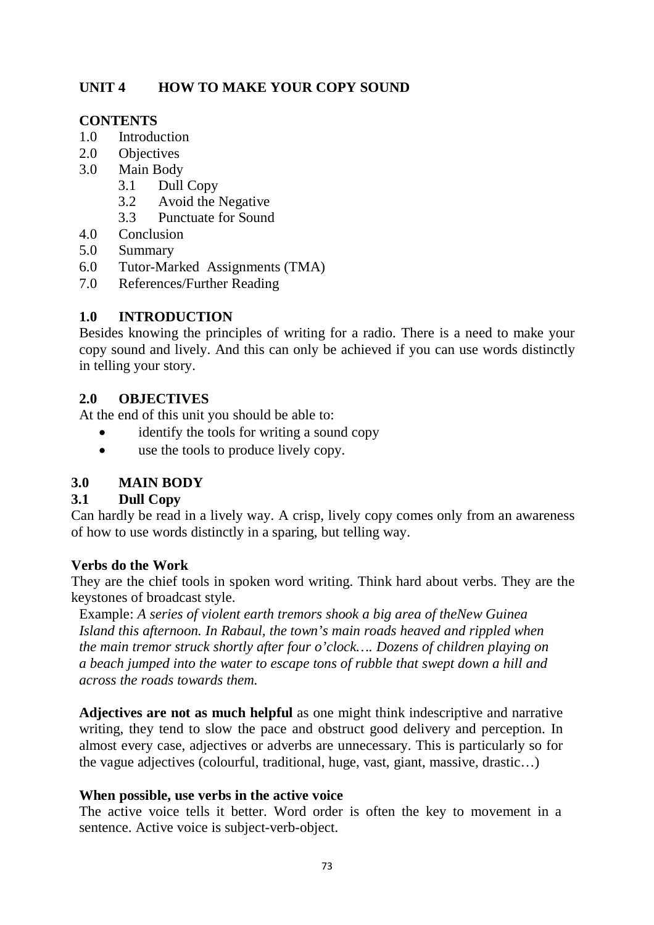### **UNIT 4 HOW TO MAKE YOUR COPY SOUND**

#### **CONTENTS**

- 1.0 Introduction
- 2.0 Objectives
- 3.0 Main Body
	- 3.1 Dull Copy
	- 3.2 Avoid the Negative
	- 3.3 Punctuate for Sound
- 4.0 Conclusion
- 5.0 Summary
- 6.0 Tutor-Marked Assignments (TMA)
- 7.0 References/Further Reading

#### **1.0 INTRODUCTION**

Besides knowing the principles of writing for a radio. There is a need to make your copy sound and lively. And this can only be achieved if you can use words distinctly in telling your story.

#### **2.0 OBJECTIVES**

At the end of this unit you should be able to:

- identify the tools for writing a sound copy
- use the tools to produce lively copy.

### **3.0 MAIN BODY**

### **3.1 Dull Copy**

Can hardly be read in a lively way. A crisp, lively copy comes only from an awareness of how to use words distinctly in a sparing, but telling way.

#### **Verbs do the Work**

They are the chief tools in spoken word writing. Think hard about verbs. They are the keystones of broadcast style.

Example: *A series of violent earth tremors shook a big area of theNew Guinea Island this afternoon. In Rabaul, the town's main roads heaved and rippled when the main tremor struck shortly after four o'clock…. Dozens of children playing on a beach jumped into the water to escape tons of rubble that swept down a hill and across the roads towards them.* 

**Adjectives are not as much helpful** as one might think indescriptive and narrative writing, they tend to slow the pace and obstruct good delivery and perception. In almost every case, adjectives or adverbs are unnecessary. This is particularly so for the vague adjectives (colourful, traditional, huge, vast, giant, massive, drastic…)

#### **When possible, use verbs in the active voice**

The active voice tells it better. Word order is often the key to movement in a sentence. Active voice is subject-verb-object.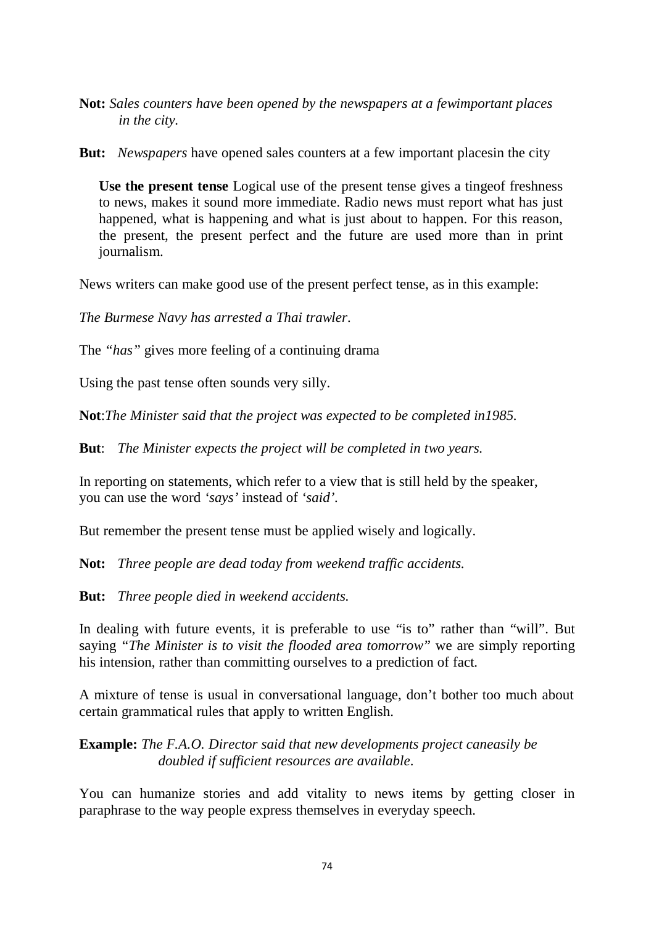#### **Not:** *Sales counters have been opened by the newspapers at a fewimportant places in the city.*

**But:** *Newspapers* have opened sales counters at a few important placesin the city

**Use the present tense** Logical use of the present tense gives a tingeof freshness to news, makes it sound more immediate. Radio news must report what has just happened, what is happening and what is just about to happen. For this reason, the present, the present perfect and the future are used more than in print journalism.

News writers can make good use of the present perfect tense, as in this example:

*The Burmese Navy has arrested a Thai trawler.* 

The *"has"* gives more feeling of a continuing drama

Using the past tense often sounds very silly.

**Not**:*The Minister said that the project was expected to be completed in1985.* 

**But**: *The Minister expects the project will be completed in two years.* 

In reporting on statements, which refer to a view that is still held by the speaker, you can use the word *'says'* instead of *'said'.* 

But remember the present tense must be applied wisely and logically.

**Not:** *Three people are dead today from weekend traffic accidents.* 

**But:** *Three people died in weekend accidents.* 

In dealing with future events, it is preferable to use "is to" rather than "will". But saying *"The Minister is to visit the flooded area tomorrow"* we are simply reporting his intension, rather than committing ourselves to a prediction of fact.

A mixture of tense is usual in conversational language, don't bother too much about certain grammatical rules that apply to written English.

**Example:** *The F.A.O. Director said that new developments project caneasily be doubled if sufficient resources are available*.

You can humanize stories and add vitality to news items by getting closer in paraphrase to the way people express themselves in everyday speech.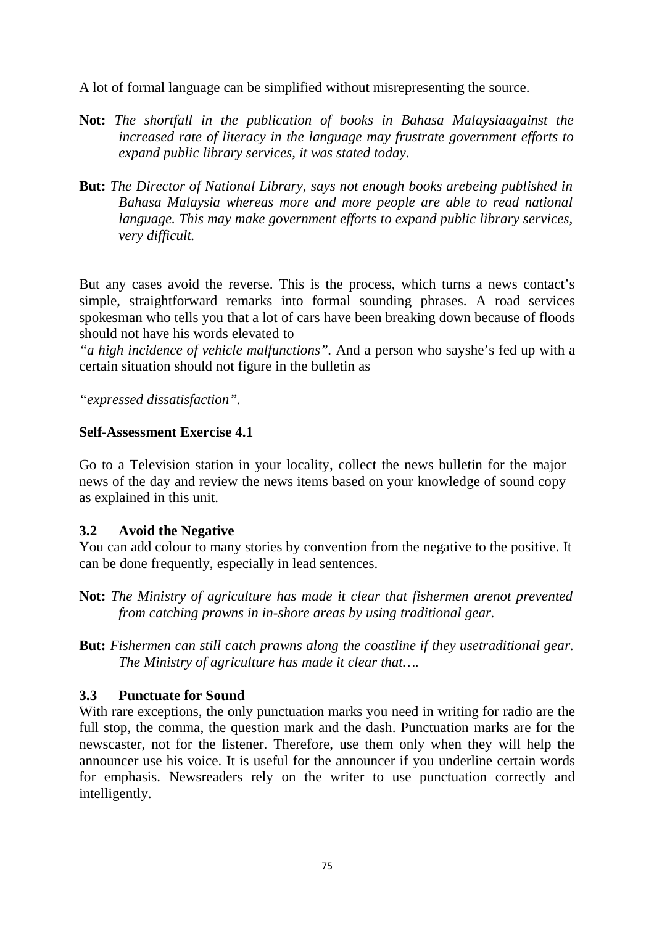A lot of formal language can be simplified without misrepresenting the source.

- **Not:** *The shortfall in the publication of books in Bahasa Malaysiaagainst the increased rate of literacy in the language may frustrate government efforts to expand public library services, it was stated today.*
- **But:** *The Director of National Library, says not enough books arebeing published in Bahasa Malaysia whereas more and more people are able to read national language. This may make government efforts to expand public library services, very difficult.*

But any cases avoid the reverse. This is the process, which turns a news contact's simple, straightforward remarks into formal sounding phrases. A road services spokesman who tells you that a lot of cars have been breaking down because of floods should not have his words elevated to

*"a high incidence of vehicle malfunctions".* And a person who sayshe's fed up with a certain situation should not figure in the bulletin as

*"expressed dissatisfaction".* 

#### **Self-Assessment Exercise 4.1**

Go to a Television station in your locality, collect the news bulletin for the major news of the day and review the news items based on your knowledge of sound copy as explained in this unit.

#### **3.2 Avoid the Negative**

You can add colour to many stories by convention from the negative to the positive. It can be done frequently, especially in lead sentences.

- **Not:** *The Ministry of agriculture has made it clear that fishermen arenot prevented from catching prawns in in-shore areas by using traditional gear.*
- **But:** *Fishermen can still catch prawns along the coastline if they usetraditional gear. The Ministry of agriculture has made it clear that….*

#### **3.3 Punctuate for Sound**

With rare exceptions, the only punctuation marks you need in writing for radio are the full stop, the comma, the question mark and the dash. Punctuation marks are for the newscaster, not for the listener. Therefore, use them only when they will help the announcer use his voice. It is useful for the announcer if you underline certain words for emphasis. Newsreaders rely on the writer to use punctuation correctly and intelligently.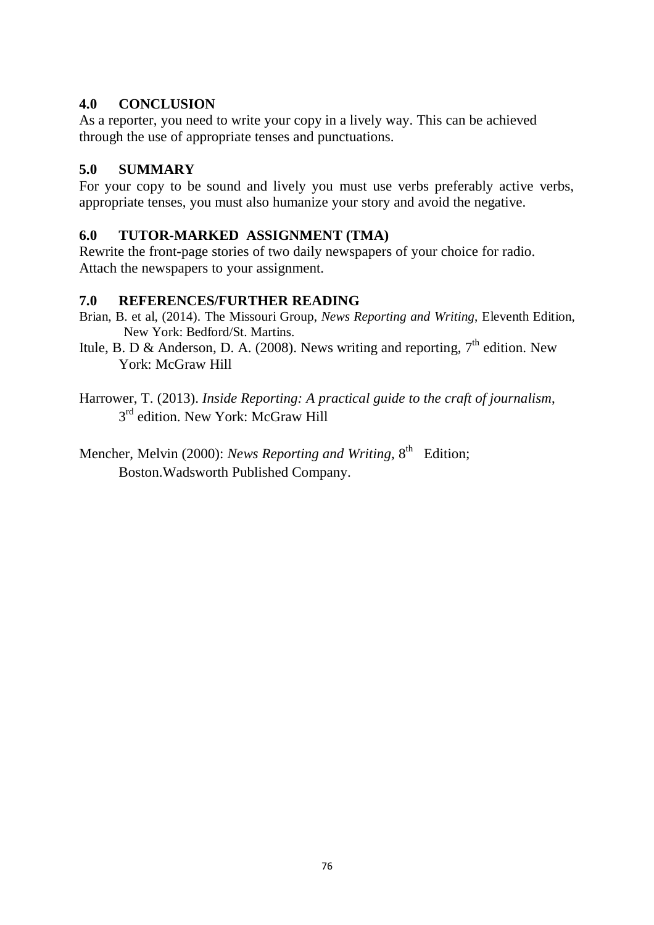#### **4.0 CONCLUSION**

As a reporter, you need to write your copy in a lively way. This can be achieved through the use of appropriate tenses and punctuations.

#### **5.0 SUMMARY**

For your copy to be sound and lively you must use verbs preferably active verbs, appropriate tenses, you must also humanize your story and avoid the negative.

#### **6.0 TUTOR-MARKED ASSIGNMENT (TMA)**

Rewrite the front-page stories of two daily newspapers of your choice for radio. Attach the newspapers to your assignment.

#### **7.0 REFERENCES/FURTHER READING**

- Brian, B. et al, (2014). The Missouri Group, *News Reporting and Writing*, Eleventh Edition, New York: Bedford/St. Martins.
- Itule, B. D & Anderson, D. A. (2008). News writing and reporting,  $7<sup>th</sup>$  edition. New York: McGraw Hill
- Harrower, T. (2013). *Inside Reporting: A practical guide to the craft of journalism*, 3<sup>rd</sup> edition. New York: McGraw Hill
- Mencher, Melvin (2000): *News Reporting and Writing*, 8<sup>th</sup> Edition; Boston.Wadsworth Published Company.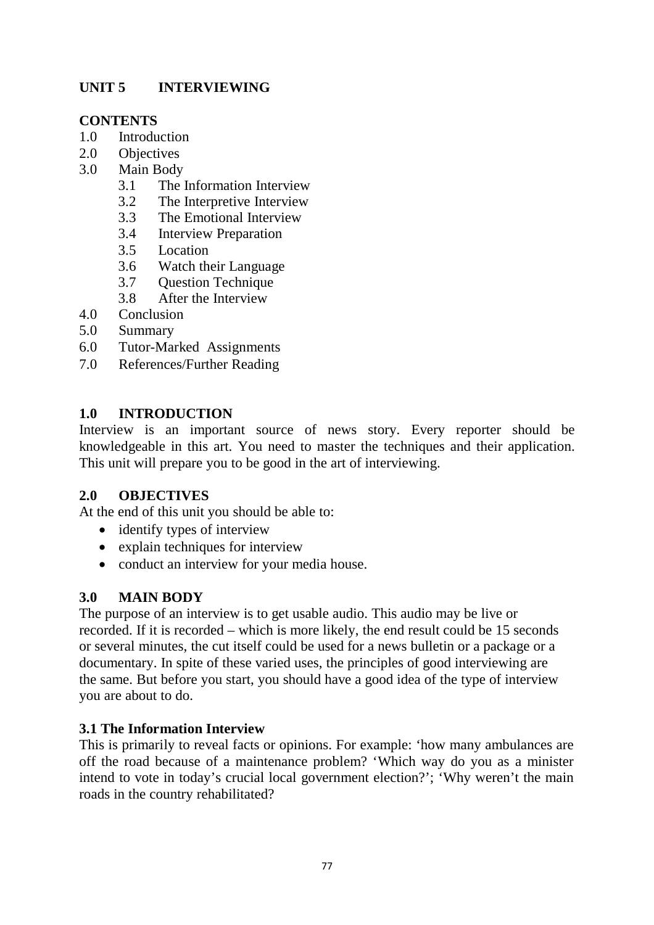## **UNIT 5 INTERVIEWING**

#### **CONTENTS**

- 1.0 Introduction
- 2.0 Objectives
- 3.0 Main Body
	- 3.1 The Information Interview
	- 3.2 The Interpretive Interview
	- 3.3 The Emotional Interview
	- 3.4 Interview Preparation
	- 3.5 Location
	- 3.6 Watch their Language
	- 3.7 Question Technique
	- 3.8 After the Interview
- 4.0 Conclusion
- 5.0 Summary
- 6.0 Tutor-Marked Assignments
- 7.0 References/Further Reading

#### **1.0 INTRODUCTION**

Interview is an important source of news story. Every reporter should be knowledgeable in this art. You need to master the techniques and their application. This unit will prepare you to be good in the art of interviewing.

#### **2.0 OBJECTIVES**

At the end of this unit you should be able to:

- identify types of interview
- explain techniques for interview
- conduct an interview for your media house.

### **3.0 MAIN BODY**

The purpose of an interview is to get usable audio. This audio may be live or recorded. If it is recorded – which is more likely, the end result could be 15 seconds or several minutes, the cut itself could be used for a news bulletin or a package or a documentary. In spite of these varied uses, the principles of good interviewing are the same. But before you start, you should have a good idea of the type of interview you are about to do.

### **3.1 The Information Interview**

This is primarily to reveal facts or opinions. For example: 'how many ambulances are off the road because of a maintenance problem? 'Which way do you as a minister intend to vote in today's crucial local government election?'; 'Why weren't the main roads in the country rehabilitated?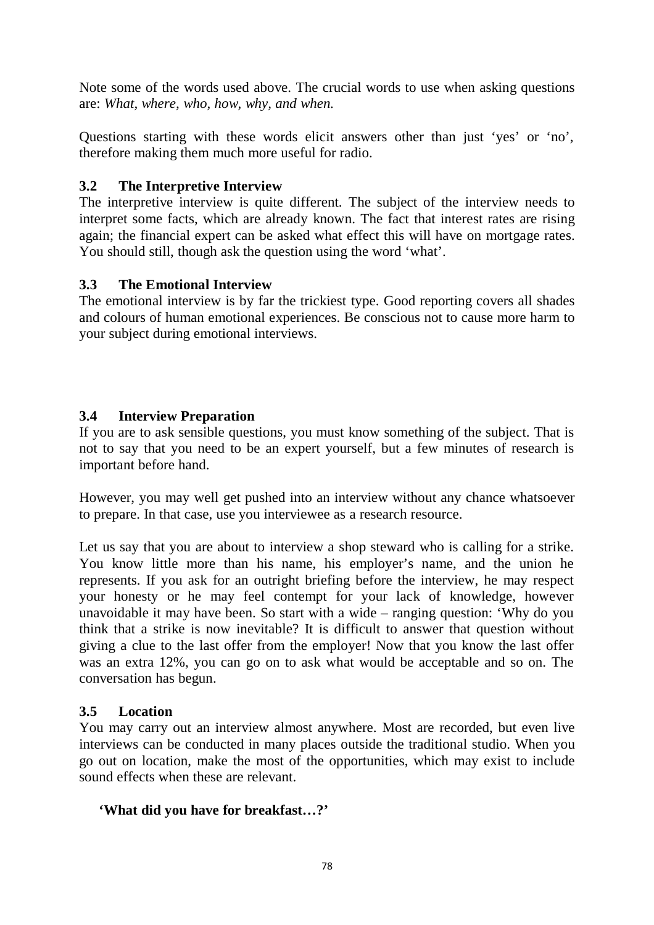Note some of the words used above. The crucial words to use when asking questions are: *What, where, who, how, why, and when.* 

Questions starting with these words elicit answers other than just 'yes' or 'no', therefore making them much more useful for radio.

#### **3.2 The Interpretive Interview**

The interpretive interview is quite different. The subject of the interview needs to interpret some facts, which are already known. The fact that interest rates are rising again; the financial expert can be asked what effect this will have on mortgage rates. You should still, though ask the question using the word 'what'.

#### **3.3 The Emotional Interview**

The emotional interview is by far the trickiest type. Good reporting covers all shades and colours of human emotional experiences. Be conscious not to cause more harm to your subject during emotional interviews.

#### **3.4 Interview Preparation**

If you are to ask sensible questions, you must know something of the subject. That is not to say that you need to be an expert yourself, but a few minutes of research is important before hand.

However, you may well get pushed into an interview without any chance whatsoever to prepare. In that case, use you interviewee as a research resource.

Let us say that you are about to interview a shop steward who is calling for a strike. You know little more than his name, his employer's name, and the union he represents. If you ask for an outright briefing before the interview, he may respect your honesty or he may feel contempt for your lack of knowledge, however unavoidable it may have been. So start with a wide – ranging question: 'Why do you think that a strike is now inevitable? It is difficult to answer that question without giving a clue to the last offer from the employer! Now that you know the last offer was an extra 12%, you can go on to ask what would be acceptable and so on. The conversation has begun.

#### **3.5 Location**

You may carry out an interview almost anywhere. Most are recorded, but even live interviews can be conducted in many places outside the traditional studio. When you go out on location, make the most of the opportunities, which may exist to include sound effects when these are relevant.

#### **'What did you have for breakfast…?'**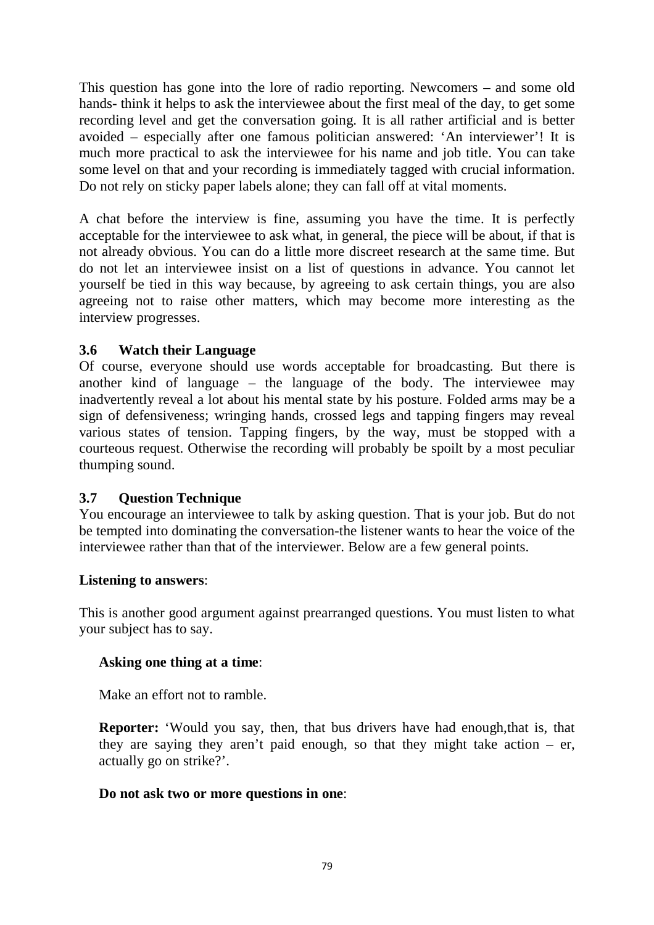This question has gone into the lore of radio reporting. Newcomers – and some old hands- think it helps to ask the interviewee about the first meal of the day, to get some recording level and get the conversation going. It is all rather artificial and is better avoided – especially after one famous politician answered: 'An interviewer'! It is much more practical to ask the interviewee for his name and job title. You can take some level on that and your recording is immediately tagged with crucial information. Do not rely on sticky paper labels alone; they can fall off at vital moments.

A chat before the interview is fine, assuming you have the time. It is perfectly acceptable for the interviewee to ask what, in general, the piece will be about, if that is not already obvious. You can do a little more discreet research at the same time. But do not let an interviewee insist on a list of questions in advance. You cannot let yourself be tied in this way because, by agreeing to ask certain things, you are also agreeing not to raise other matters, which may become more interesting as the interview progresses.

#### **3.6 Watch their Language**

Of course, everyone should use words acceptable for broadcasting. But there is another kind of language – the language of the body. The interviewee may inadvertently reveal a lot about his mental state by his posture. Folded arms may be a sign of defensiveness; wringing hands, crossed legs and tapping fingers may reveal various states of tension. Tapping fingers, by the way, must be stopped with a courteous request. Otherwise the recording will probably be spoilt by a most peculiar thumping sound.

#### **3.7 Question Technique**

You encourage an interviewee to talk by asking question. That is your job. But do not be tempted into dominating the conversation-the listener wants to hear the voice of the interviewee rather than that of the interviewer. Below are a few general points.

#### **Listening to answers**:

This is another good argument against prearranged questions. You must listen to what your subject has to say.

#### **Asking one thing at a time**:

Make an effort not to ramble.

**Reporter:** 'Would you say, then, that bus drivers have had enough, that is, that they are saying they aren't paid enough, so that they might take action – er, actually go on strike?'.

#### **Do not ask two or more questions in one**: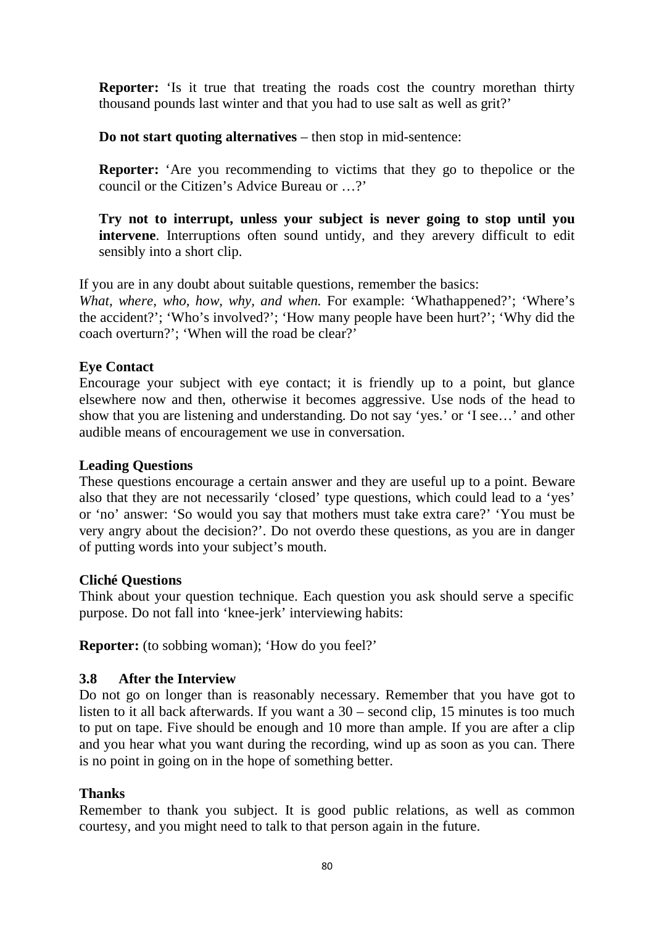**Reporter:** 'Is it true that treating the roads cost the country more than thirty thousand pounds last winter and that you had to use salt as well as grit?'

**Do not start quoting alternatives** – then stop in mid-sentence:

**Reporter:** 'Are you recommending to victims that they go to the police or the council or the Citizen's Advice Bureau or …?'

**Try not to interrupt, unless your subject is never going to stop until you intervene**. Interruptions often sound untidy, and they arevery difficult to edit sensibly into a short clip.

If you are in any doubt about suitable questions, remember the basics:

*What, where, who, how, why, and when.* For example: 'Whathappened?'; 'Where's the accident?'; 'Who's involved?'; 'How many people have been hurt?'; 'Why did the coach overturn?'; 'When will the road be clear?'

#### **Eye Contact**

Encourage your subject with eye contact; it is friendly up to a point, but glance elsewhere now and then, otherwise it becomes aggressive. Use nods of the head to show that you are listening and understanding. Do not say 'yes.' or 'I see…' and other audible means of encouragement we use in conversation.

#### **Leading Questions**

These questions encourage a certain answer and they are useful up to a point. Beware also that they are not necessarily 'closed' type questions, which could lead to a 'yes' or 'no' answer: 'So would you say that mothers must take extra care?' 'You must be very angry about the decision?'. Do not overdo these questions, as you are in danger of putting words into your subject's mouth.

#### **Cliché Questions**

Think about your question technique. Each question you ask should serve a specific purpose. Do not fall into 'knee-jerk' interviewing habits:

**Reporter:** (to sobbing woman); 'How do you feel?'

#### **3.8 After the Interview**

Do not go on longer than is reasonably necessary. Remember that you have got to listen to it all back afterwards. If you want a 30 – second clip, 15 minutes is too much to put on tape. Five should be enough and 10 more than ample. If you are after a clip and you hear what you want during the recording, wind up as soon as you can. There is no point in going on in the hope of something better.

#### **Thanks**

Remember to thank you subject. It is good public relations, as well as common courtesy, and you might need to talk to that person again in the future.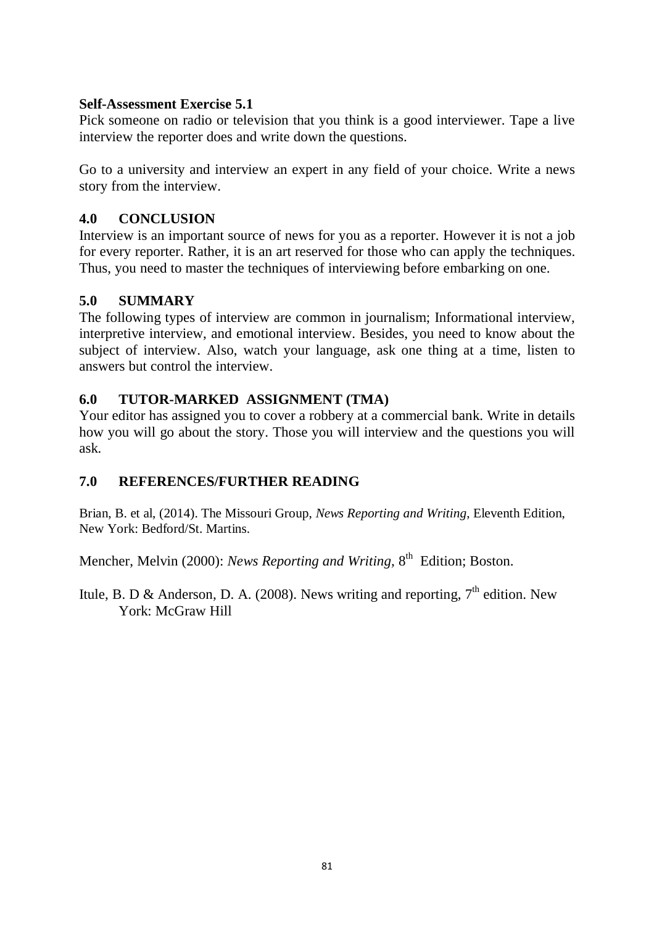#### **Self-Assessment Exercise 5.1**

Pick someone on radio or television that you think is a good interviewer. Tape a live interview the reporter does and write down the questions.

Go to a university and interview an expert in any field of your choice. Write a news story from the interview.

### **4.0 CONCLUSION**

Interview is an important source of news for you as a reporter. However it is not a job for every reporter. Rather, it is an art reserved for those who can apply the techniques. Thus, you need to master the techniques of interviewing before embarking on one.

#### **5.0 SUMMARY**

The following types of interview are common in journalism; Informational interview, interpretive interview, and emotional interview. Besides, you need to know about the subject of interview. Also, watch your language, ask one thing at a time, listen to answers but control the interview.

#### **6.0 TUTOR-MARKED ASSIGNMENT (TMA)**

Your editor has assigned you to cover a robbery at a commercial bank. Write in details how you will go about the story. Those you will interview and the questions you will ask.

#### **7.0 REFERENCES/FURTHER READING**

Brian, B. et al, (2014). The Missouri Group, *News Reporting and Writing*, Eleventh Edition, New York: Bedford/St. Martins.

Mencher, Melvin (2000): *News Reporting and Writing*, 8<sup>th</sup> Edition; Boston.

Itule, B. D & Anderson, D. A. (2008). News writing and reporting,  $7<sup>th</sup>$  edition. New York: McGraw Hill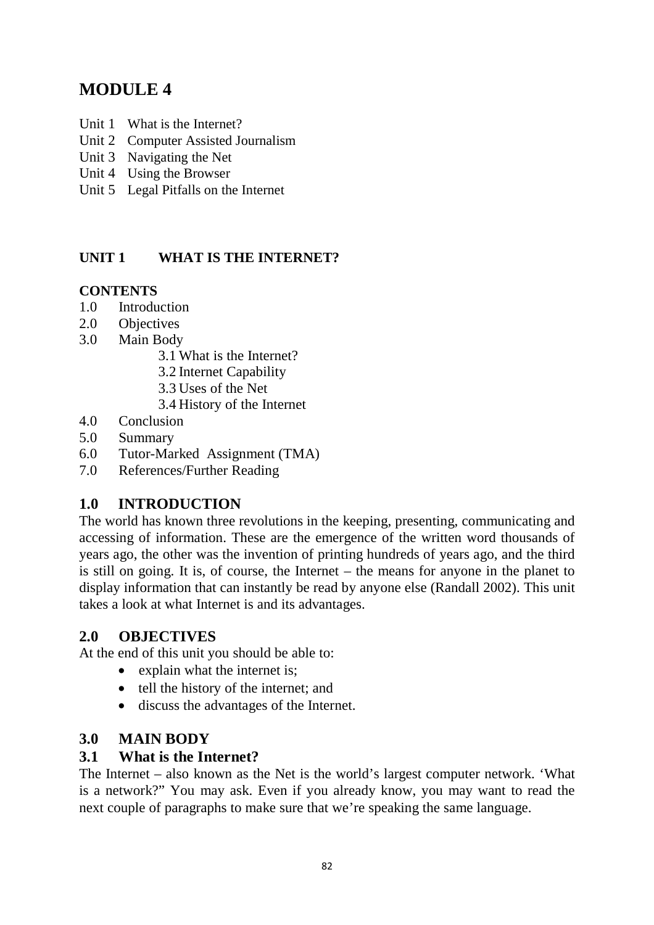# **MODULE 4**

- Unit 1 What is the Internet?
- Unit 2 Computer Assisted Journalism
- Unit 3 Navigating the Net
- Unit 4 Using the Browser
- Unit 5 Legal Pitfalls on the Internet

#### **UNIT 1 WHAT IS THE INTERNET?**

#### **CONTENTS**

- 1.0 Introduction
- 2.0 Objectives
- 3.0 Main Body
	- 3.1 What is the Internet?
	- 3.2 Internet Capability
	- 3.3 Uses of the Net
	- 3.4 History of the Internet
- 4.0 Conclusion
- 5.0 Summary
- 6.0 Tutor-Marked Assignment (TMA)
- 7.0 References/Further Reading

### **1.0 INTRODUCTION**

The world has known three revolutions in the keeping, presenting, communicating and accessing of information. These are the emergence of the written word thousands of years ago, the other was the invention of printing hundreds of years ago, and the third is still on going. It is, of course, the Internet – the means for anyone in the planet to display information that can instantly be read by anyone else (Randall 2002). This unit takes a look at what Internet is and its advantages.

### **2.0 OBJECTIVES**

At the end of this unit you should be able to:

- explain what the internet is;
- tell the history of the internet; and
- discuss the advantages of the Internet.

### **3.0 MAIN BODY**

### **3.1 What is the Internet?**

The Internet – also known as the Net is the world's largest computer network. 'What is a network?" You may ask. Even if you already know, you may want to read the next couple of paragraphs to make sure that we're speaking the same language.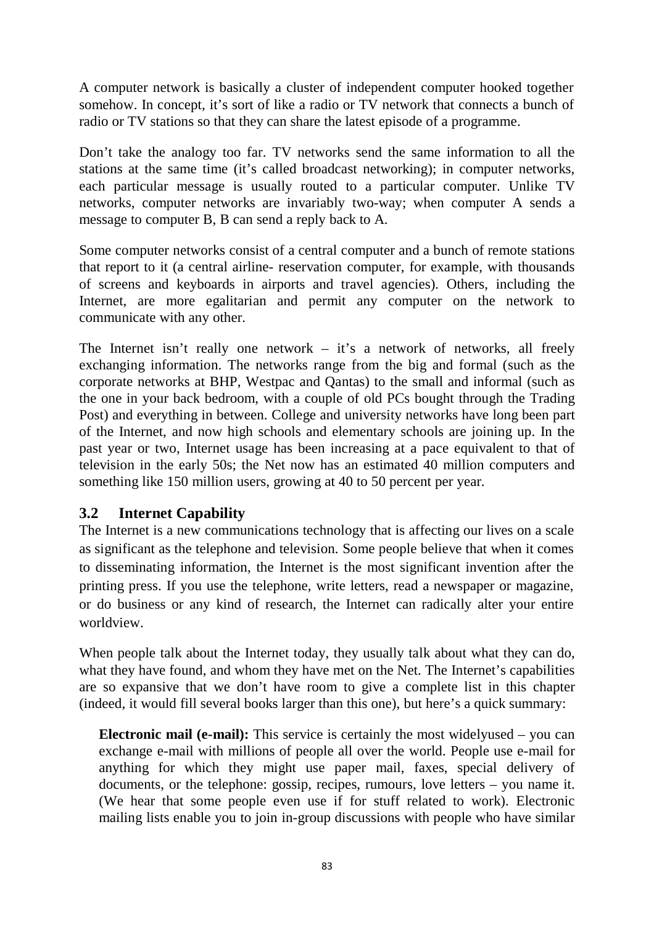A computer network is basically a cluster of independent computer hooked together somehow. In concept, it's sort of like a radio or TV network that connects a bunch of radio or TV stations so that they can share the latest episode of a programme.

Don't take the analogy too far. TV networks send the same information to all the stations at the same time (it's called broadcast networking); in computer networks, each particular message is usually routed to a particular computer. Unlike TV networks, computer networks are invariably two-way; when computer A sends a message to computer B, B can send a reply back to A.

Some computer networks consist of a central computer and a bunch of remote stations that report to it (a central airline- reservation computer, for example, with thousands of screens and keyboards in airports and travel agencies). Others, including the Internet, are more egalitarian and permit any computer on the network to communicate with any other.

The Internet isn't really one network – it's a network of networks, all freely exchanging information. The networks range from the big and formal (such as the corporate networks at BHP, Westpac and Qantas) to the small and informal (such as the one in your back bedroom, with a couple of old PCs bought through the Trading Post) and everything in between. College and university networks have long been part of the Internet, and now high schools and elementary schools are joining up. In the past year or two, Internet usage has been increasing at a pace equivalent to that of television in the early 50s; the Net now has an estimated 40 million computers and something like 150 million users, growing at 40 to 50 percent per year.

### **3.2 Internet Capability**

The Internet is a new communications technology that is affecting our lives on a scale as significant as the telephone and television. Some people believe that when it comes to disseminating information, the Internet is the most significant invention after the printing press. If you use the telephone, write letters, read a newspaper or magazine, or do business or any kind of research, the Internet can radically alter your entire worldview.

When people talk about the Internet today, they usually talk about what they can do, what they have found, and whom they have met on the Net. The Internet's capabilities are so expansive that we don't have room to give a complete list in this chapter (indeed, it would fill several books larger than this one), but here's a quick summary:

**Electronic mail (e-mail):** This service is certainly the most widelyused – you can exchange e-mail with millions of people all over the world. People use e-mail for anything for which they might use paper mail, faxes, special delivery of documents, or the telephone: gossip, recipes, rumours, love letters – you name it. (We hear that some people even use if for stuff related to work). Electronic mailing lists enable you to join in-group discussions with people who have similar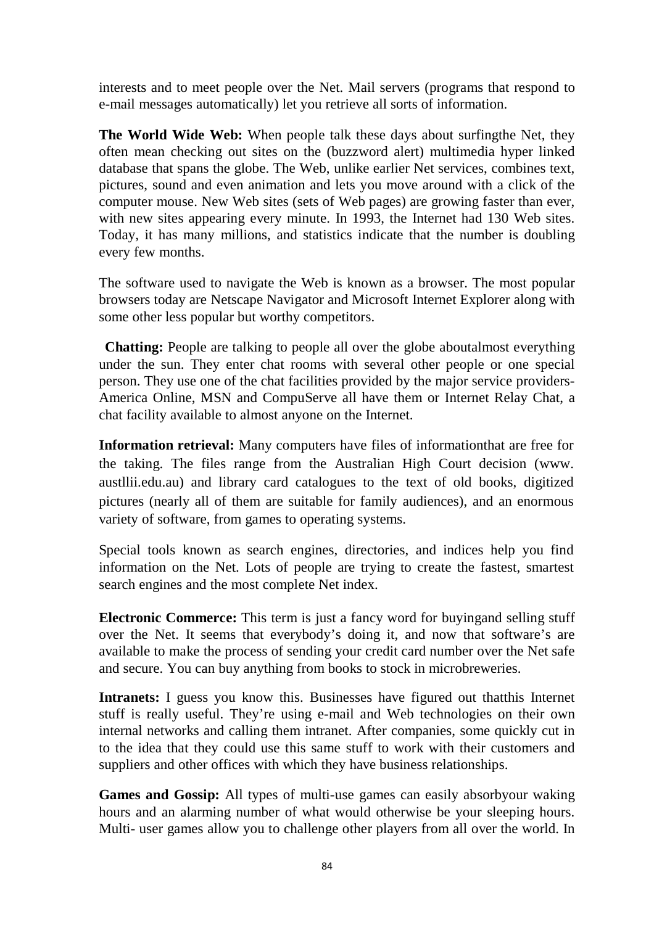interests and to meet people over the Net. Mail servers (programs that respond to e-mail messages automatically) let you retrieve all sorts of information.

**The World Wide Web:** When people talk these days about surfingthe Net, they often mean checking out sites on the (buzzword alert) multimedia hyper linked database that spans the globe. The Web, unlike earlier Net services, combines text, pictures, sound and even animation and lets you move around with a click of the computer mouse. New Web sites (sets of Web pages) are growing faster than ever, with new sites appearing every minute. In 1993, the Internet had 130 Web sites. Today, it has many millions, and statistics indicate that the number is doubling every few months.

The software used to navigate the Web is known as a browser. The most popular browsers today are Netscape Navigator and Microsoft Internet Explorer along with some other less popular but worthy competitors.

**Chatting:** People are talking to people all over the globe aboutalmost everything under the sun. They enter chat rooms with several other people or one special person. They use one of the chat facilities provided by the major service providers-America Online, MSN and CompuServe all have them or Internet Relay Chat, a chat facility available to almost anyone on the Internet.

**Information retrieval:** Many computers have files of informationthat are free for the taking. The files range from the Australian High Court decision (www. austllii.edu.au) and library card catalogues to the text of old books, digitized pictures (nearly all of them are suitable for family audiences), and an enormous variety of software, from games to operating systems.

Special tools known as search engines, directories, and indices help you find information on the Net. Lots of people are trying to create the fastest, smartest search engines and the most complete Net index.

**Electronic Commerce:** This term is just a fancy word for buyingand selling stuff over the Net. It seems that everybody's doing it, and now that software's are available to make the process of sending your credit card number over the Net safe and secure. You can buy anything from books to stock in microbreweries.

**Intranets:** I guess you know this. Businesses have figured out thatthis Internet stuff is really useful. They're using e-mail and Web technologies on their own internal networks and calling them intranet. After companies, some quickly cut in to the idea that they could use this same stuff to work with their customers and suppliers and other offices with which they have business relationships.

**Games and Gossip:** All types of multi-use games can easily absorbyour waking hours and an alarming number of what would otherwise be your sleeping hours. Multi- user games allow you to challenge other players from all over the world. In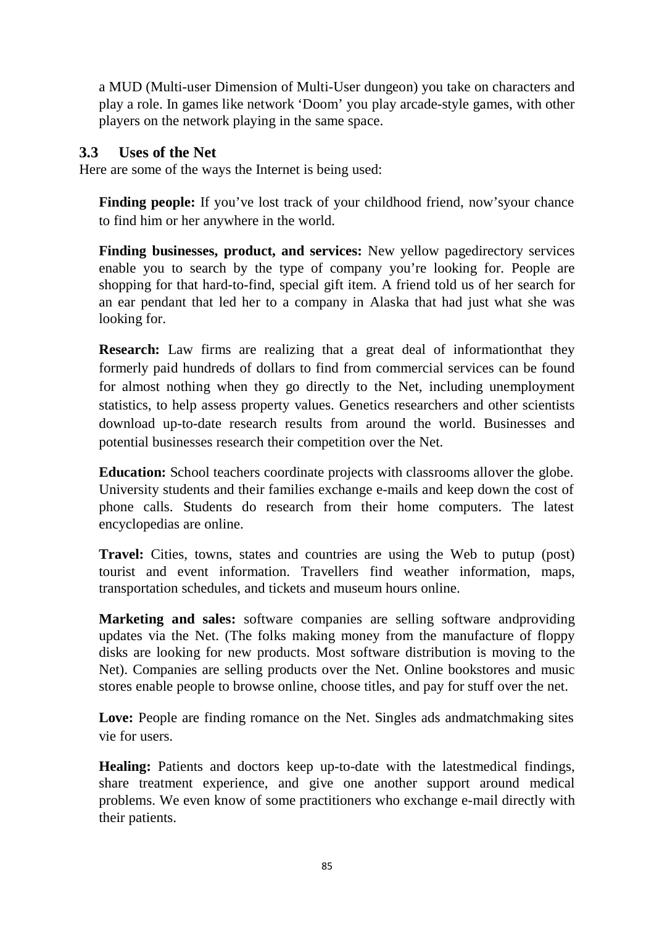a MUD (Multi-user Dimension of Multi-User dungeon) you take on characters and play a role. In games like network 'Doom' you play arcade-style games, with other players on the network playing in the same space.

#### **3.3 Uses of the Net**

Here are some of the ways the Internet is being used:

**Finding people:** If you've lost track of your childhood friend, now's your chance to find him or her anywhere in the world.

**Finding businesses, product, and services:** New yellow pagedirectory services enable you to search by the type of company you're looking for. People are shopping for that hard-to-find, special gift item. A friend told us of her search for an ear pendant that led her to a company in Alaska that had just what she was looking for.

**Research:** Law firms are realizing that a great deal of information that they formerly paid hundreds of dollars to find from commercial services can be found for almost nothing when they go directly to the Net, including unemployment statistics, to help assess property values. Genetics researchers and other scientists download up-to-date research results from around the world. Businesses and potential businesses research their competition over the Net.

**Education:** School teachers coordinate projects with classrooms allover the globe. University students and their families exchange e-mails and keep down the cost of phone calls. Students do research from their home computers. The latest encyclopedias are online.

**Travel:** Cities, towns, states and countries are using the Web to putup (post) tourist and event information. Travellers find weather information, maps, transportation schedules, and tickets and museum hours online.

**Marketing and sales:** software companies are selling software andproviding updates via the Net. (The folks making money from the manufacture of floppy disks are looking for new products. Most software distribution is moving to the Net). Companies are selling products over the Net. Online bookstores and music stores enable people to browse online, choose titles, and pay for stuff over the net.

Love: People are finding romance on the Net. Singles ads andmatchmaking sites vie for users.

**Healing:** Patients and doctors keep up-to-date with the latestmedical findings, share treatment experience, and give one another support around medical problems. We even know of some practitioners who exchange e-mail directly with their patients.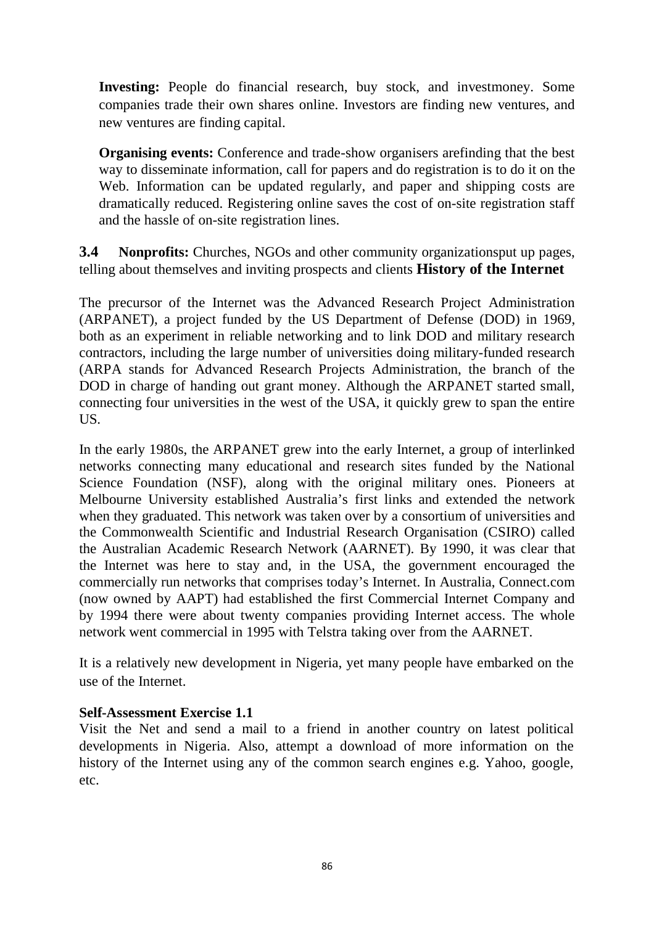**Investing:** People do financial research, buy stock, and investmoney. Some companies trade their own shares online. Investors are finding new ventures, and new ventures are finding capital.

**Organising events:** Conference and trade-show organisers arefinding that the best way to disseminate information, call for papers and do registration is to do it on the Web. Information can be updated regularly, and paper and shipping costs are dramatically reduced. Registering online saves the cost of on-site registration staff and the hassle of on-site registration lines.

**3.4 Nonprofits:** Churches, NGOs and other community organizationsput up pages, telling about themselves and inviting prospects and clients **History of the Internet** 

The precursor of the Internet was the Advanced Research Project Administration (ARPANET), a project funded by the US Department of Defense (DOD) in 1969, both as an experiment in reliable networking and to link DOD and military research contractors, including the large number of universities doing military-funded research (ARPA stands for Advanced Research Projects Administration, the branch of the DOD in charge of handing out grant money. Although the ARPANET started small, connecting four universities in the west of the USA, it quickly grew to span the entire US.

In the early 1980s, the ARPANET grew into the early Internet, a group of interlinked networks connecting many educational and research sites funded by the National Science Foundation (NSF), along with the original military ones. Pioneers at Melbourne University established Australia's first links and extended the network when they graduated. This network was taken over by a consortium of universities and the Commonwealth Scientific and Industrial Research Organisation (CSIRO) called the Australian Academic Research Network (AARNET). By 1990, it was clear that the Internet was here to stay and, in the USA, the government encouraged the commercially run networks that comprises today's Internet. In Australia, Connect.com (now owned by AAPT) had established the first Commercial Internet Company and by 1994 there were about twenty companies providing Internet access. The whole network went commercial in 1995 with Telstra taking over from the AARNET.

It is a relatively new development in Nigeria, yet many people have embarked on the use of the Internet.

#### **Self-Assessment Exercise 1.1**

Visit the Net and send a mail to a friend in another country on latest political developments in Nigeria. Also, attempt a download of more information on the history of the Internet using any of the common search engines e.g. Yahoo, google, etc.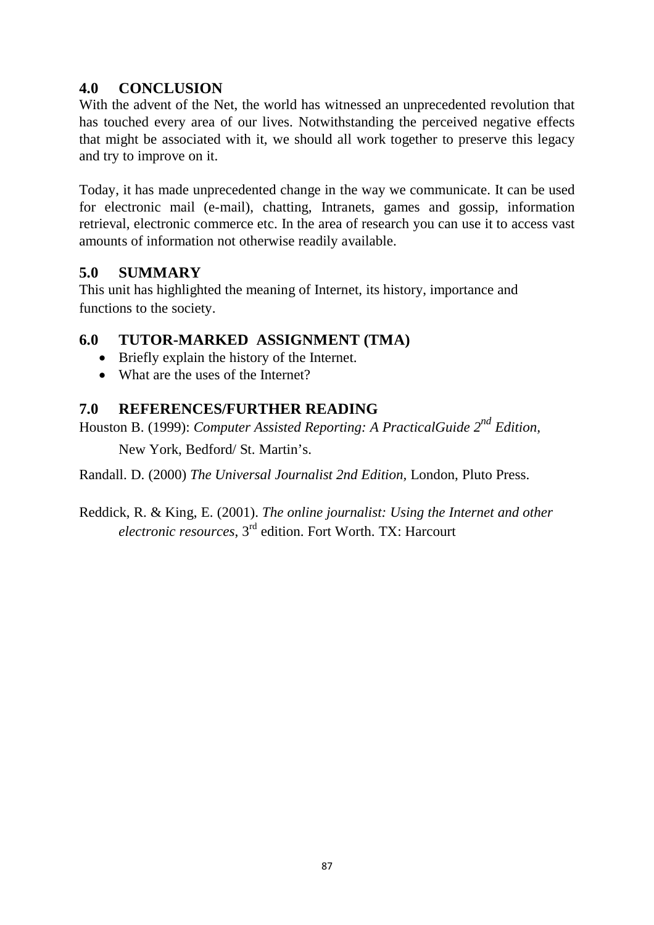## **4.0 CONCLUSION**

With the advent of the Net, the world has witnessed an unprecedented revolution that has touched every area of our lives. Notwithstanding the perceived negative effects that might be associated with it, we should all work together to preserve this legacy and try to improve on it.

Today, it has made unprecedented change in the way we communicate. It can be used for electronic mail (e-mail), chatting, Intranets, games and gossip, information retrieval, electronic commerce etc. In the area of research you can use it to access vast amounts of information not otherwise readily available.

### **5.0 SUMMARY**

This unit has highlighted the meaning of Internet, its history, importance and functions to the society.

## **6.0 TUTOR-MARKED ASSIGNMENT (TMA)**

- Briefly explain the history of the Internet.
- What are the uses of the Internet?

#### **7.0 REFERENCES/FURTHER READING**

Houston B. (1999): *Computer Assisted Reporting: A PracticalGuide 2nd Edition,* 

New York, Bedford/ St. Martin's.

Randall. D. (2000) *The Universal Journalist 2nd Edition,* London, Pluto Press.

Reddick, R. & King, E. (2001). *The online journalist: Using the Internet and other electronic resources*, 3rd edition. Fort Worth. TX: Harcourt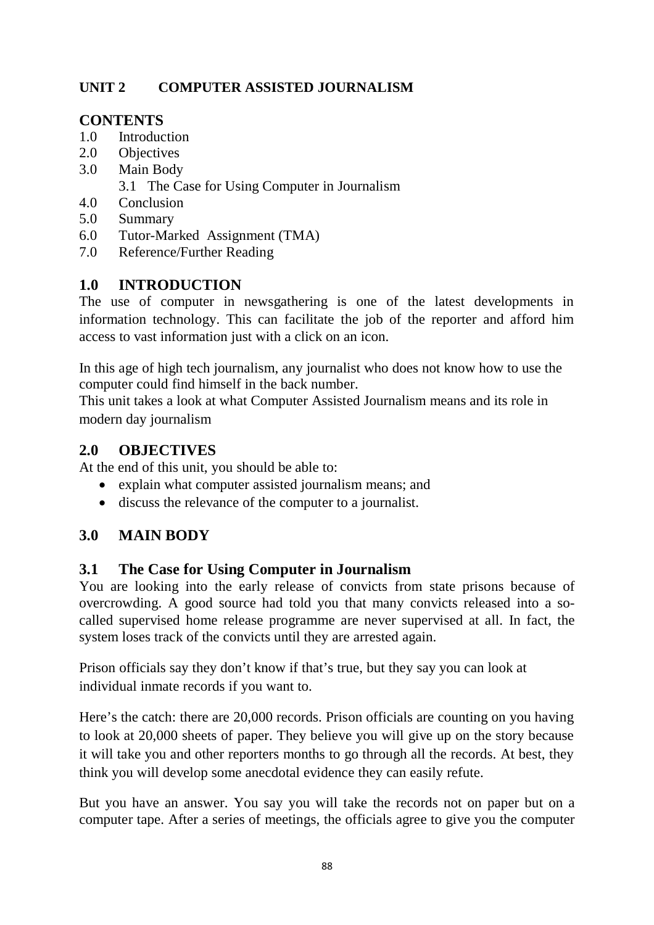## **UNIT 2 COMPUTER ASSISTED JOURNALISM**

## **CONTENTS**

- 1.0 Introduction
- 2.0 Objectives
- 3.0 Main Body
	- 3.1 The Case for Using Computer in Journalism
- 4.0 Conclusion
- 5.0 Summary
- 6.0 Tutor-Marked Assignment (TMA)
- 7.0 Reference/Further Reading

## **1.0 INTRODUCTION**

The use of computer in newsgathering is one of the latest developments in information technology. This can facilitate the job of the reporter and afford him access to vast information just with a click on an icon.

In this age of high tech journalism, any journalist who does not know how to use the computer could find himself in the back number.

This unit takes a look at what Computer Assisted Journalism means and its role in modern day journalism

## **2.0 OBJECTIVES**

At the end of this unit, you should be able to:

- explain what computer assisted journalism means; and
- discuss the relevance of the computer to a journalist.

## **3.0 MAIN BODY**

## **3.1 The Case for Using Computer in Journalism**

You are looking into the early release of convicts from state prisons because of overcrowding. A good source had told you that many convicts released into a socalled supervised home release programme are never supervised at all. In fact, the system loses track of the convicts until they are arrested again.

Prison officials say they don't know if that's true, but they say you can look at individual inmate records if you want to.

Here's the catch: there are 20,000 records. Prison officials are counting on you having to look at 20,000 sheets of paper. They believe you will give up on the story because it will take you and other reporters months to go through all the records. At best, they think you will develop some anecdotal evidence they can easily refute.

But you have an answer. You say you will take the records not on paper but on a computer tape. After a series of meetings, the officials agree to give you the computer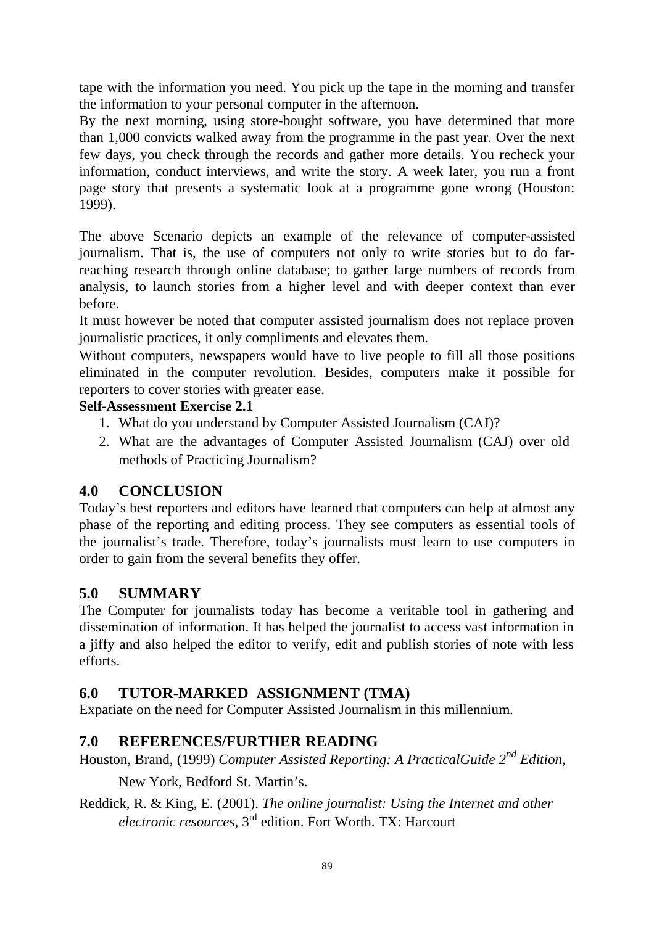tape with the information you need. You pick up the tape in the morning and transfer the information to your personal computer in the afternoon.

By the next morning, using store-bought software, you have determined that more than 1,000 convicts walked away from the programme in the past year. Over the next few days, you check through the records and gather more details. You recheck your information, conduct interviews, and write the story. A week later, you run a front page story that presents a systematic look at a programme gone wrong (Houston: 1999).

The above Scenario depicts an example of the relevance of computer-assisted journalism. That is, the use of computers not only to write stories but to do farreaching research through online database; to gather large numbers of records from analysis, to launch stories from a higher level and with deeper context than ever before.

It must however be noted that computer assisted journalism does not replace proven journalistic practices, it only compliments and elevates them.

Without computers, newspapers would have to live people to fill all those positions eliminated in the computer revolution. Besides, computers make it possible for reporters to cover stories with greater ease.

#### **Self-Assessment Exercise 2.1**

- 1. What do you understand by Computer Assisted Journalism (CAJ)?
- 2. What are the advantages of Computer Assisted Journalism (CAJ) over old methods of Practicing Journalism?

## **4.0 CONCLUSION**

Today's best reporters and editors have learned that computers can help at almost any phase of the reporting and editing process. They see computers as essential tools of the journalist's trade. Therefore, today's journalists must learn to use computers in order to gain from the several benefits they offer.

### **5.0 SUMMARY**

The Computer for journalists today has become a veritable tool in gathering and dissemination of information. It has helped the journalist to access vast information in a jiffy and also helped the editor to verify, edit and publish stories of note with less efforts.

## **6.0 TUTOR-MARKED ASSIGNMENT (TMA)**

Expatiate on the need for Computer Assisted Journalism in this millennium.

## **7.0 REFERENCES/FURTHER READING**

Houston, Brand, (1999) *Computer Assisted Reporting: A PracticalGuide 2nd Edition,* 

New York, Bedford St. Martin's.

Reddick, R. & King, E. (2001). *The online journalist: Using the Internet and other electronic resources*, 3rd edition. Fort Worth. TX: Harcourt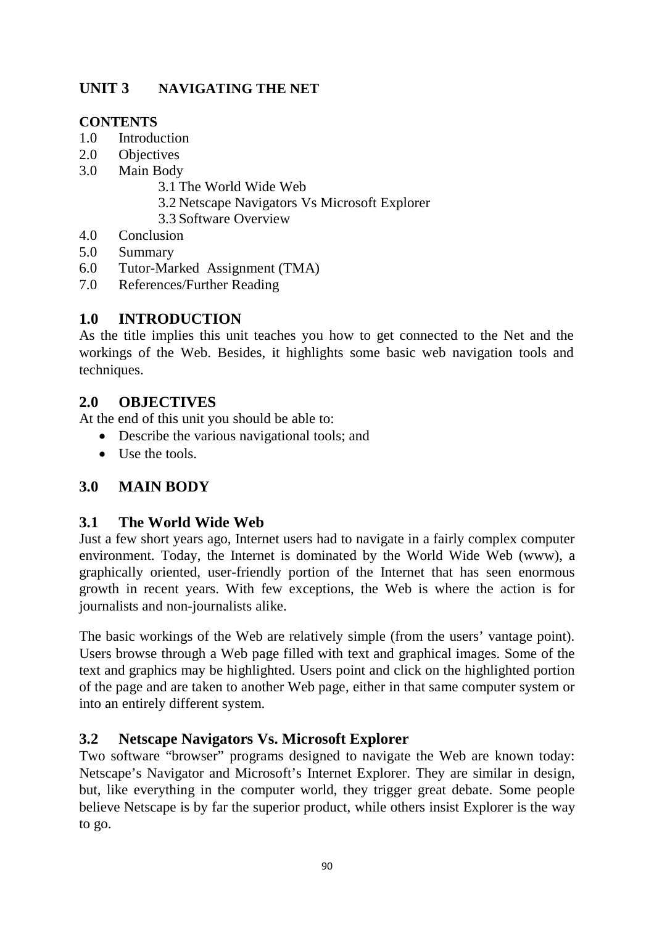## **UNIT 3 NAVIGATING THE NET**

#### **CONTENTS**

- 1.0 Introduction
- 2.0 Objectives
- 3.0 Main Body
	- 3.1 The World Wide Web
	- 3.2 Netscape Navigators Vs Microsoft Explorer
	- 3.3 Software Overview
- 4.0 Conclusion
- 5.0 Summary
- 6.0 Tutor-Marked Assignment (TMA)
- 7.0 References/Further Reading

### **1.0 INTRODUCTION**

As the title implies this unit teaches you how to get connected to the Net and the workings of the Web. Besides, it highlights some basic web navigation tools and techniques.

### **2.0 OBJECTIVES**

At the end of this unit you should be able to:

- Describe the various navigational tools; and
- Use the tools.

## **3.0 MAIN BODY**

### **3.1 The World Wide Web**

Just a few short years ago, Internet users had to navigate in a fairly complex computer environment. Today, the Internet is dominated by the World Wide Web (www), a graphically oriented, user-friendly portion of the Internet that has seen enormous growth in recent years. With few exceptions, the Web is where the action is for journalists and non-journalists alike.

The basic workings of the Web are relatively simple (from the users' vantage point). Users browse through a Web page filled with text and graphical images. Some of the text and graphics may be highlighted. Users point and click on the highlighted portion of the page and are taken to another Web page, either in that same computer system or into an entirely different system.

### **3.2 Netscape Navigators Vs. Microsoft Explorer**

Two software "browser" programs designed to navigate the Web are known today: Netscape's Navigator and Microsoft's Internet Explorer. They are similar in design, but, like everything in the computer world, they trigger great debate. Some people believe Netscape is by far the superior product, while others insist Explorer is the way to go.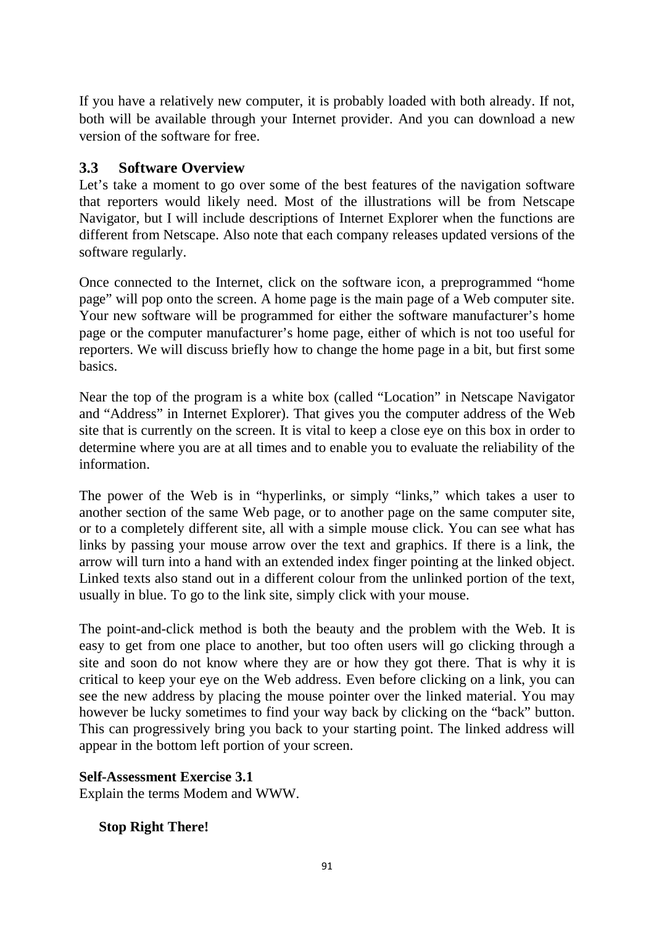If you have a relatively new computer, it is probably loaded with both already. If not, both will be available through your Internet provider. And you can download a new version of the software for free.

### **3.3 Software Overview**

Let's take a moment to go over some of the best features of the navigation software that reporters would likely need. Most of the illustrations will be from Netscape Navigator, but I will include descriptions of Internet Explorer when the functions are different from Netscape. Also note that each company releases updated versions of the software regularly.

Once connected to the Internet, click on the software icon, a preprogrammed "home page" will pop onto the screen. A home page is the main page of a Web computer site. Your new software will be programmed for either the software manufacturer's home page or the computer manufacturer's home page, either of which is not too useful for reporters. We will discuss briefly how to change the home page in a bit, but first some basics.

Near the top of the program is a white box (called "Location" in Netscape Navigator and "Address" in Internet Explorer). That gives you the computer address of the Web site that is currently on the screen. It is vital to keep a close eye on this box in order to determine where you are at all times and to enable you to evaluate the reliability of the information.

The power of the Web is in "hyperlinks, or simply "links," which takes a user to another section of the same Web page, or to another page on the same computer site, or to a completely different site, all with a simple mouse click. You can see what has links by passing your mouse arrow over the text and graphics. If there is a link, the arrow will turn into a hand with an extended index finger pointing at the linked object. Linked texts also stand out in a different colour from the unlinked portion of the text, usually in blue. To go to the link site, simply click with your mouse.

The point-and-click method is both the beauty and the problem with the Web. It is easy to get from one place to another, but too often users will go clicking through a site and soon do not know where they are or how they got there. That is why it is critical to keep your eye on the Web address. Even before clicking on a link, you can see the new address by placing the mouse pointer over the linked material. You may however be lucky sometimes to find your way back by clicking on the "back" button. This can progressively bring you back to your starting point. The linked address will appear in the bottom left portion of your screen.

**Self-Assessment Exercise 3.1**  Explain the terms Modem and WWW.

**Stop Right There!**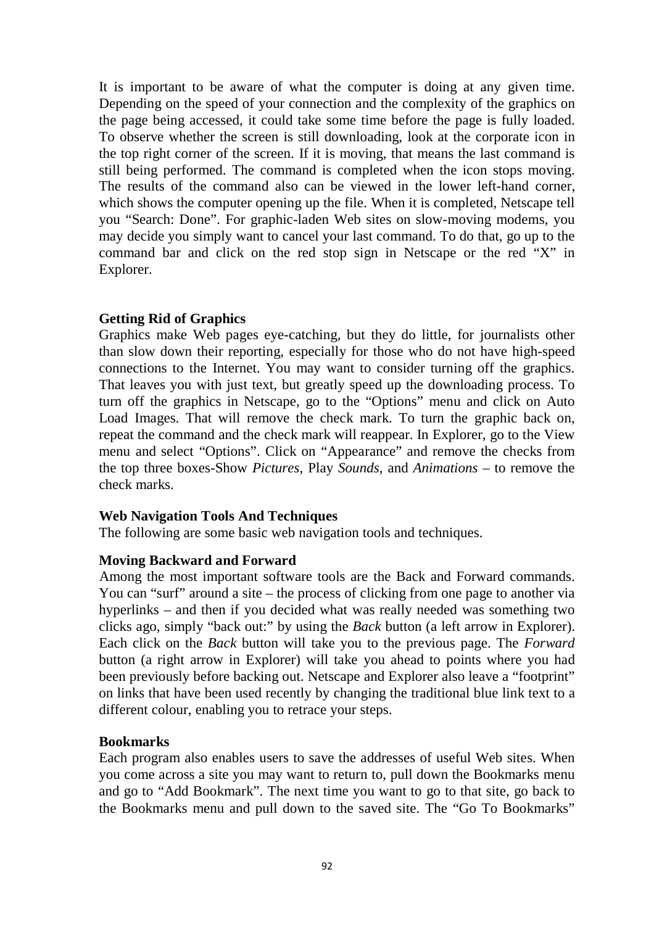It is important to be aware of what the computer is doing at any given time. Depending on the speed of your connection and the complexity of the graphics on the page being accessed, it could take some time before the page is fully loaded. To observe whether the screen is still downloading, look at the corporate icon in the top right corner of the screen. If it is moving, that means the last command is still being performed. The command is completed when the icon stops moving. The results of the command also can be viewed in the lower left-hand corner, which shows the computer opening up the file. When it is completed, Netscape tell you "Search: Done". For graphic-laden Web sites on slow-moving modems, you may decide you simply want to cancel your last command. To do that, go up to the command bar and click on the red stop sign in Netscape or the red "X" in Explorer.

#### **Getting Rid of Graphics**

Graphics make Web pages eye-catching, but they do little, for journalists other than slow down their reporting, especially for those who do not have high-speed connections to the Internet. You may want to consider turning off the graphics. That leaves you with just text, but greatly speed up the downloading process. To turn off the graphics in Netscape, go to the "Options" menu and click on Auto Load Images. That will remove the check mark. To turn the graphic back on, repeat the command and the check mark will reappear. In Explorer, go to the View menu and select "Options". Click on "Appearance" and remove the checks from the top three boxes-Show *Pictures*, Play *Sounds*, and *Animations* – to remove the check marks.

#### **Web Navigation Tools And Techniques**

The following are some basic web navigation tools and techniques.

#### **Moving Backward and Forward**

Among the most important software tools are the Back and Forward commands. You can "surf" around a site – the process of clicking from one page to another via hyperlinks – and then if you decided what was really needed was something two clicks ago, simply "back out:" by using the *Back* button (a left arrow in Explorer). Each click on the *Back* button will take you to the previous page. The *Forward* button (a right arrow in Explorer) will take you ahead to points where you had been previously before backing out. Netscape and Explorer also leave a "footprint" on links that have been used recently by changing the traditional blue link text to a different colour, enabling you to retrace your steps.

#### **Bookmarks**

Each program also enables users to save the addresses of useful Web sites. When you come across a site you may want to return to, pull down the Bookmarks menu and go to "Add Bookmark". The next time you want to go to that site, go back to the Bookmarks menu and pull down to the saved site. The "Go To Bookmarks"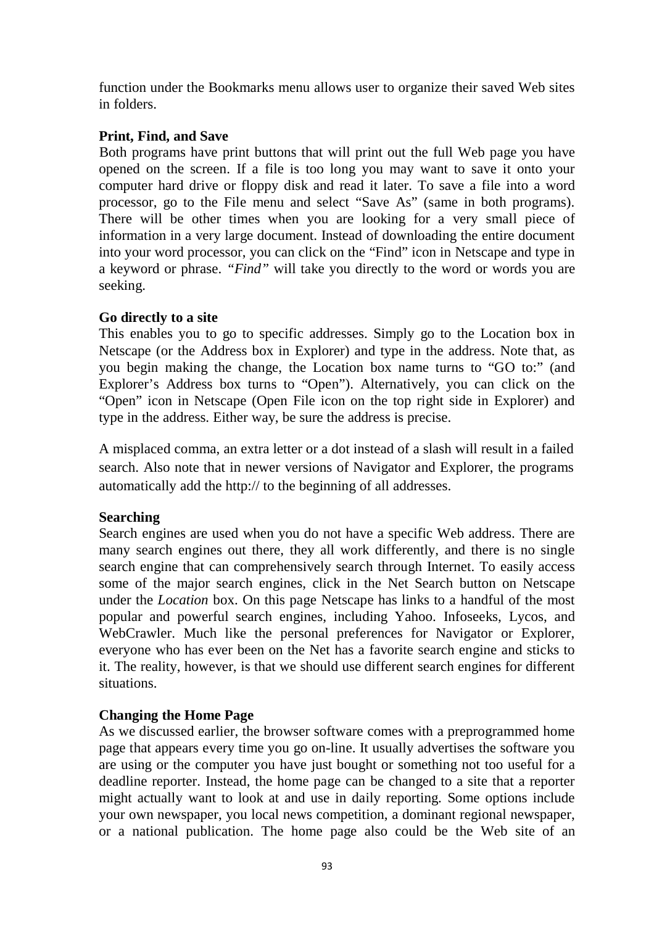function under the Bookmarks menu allows user to organize their saved Web sites in folders.

#### **Print, Find, and Save**

Both programs have print buttons that will print out the full Web page you have opened on the screen. If a file is too long you may want to save it onto your computer hard drive or floppy disk and read it later. To save a file into a word processor, go to the File menu and select "Save As" (same in both programs). There will be other times when you are looking for a very small piece of information in a very large document. Instead of downloading the entire document into your word processor, you can click on the "Find" icon in Netscape and type in a keyword or phrase. *"Find"* will take you directly to the word or words you are seeking.

#### **Go directly to a site**

This enables you to go to specific addresses. Simply go to the Location box in Netscape (or the Address box in Explorer) and type in the address. Note that, as you begin making the change, the Location box name turns to "GO to:" (and Explorer's Address box turns to "Open"). Alternatively, you can click on the "Open" icon in Netscape (Open File icon on the top right side in Explorer) and type in the address. Either way, be sure the address is precise.

A misplaced comma, an extra letter or a dot instead of a slash will result in a failed search. Also note that in newer versions of Navigator and Explorer, the programs automatically add the http:// to the beginning of all addresses.

### **Searching**

Search engines are used when you do not have a specific Web address. There are many search engines out there, they all work differently, and there is no single search engine that can comprehensively search through Internet. To easily access some of the major search engines, click in the Net Search button on Netscape under the *Location* box. On this page Netscape has links to a handful of the most popular and powerful search engines, including Yahoo. Infoseeks, Lycos, and WebCrawler. Much like the personal preferences for Navigator or Explorer, everyone who has ever been on the Net has a favorite search engine and sticks to it. The reality, however, is that we should use different search engines for different situations.

### **Changing the Home Page**

As we discussed earlier, the browser software comes with a preprogrammed home page that appears every time you go on-line. It usually advertises the software you are using or the computer you have just bought or something not too useful for a deadline reporter. Instead, the home page can be changed to a site that a reporter might actually want to look at and use in daily reporting. Some options include your own newspaper, you local news competition, a dominant regional newspaper, or a national publication. The home page also could be the Web site of an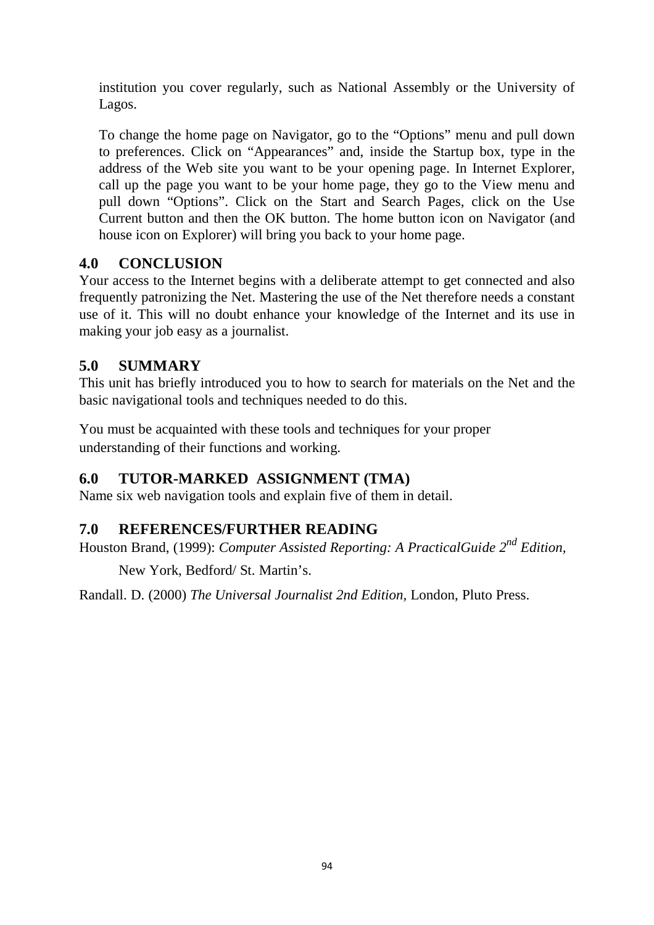institution you cover regularly, such as National Assembly or the University of Lagos.

To change the home page on Navigator, go to the "Options" menu and pull down to preferences. Click on "Appearances" and, inside the Startup box, type in the address of the Web site you want to be your opening page. In Internet Explorer, call up the page you want to be your home page, they go to the View menu and pull down "Options". Click on the Start and Search Pages, click on the Use Current button and then the OK button. The home button icon on Navigator (and house icon on Explorer) will bring you back to your home page.

## **4.0 CONCLUSION**

Your access to the Internet begins with a deliberate attempt to get connected and also frequently patronizing the Net. Mastering the use of the Net therefore needs a constant use of it. This will no doubt enhance your knowledge of the Internet and its use in making your job easy as a journalist.

## **5.0 SUMMARY**

This unit has briefly introduced you to how to search for materials on the Net and the basic navigational tools and techniques needed to do this.

You must be acquainted with these tools and techniques for your proper understanding of their functions and working.

## **6.0 TUTOR-MARKED ASSIGNMENT (TMA)**

Name six web navigation tools and explain five of them in detail.

## **7.0 REFERENCES/FURTHER READING**

Houston Brand, (1999): *Computer Assisted Reporting: A PracticalGuide 2nd Edition,* 

New York, Bedford/ St. Martin's.

Randall. D. (2000) *The Universal Journalist 2nd Edition,* London, Pluto Press.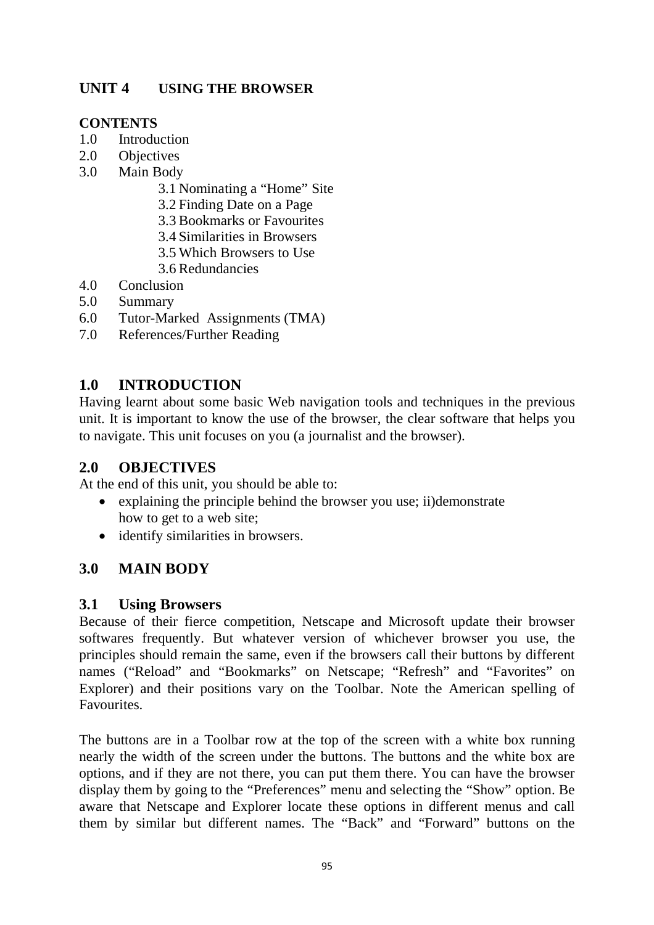## **UNIT 4 USING THE BROWSER**

#### **CONTENTS**

- 1.0 Introduction
- 2.0 Objectives
- 3.0 Main Body
	- 3.1 Nominating a "Home" Site
	- 3.2 Finding Date on a Page
	- 3.3 Bookmarks or Favourites
	- 3.4 Similarities in Browsers
	- 3.5 Which Browsers to Use
	- 3.6 Redundancies
- 4.0 Conclusion
- 5.0 Summary
- 6.0 Tutor-Marked Assignments (TMA)
- 7.0 References/Further Reading

### **1.0 INTRODUCTION**

Having learnt about some basic Web navigation tools and techniques in the previous unit. It is important to know the use of the browser, the clear software that helps you to navigate. This unit focuses on you (a journalist and the browser).

### **2.0 OBJECTIVES**

At the end of this unit, you should be able to:

- explaining the principle behind the browser you use; ii)demonstrate how to get to a web site;
- identify similarities in browsers.

## **3.0 MAIN BODY**

### **3.1 Using Browsers**

Because of their fierce competition, Netscape and Microsoft update their browser softwares frequently. But whatever version of whichever browser you use, the principles should remain the same, even if the browsers call their buttons by different names ("Reload" and "Bookmarks" on Netscape; "Refresh" and "Favorites" on Explorer) and their positions vary on the Toolbar. Note the American spelling of Favourites.

The buttons are in a Toolbar row at the top of the screen with a white box running nearly the width of the screen under the buttons. The buttons and the white box are options, and if they are not there, you can put them there. You can have the browser display them by going to the "Preferences" menu and selecting the "Show" option. Be aware that Netscape and Explorer locate these options in different menus and call them by similar but different names. The "Back" and "Forward" buttons on the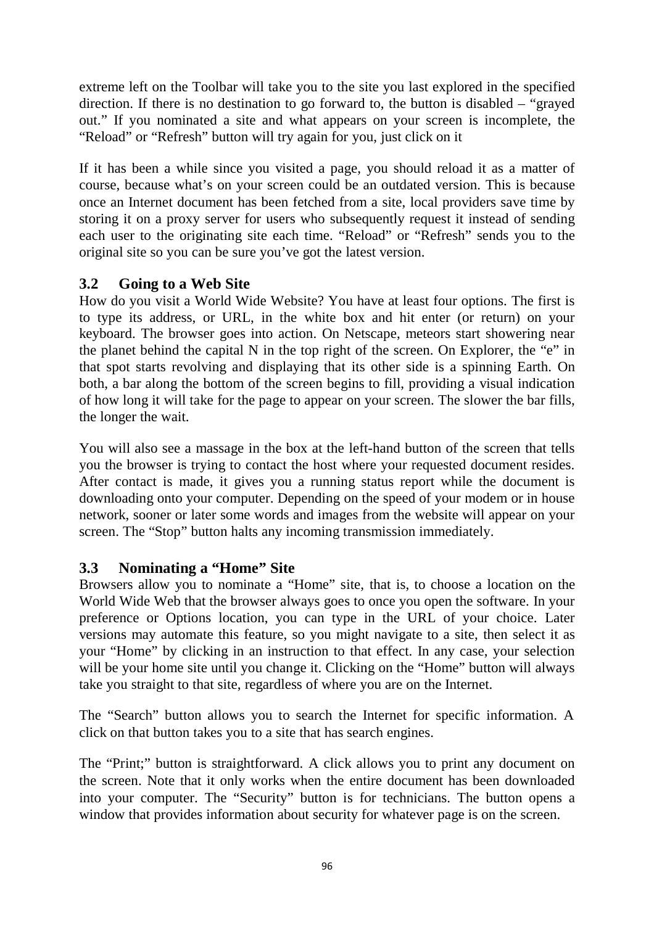extreme left on the Toolbar will take you to the site you last explored in the specified direction. If there is no destination to go forward to, the button is disabled – "grayed out." If you nominated a site and what appears on your screen is incomplete, the "Reload" or "Refresh" button will try again for you, just click on it

If it has been a while since you visited a page, you should reload it as a matter of course, because what's on your screen could be an outdated version. This is because once an Internet document has been fetched from a site, local providers save time by storing it on a proxy server for users who subsequently request it instead of sending each user to the originating site each time. "Reload" or "Refresh" sends you to the original site so you can be sure you've got the latest version.

## **3.2 Going to a Web Site**

How do you visit a World Wide Website? You have at least four options. The first is to type its address, or URL, in the white box and hit enter (or return) on your keyboard. The browser goes into action. On Netscape, meteors start showering near the planet behind the capital N in the top right of the screen. On Explorer, the "e" in that spot starts revolving and displaying that its other side is a spinning Earth. On both, a bar along the bottom of the screen begins to fill, providing a visual indication of how long it will take for the page to appear on your screen. The slower the bar fills, the longer the wait.

You will also see a massage in the box at the left-hand button of the screen that tells you the browser is trying to contact the host where your requested document resides. After contact is made, it gives you a running status report while the document is downloading onto your computer. Depending on the speed of your modem or in house network, sooner or later some words and images from the website will appear on your screen. The "Stop" button halts any incoming transmission immediately.

### **3.3 Nominating a "Home" Site**

Browsers allow you to nominate a "Home" site, that is, to choose a location on the World Wide Web that the browser always goes to once you open the software. In your preference or Options location, you can type in the URL of your choice. Later versions may automate this feature, so you might navigate to a site, then select it as your "Home" by clicking in an instruction to that effect. In any case, your selection will be your home site until you change it. Clicking on the "Home" button will always take you straight to that site, regardless of where you are on the Internet.

The "Search" button allows you to search the Internet for specific information. A click on that button takes you to a site that has search engines.

The "Print;" button is straightforward. A click allows you to print any document on the screen. Note that it only works when the entire document has been downloaded into your computer. The "Security" button is for technicians. The button opens a window that provides information about security for whatever page is on the screen.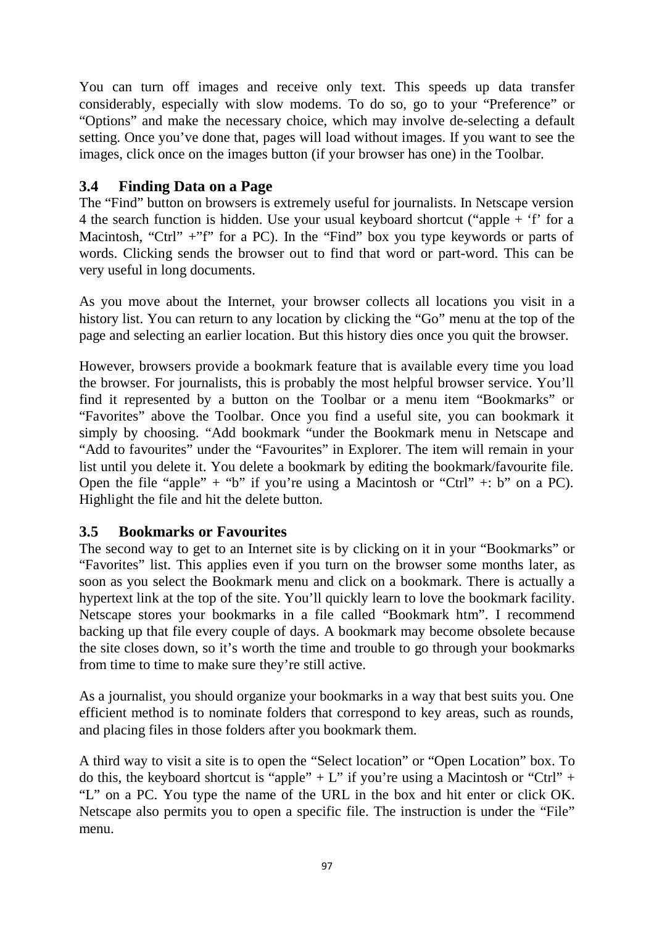You can turn off images and receive only text. This speeds up data transfer considerably, especially with slow modems. To do so, go to your "Preference" or "Options" and make the necessary choice, which may involve de-selecting a default setting. Once you've done that, pages will load without images. If you want to see the images, click once on the images button (if your browser has one) in the Toolbar.

## **3.4 Finding Data on a Page**

The "Find" button on browsers is extremely useful for journalists. In Netscape version 4 the search function is hidden. Use your usual keyboard shortcut ("apple + 'f' for a Macintosh, "Ctrl" +"f" for a PC). In the "Find" box you type keywords or parts of words. Clicking sends the browser out to find that word or part-word. This can be very useful in long documents.

As you move about the Internet, your browser collects all locations you visit in a history list. You can return to any location by clicking the "Go" menu at the top of the page and selecting an earlier location. But this history dies once you quit the browser.

However, browsers provide a bookmark feature that is available every time you load the browser. For journalists, this is probably the most helpful browser service. You'll find it represented by a button on the Toolbar or a menu item "Bookmarks" or "Favorites" above the Toolbar. Once you find a useful site, you can bookmark it simply by choosing. "Add bookmark "under the Bookmark menu in Netscape and "Add to favourites" under the "Favourites" in Explorer. The item will remain in your list until you delete it. You delete a bookmark by editing the bookmark/favourite file. Open the file "apple" + "b" if you're using a Macintosh or "Ctrl" +: b" on a PC). Highlight the file and hit the delete button.

### **3.5 Bookmarks or Favourites**

The second way to get to an Internet site is by clicking on it in your "Bookmarks" or "Favorites" list. This applies even if you turn on the browser some months later, as soon as you select the Bookmark menu and click on a bookmark. There is actually a hypertext link at the top of the site. You'll quickly learn to love the bookmark facility. Netscape stores your bookmarks in a file called "Bookmark htm". I recommend backing up that file every couple of days. A bookmark may become obsolete because the site closes down, so it's worth the time and trouble to go through your bookmarks from time to time to make sure they're still active.

As a journalist, you should organize your bookmarks in a way that best suits you. One efficient method is to nominate folders that correspond to key areas, such as rounds, and placing files in those folders after you bookmark them.

A third way to visit a site is to open the "Select location" or "Open Location" box. To do this, the keyboard shortcut is "apple" + L" if you're using a Macintosh or "Ctrl" + "L" on a PC. You type the name of the URL in the box and hit enter or click OK. Netscape also permits you to open a specific file. The instruction is under the "File" menu.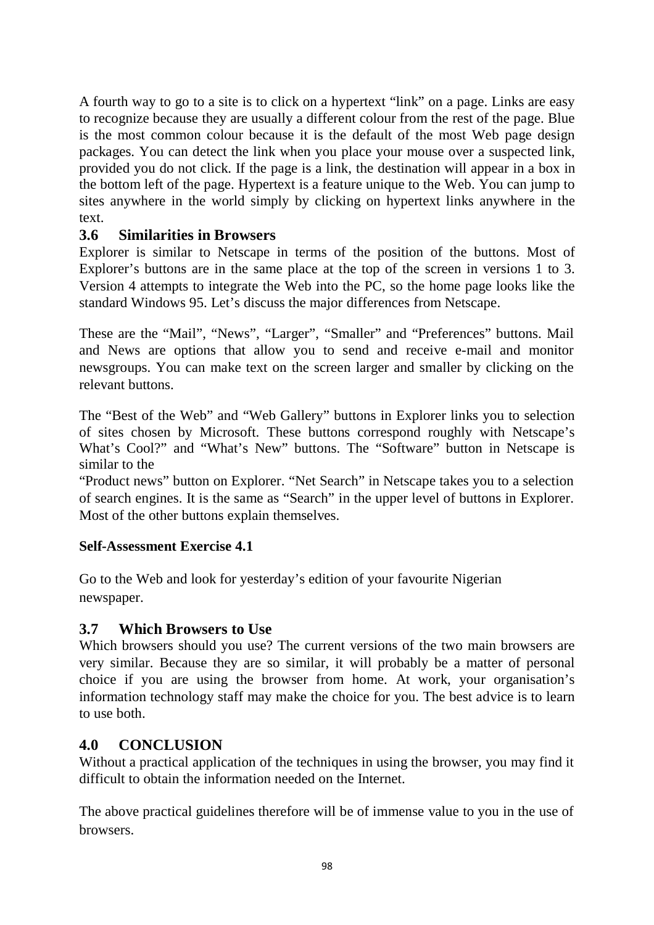A fourth way to go to a site is to click on a hypertext "link" on a page. Links are easy to recognize because they are usually a different colour from the rest of the page. Blue is the most common colour because it is the default of the most Web page design packages. You can detect the link when you place your mouse over a suspected link, provided you do not click. If the page is a link, the destination will appear in a box in the bottom left of the page. Hypertext is a feature unique to the Web. You can jump to sites anywhere in the world simply by clicking on hypertext links anywhere in the text.

### **3.6 Similarities in Browsers**

Explorer is similar to Netscape in terms of the position of the buttons. Most of Explorer's buttons are in the same place at the top of the screen in versions 1 to 3. Version 4 attempts to integrate the Web into the PC, so the home page looks like the standard Windows 95. Let's discuss the major differences from Netscape.

These are the "Mail", "News", "Larger", "Smaller" and "Preferences" buttons. Mail and News are options that allow you to send and receive e-mail and monitor newsgroups. You can make text on the screen larger and smaller by clicking on the relevant buttons.

The "Best of the Web" and "Web Gallery" buttons in Explorer links you to selection of sites chosen by Microsoft. These buttons correspond roughly with Netscape's What's Cool?" and "What's New" buttons. The "Software" button in Netscape is similar to the

"Product news" button on Explorer. "Net Search" in Netscape takes you to a selection of search engines. It is the same as "Search" in the upper level of buttons in Explorer. Most of the other buttons explain themselves.

#### **Self-Assessment Exercise 4.1**

Go to the Web and look for yesterday's edition of your favourite Nigerian newspaper.

### **3.7 Which Browsers to Use**

Which browsers should you use? The current versions of the two main browsers are very similar. Because they are so similar, it will probably be a matter of personal choice if you are using the browser from home. At work, your organisation's information technology staff may make the choice for you. The best advice is to learn to use both.

### **4.0 CONCLUSION**

Without a practical application of the techniques in using the browser, you may find it difficult to obtain the information needed on the Internet.

The above practical guidelines therefore will be of immense value to you in the use of browsers.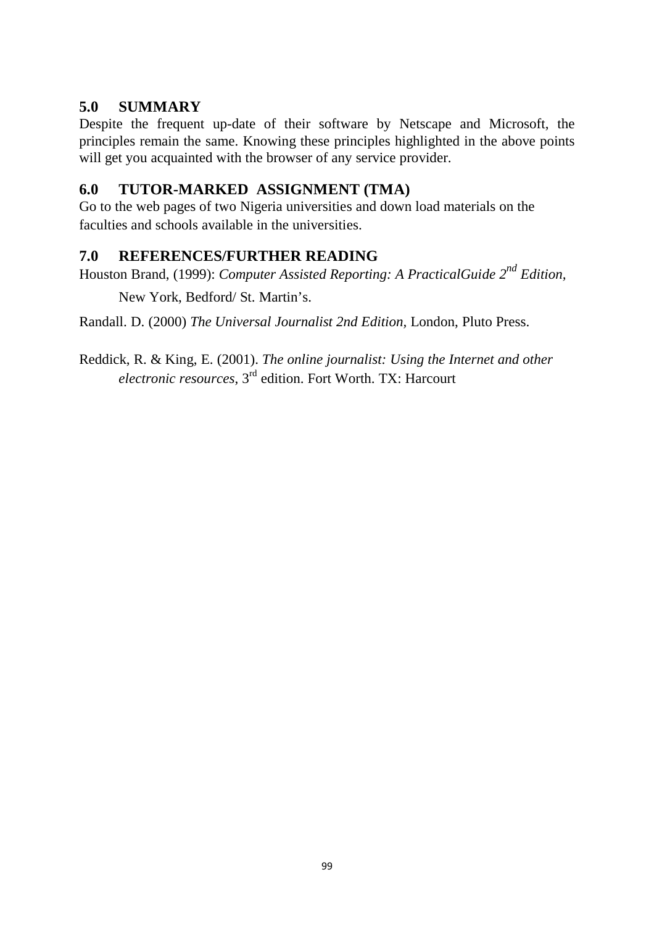## **5.0 SUMMARY**

Despite the frequent up-date of their software by Netscape and Microsoft, the principles remain the same. Knowing these principles highlighted in the above points will get you acquainted with the browser of any service provider.

### **6.0 TUTOR-MARKED ASSIGNMENT (TMA)**

Go to the web pages of two Nigeria universities and down load materials on the faculties and schools available in the universities.

## **7.0 REFERENCES/FURTHER READING**

Houston Brand, (1999): *Computer Assisted Reporting: A PracticalGuide 2nd Edition,* 

New York, Bedford/ St. Martin's.

Randall. D. (2000) *The Universal Journalist 2nd Edition,* London, Pluto Press.

Reddick, R. & King, E. (2001). *The online journalist: Using the Internet and other electronic resources*, 3rd edition. Fort Worth. TX: Harcourt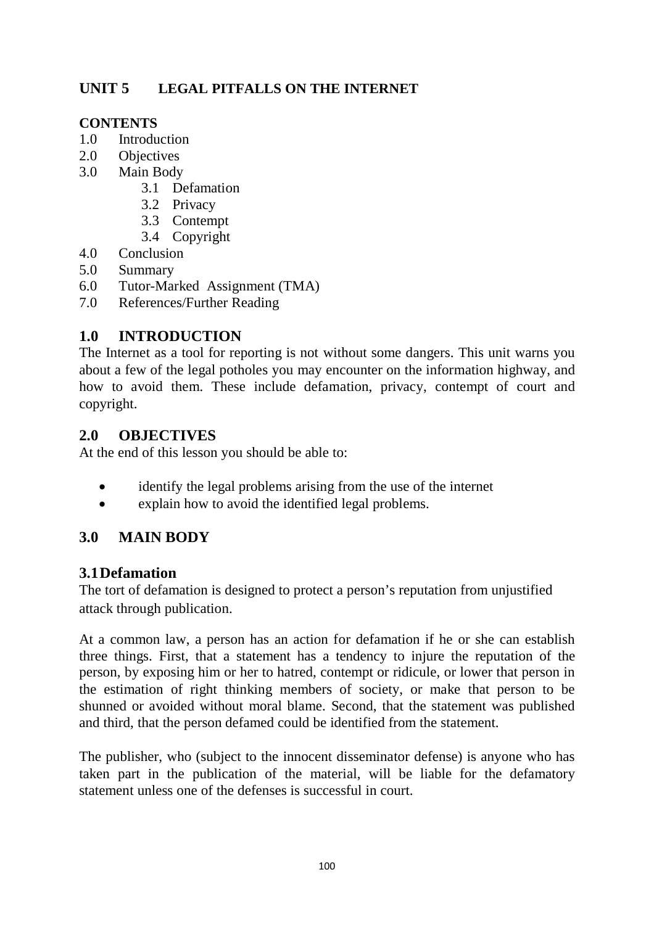## **UNIT 5 LEGAL PITFALLS ON THE INTERNET**

#### **CONTENTS**

- 1.0 Introduction
- 2.0 Objectives
- 3.0 Main Body
	- 3.1 Defamation
	- 3.2 Privacy
	- 3.3 Contempt
	- 3.4 Copyright
- 4.0 Conclusion
- 5.0 Summary
- 6.0 Tutor-Marked Assignment (TMA)
- 7.0 References/Further Reading

## **1.0 INTRODUCTION**

The Internet as a tool for reporting is not without some dangers. This unit warns you about a few of the legal potholes you may encounter on the information highway, and how to avoid them. These include defamation, privacy, contempt of court and copyright.

### **2.0 OBJECTIVES**

At the end of this lesson you should be able to:

- identify the legal problems arising from the use of the internet
- explain how to avoid the identified legal problems.

## **3.0 MAIN BODY**

### **3.1Defamation**

The tort of defamation is designed to protect a person's reputation from unjustified attack through publication.

At a common law, a person has an action for defamation if he or she can establish three things. First, that a statement has a tendency to injure the reputation of the person, by exposing him or her to hatred, contempt or ridicule, or lower that person in the estimation of right thinking members of society, or make that person to be shunned or avoided without moral blame. Second, that the statement was published and third, that the person defamed could be identified from the statement.

The publisher, who (subject to the innocent disseminator defense) is anyone who has taken part in the publication of the material, will be liable for the defamatory statement unless one of the defenses is successful in court.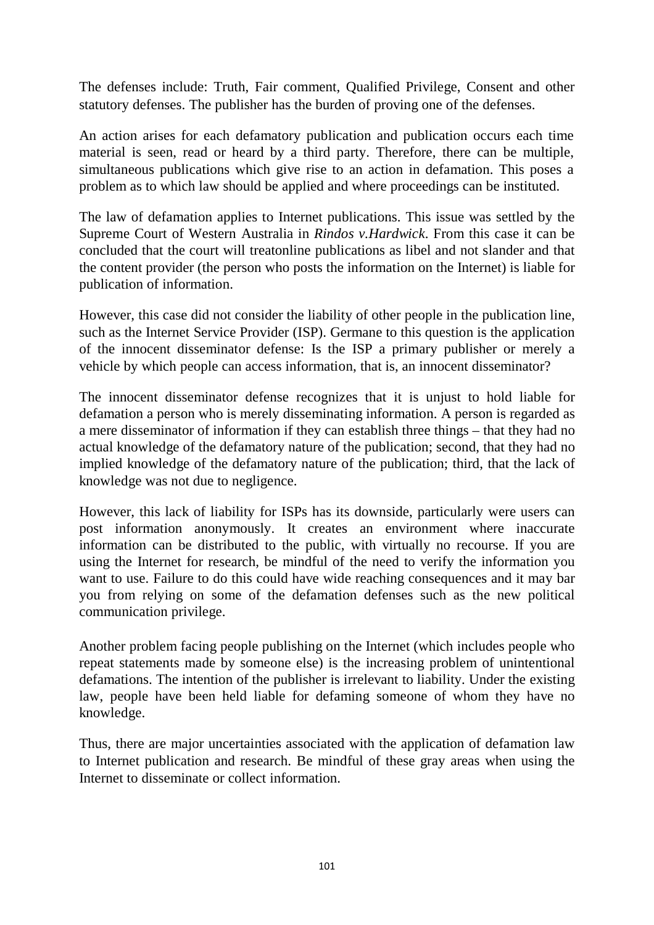The defenses include: Truth, Fair comment, Qualified Privilege, Consent and other statutory defenses. The publisher has the burden of proving one of the defenses.

An action arises for each defamatory publication and publication occurs each time material is seen, read or heard by a third party. Therefore, there can be multiple, simultaneous publications which give rise to an action in defamation. This poses a problem as to which law should be applied and where proceedings can be instituted.

The law of defamation applies to Internet publications. This issue was settled by the Supreme Court of Western Australia in *Rindos v.Hardwick*. From this case it can be concluded that the court will treatonline publications as libel and not slander and that the content provider (the person who posts the information on the Internet) is liable for publication of information.

However, this case did not consider the liability of other people in the publication line, such as the Internet Service Provider (ISP). Germane to this question is the application of the innocent disseminator defense: Is the ISP a primary publisher or merely a vehicle by which people can access information, that is, an innocent disseminator?

The innocent disseminator defense recognizes that it is unjust to hold liable for defamation a person who is merely disseminating information. A person is regarded as a mere disseminator of information if they can establish three things – that they had no actual knowledge of the defamatory nature of the publication; second, that they had no implied knowledge of the defamatory nature of the publication; third, that the lack of knowledge was not due to negligence.

However, this lack of liability for ISPs has its downside, particularly were users can post information anonymously. It creates an environment where inaccurate information can be distributed to the public, with virtually no recourse. If you are using the Internet for research, be mindful of the need to verify the information you want to use. Failure to do this could have wide reaching consequences and it may bar you from relying on some of the defamation defenses such as the new political communication privilege.

Another problem facing people publishing on the Internet (which includes people who repeat statements made by someone else) is the increasing problem of unintentional defamations. The intention of the publisher is irrelevant to liability. Under the existing law, people have been held liable for defaming someone of whom they have no knowledge.

Thus, there are major uncertainties associated with the application of defamation law to Internet publication and research. Be mindful of these gray areas when using the Internet to disseminate or collect information.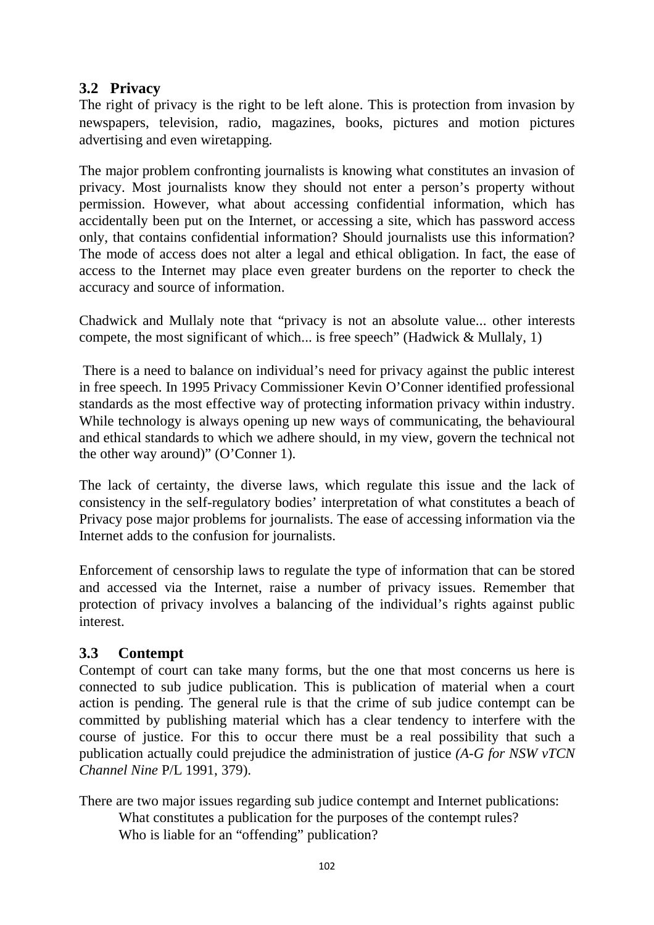#### **3.2 Privacy**

The right of privacy is the right to be left alone. This is protection from invasion by newspapers, television, radio, magazines, books, pictures and motion pictures advertising and even wiretapping.

The major problem confronting journalists is knowing what constitutes an invasion of privacy. Most journalists know they should not enter a person's property without permission. However, what about accessing confidential information, which has accidentally been put on the Internet, or accessing a site, which has password access only, that contains confidential information? Should journalists use this information? The mode of access does not alter a legal and ethical obligation. In fact, the ease of access to the Internet may place even greater burdens on the reporter to check the accuracy and source of information.

Chadwick and Mullaly note that "privacy is not an absolute value... other interests compete, the most significant of which... is free speech" (Hadwick & Mullaly, 1)

 There is a need to balance on individual's need for privacy against the public interest in free speech. In 1995 Privacy Commissioner Kevin O'Conner identified professional standards as the most effective way of protecting information privacy within industry. While technology is always opening up new ways of communicating, the behavioural and ethical standards to which we adhere should, in my view, govern the technical not the other way around)" (O'Conner 1).

The lack of certainty, the diverse laws, which regulate this issue and the lack of consistency in the self-regulatory bodies' interpretation of what constitutes a beach of Privacy pose major problems for journalists. The ease of accessing information via the Internet adds to the confusion for journalists.

Enforcement of censorship laws to regulate the type of information that can be stored and accessed via the Internet, raise a number of privacy issues. Remember that protection of privacy involves a balancing of the individual's rights against public interest.

### **3.3 Contempt**

Contempt of court can take many forms, but the one that most concerns us here is connected to sub judice publication. This is publication of material when a court action is pending. The general rule is that the crime of sub judice contempt can be committed by publishing material which has a clear tendency to interfere with the course of justice. For this to occur there must be a real possibility that such a publication actually could prejudice the administration of justice *(A-G for NSW vTCN Channel Nine* P/L 1991, 379).

There are two major issues regarding sub judice contempt and Internet publications:

What constitutes a publication for the purposes of the contempt rules? Who is liable for an "offending" publication?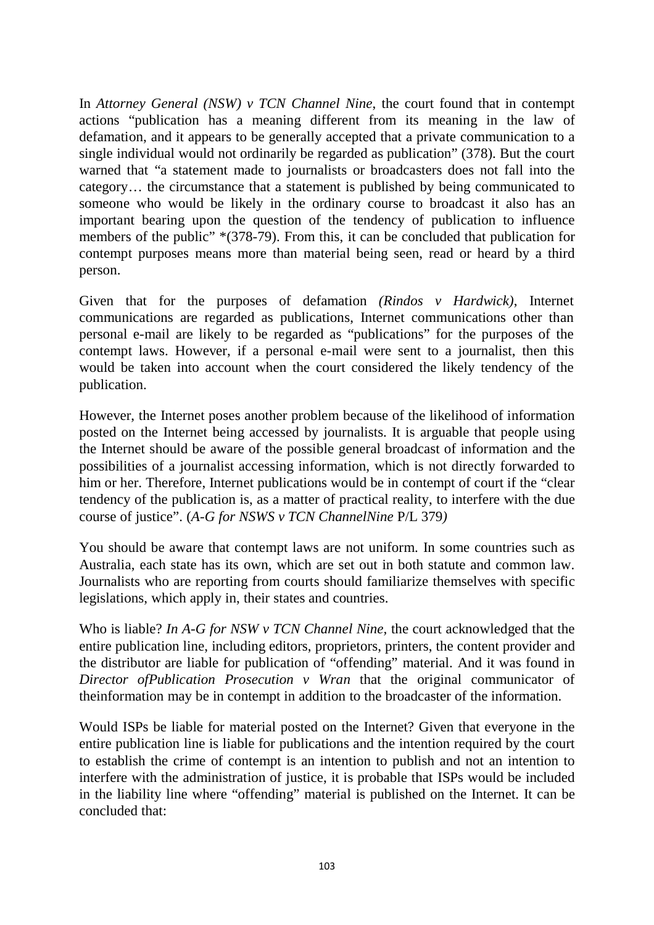In *Attorney General (NSW) v TCN Channel Nine*, the court found that in contempt actions "publication has a meaning different from its meaning in the law of defamation, and it appears to be generally accepted that a private communication to a single individual would not ordinarily be regarded as publication" (378). But the court warned that "a statement made to journalists or broadcasters does not fall into the category… the circumstance that a statement is published by being communicated to someone who would be likely in the ordinary course to broadcast it also has an important bearing upon the question of the tendency of publication to influence members of the public" \*(378-79). From this, it can be concluded that publication for contempt purposes means more than material being seen, read or heard by a third person.

Given that for the purposes of defamation *(Rindos v Hardwick)*, Internet communications are regarded as publications, Internet communications other than personal e-mail are likely to be regarded as "publications" for the purposes of the contempt laws. However, if a personal e-mail were sent to a journalist, then this would be taken into account when the court considered the likely tendency of the publication.

However, the Internet poses another problem because of the likelihood of information posted on the Internet being accessed by journalists. It is arguable that people using the Internet should be aware of the possible general broadcast of information and the possibilities of a journalist accessing information, which is not directly forwarded to him or her. Therefore, Internet publications would be in contempt of court if the "clear tendency of the publication is, as a matter of practical reality, to interfere with the due course of justice". (*A-G for NSWS v TCN ChannelNine* P/L 379*)* 

You should be aware that contempt laws are not uniform. In some countries such as Australia, each state has its own, which are set out in both statute and common law. Journalists who are reporting from courts should familiarize themselves with specific legislations, which apply in, their states and countries.

Who is liable? *In A-G for NSW v TCN Channel Nine,* the court acknowledged that the entire publication line, including editors, proprietors, printers, the content provider and the distributor are liable for publication of "offending" material. And it was found in *Director ofPublication Prosecution v Wran* that the original communicator of theinformation may be in contempt in addition to the broadcaster of the information.

Would ISPs be liable for material posted on the Internet? Given that everyone in the entire publication line is liable for publications and the intention required by the court to establish the crime of contempt is an intention to publish and not an intention to interfere with the administration of justice, it is probable that ISPs would be included in the liability line where "offending" material is published on the Internet. It can be concluded that: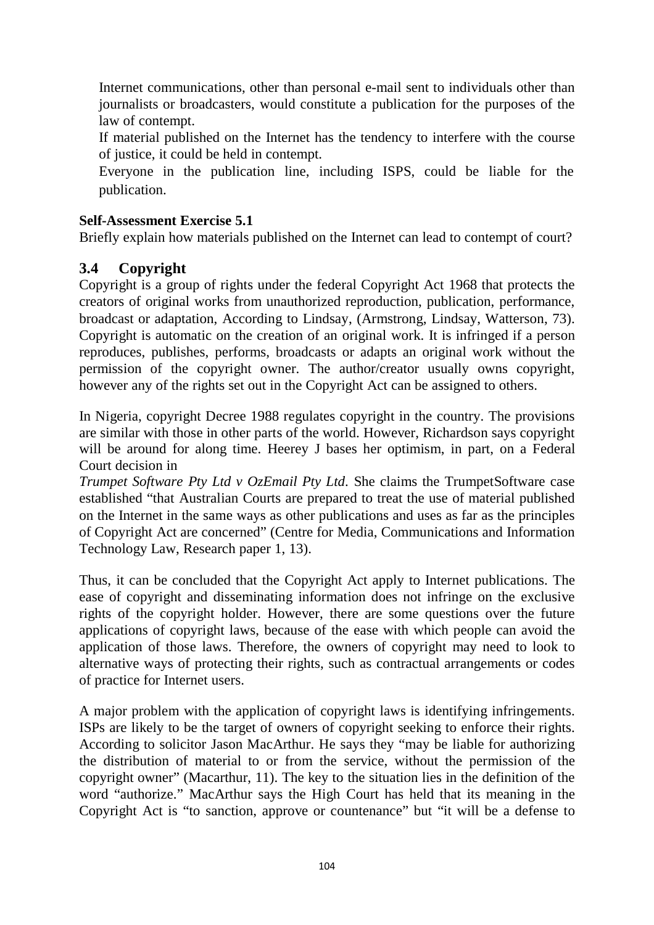Internet communications, other than personal e-mail sent to individuals other than journalists or broadcasters, would constitute a publication for the purposes of the law of contempt.

If material published on the Internet has the tendency to interfere with the course of justice, it could be held in contempt.

Everyone in the publication line, including ISPS, could be liable for the publication.

#### **Self-Assessment Exercise 5.1**

Briefly explain how materials published on the Internet can lead to contempt of court?

## **3.4 Copyright**

Copyright is a group of rights under the federal Copyright Act 1968 that protects the creators of original works from unauthorized reproduction, publication, performance, broadcast or adaptation, According to Lindsay, (Armstrong, Lindsay, Watterson, 73). Copyright is automatic on the creation of an original work. It is infringed if a person reproduces, publishes, performs, broadcasts or adapts an original work without the permission of the copyright owner. The author/creator usually owns copyright, however any of the rights set out in the Copyright Act can be assigned to others.

In Nigeria, copyright Decree 1988 regulates copyright in the country. The provisions are similar with those in other parts of the world. However, Richardson says copyright will be around for along time. Heerey J bases her optimism, in part, on a Federal Court decision in

*Trumpet Software Pty Ltd v OzEmail Pty Ltd*. She claims the TrumpetSoftware case established "that Australian Courts are prepared to treat the use of material published on the Internet in the same ways as other publications and uses as far as the principles of Copyright Act are concerned" (Centre for Media, Communications and Information Technology Law, Research paper 1, 13).

Thus, it can be concluded that the Copyright Act apply to Internet publications. The ease of copyright and disseminating information does not infringe on the exclusive rights of the copyright holder. However, there are some questions over the future applications of copyright laws, because of the ease with which people can avoid the application of those laws. Therefore, the owners of copyright may need to look to alternative ways of protecting their rights, such as contractual arrangements or codes of practice for Internet users.

A major problem with the application of copyright laws is identifying infringements. ISPs are likely to be the target of owners of copyright seeking to enforce their rights. According to solicitor Jason MacArthur. He says they "may be liable for authorizing the distribution of material to or from the service, without the permission of the copyright owner" (Macarthur, 11). The key to the situation lies in the definition of the word "authorize." MacArthur says the High Court has held that its meaning in the Copyright Act is "to sanction, approve or countenance" but "it will be a defense to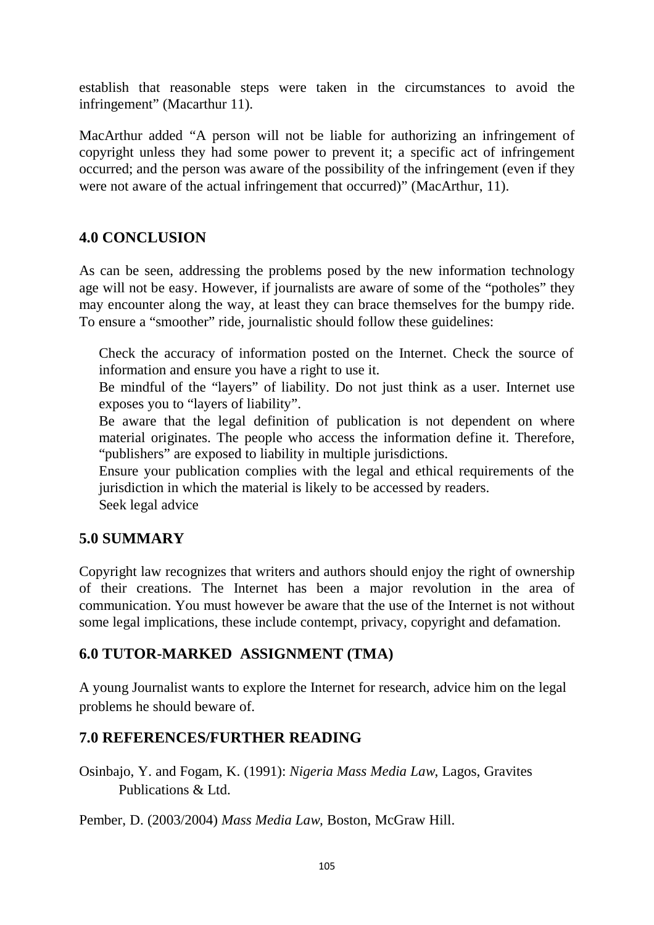establish that reasonable steps were taken in the circumstances to avoid the infringement" (Macarthur 11).

MacArthur added "A person will not be liable for authorizing an infringement of copyright unless they had some power to prevent it; a specific act of infringement occurred; and the person was aware of the possibility of the infringement (even if they were not aware of the actual infringement that occurred)" (MacArthur, 11).

## **4.0 CONCLUSION**

As can be seen, addressing the problems posed by the new information technology age will not be easy. However, if journalists are aware of some of the "potholes" they may encounter along the way, at least they can brace themselves for the bumpy ride. To ensure a "smoother" ride, journalistic should follow these guidelines:

Check the accuracy of information posted on the Internet. Check the source of information and ensure you have a right to use it.

Be mindful of the "layers" of liability. Do not just think as a user. Internet use exposes you to "layers of liability".

Be aware that the legal definition of publication is not dependent on where material originates. The people who access the information define it. Therefore, "publishers" are exposed to liability in multiple jurisdictions.

Ensure your publication complies with the legal and ethical requirements of the jurisdiction in which the material is likely to be accessed by readers. Seek legal advice

## **5.0 SUMMARY**

Copyright law recognizes that writers and authors should enjoy the right of ownership of their creations. The Internet has been a major revolution in the area of communication. You must however be aware that the use of the Internet is not without some legal implications, these include contempt, privacy, copyright and defamation.

### **6.0 TUTOR-MARKED ASSIGNMENT (TMA)**

A young Journalist wants to explore the Internet for research, advice him on the legal problems he should beware of.

## **7.0 REFERENCES/FURTHER READING**

Osinbajo, Y. and Fogam, K. (1991): *Nigeria Mass Media Law*, Lagos, Gravites Publications & Ltd.

Pember, D. (2003/2004) *Mass Media Law,* Boston, McGraw Hill.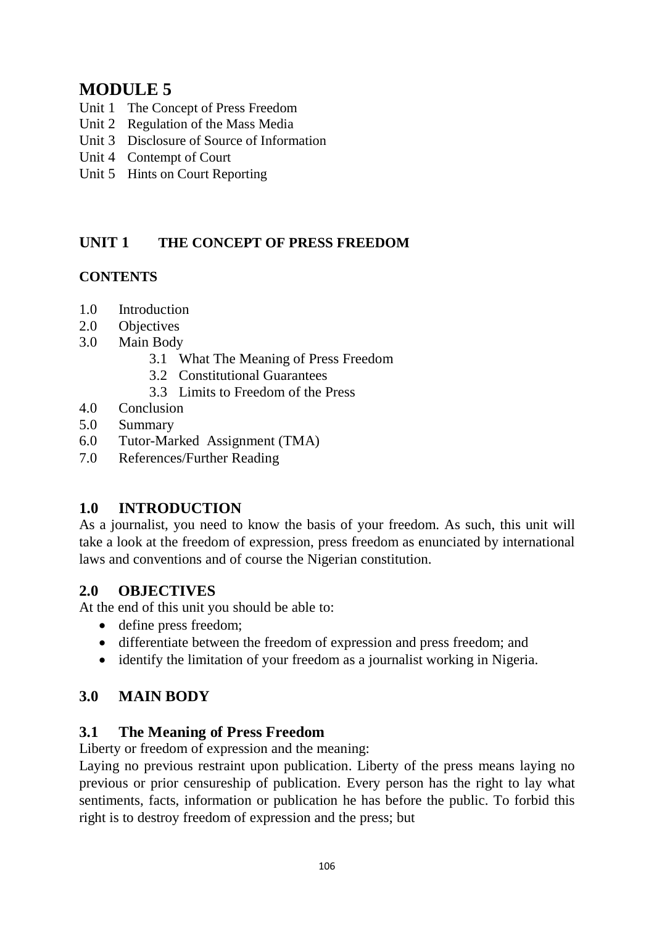# **MODULE 5**

- Unit 1 The Concept of Press Freedom
- Unit 2 Regulation of the Mass Media
- Unit 3 Disclosure of Source of Information
- Unit 4 Contempt of Court
- Unit 5 Hints on Court Reporting

## **UNIT 1 THE CONCEPT OF PRESS FREEDOM**

### **CONTENTS**

- 1.0 Introduction
- 2.0 Objectives
- 3.0 Main Body
	- 3.1 What The Meaning of Press Freedom
	- 3.2 Constitutional Guarantees
	- 3.3 Limits to Freedom of the Press
- 4.0 Conclusion
- 5.0 Summary
- 6.0 Tutor-Marked Assignment (TMA)
- 7.0 References/Further Reading

### **1.0 INTRODUCTION**

As a journalist, you need to know the basis of your freedom. As such, this unit will take a look at the freedom of expression, press freedom as enunciated by international laws and conventions and of course the Nigerian constitution.

### **2.0 OBJECTIVES**

At the end of this unit you should be able to:

- define press freedom;
- differentiate between the freedom of expression and press freedom; and
- identify the limitation of your freedom as a journalist working in Nigeria.

## **3.0 MAIN BODY**

### **3.1 The Meaning of Press Freedom**

Liberty or freedom of expression and the meaning:

Laying no previous restraint upon publication. Liberty of the press means laying no previous or prior censureship of publication. Every person has the right to lay what sentiments, facts, information or publication he has before the public. To forbid this right is to destroy freedom of expression and the press; but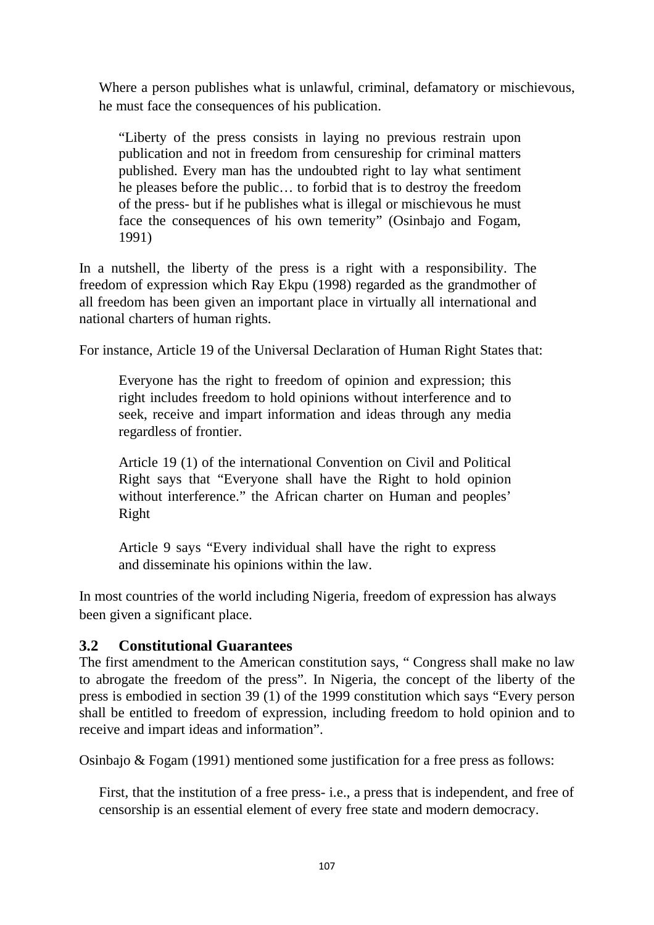Where a person publishes what is unlawful, criminal, defamatory or mischievous, he must face the consequences of his publication.

"Liberty of the press consists in laying no previous restrain upon publication and not in freedom from censureship for criminal matters published. Every man has the undoubted right to lay what sentiment he pleases before the public… to forbid that is to destroy the freedom of the press- but if he publishes what is illegal or mischievous he must face the consequences of his own temerity" (Osinbajo and Fogam, 1991)

In a nutshell, the liberty of the press is a right with a responsibility. The freedom of expression which Ray Ekpu (1998) regarded as the grandmother of all freedom has been given an important place in virtually all international and national charters of human rights.

For instance, Article 19 of the Universal Declaration of Human Right States that:

Everyone has the right to freedom of opinion and expression; this right includes freedom to hold opinions without interference and to seek, receive and impart information and ideas through any media regardless of frontier.

Article 19 (1) of the international Convention on Civil and Political Right says that "Everyone shall have the Right to hold opinion without interference." the African charter on Human and peoples' Right

Article 9 says "Every individual shall have the right to express and disseminate his opinions within the law.

In most countries of the world including Nigeria, freedom of expression has always been given a significant place.

### **3.2 Constitutional Guarantees**

The first amendment to the American constitution says, " Congress shall make no law to abrogate the freedom of the press". In Nigeria, the concept of the liberty of the press is embodied in section 39 (1) of the 1999 constitution which says "Every person shall be entitled to freedom of expression, including freedom to hold opinion and to receive and impart ideas and information".

Osinbajo & Fogam (1991) mentioned some justification for a free press as follows:

First, that the institution of a free press- i.e., a press that is independent, and free of censorship is an essential element of every free state and modern democracy.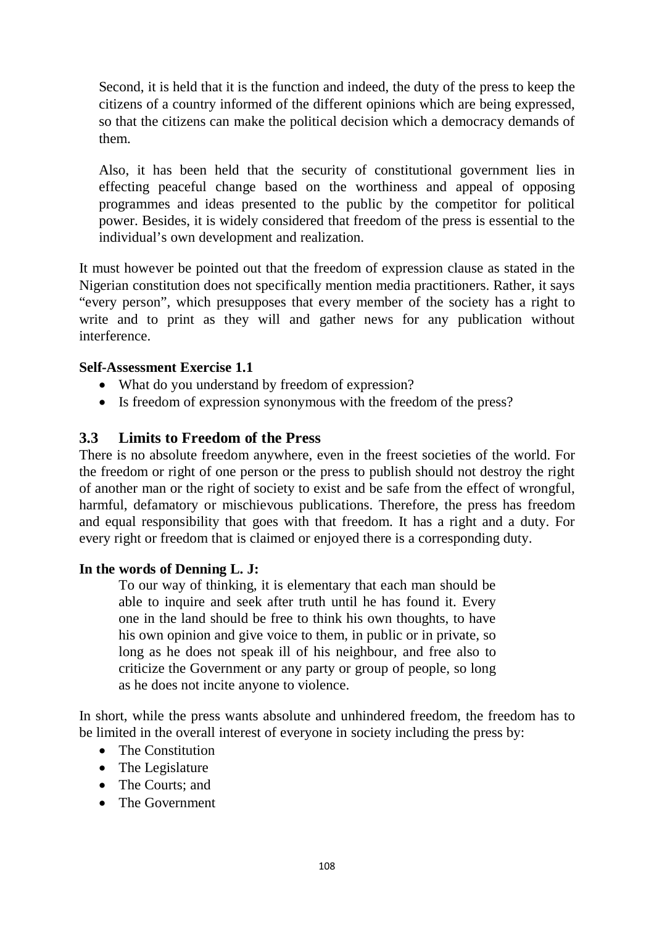Second, it is held that it is the function and indeed, the duty of the press to keep the citizens of a country informed of the different opinions which are being expressed, so that the citizens can make the political decision which a democracy demands of them.

Also, it has been held that the security of constitutional government lies in effecting peaceful change based on the worthiness and appeal of opposing programmes and ideas presented to the public by the competitor for political power. Besides, it is widely considered that freedom of the press is essential to the individual's own development and realization.

It must however be pointed out that the freedom of expression clause as stated in the Nigerian constitution does not specifically mention media practitioners. Rather, it says "every person", which presupposes that every member of the society has a right to write and to print as they will and gather news for any publication without interference.

#### **Self-Assessment Exercise 1.1**

- What do you understand by freedom of expression?
- Is freedom of expression synonymous with the freedom of the press?

### **3.3 Limits to Freedom of the Press**

There is no absolute freedom anywhere, even in the freest societies of the world. For the freedom or right of one person or the press to publish should not destroy the right of another man or the right of society to exist and be safe from the effect of wrongful, harmful, defamatory or mischievous publications. Therefore, the press has freedom and equal responsibility that goes with that freedom. It has a right and a duty. For every right or freedom that is claimed or enjoyed there is a corresponding duty.

#### **In the words of Denning L. J:**

To our way of thinking, it is elementary that each man should be able to inquire and seek after truth until he has found it. Every one in the land should be free to think his own thoughts, to have his own opinion and give voice to them, in public or in private, so long as he does not speak ill of his neighbour, and free also to criticize the Government or any party or group of people, so long as he does not incite anyone to violence.

In short, while the press wants absolute and unhindered freedom, the freedom has to be limited in the overall interest of everyone in society including the press by:

- The Constitution
- The Legislature
- The Courts: and
- The Government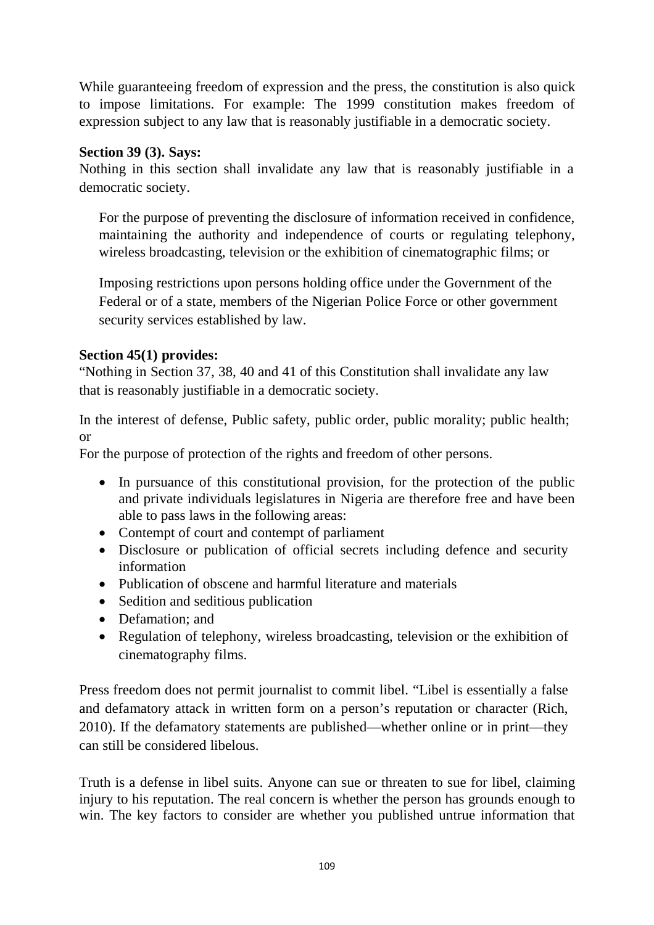While guaranteeing freedom of expression and the press, the constitution is also quick to impose limitations. For example: The 1999 constitution makes freedom of expression subject to any law that is reasonably justifiable in a democratic society.

#### **Section 39 (3). Says:**

Nothing in this section shall invalidate any law that is reasonably justifiable in a democratic society.

For the purpose of preventing the disclosure of information received in confidence, maintaining the authority and independence of courts or regulating telephony, wireless broadcasting, television or the exhibition of cinematographic films; or

Imposing restrictions upon persons holding office under the Government of the Federal or of a state, members of the Nigerian Police Force or other government security services established by law.

### **Section 45(1) provides:**

"Nothing in Section 37, 38, 40 and 41 of this Constitution shall invalidate any law that is reasonably justifiable in a democratic society.

In the interest of defense, Public safety, public order, public morality; public health; or

For the purpose of protection of the rights and freedom of other persons.

- In pursuance of this constitutional provision, for the protection of the public and private individuals legislatures in Nigeria are therefore free and have been able to pass laws in the following areas:
- Contempt of court and contempt of parliament
- Disclosure or publication of official secrets including defence and security information
- Publication of obscene and harmful literature and materials
- Sedition and seditious publication
- Defamation: and
- Regulation of telephony, wireless broadcasting, television or the exhibition of cinematography films.

Press freedom does not permit journalist to commit libel. "Libel is essentially a false and defamatory attack in written form on a person's reputation or character (Rich, 2010). If the defamatory statements are published—whether online or in print—they can still be considered libelous.

Truth is a defense in libel suits. Anyone can sue or threaten to sue for libel, claiming injury to his reputation. The real concern is whether the person has grounds enough to win. The key factors to consider are whether you published untrue information that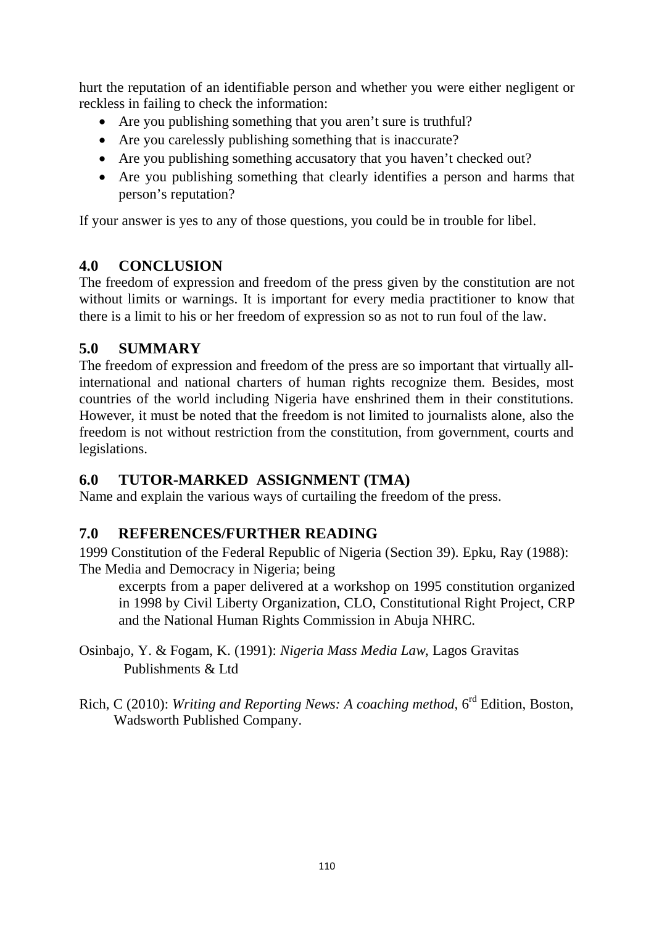hurt the reputation of an identifiable person and whether you were either negligent or reckless in failing to check the information:

- Are you publishing something that you aren't sure is truthful?
- Are you carelessly publishing something that is inaccurate?
- Are you publishing something accusatory that you haven't checked out?
- Are you publishing something that clearly identifies a person and harms that person's reputation?

If your answer is yes to any of those questions, you could be in trouble for libel.

## **4.0 CONCLUSION**

The freedom of expression and freedom of the press given by the constitution are not without limits or warnings. It is important for every media practitioner to know that there is a limit to his or her freedom of expression so as not to run foul of the law.

## **5.0 SUMMARY**

The freedom of expression and freedom of the press are so important that virtually allinternational and national charters of human rights recognize them. Besides, most countries of the world including Nigeria have enshrined them in their constitutions. However, it must be noted that the freedom is not limited to journalists alone, also the freedom is not without restriction from the constitution, from government, courts and legislations.

### **6.0 TUTOR-MARKED ASSIGNMENT (TMA)**

Name and explain the various ways of curtailing the freedom of the press.

## **7.0 REFERENCES/FURTHER READING**

1999 Constitution of the Federal Republic of Nigeria (Section 39). Epku, Ray (1988): The Media and Democracy in Nigeria; being

excerpts from a paper delivered at a workshop on 1995 constitution organized in 1998 by Civil Liberty Organization, CLO, Constitutional Right Project, CRP and the National Human Rights Commission in Abuja NHRC.

Osinbajo, Y. & Fogam, K. (1991): *Nigeria Mass Media Law*, Lagos Gravitas Publishments & Ltd

Rich, C (2010): *Writing and Reporting News: A coaching method*, 6rd Edition, Boston, Wadsworth Published Company.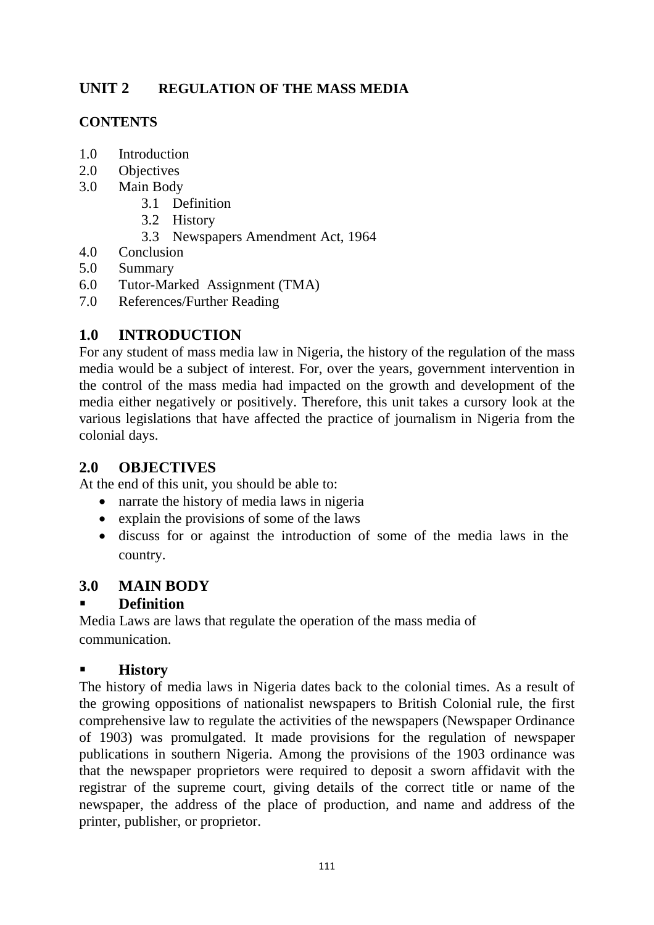## **UNIT 2 REGULATION OF THE MASS MEDIA**

## **CONTENTS**

- 1.0 Introduction
- 2.0 Objectives
- 3.0 Main Body
	- 3.1 Definition
	- 3.2 History
	- 3.3 Newspapers Amendment Act, 1964
- 4.0 Conclusion
- 5.0 Summary
- 6.0 Tutor-Marked Assignment (TMA)
- 7.0 References/Further Reading

## **1.0 INTRODUCTION**

For any student of mass media law in Nigeria, the history of the regulation of the mass media would be a subject of interest. For, over the years, government intervention in the control of the mass media had impacted on the growth and development of the media either negatively or positively. Therefore, this unit takes a cursory look at the various legislations that have affected the practice of journalism in Nigeria from the colonial days.

## **2.0 OBJECTIVES**

At the end of this unit, you should be able to:

- narrate the history of media laws in nigeria
- explain the provisions of some of the laws
- discuss for or against the introduction of some of the media laws in the country.

## **3.0 MAIN BODY**

## **Definition**

Media Laws are laws that regulate the operation of the mass media of communication.

## **History**

The history of media laws in Nigeria dates back to the colonial times. As a result of the growing oppositions of nationalist newspapers to British Colonial rule, the first comprehensive law to regulate the activities of the newspapers (Newspaper Ordinance of 1903) was promulgated. It made provisions for the regulation of newspaper publications in southern Nigeria. Among the provisions of the 1903 ordinance was that the newspaper proprietors were required to deposit a sworn affidavit with the registrar of the supreme court, giving details of the correct title or name of the newspaper, the address of the place of production, and name and address of the printer, publisher, or proprietor.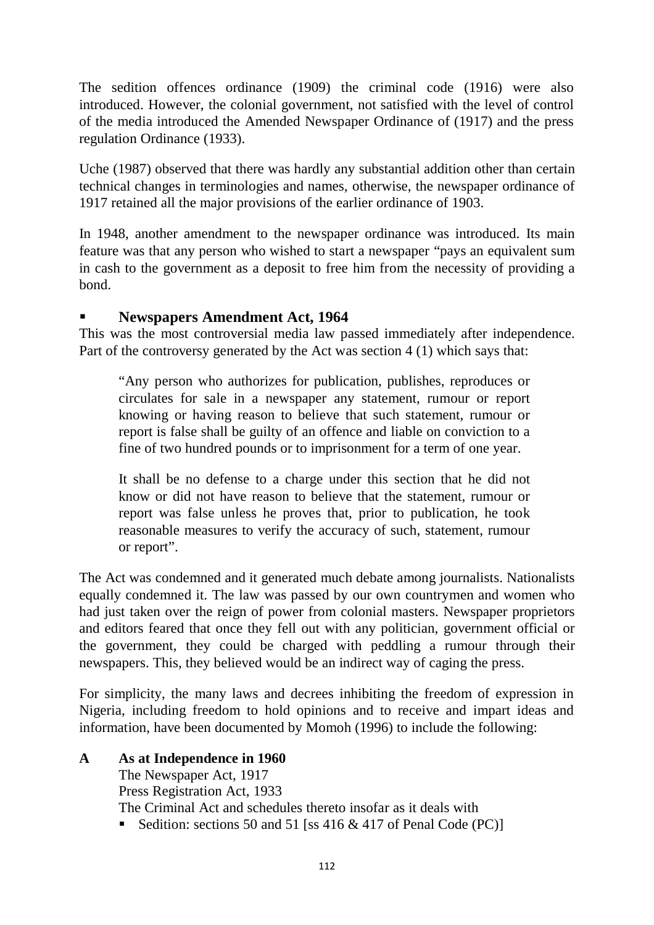The sedition offences ordinance (1909) the criminal code (1916) were also introduced. However, the colonial government, not satisfied with the level of control of the media introduced the Amended Newspaper Ordinance of (1917) and the press regulation Ordinance (1933).

Uche (1987) observed that there was hardly any substantial addition other than certain technical changes in terminologies and names, otherwise, the newspaper ordinance of 1917 retained all the major provisions of the earlier ordinance of 1903.

In 1948, another amendment to the newspaper ordinance was introduced. Its main feature was that any person who wished to start a newspaper "pays an equivalent sum in cash to the government as a deposit to free him from the necessity of providing a bond.

### **Newspapers Amendment Act, 1964**

This was the most controversial media law passed immediately after independence. Part of the controversy generated by the Act was section 4 (1) which says that:

"Any person who authorizes for publication, publishes, reproduces or circulates for sale in a newspaper any statement, rumour or report knowing or having reason to believe that such statement, rumour or report is false shall be guilty of an offence and liable on conviction to a fine of two hundred pounds or to imprisonment for a term of one year.

It shall be no defense to a charge under this section that he did not know or did not have reason to believe that the statement, rumour or report was false unless he proves that, prior to publication, he took reasonable measures to verify the accuracy of such, statement, rumour or report".

The Act was condemned and it generated much debate among journalists. Nationalists equally condemned it. The law was passed by our own countrymen and women who had just taken over the reign of power from colonial masters. Newspaper proprietors and editors feared that once they fell out with any politician, government official or the government, they could be charged with peddling a rumour through their newspapers. This, they believed would be an indirect way of caging the press.

For simplicity, the many laws and decrees inhibiting the freedom of expression in Nigeria, including freedom to hold opinions and to receive and impart ideas and information, have been documented by Momoh (1996) to include the following:

### **A As at Independence in 1960**

The Newspaper Act, 1917 Press Registration Act, 1933 The Criminal Act and schedules thereto insofar as it deals with Sedition: sections 50 and 51 [ss 416  $&$  417 of Penal Code (PC)]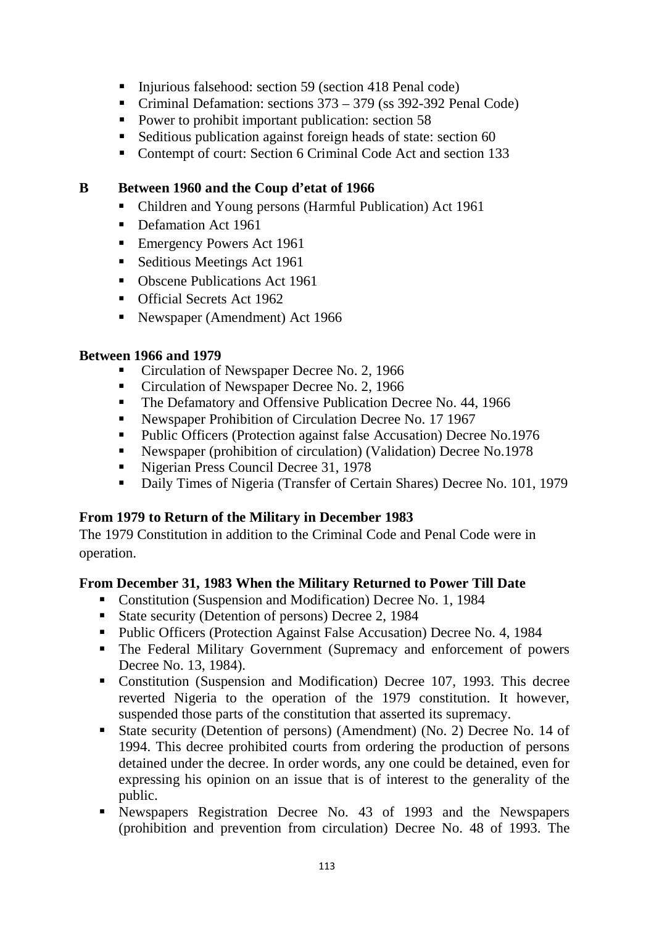- Injurious falsehood: section 59 (section 418 Penal code)
- Criminal Defamation: sections 373 379 (ss 392-392 Penal Code)
- Power to prohibit important publication: section 58
- Seditious publication against foreign heads of state: section 60
- Contempt of court: Section 6 Criminal Code Act and section 133

#### **B Between 1960 and the Coup d'etat of 1966**

- Children and Young persons (Harmful Publication) Act 1961
- Defamation Act 1961
- **Emergency Powers Act 1961**
- Seditious Meetings Act 1961
- Obscene Publications Act 1961
- **Official Secrets Act 1962**
- Newspaper (Amendment) Act 1966

#### **Between 1966 and 1979**

- Circulation of Newspaper Decree No. 2, 1966
- Circulation of Newspaper Decree No. 2, 1966
- The Defamatory and Offensive Publication Decree No. 44, 1966
- Newspaper Prohibition of Circulation Decree No. 17 1967
- Public Officers (Protection against false Accusation) Decree No.1976
- Newspaper (prohibition of circulation) (Validation) Decree No.1978
- Nigerian Press Council Decree 31, 1978
- Daily Times of Nigeria (Transfer of Certain Shares) Decree No. 101, 1979

### **From 1979 to Return of the Military in December 1983**

The 1979 Constitution in addition to the Criminal Code and Penal Code were in operation.

#### **From December 31, 1983 When the Military Returned to Power Till Date**

- Constitution (Suspension and Modification) Decree No. 1, 1984
- State security (Detention of persons) Decree 2, 1984
- Public Officers (Protection Against False Accusation) Decree No. 4, 1984
- The Federal Military Government (Supremacy and enforcement of powers Decree No. 13, 1984).
- Constitution (Suspension and Modification) Decree 107, 1993. This decree reverted Nigeria to the operation of the 1979 constitution. It however, suspended those parts of the constitution that asserted its supremacy.
- State security (Detention of persons) (Amendment) (No. 2) Decree No. 14 of 1994. This decree prohibited courts from ordering the production of persons detained under the decree. In order words, any one could be detained, even for expressing his opinion on an issue that is of interest to the generality of the public.
- Newspapers Registration Decree No. 43 of 1993 and the Newspapers (prohibition and prevention from circulation) Decree No. 48 of 1993. The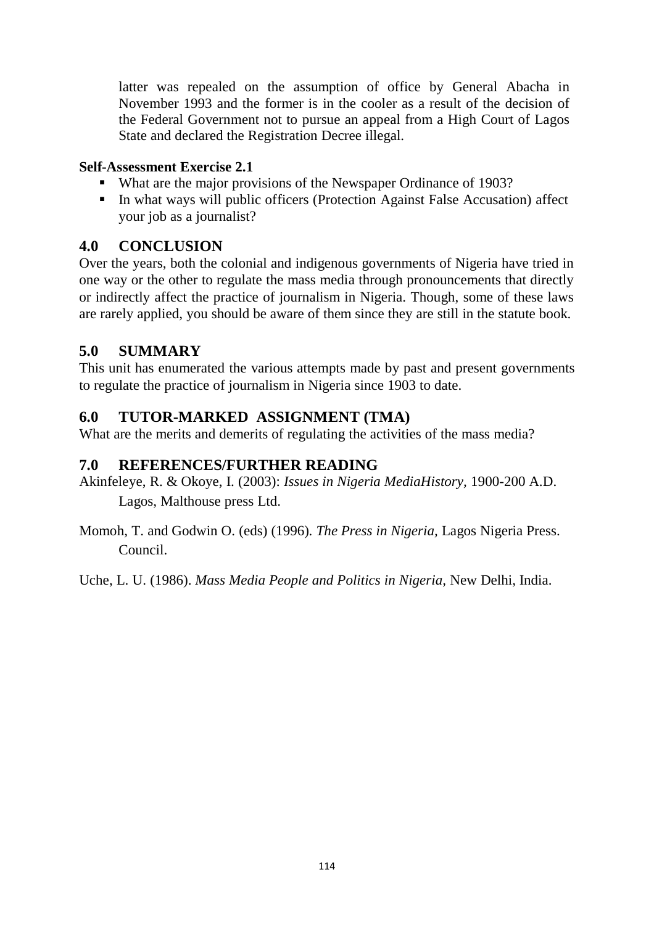latter was repealed on the assumption of office by General Abacha in November 1993 and the former is in the cooler as a result of the decision of the Federal Government not to pursue an appeal from a High Court of Lagos State and declared the Registration Decree illegal.

#### **Self-Assessment Exercise 2.1**

- What are the major provisions of the Newspaper Ordinance of 1903?
- In what ways will public officers (Protection Against False Accusation) affect your job as a journalist?

## **4.0 CONCLUSION**

Over the years, both the colonial and indigenous governments of Nigeria have tried in one way or the other to regulate the mass media through pronouncements that directly or indirectly affect the practice of journalism in Nigeria. Though, some of these laws are rarely applied, you should be aware of them since they are still in the statute book.

## **5.0 SUMMARY**

This unit has enumerated the various attempts made by past and present governments to regulate the practice of journalism in Nigeria since 1903 to date.

## **6.0 TUTOR-MARKED ASSIGNMENT (TMA)**

What are the merits and demerits of regulating the activities of the mass media?

### **7.0 REFERENCES/FURTHER READING**

- Akinfeleye, R. & Okoye, I. (2003): *Issues in Nigeria MediaHistory,* 1900-200 A.D. Lagos, Malthouse press Ltd.
- Momoh, T. and Godwin O. (eds) (1996). *The Press in Nigeria,* Lagos Nigeria Press. Council.

Uche, L. U. (1986). *Mass Media People and Politics in Nigeria,* New Delhi, India.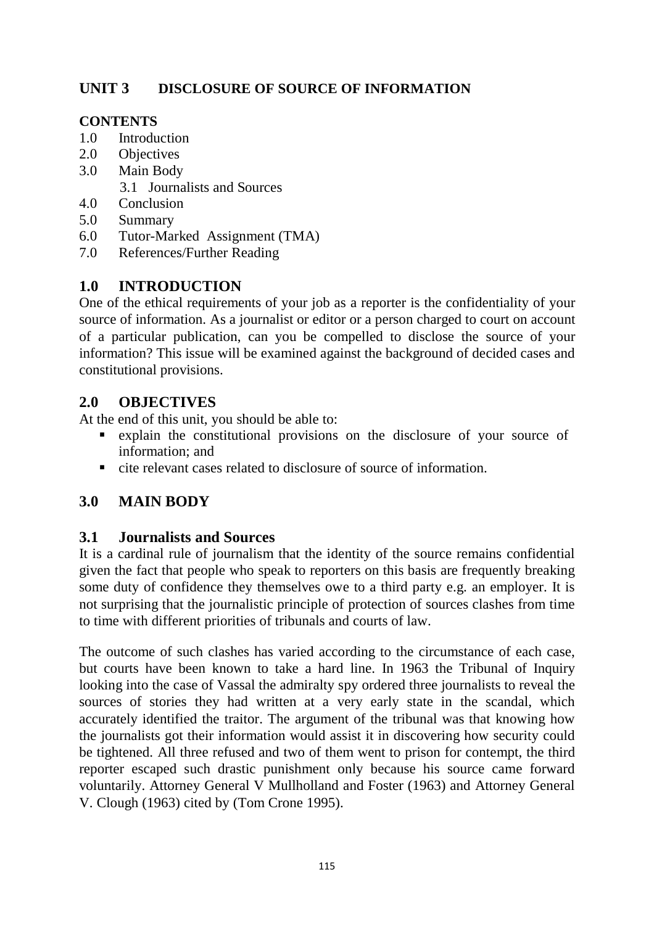## **UNIT 3 DISCLOSURE OF SOURCE OF INFORMATION**

#### **CONTENTS**

- 1.0 Introduction
- 2.0 Objectives
- 3.0 Main Body
	- 3.1 Journalists and Sources
- 4.0 Conclusion
- 5.0 Summary
- 6.0 Tutor-Marked Assignment (TMA)
- 7.0 References/Further Reading

## **1.0 INTRODUCTION**

One of the ethical requirements of your job as a reporter is the confidentiality of your source of information. As a journalist or editor or a person charged to court on account of a particular publication, can you be compelled to disclose the source of your information? This issue will be examined against the background of decided cases and constitutional provisions.

### **2.0 OBJECTIVES**

At the end of this unit, you should be able to:

- explain the constitutional provisions on the disclosure of your source of information; and
- cite relevant cases related to disclosure of source of information.

### **3.0 MAIN BODY**

#### **3.1 Journalists and Sources**

It is a cardinal rule of journalism that the identity of the source remains confidential given the fact that people who speak to reporters on this basis are frequently breaking some duty of confidence they themselves owe to a third party e.g. an employer. It is not surprising that the journalistic principle of protection of sources clashes from time to time with different priorities of tribunals and courts of law.

The outcome of such clashes has varied according to the circumstance of each case, but courts have been known to take a hard line. In 1963 the Tribunal of Inquiry looking into the case of Vassal the admiralty spy ordered three journalists to reveal the sources of stories they had written at a very early state in the scandal, which accurately identified the traitor. The argument of the tribunal was that knowing how the journalists got their information would assist it in discovering how security could be tightened. All three refused and two of them went to prison for contempt, the third reporter escaped such drastic punishment only because his source came forward voluntarily. Attorney General V Mullholland and Foster (1963) and Attorney General V. Clough (1963) cited by (Tom Crone 1995).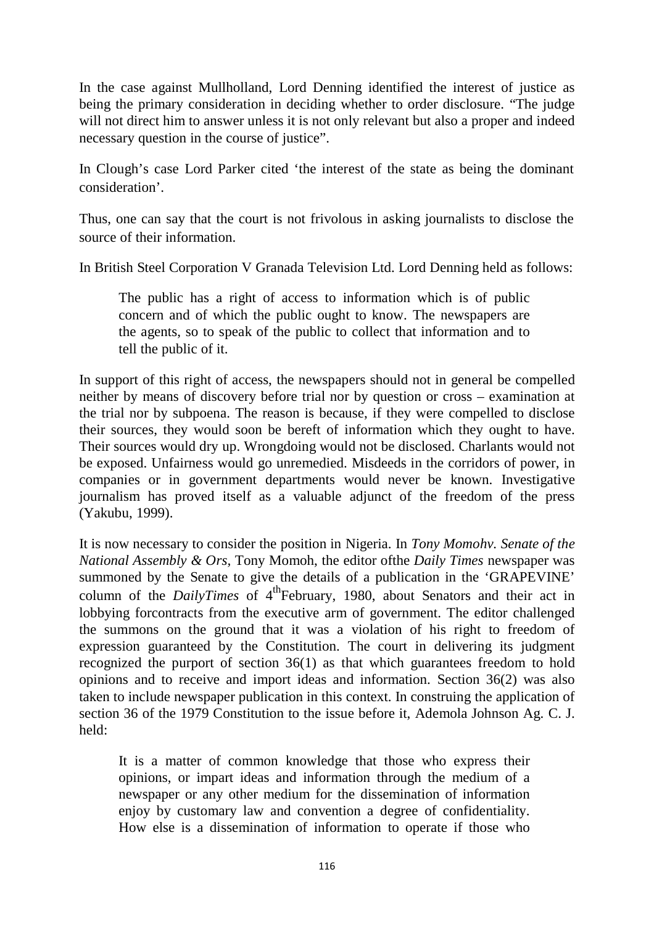In the case against Mullholland, Lord Denning identified the interest of justice as being the primary consideration in deciding whether to order disclosure. "The judge will not direct him to answer unless it is not only relevant but also a proper and indeed necessary question in the course of justice".

In Clough's case Lord Parker cited 'the interest of the state as being the dominant consideration'.

Thus, one can say that the court is not frivolous in asking journalists to disclose the source of their information.

In British Steel Corporation V Granada Television Ltd. Lord Denning held as follows:

The public has a right of access to information which is of public concern and of which the public ought to know. The newspapers are the agents, so to speak of the public to collect that information and to tell the public of it.

In support of this right of access, the newspapers should not in general be compelled neither by means of discovery before trial nor by question or cross – examination at the trial nor by subpoena. The reason is because, if they were compelled to disclose their sources, they would soon be bereft of information which they ought to have. Their sources would dry up. Wrongdoing would not be disclosed. Charlants would not be exposed. Unfairness would go unremedied. Misdeeds in the corridors of power, in companies or in government departments would never be known. Investigative journalism has proved itself as a valuable adjunct of the freedom of the press (Yakubu, 1999).

It is now necessary to consider the position in Nigeria. In *Tony Momohv. Senate of the National Assembly & Ors,* Tony Momoh, the editor ofthe *Daily Times* newspaper was summoned by the Senate to give the details of a publication in the 'GRAPEVINE' column of the *DailyTimes* of 4<sup>th</sup>February, 1980, about Senators and their act in lobbying forcontracts from the executive arm of government. The editor challenged the summons on the ground that it was a violation of his right to freedom of expression guaranteed by the Constitution. The court in delivering its judgment recognized the purport of section 36(1) as that which guarantees freedom to hold opinions and to receive and import ideas and information. Section 36(2) was also taken to include newspaper publication in this context. In construing the application of section 36 of the 1979 Constitution to the issue before it, Ademola Johnson Ag. C. J. held:

It is a matter of common knowledge that those who express their opinions, or impart ideas and information through the medium of a newspaper or any other medium for the dissemination of information enjoy by customary law and convention a degree of confidentiality. How else is a dissemination of information to operate if those who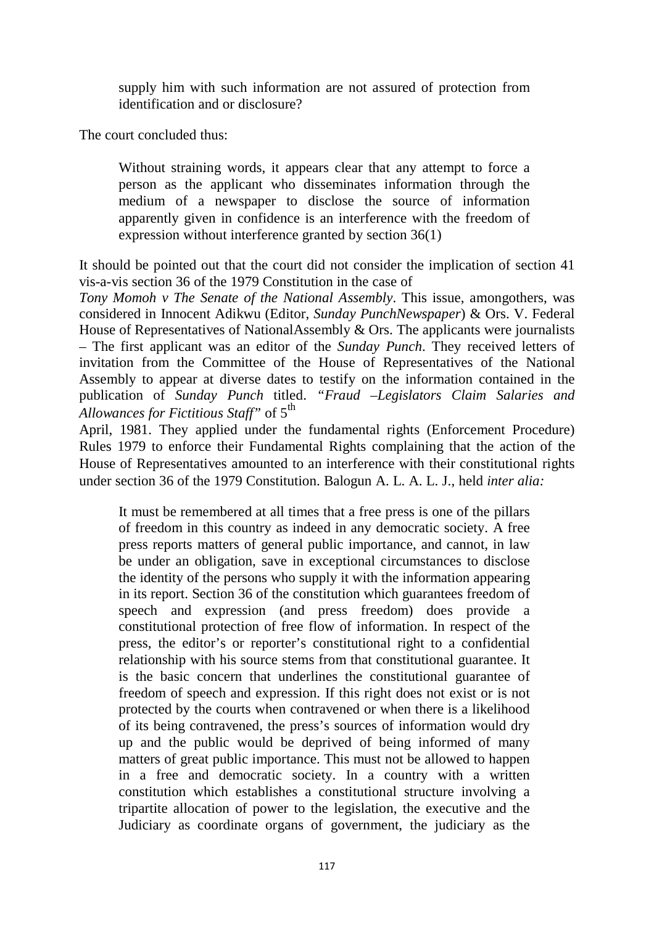supply him with such information are not assured of protection from identification and or disclosure?

The court concluded thus:

Without straining words, it appears clear that any attempt to force a person as the applicant who disseminates information through the medium of a newspaper to disclose the source of information apparently given in confidence is an interference with the freedom of expression without interference granted by section 36(1)

It should be pointed out that the court did not consider the implication of section 41 vis-a-vis section 36 of the 1979 Constitution in the case of

*Tony Momoh v The Senate of the National Assembly*. This issue, amongothers, was considered in Innocent Adikwu (Editor, *Sunday PunchNewspaper*) & Ors. V. Federal House of Representatives of NationalAssembly & Ors. The applicants were journalists – The first applicant was an editor of the *Sunday Punch*. They received letters of invitation from the Committee of the House of Representatives of the National Assembly to appear at diverse dates to testify on the information contained in the publication of *Sunday Punch* titled. *"Fraud –Legislators Claim Salaries and Allowances for Fictitious Staff"* of  $5<sup>th</sup>$ 

April, 1981. They applied under the fundamental rights (Enforcement Procedure) Rules 1979 to enforce their Fundamental Rights complaining that the action of the House of Representatives amounted to an interference with their constitutional rights under section 36 of the 1979 Constitution. Balogun A. L. A. L. J., held *inter alia:* 

It must be remembered at all times that a free press is one of the pillars of freedom in this country as indeed in any democratic society. A free press reports matters of general public importance, and cannot, in law be under an obligation, save in exceptional circumstances to disclose the identity of the persons who supply it with the information appearing in its report. Section 36 of the constitution which guarantees freedom of speech and expression (and press freedom) does provide a constitutional protection of free flow of information. In respect of the press, the editor's or reporter's constitutional right to a confidential relationship with his source stems from that constitutional guarantee. It is the basic concern that underlines the constitutional guarantee of freedom of speech and expression. If this right does not exist or is not protected by the courts when contravened or when there is a likelihood of its being contravened, the press's sources of information would dry up and the public would be deprived of being informed of many matters of great public importance. This must not be allowed to happen in a free and democratic society. In a country with a written constitution which establishes a constitutional structure involving a tripartite allocation of power to the legislation, the executive and the Judiciary as coordinate organs of government, the judiciary as the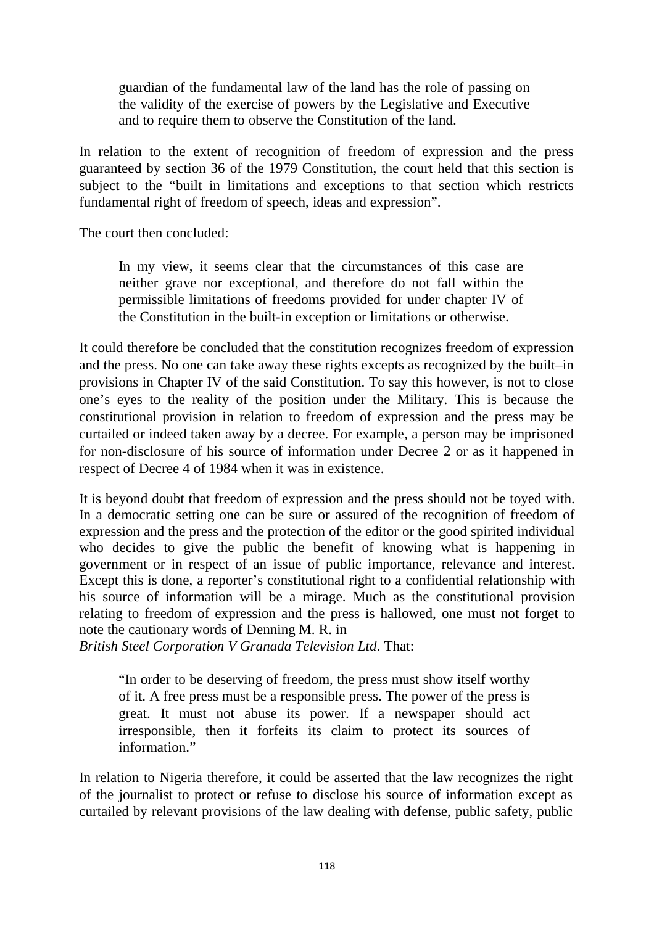guardian of the fundamental law of the land has the role of passing on the validity of the exercise of powers by the Legislative and Executive and to require them to observe the Constitution of the land.

In relation to the extent of recognition of freedom of expression and the press guaranteed by section 36 of the 1979 Constitution, the court held that this section is subject to the "built in limitations and exceptions to that section which restricts fundamental right of freedom of speech, ideas and expression".

The court then concluded:

In my view, it seems clear that the circumstances of this case are neither grave nor exceptional, and therefore do not fall within the permissible limitations of freedoms provided for under chapter IV of the Constitution in the built-in exception or limitations or otherwise.

It could therefore be concluded that the constitution recognizes freedom of expression and the press. No one can take away these rights excepts as recognized by the built–in provisions in Chapter IV of the said Constitution. To say this however, is not to close one's eyes to the reality of the position under the Military. This is because the constitutional provision in relation to freedom of expression and the press may be curtailed or indeed taken away by a decree. For example, a person may be imprisoned for non-disclosure of his source of information under Decree 2 or as it happened in respect of Decree 4 of 1984 when it was in existence.

It is beyond doubt that freedom of expression and the press should not be toyed with. In a democratic setting one can be sure or assured of the recognition of freedom of expression and the press and the protection of the editor or the good spirited individual who decides to give the public the benefit of knowing what is happening in government or in respect of an issue of public importance, relevance and interest. Except this is done, a reporter's constitutional right to a confidential relationship with his source of information will be a mirage. Much as the constitutional provision relating to freedom of expression and the press is hallowed, one must not forget to note the cautionary words of Denning M. R. in

*British Steel Corporation V Granada Television Ltd*. That:

"In order to be deserving of freedom, the press must show itself worthy of it. A free press must be a responsible press. The power of the press is great. It must not abuse its power. If a newspaper should act irresponsible, then it forfeits its claim to protect its sources of information."

In relation to Nigeria therefore, it could be asserted that the law recognizes the right of the journalist to protect or refuse to disclose his source of information except as curtailed by relevant provisions of the law dealing with defense, public safety, public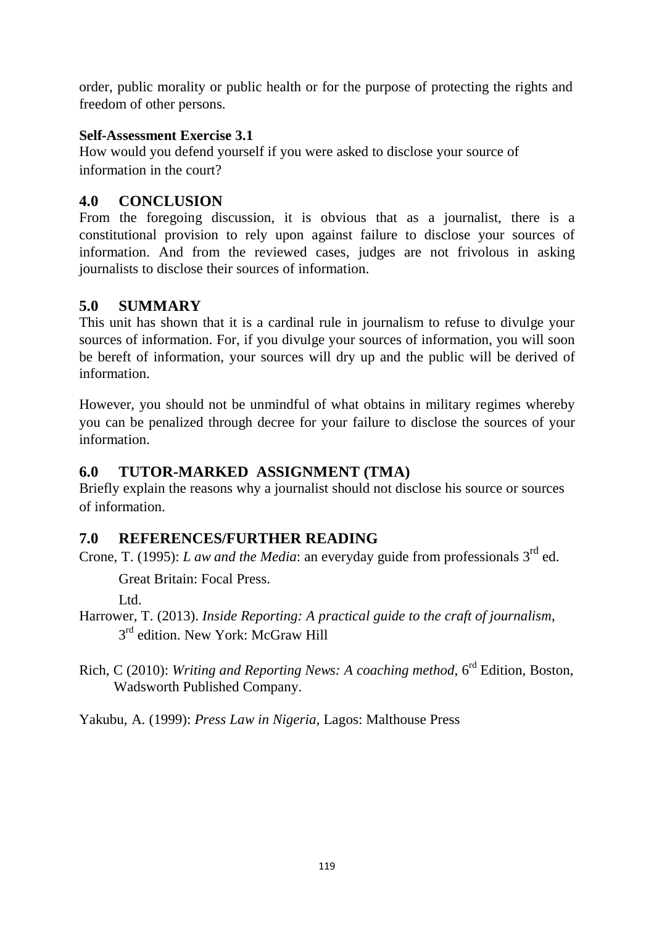order, public morality or public health or for the purpose of protecting the rights and freedom of other persons.

### **Self-Assessment Exercise 3.1**

How would you defend yourself if you were asked to disclose your source of information in the court?

## **4.0 CONCLUSION**

From the foregoing discussion, it is obvious that as a journalist, there is a constitutional provision to rely upon against failure to disclose your sources of information. And from the reviewed cases, judges are not frivolous in asking journalists to disclose their sources of information.

## **5.0 SUMMARY**

This unit has shown that it is a cardinal rule in journalism to refuse to divulge your sources of information. For, if you divulge your sources of information, you will soon be bereft of information, your sources will dry up and the public will be derived of information.

However, you should not be unmindful of what obtains in military regimes whereby you can be penalized through decree for your failure to disclose the sources of your information.

## **6.0 TUTOR-MARKED ASSIGNMENT (TMA)**

Briefly explain the reasons why a journalist should not disclose his source or sources of information.

## **7.0 REFERENCES/FURTHER READING**

Crone, T. (1995): *L* aw and the Media: an everyday guide from professionals 3<sup>rd</sup> ed.

Great Britain: Focal Press.

Ltd.

- Harrower, T. (2013). *Inside Reporting: A practical guide to the craft of journalism*, 3<sup>rd</sup> edition. New York: McGraw Hill
- Rich, C (2010): *Writing and Reporting News: A coaching method*, 6rd Edition, Boston, Wadsworth Published Company.

Yakubu, A. (1999): *Press Law in Nigeria*, Lagos: Malthouse Press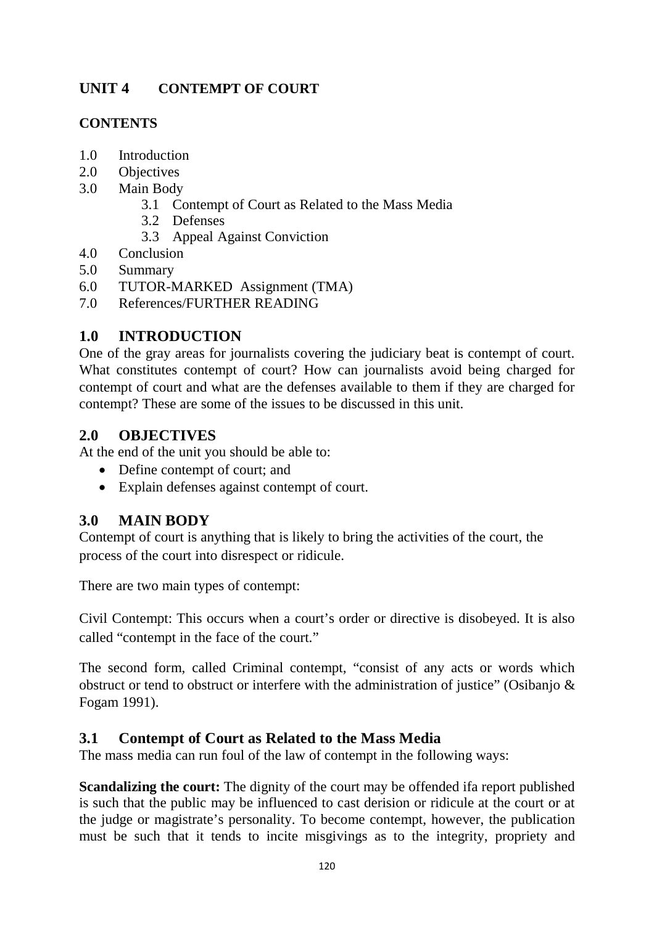## **UNIT 4 CONTEMPT OF COURT**

### **CONTENTS**

- 1.0 Introduction
- 2.0 Objectives
- 3.0 Main Body
	- 3.1 Contempt of Court as Related to the Mass Media
	- 3.2 Defenses
	- 3.3 Appeal Against Conviction
- 4.0 Conclusion
- 5.0 Summary
- 6.0 TUTOR-MARKED Assignment (TMA)
- 7.0 References/FURTHER READING

### **1.0 INTRODUCTION**

One of the gray areas for journalists covering the judiciary beat is contempt of court. What constitutes contempt of court? How can journalists avoid being charged for contempt of court and what are the defenses available to them if they are charged for contempt? These are some of the issues to be discussed in this unit.

#### **2.0 OBJECTIVES**

At the end of the unit you should be able to:

- Define contempt of court; and
- Explain defenses against contempt of court.

### **3.0 MAIN BODY**

Contempt of court is anything that is likely to bring the activities of the court, the process of the court into disrespect or ridicule.

There are two main types of contempt:

Civil Contempt: This occurs when a court's order or directive is disobeyed. It is also called "contempt in the face of the court."

The second form, called Criminal contempt, "consist of any acts or words which obstruct or tend to obstruct or interfere with the administration of justice" (Osibanjo & Fogam 1991).

### **3.1 Contempt of Court as Related to the Mass Media**

The mass media can run foul of the law of contempt in the following ways:

**Scandalizing the court:** The dignity of the court may be offended ifa report published is such that the public may be influenced to cast derision or ridicule at the court or at the judge or magistrate's personality. To become contempt, however, the publication must be such that it tends to incite misgivings as to the integrity, propriety and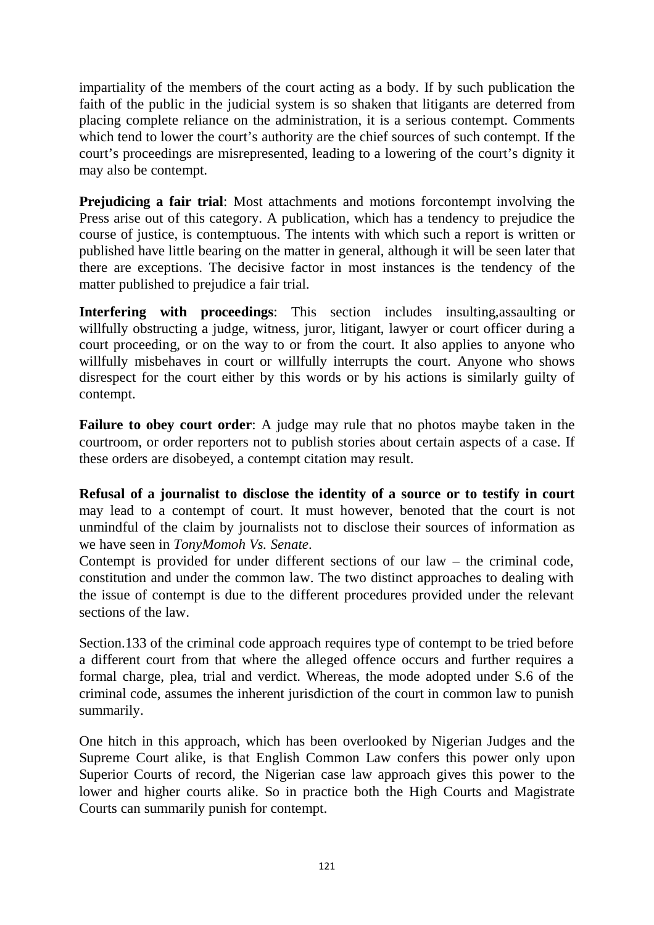impartiality of the members of the court acting as a body. If by such publication the faith of the public in the judicial system is so shaken that litigants are deterred from placing complete reliance on the administration, it is a serious contempt. Comments which tend to lower the court's authority are the chief sources of such contempt. If the court's proceedings are misrepresented, leading to a lowering of the court's dignity it may also be contempt.

**Prejudicing a fair trial:** Most attachments and motions forcontempt involving the Press arise out of this category. A publication, which has a tendency to prejudice the course of justice, is contemptuous. The intents with which such a report is written or published have little bearing on the matter in general, although it will be seen later that there are exceptions. The decisive factor in most instances is the tendency of the matter published to prejudice a fair trial.

**Interfering with proceedings**: This section includes insulting,assaulting or willfully obstructing a judge, witness, juror, litigant, lawyer or court officer during a court proceeding, or on the way to or from the court. It also applies to anyone who willfully misbehaves in court or willfully interrupts the court. Anyone who shows disrespect for the court either by this words or by his actions is similarly guilty of contempt.

**Failure to obey court order**: A judge may rule that no photos maybe taken in the courtroom, or order reporters not to publish stories about certain aspects of a case. If these orders are disobeyed, a contempt citation may result.

**Refusal of a journalist to disclose the identity of a source or to testify in court**  may lead to a contempt of court. It must however, benoted that the court is not unmindful of the claim by journalists not to disclose their sources of information as we have seen in *TonyMomoh Vs. Senate*.

Contempt is provided for under different sections of our law – the criminal code, constitution and under the common law. The two distinct approaches to dealing with the issue of contempt is due to the different procedures provided under the relevant sections of the law.

Section.133 of the criminal code approach requires type of contempt to be tried before a different court from that where the alleged offence occurs and further requires a formal charge, plea, trial and verdict. Whereas, the mode adopted under S.6 of the criminal code, assumes the inherent jurisdiction of the court in common law to punish summarily.

One hitch in this approach, which has been overlooked by Nigerian Judges and the Supreme Court alike, is that English Common Law confers this power only upon Superior Courts of record, the Nigerian case law approach gives this power to the lower and higher courts alike. So in practice both the High Courts and Magistrate Courts can summarily punish for contempt.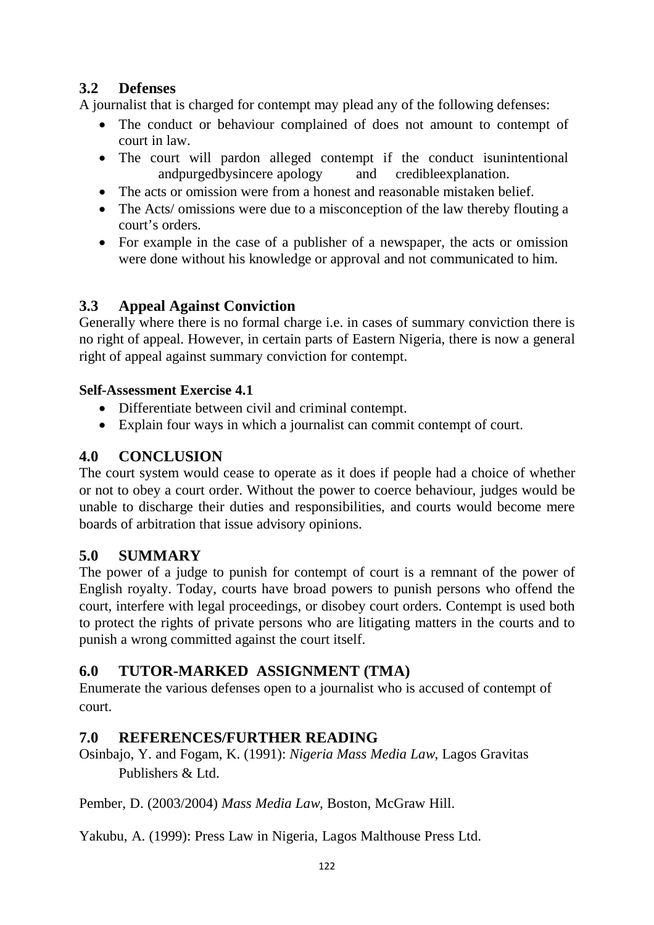## **3.2 Defenses**

A journalist that is charged for contempt may plead any of the following defenses:

- The conduct or behaviour complained of does not amount to contempt of court in law.
- The court will pardon alleged contempt if the conduct isunintentional andpurgedbysincere apology and credibleexplanation.
- The acts or omission were from a honest and reasonable mistaken belief.
- The Acts/ omissions were due to a misconception of the law thereby flouting a court's orders.
- For example in the case of a publisher of a newspaper, the acts or omission were done without his knowledge or approval and not communicated to him.

## **3.3 Appeal Against Conviction**

Generally where there is no formal charge i.e. in cases of summary conviction there is no right of appeal. However, in certain parts of Eastern Nigeria, there is now a general right of appeal against summary conviction for contempt.

#### **Self-Assessment Exercise 4.1**

- Differentiate between civil and criminal contempt.
- Explain four ways in which a journalist can commit contempt of court.

## **4.0 CONCLUSION**

The court system would cease to operate as it does if people had a choice of whether or not to obey a court order. Without the power to coerce behaviour, judges would be unable to discharge their duties and responsibilities, and courts would become mere boards of arbitration that issue advisory opinions.

### **5.0 SUMMARY**

The power of a judge to punish for contempt of court is a remnant of the power of English royalty. Today, courts have broad powers to punish persons who offend the court, interfere with legal proceedings, or disobey court orders. Contempt is used both to protect the rights of private persons who are litigating matters in the courts and to punish a wrong committed against the court itself.

## **6.0 TUTOR-MARKED ASSIGNMENT (TMA)**

Enumerate the various defenses open to a journalist who is accused of contempt of court.

## **7.0 REFERENCES/FURTHER READING**

Osinbajo, Y. and Fogam, K. (1991): *Nigeria Mass Media Law*, Lagos Gravitas Publishers & Ltd.

Pember, D. (2003/2004) *Mass Media Law,* Boston, McGraw Hill.

Yakubu, A. (1999): Press Law in Nigeria, Lagos Malthouse Press Ltd.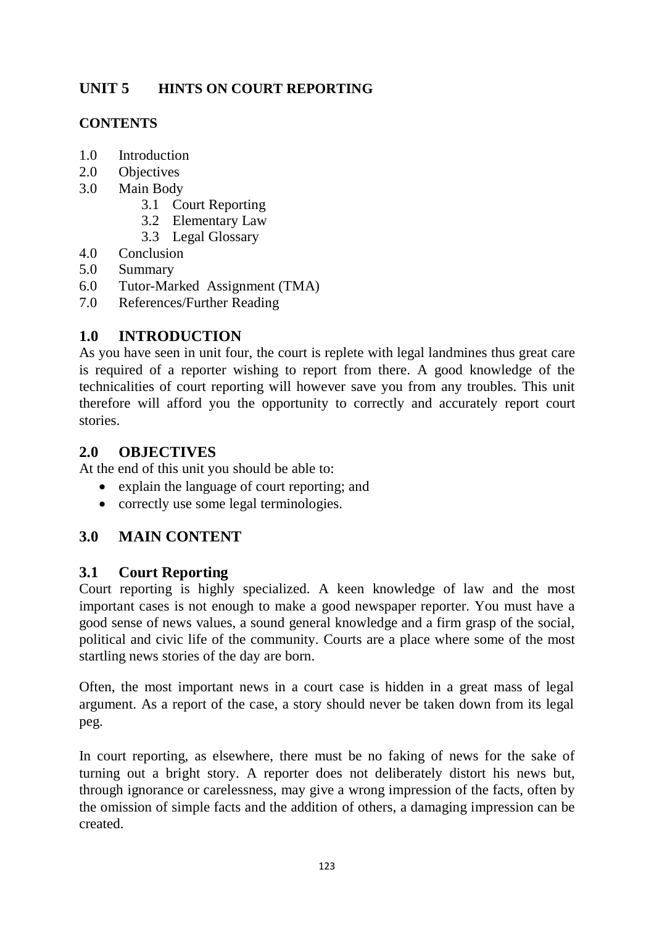## **UNIT 5 HINTS ON COURT REPORTING**

### **CONTENTS**

- 1.0 Introduction
- 2.0 Objectives
- 3.0 Main Body
	- 3.1 Court Reporting
	- 3.2 Elementary Law
	- 3.3 Legal Glossary
- 4.0 Conclusion
- 5.0 Summary
- 6.0 Tutor-Marked Assignment (TMA)
- 7.0 References/Further Reading

## **1.0 INTRODUCTION**

As you have seen in unit four, the court is replete with legal landmines thus great care is required of a reporter wishing to report from there. A good knowledge of the technicalities of court reporting will however save you from any troubles. This unit therefore will afford you the opportunity to correctly and accurately report court stories.

### **2.0 OBJECTIVES**

At the end of this unit you should be able to:

- explain the language of court reporting; and
- correctly use some legal terminologies.

### **3.0 MAIN CONTENT**

### **3.1 Court Reporting**

Court reporting is highly specialized. A keen knowledge of law and the most important cases is not enough to make a good newspaper reporter. You must have a good sense of news values, a sound general knowledge and a firm grasp of the social, political and civic life of the community. Courts are a place where some of the most startling news stories of the day are born.

Often, the most important news in a court case is hidden in a great mass of legal argument. As a report of the case, a story should never be taken down from its legal peg.

In court reporting, as elsewhere, there must be no faking of news for the sake of turning out a bright story. A reporter does not deliberately distort his news but, through ignorance or carelessness, may give a wrong impression of the facts, often by the omission of simple facts and the addition of others, a damaging impression can be created.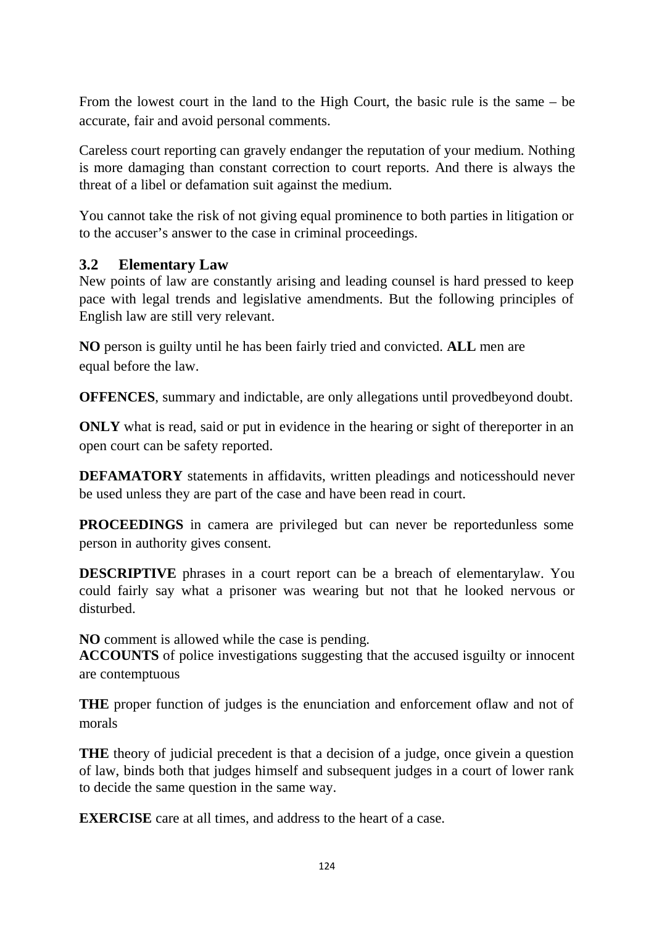From the lowest court in the land to the High Court, the basic rule is the same – be accurate, fair and avoid personal comments.

Careless court reporting can gravely endanger the reputation of your medium. Nothing is more damaging than constant correction to court reports. And there is always the threat of a libel or defamation suit against the medium.

You cannot take the risk of not giving equal prominence to both parties in litigation or to the accuser's answer to the case in criminal proceedings.

## **3.2 Elementary Law**

New points of law are constantly arising and leading counsel is hard pressed to keep pace with legal trends and legislative amendments. But the following principles of English law are still very relevant.

**NO** person is guilty until he has been fairly tried and convicted. **ALL** men are equal before the law.

**OFFENCES**, summary and indictable, are only allegations until provedbeyond doubt.

**ONLY** what is read, said or put in evidence in the hearing or sight of thereporter in an open court can be safety reported.

**DEFAMATORY** statements in affidavits, written pleadings and noticesshould never be used unless they are part of the case and have been read in court.

**PROCEEDINGS** in camera are privileged but can never be reportedunless some person in authority gives consent.

**DESCRIPTIVE** phrases in a court report can be a breach of elementarylaw. You could fairly say what a prisoner was wearing but not that he looked nervous or disturbed.

**NO** comment is allowed while the case is pending.

**ACCOUNTS** of police investigations suggesting that the accused isguilty or innocent are contemptuous

**THE** proper function of judges is the enunciation and enforcement oflaw and not of morals

**THE** theory of judicial precedent is that a decision of a judge, once givein a question of law, binds both that judges himself and subsequent judges in a court of lower rank to decide the same question in the same way.

**EXERCISE** care at all times, and address to the heart of a case.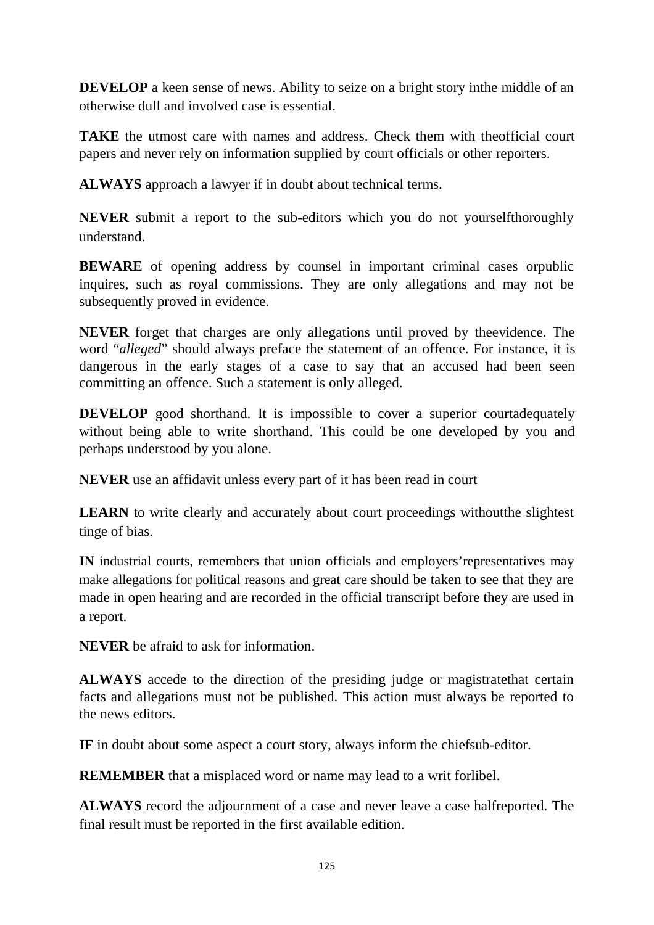**DEVELOP** a keen sense of news. Ability to seize on a bright story in the middle of an otherwise dull and involved case is essential.

**TAKE** the utmost care with names and address. Check them with theofficial court papers and never rely on information supplied by court officials or other reporters.

**ALWAYS** approach a lawyer if in doubt about technical terms.

**NEVER** submit a report to the sub-editors which you do not yourselfthoroughly understand.

**BEWARE** of opening address by counsel in important criminal cases orpublic inquires, such as royal commissions. They are only allegations and may not be subsequently proved in evidence.

**NEVER** forget that charges are only allegations until proved by theevidence. The word "*alleged*" should always preface the statement of an offence. For instance, it is dangerous in the early stages of a case to say that an accused had been seen committing an offence. Such a statement is only alleged.

**DEVELOP** good shorthand. It is impossible to cover a superior courtadequately without being able to write shorthand. This could be one developed by you and perhaps understood by you alone.

**NEVER** use an affidavit unless every part of it has been read in court

LEARN to write clearly and accurately about court proceedings without the slightest tinge of bias.

**IN** industrial courts, remembers that union officials and employers' representatives may make allegations for political reasons and great care should be taken to see that they are made in open hearing and are recorded in the official transcript before they are used in a report.

**NEVER** be afraid to ask for information.

**ALWAYS** accede to the direction of the presiding judge or magistratethat certain facts and allegations must not be published. This action must always be reported to the news editors.

**IF** in doubt about some aspect a court story, always inform the chiefsub-editor.

**REMEMBER** that a misplaced word or name may lead to a writ forlibel.

**ALWAYS** record the adjournment of a case and never leave a case halfreported. The final result must be reported in the first available edition.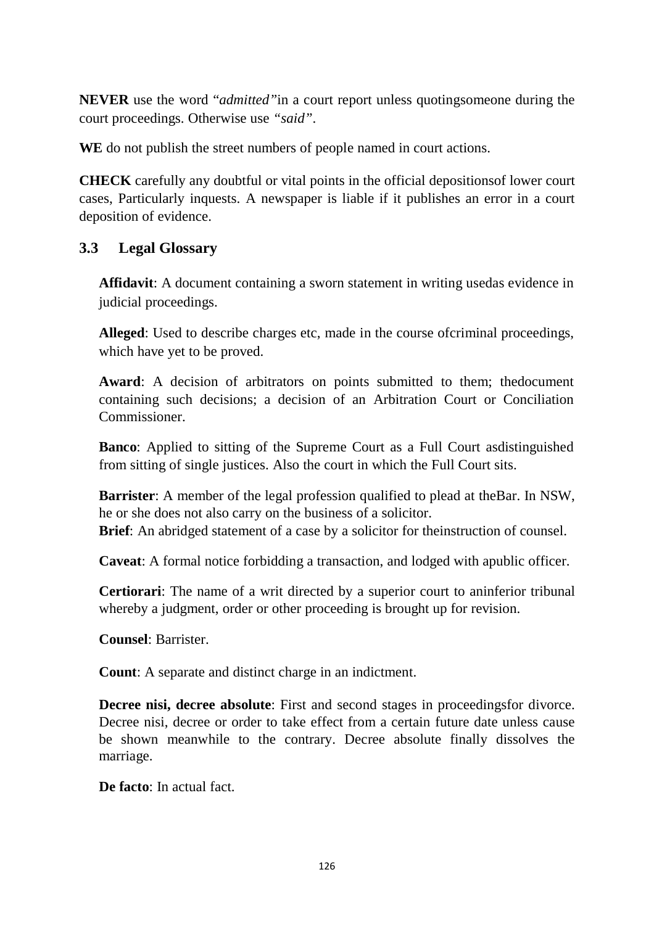**NEVER** use the word "*admitted"*in a court report unless quotingsomeone during the court proceedings. Otherwise use *"said"*.

**WE** do not publish the street numbers of people named in court actions.

**CHECK** carefully any doubtful or vital points in the official depositionsof lower court cases, Particularly inquests. A newspaper is liable if it publishes an error in a court deposition of evidence.

## **3.3 Legal Glossary**

**Affidavit**: A document containing a sworn statement in writing usedas evidence in judicial proceedings.

**Alleged**: Used to describe charges etc, made in the course ofcriminal proceedings, which have yet to be proved.

**Award**: A decision of arbitrators on points submitted to them; thedocument containing such decisions; a decision of an Arbitration Court or Conciliation Commissioner.

**Banco**: Applied to sitting of the Supreme Court as a Full Court asdistinguished from sitting of single justices. Also the court in which the Full Court sits.

**Barrister**: A member of the legal profession qualified to plead at theBar. In NSW, he or she does not also carry on the business of a solicitor.

**Brief**: An abridged statement of a case by a solicitor for theinstruction of counsel.

**Caveat**: A formal notice forbidding a transaction, and lodged with apublic officer.

**Certiorari**: The name of a writ directed by a superior court to aninferior tribunal whereby a judgment, order or other proceeding is brought up for revision.

**Counsel**: Barrister.

**Count**: A separate and distinct charge in an indictment.

**Decree nisi, decree absolute**: First and second stages in proceedingsfor divorce. Decree nisi, decree or order to take effect from a certain future date unless cause be shown meanwhile to the contrary. Decree absolute finally dissolves the marriage.

**De facto**: In actual fact.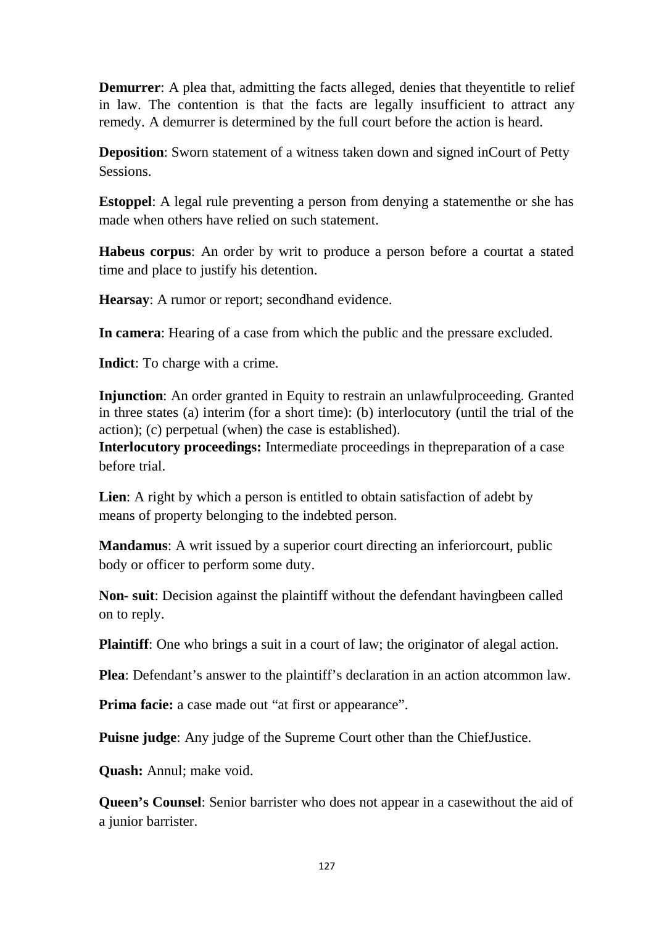**Demurrer**: A plea that, admitting the facts alleged, denies that theyentitle to relief in law. The contention is that the facts are legally insufficient to attract any remedy. A demurrer is determined by the full court before the action is heard.

**Deposition:** Sworn statement of a witness taken down and signed inCourt of Petty Sessions.

**Estoppel**: A legal rule preventing a person from denying a statementhe or she has made when others have relied on such statement.

**Habeus corpus**: An order by writ to produce a person before a courtat a stated time and place to justify his detention.

**Hearsay:** A rumor or report; secondhand evidence.

**In camera**: Hearing of a case from which the public and the pressare excluded.

**Indict**: To charge with a crime.

**Injunction**: An order granted in Equity to restrain an unlawfulproceeding. Granted in three states (a) interim (for a short time): (b) interlocutory (until the trial of the action); (c) perpetual (when) the case is established).

**Interlocutory proceedings:** Intermediate proceedings in thepreparation of a case before trial.

**Lien**: A right by which a person is entitled to obtain satisfaction of adebt by means of property belonging to the indebted person.

**Mandamus**: A writ issued by a superior court directing an inferiorcourt, public body or officer to perform some duty.

**Non- suit**: Decision against the plaintiff without the defendant havingbeen called on to reply.

**Plaintiff:** One who brings a suit in a court of law; the originator of alegal action.

**Plea**: Defendant's answer to the plaintiff's declaration in an action atcommon law.

**Prima facie:** a case made out "at first or appearance".

**Puisne judge**: Any judge of the Supreme Court other than the ChiefJustice.

**Quash:** Annul; make void.

**Queen's Counsel**: Senior barrister who does not appear in a casewithout the aid of a junior barrister.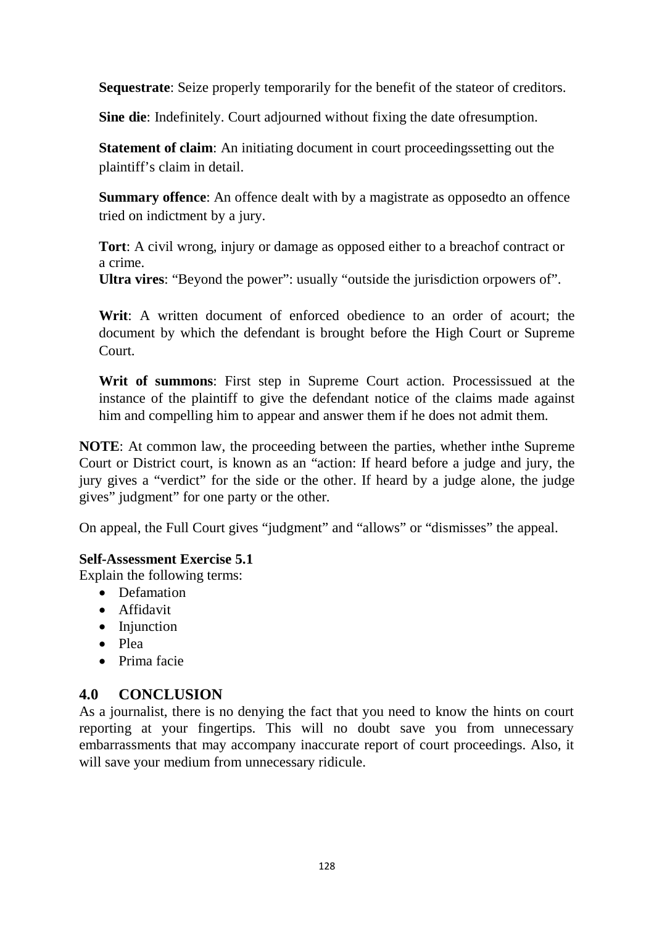**Sequestrate**: Seize properly temporarily for the benefit of the stateor of creditors.

**Sine die**: Indefinitely. Court adjourned without fixing the date ofresumption.

**Statement of claim**: An initiating document in court proceedings setting out the plaintiff's claim in detail.

**Summary offence**: An offence dealt with by a magistrate as opposed to an offence tried on indictment by a jury.

**Tort**: A civil wrong, injury or damage as opposed either to a breachof contract or a crime.

**Ultra vires**: "Beyond the power": usually "outside the jurisdiction orpowers of".

**Writ**: A written document of enforced obedience to an order of acourt; the document by which the defendant is brought before the High Court or Supreme Court.

**Writ of summons**: First step in Supreme Court action. Processissued at the instance of the plaintiff to give the defendant notice of the claims made against him and compelling him to appear and answer them if he does not admit them.

**NOTE**: At common law, the proceeding between the parties, whether inthe Supreme Court or District court, is known as an "action: If heard before a judge and jury, the jury gives a "verdict" for the side or the other. If heard by a judge alone, the judge gives" judgment" for one party or the other.

On appeal, the Full Court gives "judgment" and "allows" or "dismisses" the appeal.

#### **Self-Assessment Exercise 5.1**

Explain the following terms:

- Defamation
- Affidavit
- Injunction
- Plea
- Prima facie

### **4.0 CONCLUSION**

As a journalist, there is no denying the fact that you need to know the hints on court reporting at your fingertips. This will no doubt save you from unnecessary embarrassments that may accompany inaccurate report of court proceedings. Also, it will save your medium from unnecessary ridicule.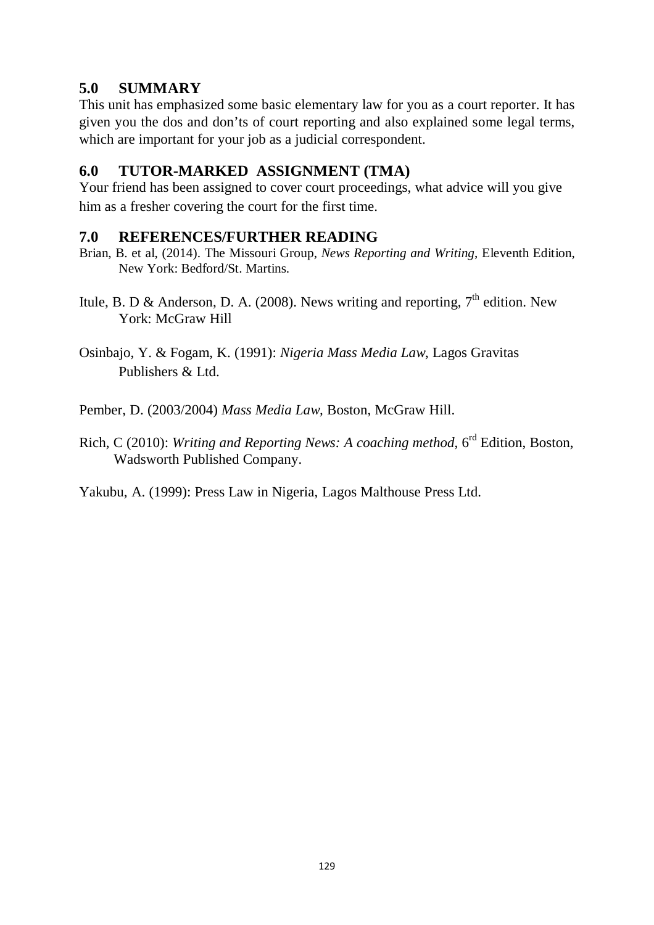### **5.0 SUMMARY**

This unit has emphasized some basic elementary law for you as a court reporter. It has given you the dos and don'ts of court reporting and also explained some legal terms, which are important for your job as a judicial correspondent.

### **6.0 TUTOR-MARKED ASSIGNMENT (TMA)**

Your friend has been assigned to cover court proceedings, what advice will you give him as a fresher covering the court for the first time.

#### **7.0 REFERENCES/FURTHER READING**

- Brian, B. et al, (2014). The Missouri Group, *News Reporting and Writing*, Eleventh Edition, New York: Bedford/St. Martins.
- Itule, B. D & Anderson, D. A. (2008). News writing and reporting,  $7<sup>th</sup>$  edition. New York: McGraw Hill
- Osinbajo, Y. & Fogam, K. (1991): *Nigeria Mass Media Law*, Lagos Gravitas Publishers & Ltd.

Pember, D. (2003/2004) *Mass Media Law,* Boston, McGraw Hill.

Rich, C (2010): *Writing and Reporting News: A coaching method*, 6rd Edition, Boston, Wadsworth Published Company.

Yakubu, A. (1999): Press Law in Nigeria, Lagos Malthouse Press Ltd.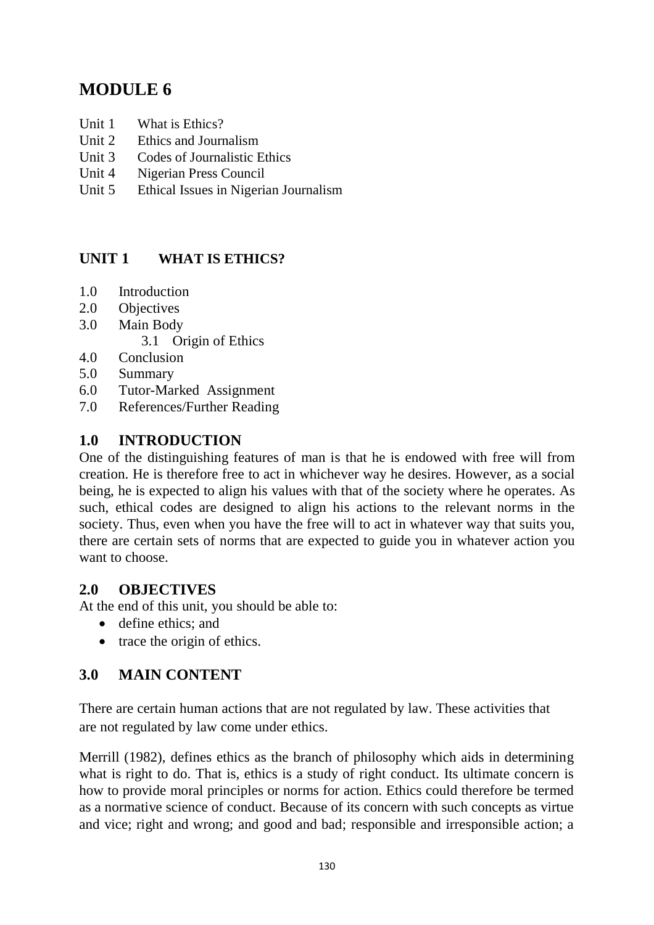# **MODULE 6**

- Unit 1 What is Ethics?
- Unit 2 Ethics and Journalism
- Unit 3 Codes of Journalistic Ethics
- Unit 4 Nigerian Press Council
- Unit 5 Ethical Issues in Nigerian Journalism

### **UNIT 1 WHAT IS ETHICS?**

- 1.0 Introduction
- 2.0 Objectives
- 3.0 Main Body
	- 3.1 Origin of Ethics
- 4.0 Conclusion
- 5.0 Summary
- 6.0 Tutor-Marked Assignment
- 7.0 References/Further Reading

#### **1.0 INTRODUCTION**

One of the distinguishing features of man is that he is endowed with free will from creation. He is therefore free to act in whichever way he desires. However, as a social being, he is expected to align his values with that of the society where he operates. As such, ethical codes are designed to align his actions to the relevant norms in the society. Thus, even when you have the free will to act in whatever way that suits you, there are certain sets of norms that are expected to guide you in whatever action you want to choose.

#### **2.0 OBJECTIVES**

At the end of this unit, you should be able to:

- define ethics; and
- trace the origin of ethics.

#### **3.0 MAIN CONTENT**

There are certain human actions that are not regulated by law. These activities that are not regulated by law come under ethics.

Merrill (1982), defines ethics as the branch of philosophy which aids in determining what is right to do. That is, ethics is a study of right conduct. Its ultimate concern is how to provide moral principles or norms for action. Ethics could therefore be termed as a normative science of conduct. Because of its concern with such concepts as virtue and vice; right and wrong; and good and bad; responsible and irresponsible action; a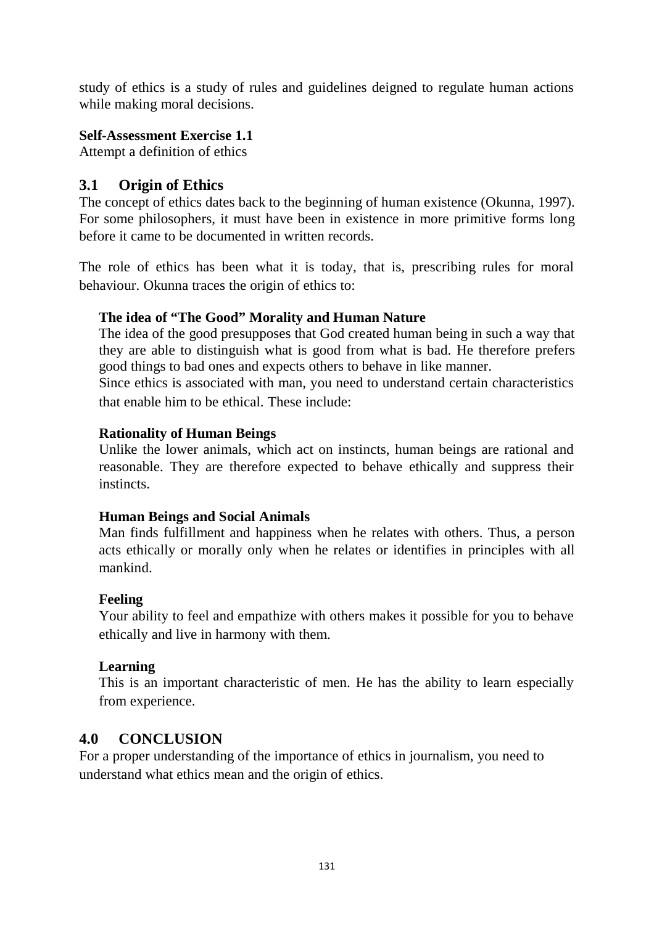study of ethics is a study of rules and guidelines deigned to regulate human actions while making moral decisions.

#### **Self-Assessment Exercise 1.1**

Attempt a definition of ethics

### **3.1 Origin of Ethics**

The concept of ethics dates back to the beginning of human existence (Okunna, 1997). For some philosophers, it must have been in existence in more primitive forms long before it came to be documented in written records.

The role of ethics has been what it is today, that is, prescribing rules for moral behaviour. Okunna traces the origin of ethics to:

#### **The idea of "The Good" Morality and Human Nature**

The idea of the good presupposes that God created human being in such a way that they are able to distinguish what is good from what is bad. He therefore prefers good things to bad ones and expects others to behave in like manner.

Since ethics is associated with man, you need to understand certain characteristics that enable him to be ethical. These include:

#### **Rationality of Human Beings**

Unlike the lower animals, which act on instincts, human beings are rational and reasonable. They are therefore expected to behave ethically and suppress their instincts.

### **Human Beings and Social Animals**

Man finds fulfillment and happiness when he relates with others. Thus, a person acts ethically or morally only when he relates or identifies in principles with all mankind.

#### **Feeling**

Your ability to feel and empathize with others makes it possible for you to behave ethically and live in harmony with them.

### **Learning**

This is an important characteristic of men. He has the ability to learn especially from experience.

### **4.0 CONCLUSION**

For a proper understanding of the importance of ethics in journalism, you need to understand what ethics mean and the origin of ethics.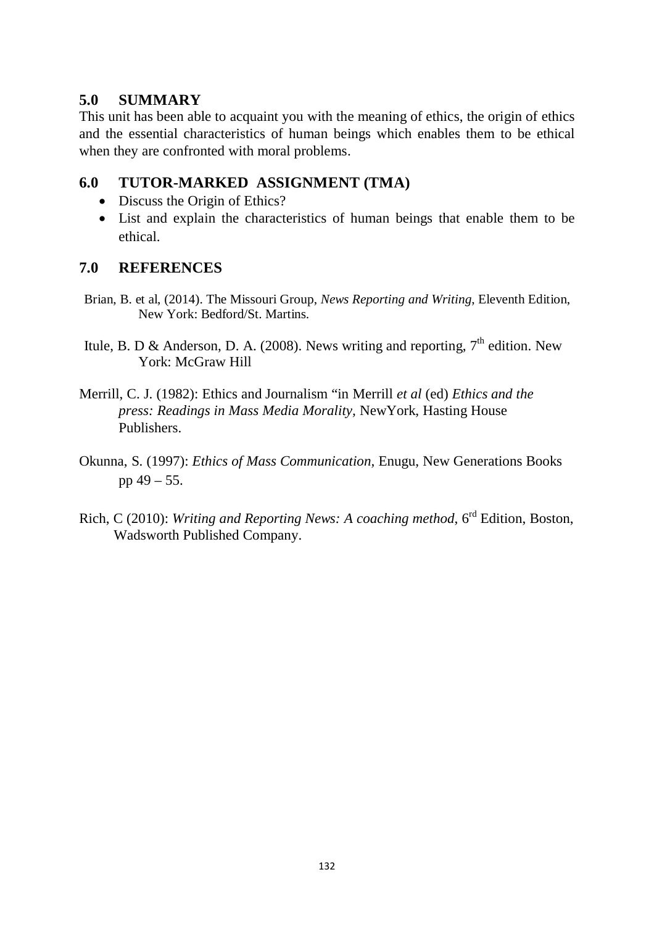### **5.0 SUMMARY**

This unit has been able to acquaint you with the meaning of ethics, the origin of ethics and the essential characteristics of human beings which enables them to be ethical when they are confronted with moral problems.

#### **6.0 TUTOR-MARKED ASSIGNMENT (TMA)**

- Discuss the Origin of Ethics?
- List and explain the characteristics of human beings that enable them to be ethical.

#### **7.0 REFERENCES**

- Brian, B. et al, (2014). The Missouri Group, *News Reporting and Writing*, Eleventh Edition, New York: Bedford/St. Martins.
- Itule, B. D & Anderson, D. A. (2008). News writing and reporting,  $7<sup>th</sup>$  edition. New York: McGraw Hill
- Merrill, C. J. (1982): Ethics and Journalism "in Merrill *et al* (ed) *Ethics and the press: Readings in Mass Media Morality,* NewYork, Hasting House Publishers.
- Okunna, S. (1997): *Ethics of Mass Communication,* Enugu, New Generations Books pp 49 – 55.
- Rich, C (2010): *Writing and Reporting News: A coaching method*, 6rd Edition, Boston, Wadsworth Published Company.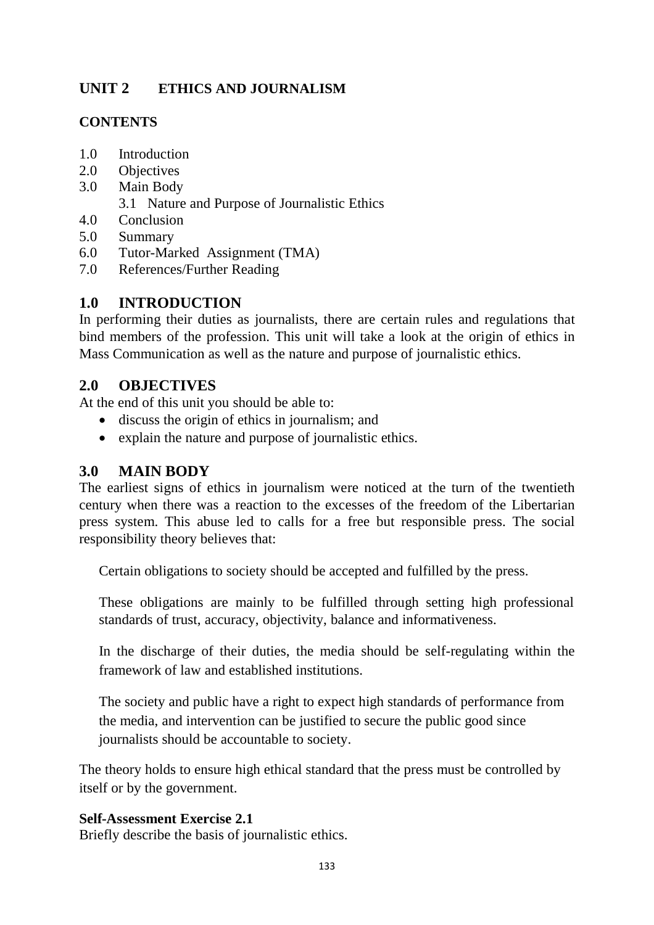## **UNIT 2 ETHICS AND JOURNALISM**

### **CONTENTS**

- 1.0 Introduction
- 2.0 Objectives
- 3.0 Main Body
	- 3.1 Nature and Purpose of Journalistic Ethics
- 4.0 Conclusion
- 5.0 Summary
- 6.0 Tutor-Marked Assignment (TMA)
- 7.0 References/Further Reading

## **1.0 INTRODUCTION**

In performing their duties as journalists, there are certain rules and regulations that bind members of the profession. This unit will take a look at the origin of ethics in Mass Communication as well as the nature and purpose of journalistic ethics.

## **2.0 OBJECTIVES**

At the end of this unit you should be able to:

- discuss the origin of ethics in journalism; and
- explain the nature and purpose of journalistic ethics.

## **3.0 MAIN BODY**

The earliest signs of ethics in journalism were noticed at the turn of the twentieth century when there was a reaction to the excesses of the freedom of the Libertarian press system. This abuse led to calls for a free but responsible press. The social responsibility theory believes that:

Certain obligations to society should be accepted and fulfilled by the press.

These obligations are mainly to be fulfilled through setting high professional standards of trust, accuracy, objectivity, balance and informativeness.

In the discharge of their duties, the media should be self-regulating within the framework of law and established institutions.

The society and public have a right to expect high standards of performance from the media, and intervention can be justified to secure the public good since journalists should be accountable to society.

The theory holds to ensure high ethical standard that the press must be controlled by itself or by the government.

### **Self-Assessment Exercise 2.1**

Briefly describe the basis of journalistic ethics.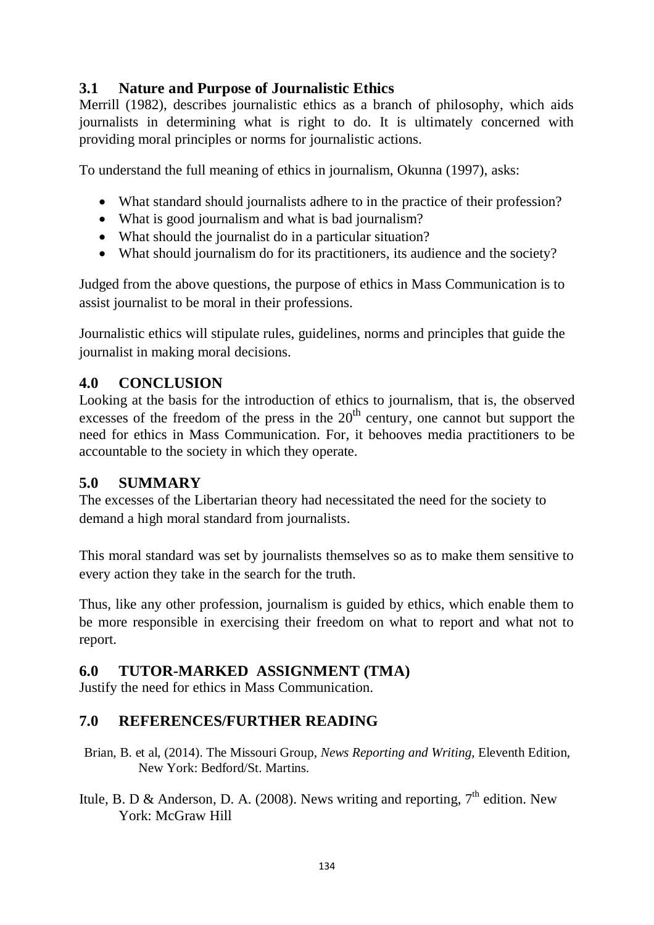## **3.1 Nature and Purpose of Journalistic Ethics**

Merrill (1982), describes journalistic ethics as a branch of philosophy, which aids journalists in determining what is right to do. It is ultimately concerned with providing moral principles or norms for journalistic actions.

To understand the full meaning of ethics in journalism, Okunna (1997), asks:

- What standard should journalists adhere to in the practice of their profession?
- What is good journalism and what is bad journalism?
- What should the journalist do in a particular situation?
- What should journalism do for its practitioners, its audience and the society?

Judged from the above questions, the purpose of ethics in Mass Communication is to assist journalist to be moral in their professions.

Journalistic ethics will stipulate rules, guidelines, norms and principles that guide the journalist in making moral decisions.

## **4.0 CONCLUSION**

Looking at the basis for the introduction of ethics to journalism, that is, the observed excesses of the freedom of the press in the  $20<sup>th</sup>$  century, one cannot but support the need for ethics in Mass Communication. For, it behooves media practitioners to be accountable to the society in which they operate.

### **5.0 SUMMARY**

The excesses of the Libertarian theory had necessitated the need for the society to demand a high moral standard from journalists.

This moral standard was set by journalists themselves so as to make them sensitive to every action they take in the search for the truth.

Thus, like any other profession, journalism is guided by ethics, which enable them to be more responsible in exercising their freedom on what to report and what not to report.

## **6.0 TUTOR-MARKED ASSIGNMENT (TMA)**

Justify the need for ethics in Mass Communication.

## **7.0 REFERENCES/FURTHER READING**

- Brian, B. et al, (2014). The Missouri Group, *News Reporting and Writing*, Eleventh Edition, New York: Bedford/St. Martins.
- Itule, B. D & Anderson, D. A. (2008). News writing and reporting,  $7<sup>th</sup>$  edition. New York: McGraw Hill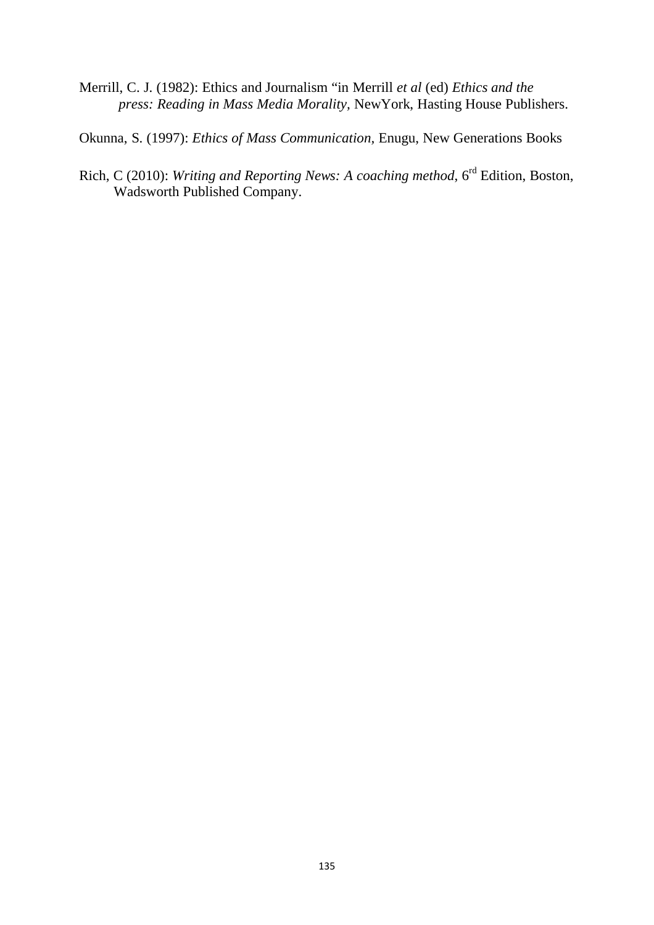- Merrill, C. J. (1982): Ethics and Journalism "in Merrill *et al* (ed) *Ethics and the press: Reading in Mass Media Morality,* NewYork, Hasting House Publishers.
- Okunna, S. (1997): *Ethics of Mass Communication,* Enugu, New Generations Books
- Rich, C (2010): *Writing and Reporting News: A coaching method*, 6rd Edition, Boston, Wadsworth Published Company.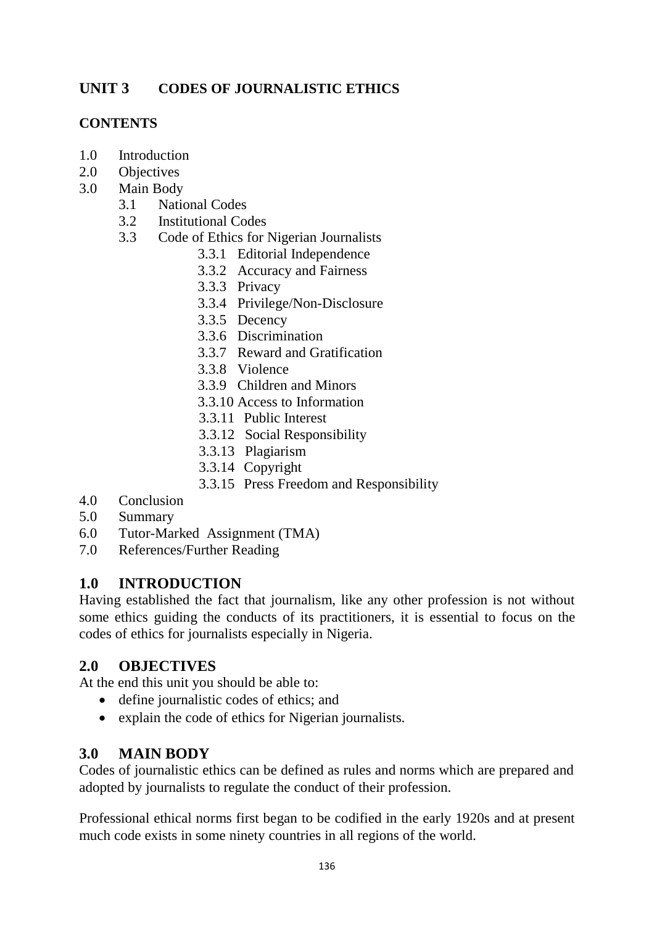## **UNIT 3 CODES OF JOURNALISTIC ETHICS**

### **CONTENTS**

- 1.0 Introduction
- 2.0 Objectives
- 3.0 Main Body
	- 3.1 National Codes
	- 3.2 Institutional Codes
	- 3.3 Code of Ethics for Nigerian Journalists
		- 3.3.1 Editorial Independence
		- 3.3.2 Accuracy and Fairness
		- 3.3.3 Privacy
		- 3.3.4 Privilege/Non-Disclosure
		- 3.3.5 Decency
		- 3.3.6 Discrimination
		- 3.3.7 Reward and Gratification
		- 3.3.8 Violence
		- 3.3.9 Children and Minors
		- 3.3.10 Access to Information
		- 3.3.11 Public Interest
		- 3.3.12 Social Responsibility
		- 3.3.13 Plagiarism
		- 3.3.14 Copyright
		- 3.3.15 Press Freedom and Responsibility
- 4.0 Conclusion
- 5.0 Summary
- 6.0 Tutor-Marked Assignment (TMA)
- 7.0 References/Further Reading

#### **1.0 INTRODUCTION**

Having established the fact that journalism, like any other profession is not without some ethics guiding the conducts of its practitioners, it is essential to focus on the codes of ethics for journalists especially in Nigeria.

#### **2.0 OBJECTIVES**

At the end this unit you should be able to:

- define journalistic codes of ethics; and
- explain the code of ethics for Nigerian journalists.

### **3.0 MAIN BODY**

Codes of journalistic ethics can be defined as rules and norms which are prepared and adopted by journalists to regulate the conduct of their profession.

Professional ethical norms first began to be codified in the early 1920s and at present much code exists in some ninety countries in all regions of the world.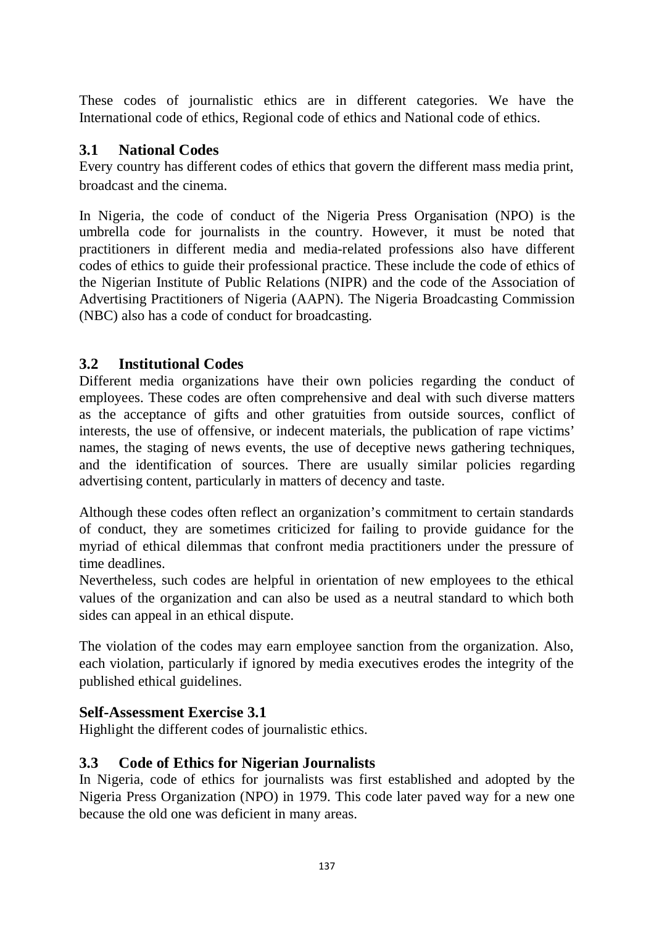These codes of journalistic ethics are in different categories. We have the International code of ethics, Regional code of ethics and National code of ethics.

## **3.1 National Codes**

Every country has different codes of ethics that govern the different mass media print, broadcast and the cinema.

In Nigeria, the code of conduct of the Nigeria Press Organisation (NPO) is the umbrella code for journalists in the country. However, it must be noted that practitioners in different media and media-related professions also have different codes of ethics to guide their professional practice. These include the code of ethics of the Nigerian Institute of Public Relations (NIPR) and the code of the Association of Advertising Practitioners of Nigeria (AAPN). The Nigeria Broadcasting Commission (NBC) also has a code of conduct for broadcasting.

## **3.2 Institutional Codes**

Different media organizations have their own policies regarding the conduct of employees. These codes are often comprehensive and deal with such diverse matters as the acceptance of gifts and other gratuities from outside sources, conflict of interests, the use of offensive, or indecent materials, the publication of rape victims' names, the staging of news events, the use of deceptive news gathering techniques, and the identification of sources. There are usually similar policies regarding advertising content, particularly in matters of decency and taste.

Although these codes often reflect an organization's commitment to certain standards of conduct, they are sometimes criticized for failing to provide guidance for the myriad of ethical dilemmas that confront media practitioners under the pressure of time deadlines.

Nevertheless, such codes are helpful in orientation of new employees to the ethical values of the organization and can also be used as a neutral standard to which both sides can appeal in an ethical dispute.

The violation of the codes may earn employee sanction from the organization. Also, each violation, particularly if ignored by media executives erodes the integrity of the published ethical guidelines.

### **Self-Assessment Exercise 3.1**

Highlight the different codes of journalistic ethics.

## **3.3 Code of Ethics for Nigerian Journalists**

In Nigeria, code of ethics for journalists was first established and adopted by the Nigeria Press Organization (NPO) in 1979. This code later paved way for a new one because the old one was deficient in many areas.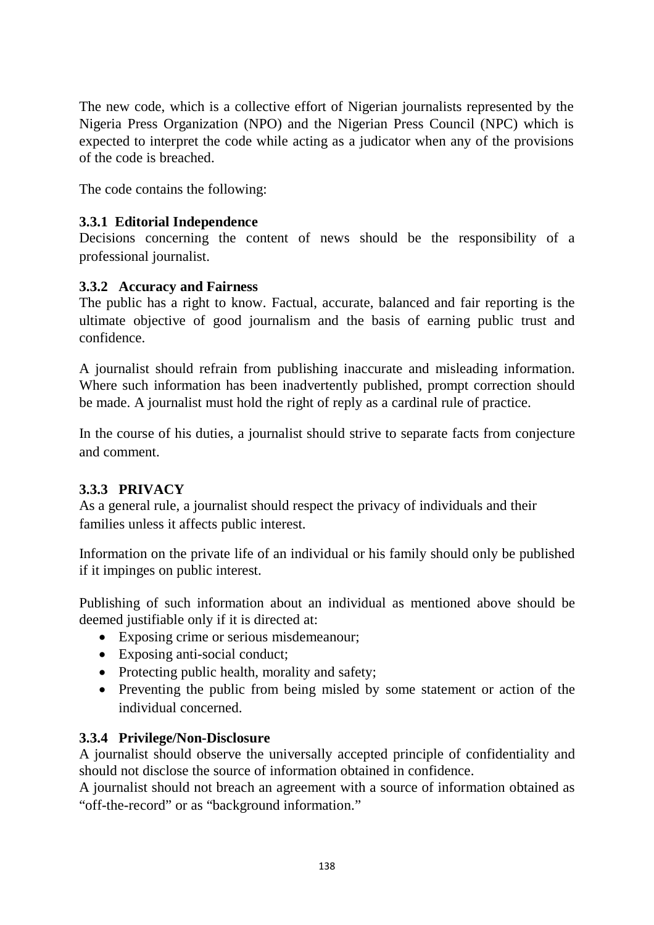The new code, which is a collective effort of Nigerian journalists represented by the Nigeria Press Organization (NPO) and the Nigerian Press Council (NPC) which is expected to interpret the code while acting as a judicator when any of the provisions of the code is breached.

The code contains the following:

### **3.3.1 Editorial Independence**

Decisions concerning the content of news should be the responsibility of a professional journalist.

## **3.3.2 Accuracy and Fairness**

The public has a right to know. Factual, accurate, balanced and fair reporting is the ultimate objective of good journalism and the basis of earning public trust and confidence.

A journalist should refrain from publishing inaccurate and misleading information. Where such information has been inadvertently published, prompt correction should be made. A journalist must hold the right of reply as a cardinal rule of practice.

In the course of his duties, a journalist should strive to separate facts from conjecture and comment.

## **3.3.3 PRIVACY**

As a general rule, a journalist should respect the privacy of individuals and their families unless it affects public interest.

Information on the private life of an individual or his family should only be published if it impinges on public interest.

Publishing of such information about an individual as mentioned above should be deemed justifiable only if it is directed at:

- Exposing crime or serious misdemeanour;
- Exposing anti-social conduct;
- Protecting public health, morality and safety;
- Preventing the public from being misled by some statement or action of the individual concerned.

### **3.3.4 Privilege/Non-Disclosure**

A journalist should observe the universally accepted principle of confidentiality and should not disclose the source of information obtained in confidence.

A journalist should not breach an agreement with a source of information obtained as "off-the-record" or as "background information."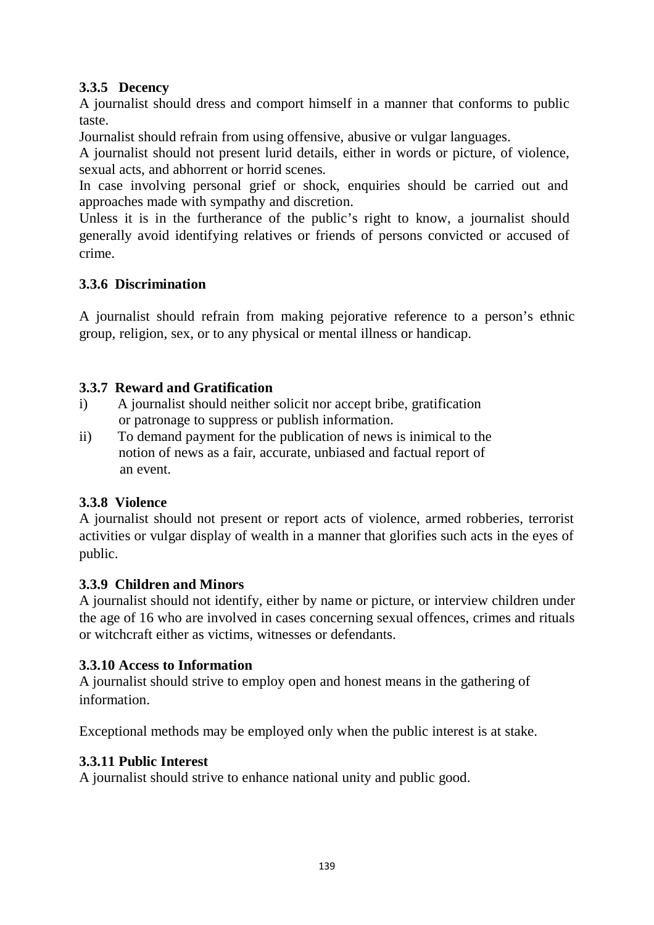### **3.3.5 Decency**

A journalist should dress and comport himself in a manner that conforms to public taste.

Journalist should refrain from using offensive, abusive or vulgar languages.

A journalist should not present lurid details, either in words or picture, of violence, sexual acts, and abhorrent or horrid scenes.

In case involving personal grief or shock, enquiries should be carried out and approaches made with sympathy and discretion.

Unless it is in the furtherance of the public's right to know, a journalist should generally avoid identifying relatives or friends of persons convicted or accused of crime.

## **3.3.6 Discrimination**

A journalist should refrain from making pejorative reference to a person's ethnic group, religion, sex, or to any physical or mental illness or handicap.

## **3.3.7 Reward and Gratification**

- i) A journalist should neither solicit nor accept bribe, gratification or patronage to suppress or publish information.
- ii) To demand payment for the publication of news is inimical to the notion of news as a fair, accurate, unbiased and factual report of an event.

## **3.3.8 Violence**

A journalist should not present or report acts of violence, armed robberies, terrorist activities or vulgar display of wealth in a manner that glorifies such acts in the eyes of public.

### **3.3.9 Children and Minors**

A journalist should not identify, either by name or picture, or interview children under the age of 16 who are involved in cases concerning sexual offences, crimes and rituals or witchcraft either as victims, witnesses or defendants.

### **3.3.10 Access to Information**

A journalist should strive to employ open and honest means in the gathering of information.

Exceptional methods may be employed only when the public interest is at stake.

## **3.3.11 Public Interest**

A journalist should strive to enhance national unity and public good.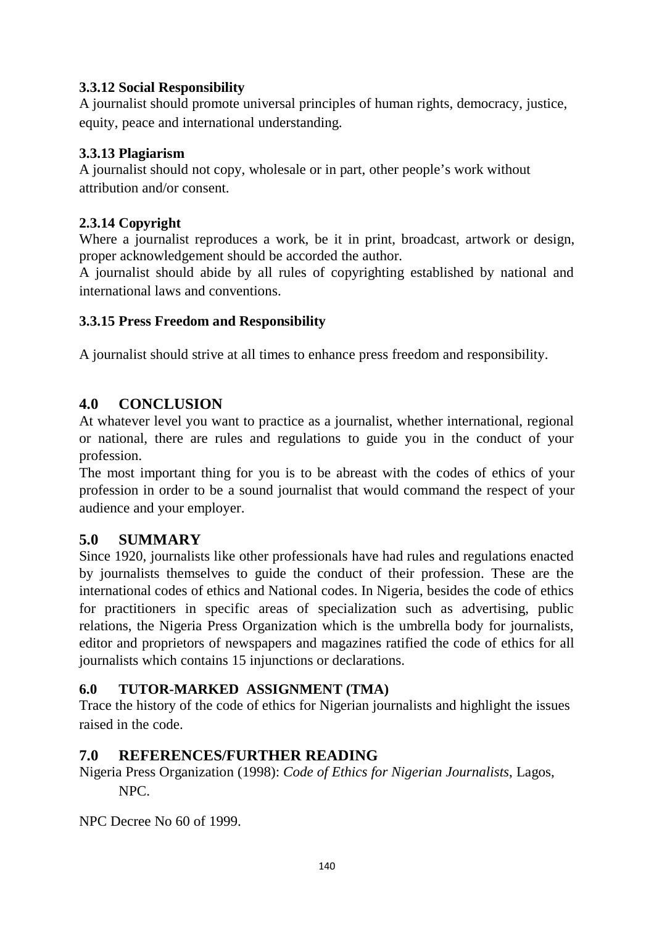### **3.3.12 Social Responsibility**

A journalist should promote universal principles of human rights, democracy, justice, equity, peace and international understanding.

### **3.3.13 Plagiarism**

A journalist should not copy, wholesale or in part, other people's work without attribution and/or consent.

## **2.3.14 Copyright**

Where a journalist reproduces a work, be it in print, broadcast, artwork or design, proper acknowledgement should be accorded the author.

A journalist should abide by all rules of copyrighting established by national and international laws and conventions.

## **3.3.15 Press Freedom and Responsibility**

A journalist should strive at all times to enhance press freedom and responsibility.

## **4.0 CONCLUSION**

At whatever level you want to practice as a journalist, whether international, regional or national, there are rules and regulations to guide you in the conduct of your profession.

The most important thing for you is to be abreast with the codes of ethics of your profession in order to be a sound journalist that would command the respect of your audience and your employer.

## **5.0 SUMMARY**

Since 1920, journalists like other professionals have had rules and regulations enacted by journalists themselves to guide the conduct of their profession. These are the international codes of ethics and National codes. In Nigeria, besides the code of ethics for practitioners in specific areas of specialization such as advertising, public relations, the Nigeria Press Organization which is the umbrella body for journalists, editor and proprietors of newspapers and magazines ratified the code of ethics for all journalists which contains 15 injunctions or declarations.

### **6.0 TUTOR-MARKED ASSIGNMENT (TMA)**

Trace the history of the code of ethics for Nigerian journalists and highlight the issues raised in the code.

## **7.0 REFERENCES/FURTHER READING**

Nigeria Press Organization (1998): *Code of Ethics for Nigerian Journalists*, Lagos, NPC.

NPC Decree No 60 of 1999.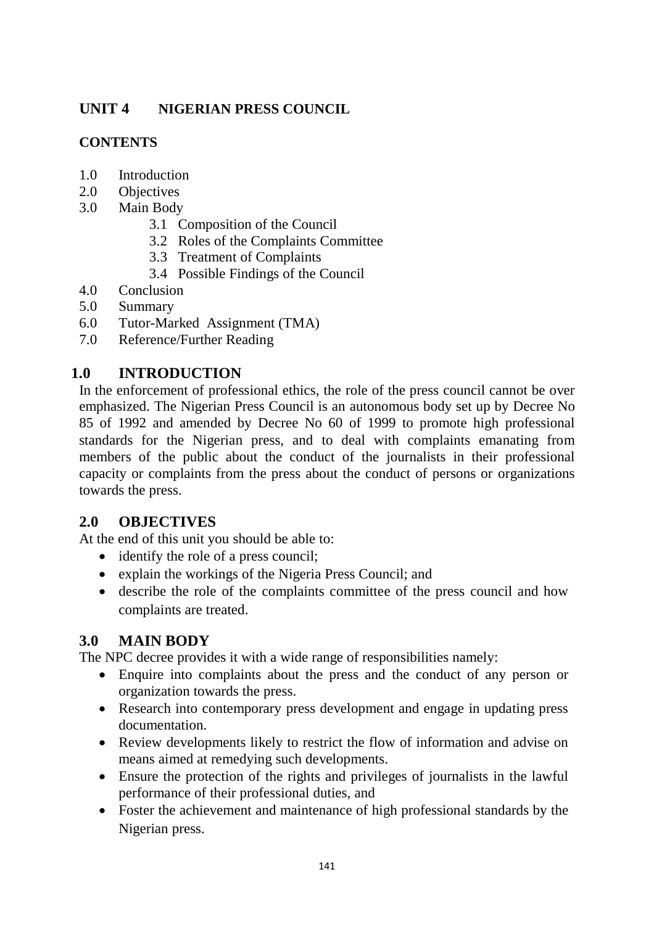## **UNIT 4 NIGERIAN PRESS COUNCIL**

## **CONTENTS**

- 1.0 Introduction
- 2.0 Objectives
- 3.0 Main Body
	- 3.1 Composition of the Council
	- 3.2 Roles of the Complaints Committee
	- 3.3 Treatment of Complaints
	- 3.4 Possible Findings of the Council
- 4.0 Conclusion
- 5.0 Summary
- 6.0 Tutor-Marked Assignment (TMA)
- 7.0 Reference/Further Reading

## **1.0 INTRODUCTION**

In the enforcement of professional ethics, the role of the press council cannot be over emphasized. The Nigerian Press Council is an autonomous body set up by Decree No 85 of 1992 and amended by Decree No 60 of 1999 to promote high professional standards for the Nigerian press, and to deal with complaints emanating from members of the public about the conduct of the journalists in their professional capacity or complaints from the press about the conduct of persons or organizations towards the press.

### **2.0 OBJECTIVES**

At the end of this unit you should be able to:

- identify the role of a press council;
- explain the workings of the Nigeria Press Council; and
- describe the role of the complaints committee of the press council and how complaints are treated.

### **3.0 MAIN BODY**

The NPC decree provides it with a wide range of responsibilities namely:

- Enquire into complaints about the press and the conduct of any person or organization towards the press.
- Research into contemporary press development and engage in updating press documentation.
- Review developments likely to restrict the flow of information and advise on means aimed at remedying such developments.
- Ensure the protection of the rights and privileges of journalists in the lawful performance of their professional duties, and
- Foster the achievement and maintenance of high professional standards by the Nigerian press.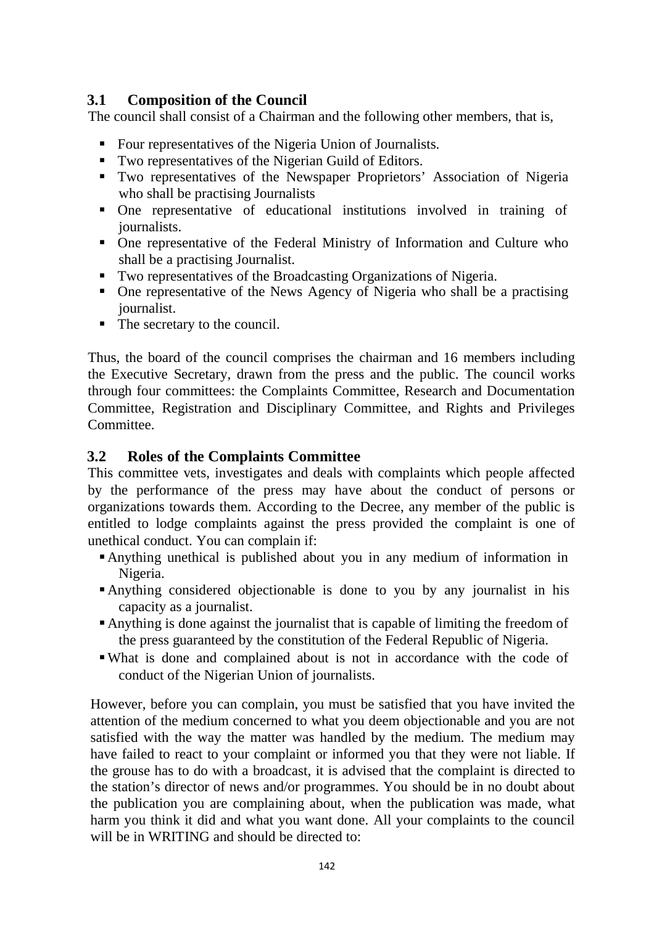## **3.1 Composition of the Council**

The council shall consist of a Chairman and the following other members, that is,

- Four representatives of the Nigeria Union of Journalists.
- Two representatives of the Nigerian Guild of Editors.
- Two representatives of the Newspaper Proprietors' Association of Nigeria who shall be practising Journalists
- One representative of educational institutions involved in training of journalists.
- One representative of the Federal Ministry of Information and Culture who shall be a practising Journalist.
- Two representatives of the Broadcasting Organizations of Nigeria.
- One representative of the News Agency of Nigeria who shall be a practising journalist.
- The secretary to the council.

Thus, the board of the council comprises the chairman and 16 members including the Executive Secretary, drawn from the press and the public. The council works through four committees: the Complaints Committee, Research and Documentation Committee, Registration and Disciplinary Committee, and Rights and Privileges Committee.

### **3.2 Roles of the Complaints Committee**

This committee vets, investigates and deals with complaints which people affected by the performance of the press may have about the conduct of persons or organizations towards them. According to the Decree, any member of the public is entitled to lodge complaints against the press provided the complaint is one of unethical conduct. You can complain if:

- Anything unethical is published about you in any medium of information in Nigeria.
- Anything considered objectionable is done to you by any journalist in his capacity as a journalist.
- Anything is done against the journalist that is capable of limiting the freedom of the press guaranteed by the constitution of the Federal Republic of Nigeria.
- What is done and complained about is not in accordance with the code of conduct of the Nigerian Union of journalists.

However, before you can complain, you must be satisfied that you have invited the attention of the medium concerned to what you deem objectionable and you are not satisfied with the way the matter was handled by the medium. The medium may have failed to react to your complaint or informed you that they were not liable. If the grouse has to do with a broadcast, it is advised that the complaint is directed to the station's director of news and/or programmes. You should be in no doubt about the publication you are complaining about, when the publication was made, what harm you think it did and what you want done. All your complaints to the council will be in WRITING and should be directed to: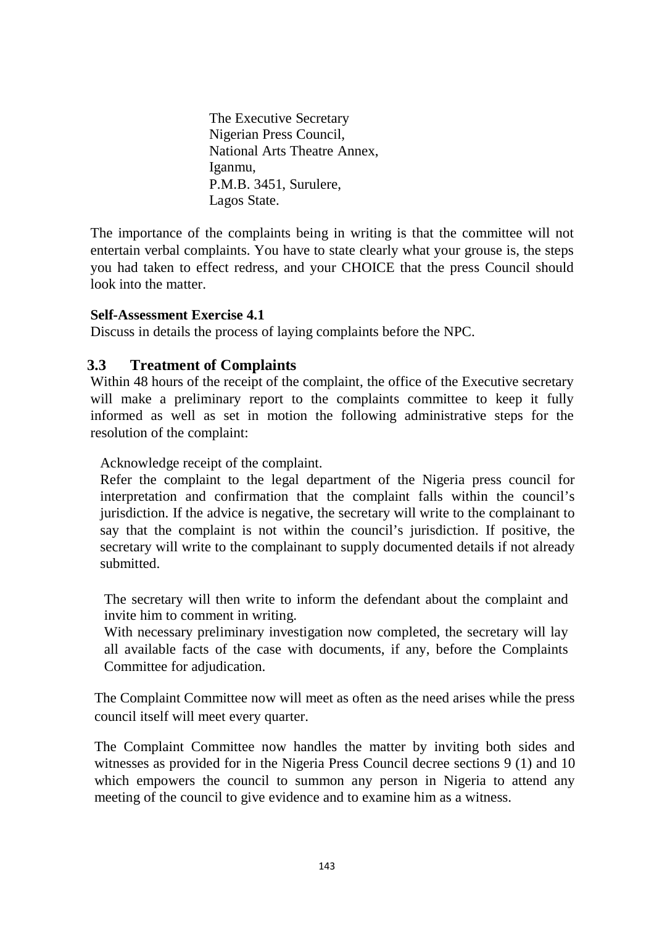The Executive Secretary Nigerian Press Council, National Arts Theatre Annex, Iganmu, P.M.B. 3451, Surulere, Lagos State.

The importance of the complaints being in writing is that the committee will not entertain verbal complaints. You have to state clearly what your grouse is, the steps you had taken to effect redress, and your CHOICE that the press Council should look into the matter.

#### **Self-Assessment Exercise 4.1**

Discuss in details the process of laying complaints before the NPC.

#### **3.3 Treatment of Complaints**

Within 48 hours of the receipt of the complaint, the office of the Executive secretary will make a preliminary report to the complaints committee to keep it fully informed as well as set in motion the following administrative steps for the resolution of the complaint:

Acknowledge receipt of the complaint.

Refer the complaint to the legal department of the Nigeria press council for interpretation and confirmation that the complaint falls within the council's jurisdiction. If the advice is negative, the secretary will write to the complainant to say that the complaint is not within the council's jurisdiction. If positive, the secretary will write to the complainant to supply documented details if not already submitted.

The secretary will then write to inform the defendant about the complaint and invite him to comment in writing.

With necessary preliminary investigation now completed, the secretary will lay all available facts of the case with documents, if any, before the Complaints Committee for adjudication.

The Complaint Committee now will meet as often as the need arises while the press council itself will meet every quarter.

The Complaint Committee now handles the matter by inviting both sides and witnesses as provided for in the Nigeria Press Council decree sections 9 (1) and 10 which empowers the council to summon any person in Nigeria to attend any meeting of the council to give evidence and to examine him as a witness.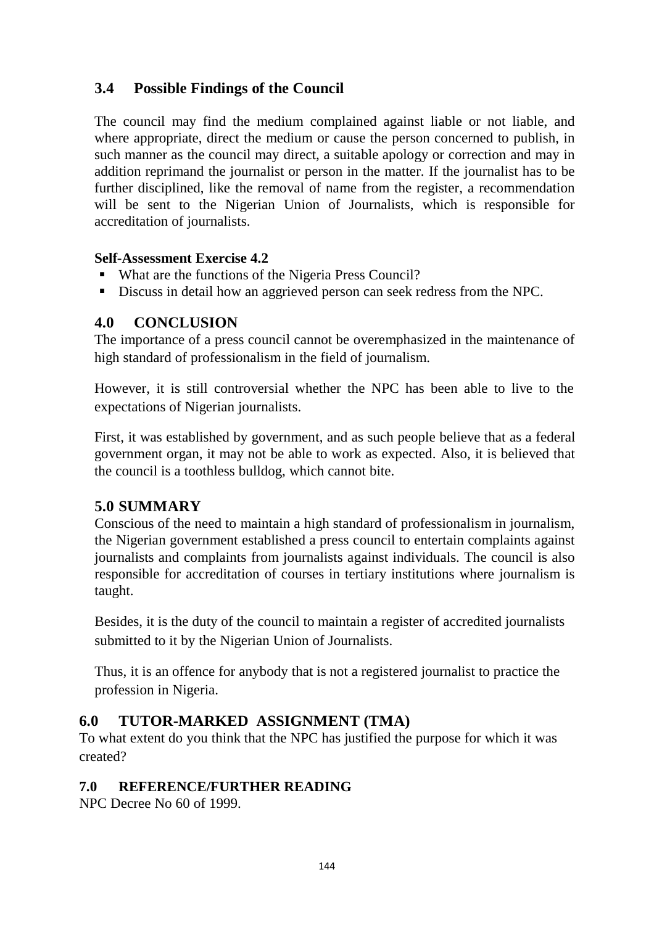## **3.4 Possible Findings of the Council**

The council may find the medium complained against liable or not liable, and where appropriate, direct the medium or cause the person concerned to publish, in such manner as the council may direct, a suitable apology or correction and may in addition reprimand the journalist or person in the matter. If the journalist has to be further disciplined, like the removal of name from the register, a recommendation will be sent to the Nigerian Union of Journalists, which is responsible for accreditation of journalists.

#### **Self-Assessment Exercise 4.2**

- What are the functions of the Nigeria Press Council?
- Discuss in detail how an aggrieved person can seek redress from the NPC.

### **4.0 CONCLUSION**

The importance of a press council cannot be overemphasized in the maintenance of high standard of professionalism in the field of journalism.

However, it is still controversial whether the NPC has been able to live to the expectations of Nigerian journalists.

First, it was established by government, and as such people believe that as a federal government organ, it may not be able to work as expected. Also, it is believed that the council is a toothless bulldog, which cannot bite.

## **5.0 SUMMARY**

Conscious of the need to maintain a high standard of professionalism in journalism, the Nigerian government established a press council to entertain complaints against journalists and complaints from journalists against individuals. The council is also responsible for accreditation of courses in tertiary institutions where journalism is taught.

Besides, it is the duty of the council to maintain a register of accredited journalists submitted to it by the Nigerian Union of Journalists.

Thus, it is an offence for anybody that is not a registered journalist to practice the profession in Nigeria.

### **6.0 TUTOR-MARKED ASSIGNMENT (TMA)**

To what extent do you think that the NPC has justified the purpose for which it was created?

### **7.0 REFERENCE/FURTHER READING**

NPC Decree No 60 of 1999.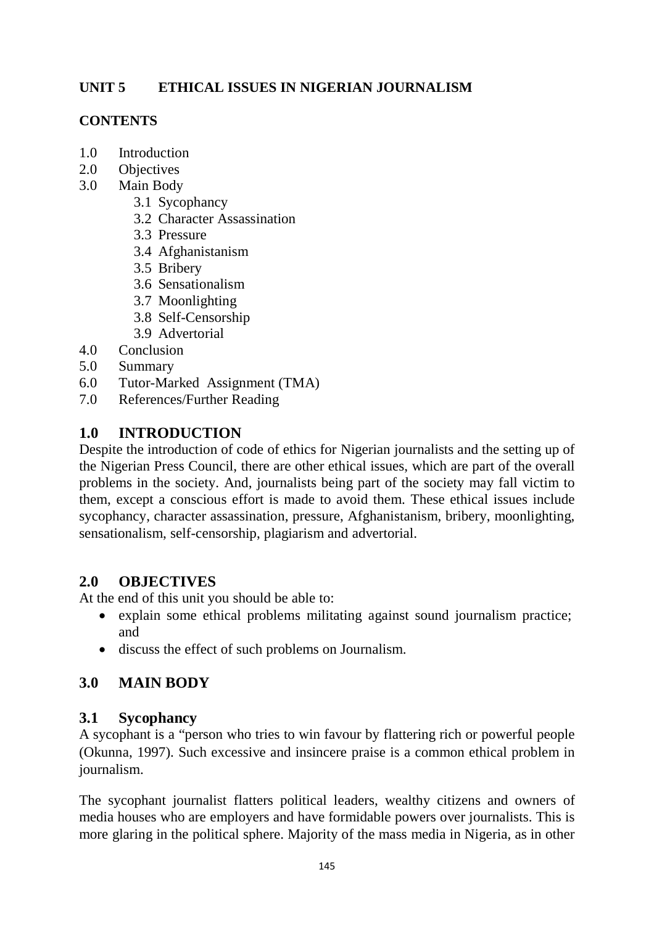# **UNIT 5 ETHICAL ISSUES IN NIGERIAN JOURNALISM**

#### **CONTENTS**

- 1.0 Introduction
- 2.0 Objectives
- 3.0 Main Body
	- 3.1 Sycophancy
	- 3.2 Character Assassination
	- 3.3 Pressure
	- 3.4 Afghanistanism
	- 3.5 Bribery
	- 3.6 Sensationalism
	- 3.7 Moonlighting
	- 3.8 Self-Censorship
	- 3.9 Advertorial
- 4.0 Conclusion
- 5.0 Summary
- 6.0 Tutor-Marked Assignment (TMA)
- 7.0 References/Further Reading

# **1.0 INTRODUCTION**

Despite the introduction of code of ethics for Nigerian journalists and the setting up of the Nigerian Press Council, there are other ethical issues, which are part of the overall problems in the society. And, journalists being part of the society may fall victim to them, except a conscious effort is made to avoid them. These ethical issues include sycophancy, character assassination, pressure, Afghanistanism, bribery, moonlighting, sensationalism, self-censorship, plagiarism and advertorial.

## **2.0 OBJECTIVES**

At the end of this unit you should be able to:

- explain some ethical problems militating against sound journalism practice; and
- discuss the effect of such problems on Journalism.

# **3.0 MAIN BODY**

## **3.1 Sycophancy**

A sycophant is a "person who tries to win favour by flattering rich or powerful people (Okunna, 1997). Such excessive and insincere praise is a common ethical problem in journalism.

The sycophant journalist flatters political leaders, wealthy citizens and owners of media houses who are employers and have formidable powers over journalists. This is more glaring in the political sphere. Majority of the mass media in Nigeria, as in other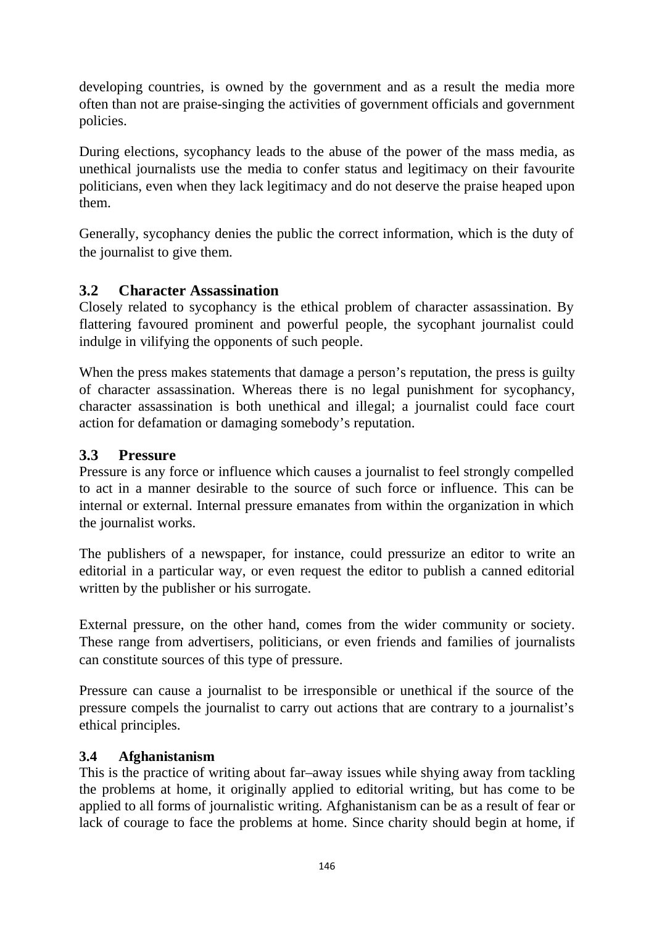developing countries, is owned by the government and as a result the media more often than not are praise-singing the activities of government officials and government policies.

During elections, sycophancy leads to the abuse of the power of the mass media, as unethical journalists use the media to confer status and legitimacy on their favourite politicians, even when they lack legitimacy and do not deserve the praise heaped upon them.

Generally, sycophancy denies the public the correct information, which is the duty of the journalist to give them.

## **3.2 Character Assassination**

Closely related to sycophancy is the ethical problem of character assassination. By flattering favoured prominent and powerful people, the sycophant journalist could indulge in vilifying the opponents of such people.

When the press makes statements that damage a person's reputation, the press is guilty of character assassination. Whereas there is no legal punishment for sycophancy, character assassination is both unethical and illegal; a journalist could face court action for defamation or damaging somebody's reputation.

#### **3.3 Pressure**

Pressure is any force or influence which causes a journalist to feel strongly compelled to act in a manner desirable to the source of such force or influence. This can be internal or external. Internal pressure emanates from within the organization in which the journalist works.

The publishers of a newspaper, for instance, could pressurize an editor to write an editorial in a particular way, or even request the editor to publish a canned editorial written by the publisher or his surrogate.

External pressure, on the other hand, comes from the wider community or society. These range from advertisers, politicians, or even friends and families of journalists can constitute sources of this type of pressure.

Pressure can cause a journalist to be irresponsible or unethical if the source of the pressure compels the journalist to carry out actions that are contrary to a journalist's ethical principles.

#### **3.4 Afghanistanism**

This is the practice of writing about far–away issues while shying away from tackling the problems at home, it originally applied to editorial writing, but has come to be applied to all forms of journalistic writing. Afghanistanism can be as a result of fear or lack of courage to face the problems at home. Since charity should begin at home, if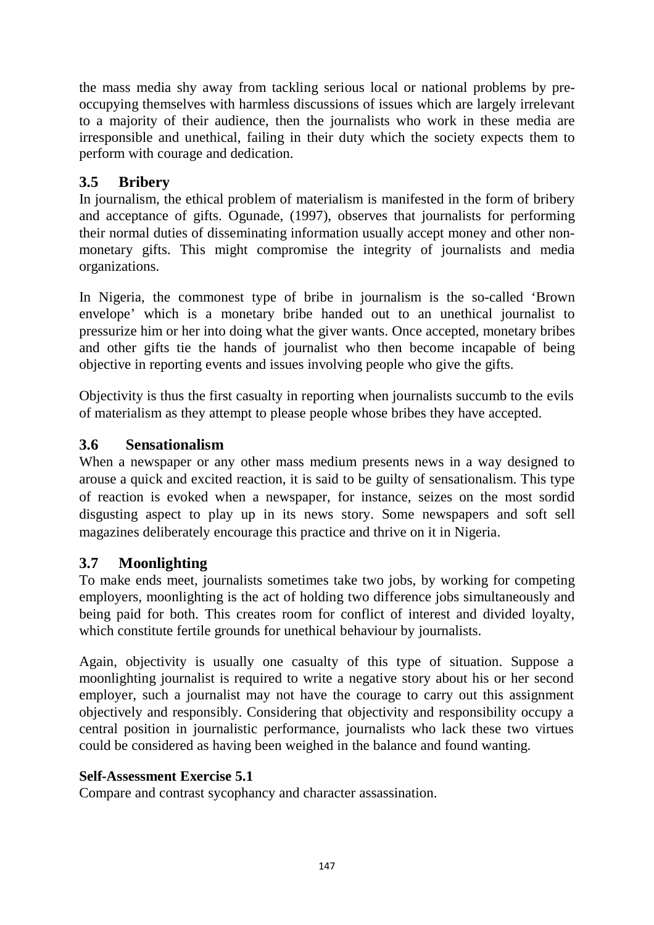the mass media shy away from tackling serious local or national problems by preoccupying themselves with harmless discussions of issues which are largely irrelevant to a majority of their audience, then the journalists who work in these media are irresponsible and unethical, failing in their duty which the society expects them to perform with courage and dedication.

# **3.5 Bribery**

In journalism, the ethical problem of materialism is manifested in the form of bribery and acceptance of gifts. Ogunade, (1997), observes that journalists for performing their normal duties of disseminating information usually accept money and other nonmonetary gifts. This might compromise the integrity of journalists and media organizations.

In Nigeria, the commonest type of bribe in journalism is the so-called 'Brown envelope' which is a monetary bribe handed out to an unethical journalist to pressurize him or her into doing what the giver wants. Once accepted, monetary bribes and other gifts tie the hands of journalist who then become incapable of being objective in reporting events and issues involving people who give the gifts.

Objectivity is thus the first casualty in reporting when journalists succumb to the evils of materialism as they attempt to please people whose bribes they have accepted.

## **3.6 Sensationalism**

When a newspaper or any other mass medium presents news in a way designed to arouse a quick and excited reaction, it is said to be guilty of sensationalism. This type of reaction is evoked when a newspaper, for instance, seizes on the most sordid disgusting aspect to play up in its news story. Some newspapers and soft sell magazines deliberately encourage this practice and thrive on it in Nigeria.

## **3.7 Moonlighting**

To make ends meet, journalists sometimes take two jobs, by working for competing employers, moonlighting is the act of holding two difference jobs simultaneously and being paid for both. This creates room for conflict of interest and divided loyalty, which constitute fertile grounds for unethical behaviour by journalists.

Again, objectivity is usually one casualty of this type of situation. Suppose a moonlighting journalist is required to write a negative story about his or her second employer, such a journalist may not have the courage to carry out this assignment objectively and responsibly. Considering that objectivity and responsibility occupy a central position in journalistic performance, journalists who lack these two virtues could be considered as having been weighed in the balance and found wanting.

#### **Self-Assessment Exercise 5.1**

Compare and contrast sycophancy and character assassination.